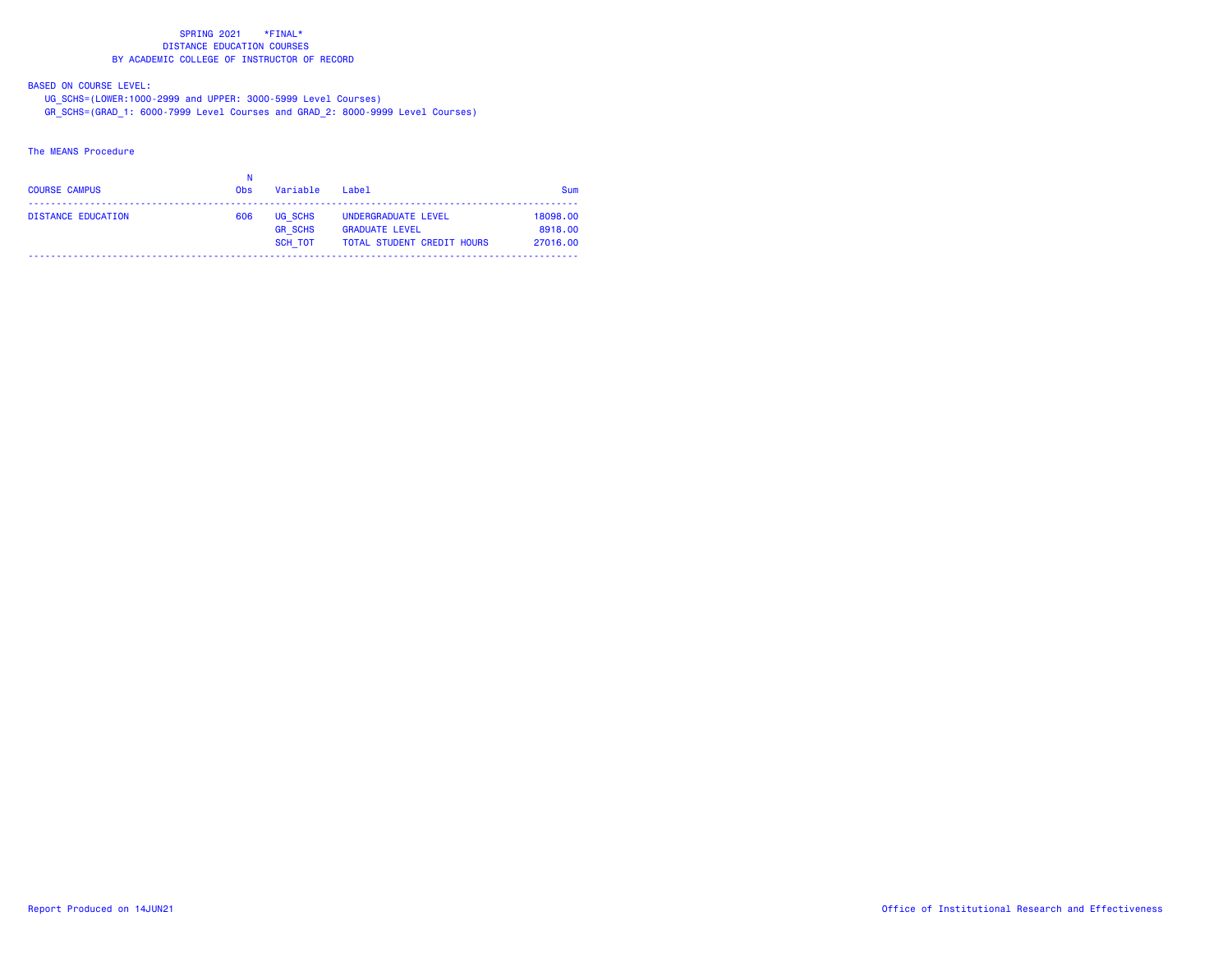### BASED ON COURSE LEVEL:

UG\_SCHS=(LOWER:1000-2999 and UPPER: 3000-5999 Level Courses)

GR\_SCHS=(GRAD\_1: 6000-7999 Level Courses and GRAD\_2: 8000-9999 Level Courses)

### The MEANS Procedure

| <b>COURSE CAMPUS</b> | <b>Obs</b> | Variable                                    | Label                                                                             | <b>Sum</b>                      |
|----------------------|------------|---------------------------------------------|-----------------------------------------------------------------------------------|---------------------------------|
| DISTANCE EDUCATION   | 606        | UG SCHS<br><b>GR SCHS</b><br><b>SCH TOT</b> | UNDERGRADUATE LEVEL<br><b>GRADUATE LEVEL</b><br><b>TOTAL STUDENT CREDIT HOURS</b> | 18098.00<br>8918.00<br>27016.00 |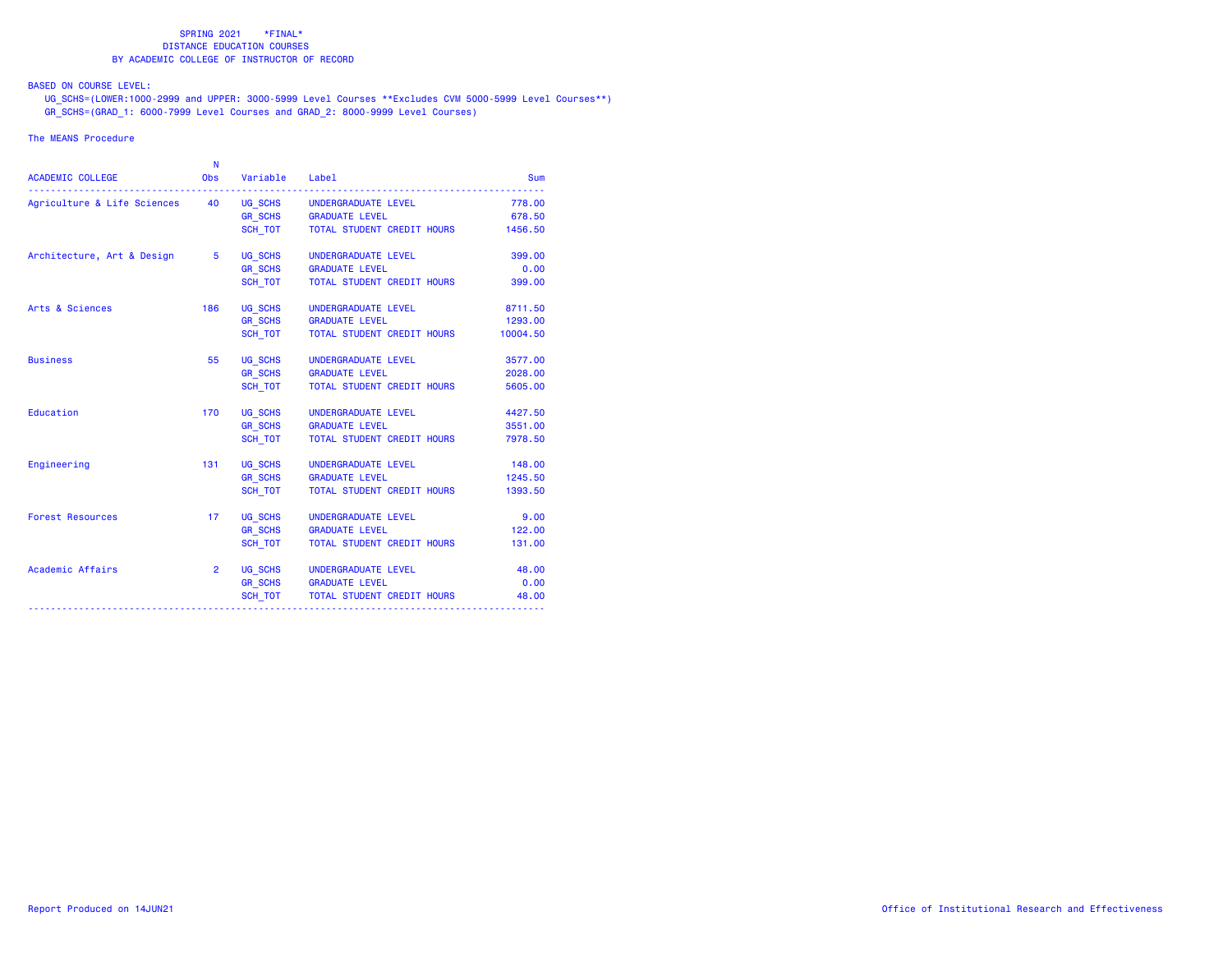BASED ON COURSE LEVEL:

 UG\_SCHS=(LOWER:1000-2999 and UPPER: 3000-5999 Level Courses \*\*Excludes CVM 5000-5999 Level Courses\*\*) GR\_SCHS=(GRAD\_1: 6000-7999 Level Courses and GRAD\_2: 8000-9999 Level Courses)

### The MEANS Procedure

|                                                            | N              |                |                                    |          |
|------------------------------------------------------------|----------------|----------------|------------------------------------|----------|
| <b>ACADEMIC COLLEGE</b>                                    | <b>Obs</b>     | Variable       | Label                              | Sum      |
| Agriculture & Life Sciences 40 UG_SCHS UNDERGRADUATE LEVEL |                |                |                                    | 778.00   |
|                                                            |                |                | GR_SCHS GRADUATE LEVEL             | 678.50   |
|                                                            |                |                | SCH TOT TOTAL STUDENT CREDIT HOURS | 1456.50  |
| Architecture, Art & Design 5                               |                | UG_SCHS        | UNDERGRADUATE LEVEL                | 399.00   |
|                                                            |                | GR_SCHS        | <b>GRADUATE LEVEL</b>              | 0.00     |
|                                                            |                | SCH TOT        | TOTAL STUDENT CREDIT HOURS         | 399.00   |
| Arts & Sciences                                            | 186            | UG SCHS        | UNDERGRADUATE LEVEL                | 8711.50  |
|                                                            |                | GR_SCHS        | <b>GRADUATE LEVEL</b>              | 1293.00  |
|                                                            |                | SCH TOT        | TOTAL STUDENT CREDIT HOURS         | 10004.50 |
| <b>Business</b>                                            | 55             | UG SCHS        | UNDERGRADUATE LEVEL                | 3577.00  |
|                                                            |                |                | GR_SCHS    GRADUATE LEVEL          | 2028.00  |
|                                                            |                | SCH_TOT        | TOTAL STUDENT CREDIT HOURS         | 5605.00  |
| Education                                                  | 170            | UG_SCHS        | UNDERGRADUATE LEVEL                | 4427.50  |
|                                                            |                |                | GR_SCHS GRADUATE LEVEL             | 3551.00  |
|                                                            |                | SCH TOT        | TOTAL STUDENT CREDIT HOURS         | 7978.50  |
| Engineering                                                | 131            | UG SCHS        | UNDERGRADUATE LEVEL                | 148.00   |
|                                                            |                | GR_SCHS        | <b>GRADUATE LEVEL</b>              | 1245.50  |
|                                                            |                | SCH TOT        | TOTAL STUDENT CREDIT HOURS         | 1393.50  |
| <b>Forest Resources</b>                                    | 17             | UG_SCHS        | UNDERGRADUATE LEVEL                | 9.00     |
|                                                            |                | <b>GR_SCHS</b> | <b>GRADUATE LEVEL</b>              | 122.00   |
|                                                            |                | SCH TOT        | TOTAL STUDENT CREDIT HOURS         | 131.00   |
| Academic Affairs                                           | $\overline{2}$ |                | UG SCHS UNDERGRADUATE LEVEL        | 48.00    |
|                                                            |                |                | GR_SCHS GRADUATE LEVEL             | 0.00     |
|                                                            |                | SCH_TOT        | TOTAL STUDENT CREDIT HOURS         | 48.00    |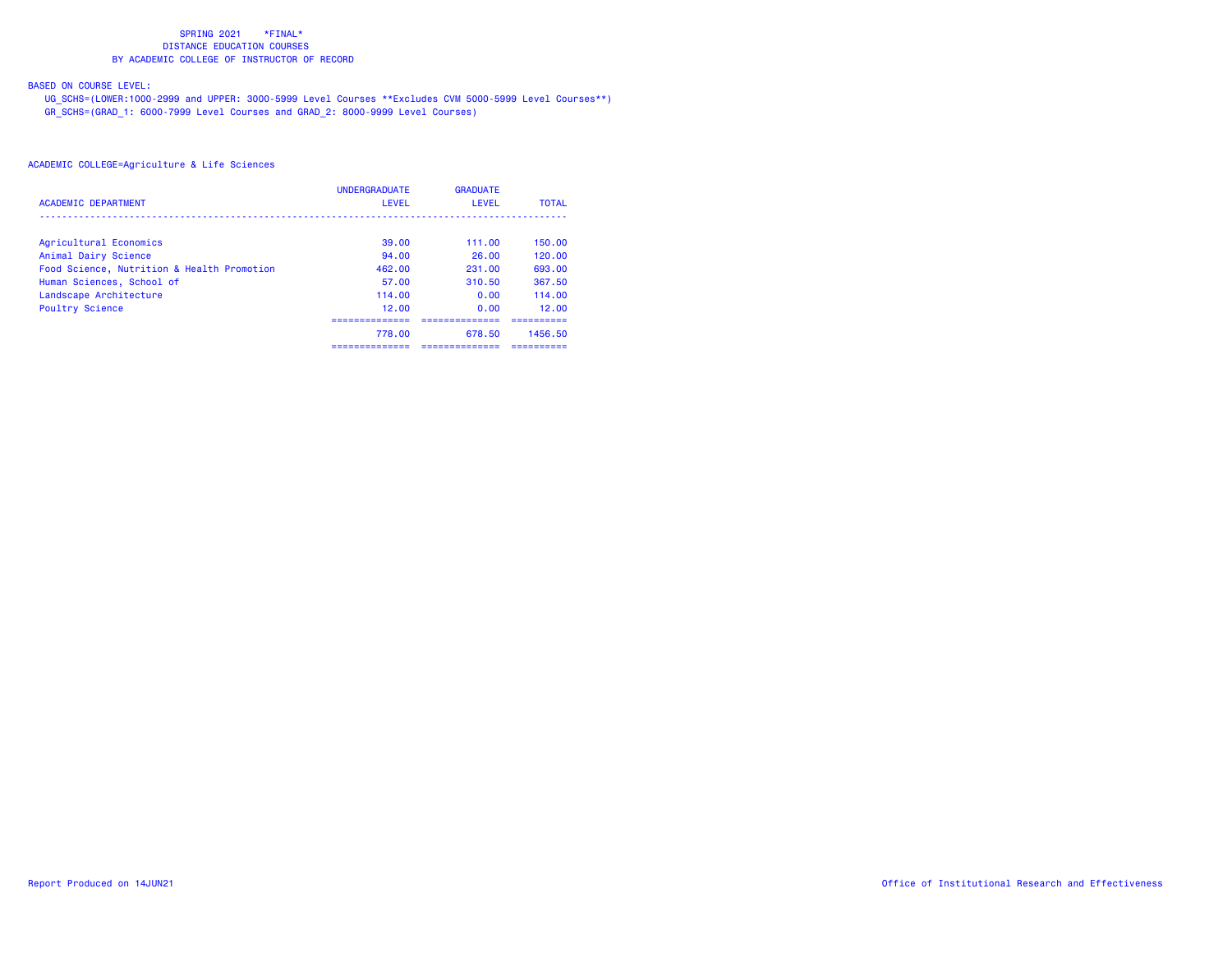# BASED ON COURSE LEVEL:

 UG\_SCHS=(LOWER:1000-2999 and UPPER: 3000-5999 Level Courses \*\*Excludes CVM 5000-5999 Level Courses\*\*) GR\_SCHS=(GRAD\_1: 6000-7999 Level Courses and GRAD\_2: 8000-9999 Level Courses)

|                                            | <b>UNDERGRADUATE</b> | <b>GRADUATE</b> |              |
|--------------------------------------------|----------------------|-----------------|--------------|
| <b>ACADEMIC DEPARTMENT</b>                 | LEVEL                | LEVEL           | <b>TOTAL</b> |
| Agricultural Economics                     | 39.00                | 111.00          | 150.00       |
| Animal Dairy Science                       | 94.00                | 26.00           | 120.00       |
| Food Science, Nutrition & Health Promotion | 462.00               | 231.00          | 693.00       |
| Human Sciences, School of                  | 57.00                | 310.50          | 367.50       |
| Landscape Architecture                     | 114.00               | 0.00            | 114.00       |
| Poultry Science                            | 12.00                | 0.00            | 12.00        |
|                                            | 778.00               | 678.50          | 1456.50      |
|                                            | ------------         | ___________     | ----------   |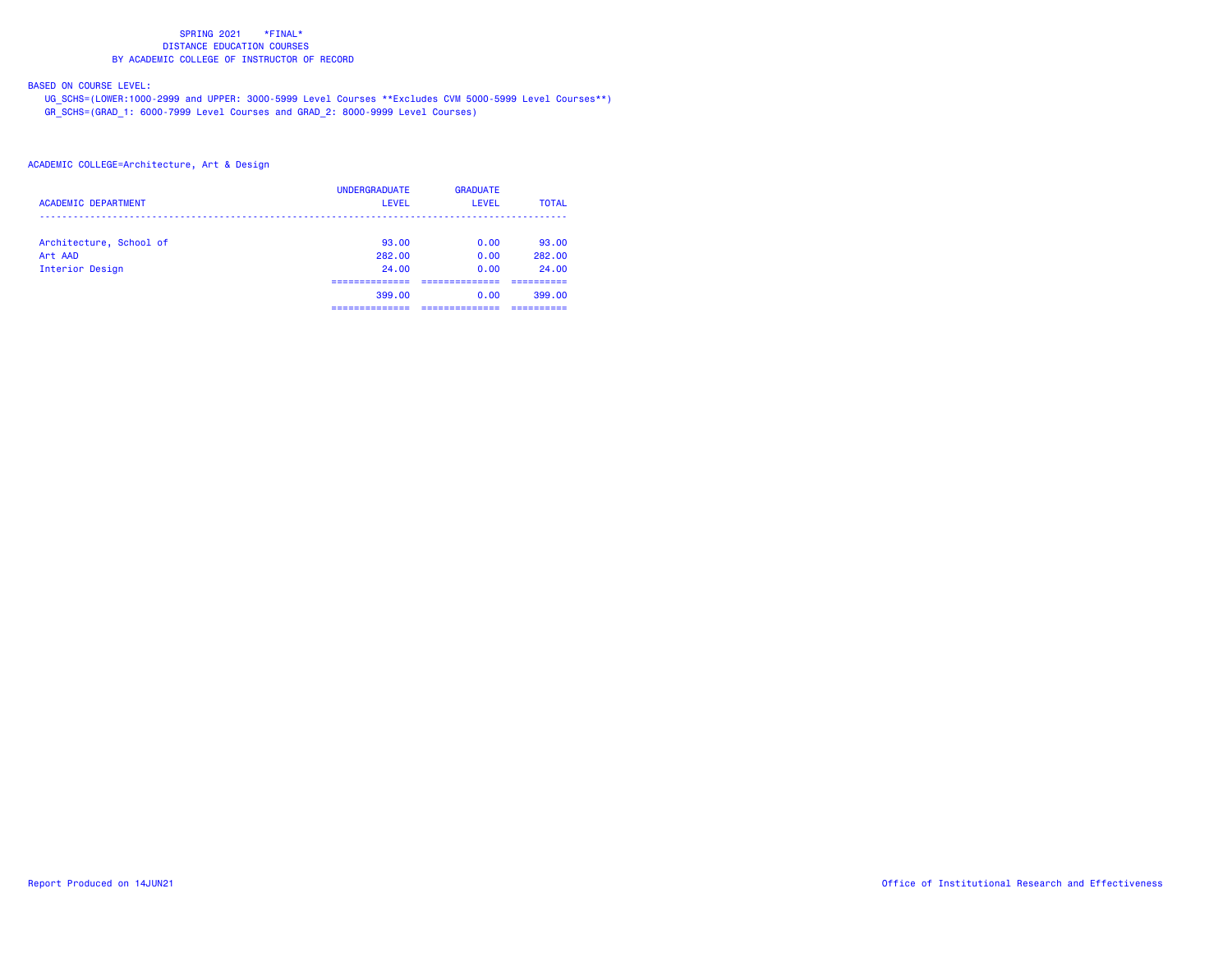# BASED ON COURSE LEVEL:

 UG\_SCHS=(LOWER:1000-2999 and UPPER: 3000-5999 Level Courses \*\*Excludes CVM 5000-5999 Level Courses\*\*) GR\_SCHS=(GRAD\_1: 6000-7999 Level Courses and GRAD\_2: 8000-9999 Level Courses)

| <b>ACADEMIC DEPARTMENT</b> | <b>UNDERGRADUATE</b><br>LEVEL | <b>GRADUATE</b><br>LEVEL | <b>TOTAL</b> |
|----------------------------|-------------------------------|--------------------------|--------------|
| Architecture, School of    | 93.00                         | 0.00                     | 93.00        |
| Art AAD                    | 282.00                        | 0.00                     | 282.00       |
| Interior Design            | 24.00                         | 0.00                     | 24.00        |
|                            | ---------------<br>399.00     | ------------<br>0.00     | 399.00       |
|                            | -----------                   | ------------             | ----------   |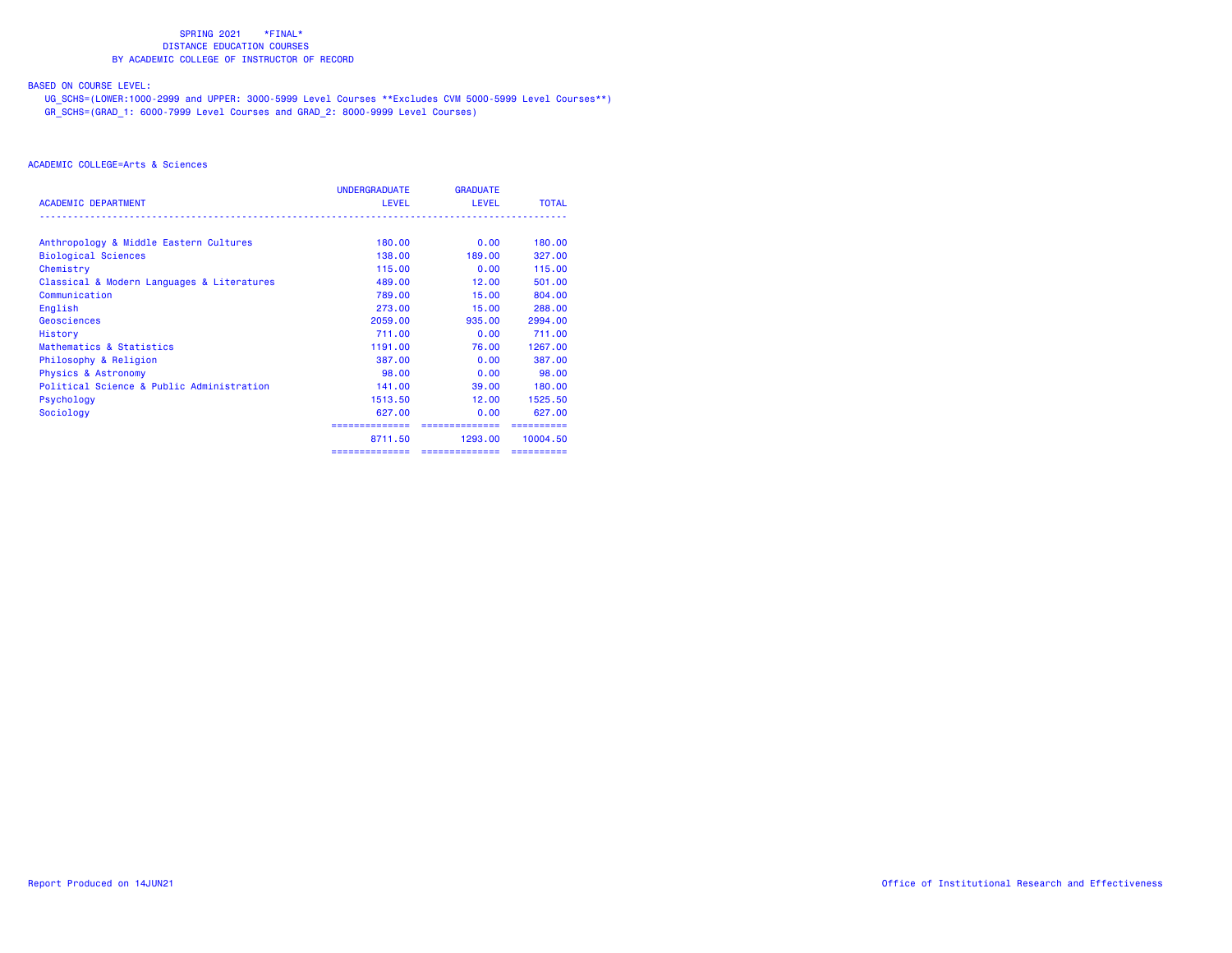# BASED ON COURSE LEVEL:

 UG\_SCHS=(LOWER:1000-2999 and UPPER: 3000-5999 Level Courses \*\*Excludes CVM 5000-5999 Level Courses\*\*) GR\_SCHS=(GRAD\_1: 6000-7999 Level Courses and GRAD\_2: 8000-9999 Level Courses)

|                                            | UNDERGRADUATE             | <b>GRADUATE</b>           |              |
|--------------------------------------------|---------------------------|---------------------------|--------------|
| <b>ACADEMIC DEPARTMENT</b>                 | <b>LEVEL</b>              | <b>LEVEL</b>              | <b>TOTAL</b> |
| Anthropology & Middle Eastern Cultures     | 180.00                    | 0.00                      | 180.00       |
| <b>Biological Sciences</b>                 | 138,00                    | 189,00                    | 327,00       |
| Chemistry                                  | 115.00                    | 0.00                      | 115,00       |
| Classical & Modern Languages & Literatures | 489,00                    | 12.00                     | 501.00       |
| Communication                              | 789.00                    | 15.00                     | 804.00       |
| English                                    | 273.00                    | 15.00                     | 288,00       |
| Geosciences                                | 2059.00                   | 935,00                    | 2994.00      |
| History                                    | 711.00                    | 0.00                      | 711.00       |
| Mathematics & Statistics                   | 1191.00                   | 76.00                     | 1267.00      |
| Philosophy & Religion                      | 387,00                    | 0.00                      | 387,00       |
| <b>Physics &amp; Astronomy</b>             | 98.00                     | 0.00                      | 98.00        |
| Political Science & Public Administration  | 141.00                    | 39,00                     | 180,00       |
| Psychology                                 | 1513.50                   | 12.00                     | 1525.50      |
| Sociology                                  | 627,00                    | 0.00                      | 627,00       |
|                                            | ==============<br>8711.50 | ==============<br>1293.00 | 10004.50     |
|                                            | ==============            | ===============           |              |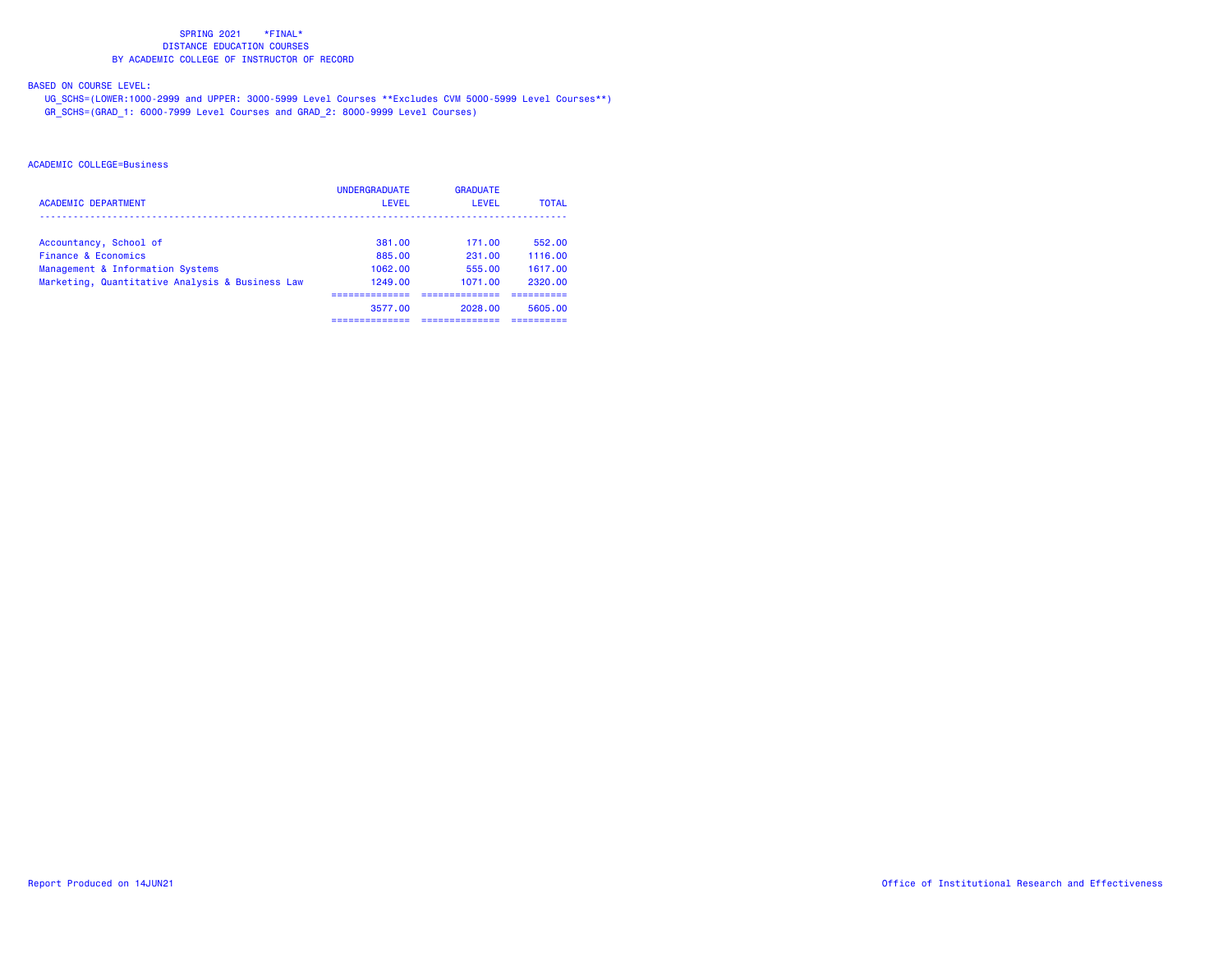# BASED ON COURSE LEVEL:

 UG\_SCHS=(LOWER:1000-2999 and UPPER: 3000-5999 Level Courses \*\*Excludes CVM 5000-5999 Level Courses\*\*) GR\_SCHS=(GRAD\_1: 6000-7999 Level Courses and GRAD\_2: 8000-9999 Level Courses)

| <b>ACADEMIC DEPARTMENT</b>                      | <b>UNDERGRADUATE</b><br>LEVEL | <b>GRADUATE</b><br>LEVEL | <b>TOTAL</b> |
|-------------------------------------------------|-------------------------------|--------------------------|--------------|
|                                                 |                               |                          |              |
| Accountancy, School of                          | 381.00                        | 171.00                   | 552.00       |
| Finance & Economics                             | 885.00                        | 231.00                   | 1116.00      |
| Management & Information Systems                | 1062.00                       | 555.00                   | 1617.00      |
| Marketing, Quantitative Analysis & Business Law | 1249.00                       | 1071.00                  | 2320.00      |
|                                                 |                               |                          |              |
|                                                 | 3577.00                       | 2028.00                  | 5605.00      |
|                                                 | ------------                  |                          | ----------   |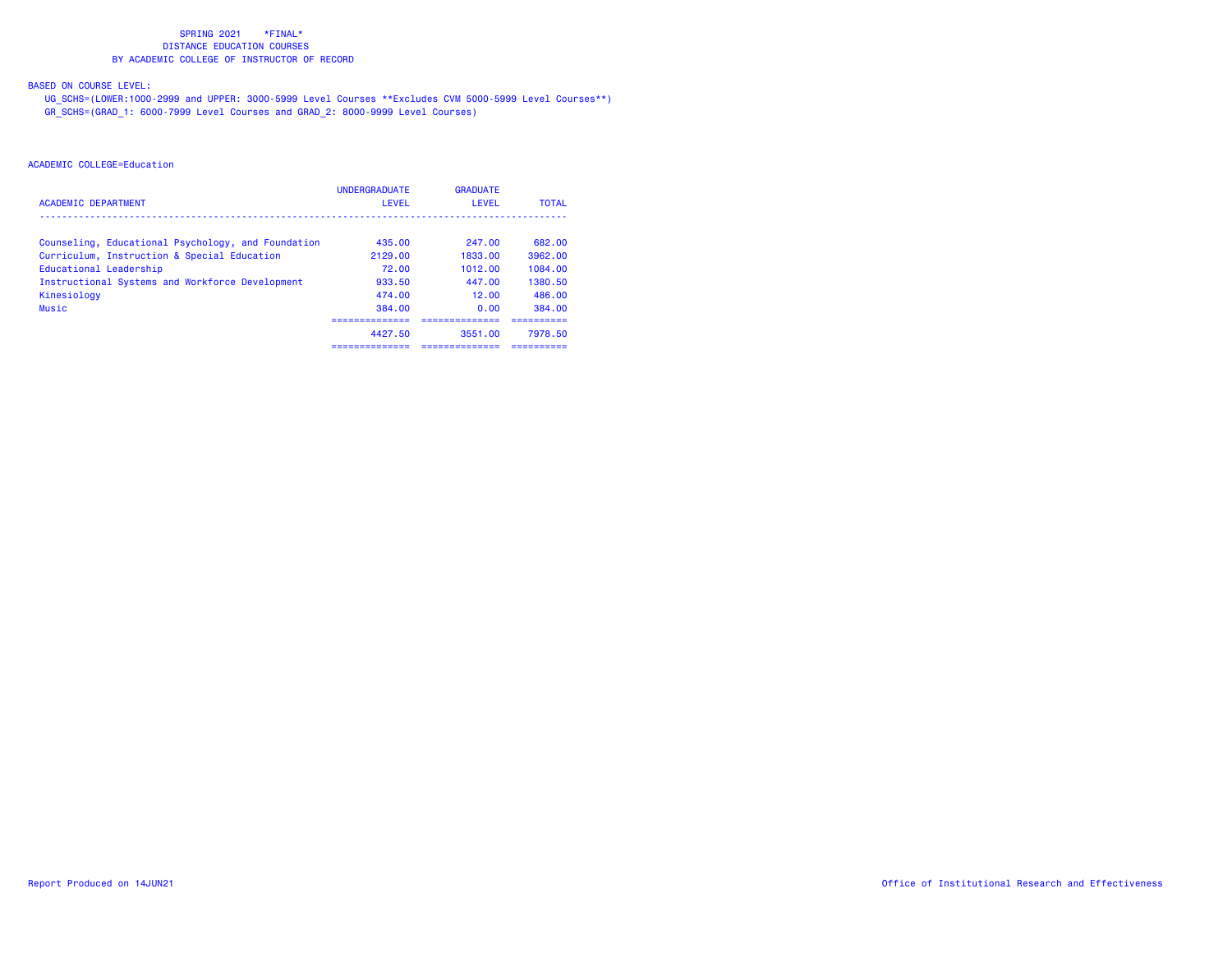# BASED ON COURSE LEVEL:

 UG\_SCHS=(LOWER:1000-2999 and UPPER: 3000-5999 Level Courses \*\*Excludes CVM 5000-5999 Level Courses\*\*) GR\_SCHS=(GRAD\_1: 6000-7999 Level Courses and GRAD\_2: 8000-9999 Level Courses)

|                                                    | <b>UNDERGRADUATE</b> | <b>GRADUATE</b> |              |
|----------------------------------------------------|----------------------|-----------------|--------------|
| <b>ACADEMIC DEPARTMENT</b>                         | LEVEL                | LEVEL           | <b>TOTAL</b> |
| Counseling, Educational Psychology, and Foundation | 435.00               | 247.00          | 682.00       |
| Curriculum, Instruction & Special Education        | 2129.00              | 1833.00         | 3962.00      |
| Educational Leadership                             | 72.00                | 1012.00         | 1084.00      |
| Instructional Systems and Workforce Development    | 933.50               | 447.00          | 1380.50      |
| Kinesiology                                        | 474.00               | 12.00           | 486.00       |
| Music                                              | 384.00               | 0.00            | 384.00       |
|                                                    |                      |                 |              |
|                                                    | 4427.50              | 3551.00         | 7978.50      |
|                                                    | ==============       | ------------    | ---------    |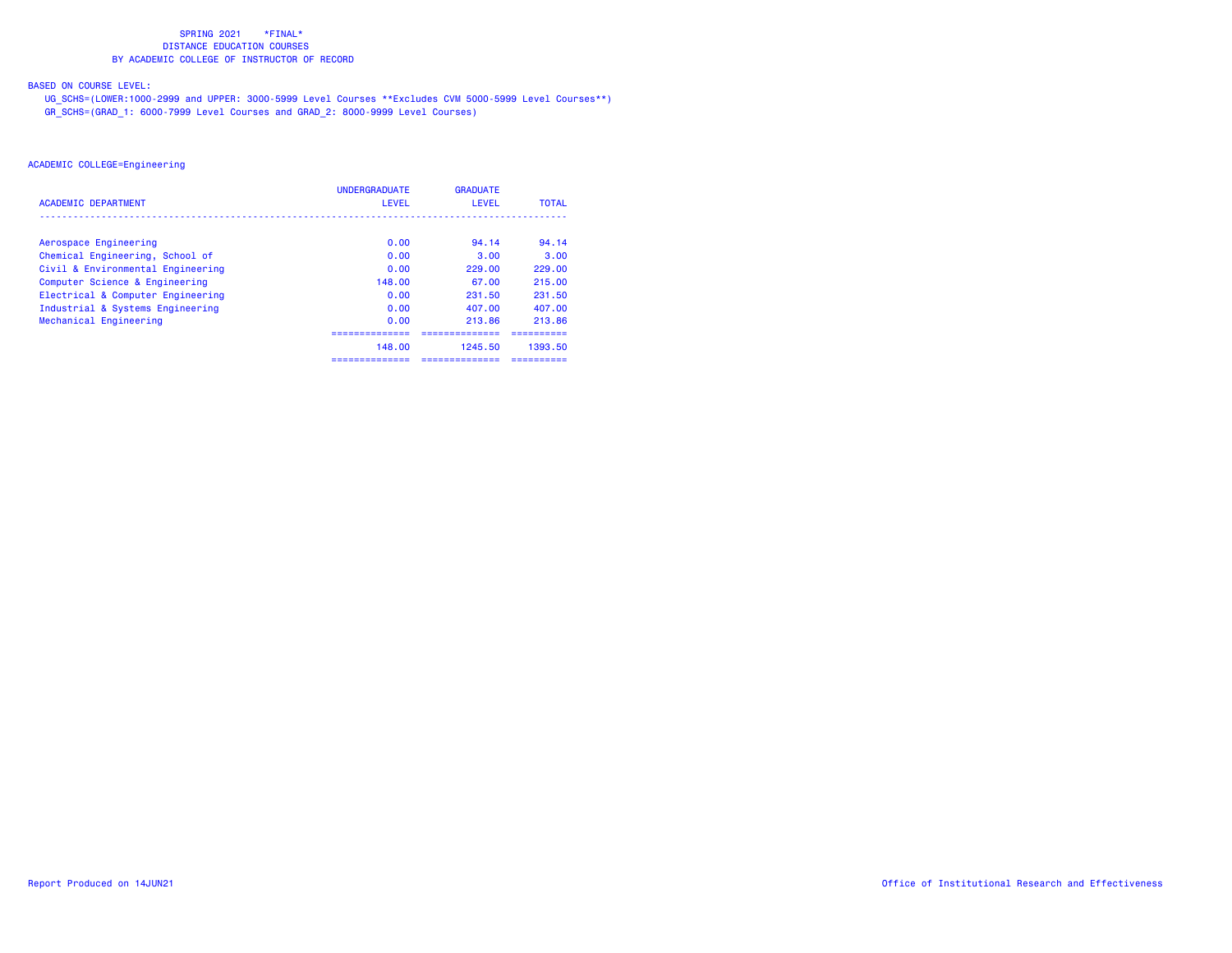# BASED ON COURSE LEVEL:

 UG\_SCHS=(LOWER:1000-2999 and UPPER: 3000-5999 Level Courses \*\*Excludes CVM 5000-5999 Level Courses\*\*) GR\_SCHS=(GRAD\_1: 6000-7999 Level Courses and GRAD\_2: 8000-9999 Level Courses)

|                                   | <b>UNDERGRADUATE</b> | <b>GRADUATE</b> |              |
|-----------------------------------|----------------------|-----------------|--------------|
| <b>ACADEMIC DEPARTMENT</b>        | LEVEL                | LEVEL           | <b>TOTAL</b> |
|                                   |                      |                 |              |
| Aerospace Engineering             | 0.00                 | 94.14           | 94.14        |
| Chemical Engineering, School of   | 0.00                 | 3.00            | 3.00         |
| Civil & Environmental Engineering | 0.00                 | 229.00          | 229.00       |
| Computer Science & Engineering    | 148.00               | 67.00           | 215.00       |
| Electrical & Computer Engineering | 0.00                 | 231.50          | 231.50       |
| Industrial & Systems Engineering  | 0.00                 | 407.00          | 407.00       |
| Mechanical Engineering            | 0.00                 | 213.86          | 213.86       |
|                                   |                      |                 |              |
|                                   | 148.00               | 1245.50         | 1393.50      |
|                                   | ==============       | ;=============  | ---------    |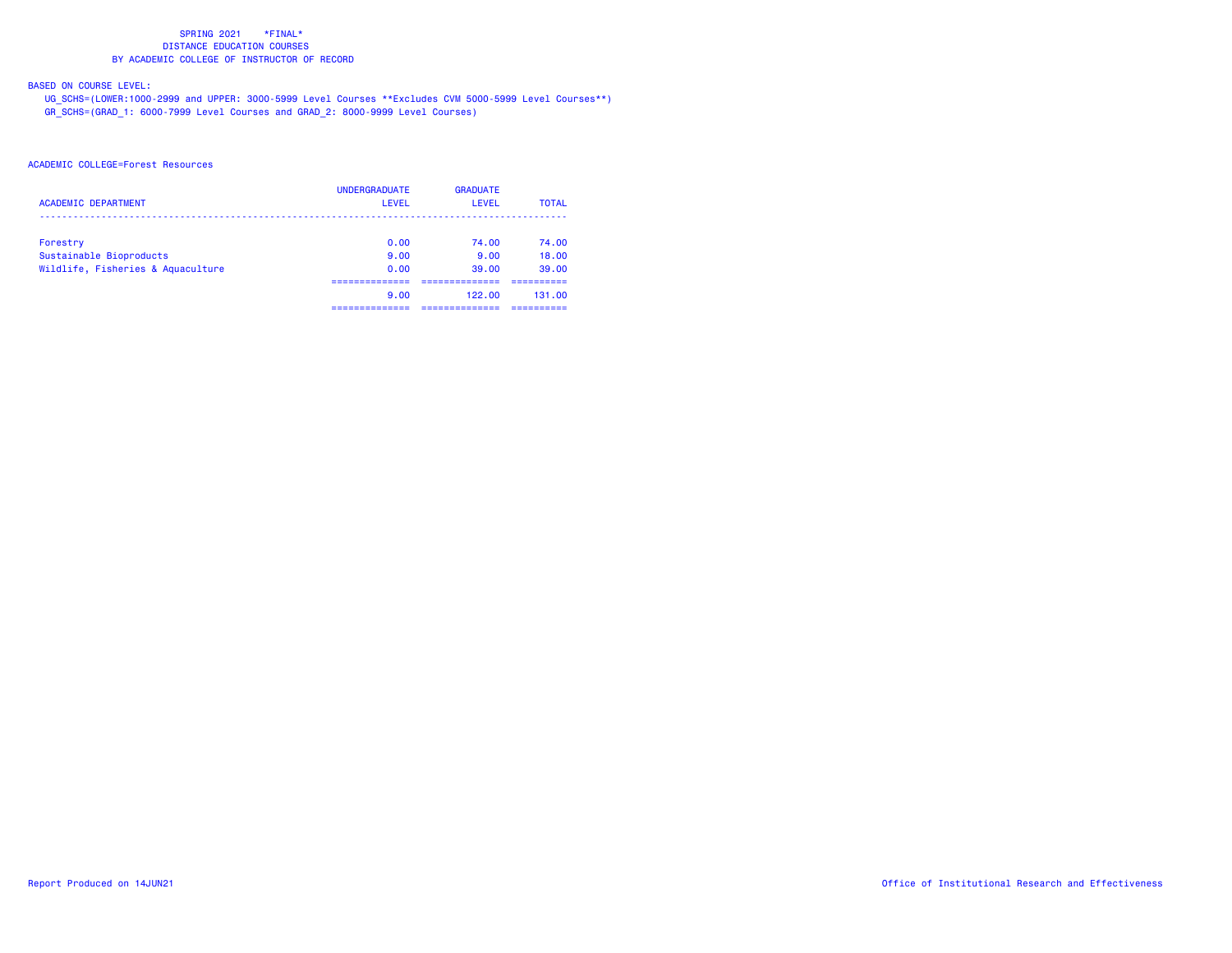# BASED ON COURSE LEVEL:

 UG\_SCHS=(LOWER:1000-2999 and UPPER: 3000-5999 Level Courses \*\*Excludes CVM 5000-5999 Level Courses\*\*) GR\_SCHS=(GRAD\_1: 6000-7999 Level Courses and GRAD\_2: 8000-9999 Level Courses)

| <b>ACADEMIC DEPARTMENT</b>        | <b>UNDERGRADUATE</b><br>LEVEL | <b>GRADUATE</b><br><b>LEVEL</b> | <b>TOTAL</b> |
|-----------------------------------|-------------------------------|---------------------------------|--------------|
| Forestry                          | 0.00                          | 74.00                           | 74.00        |
| Sustainable Bioproducts           | 9.00                          | 9.00                            | 18.00        |
| Wildlife, Fisheries & Aquaculture | 0.00                          | 39.00                           | 39.00        |
|                                   |                               |                                 |              |
|                                   | 9.00                          | 122.00                          | 131.00       |
|                                   |                               |                                 |              |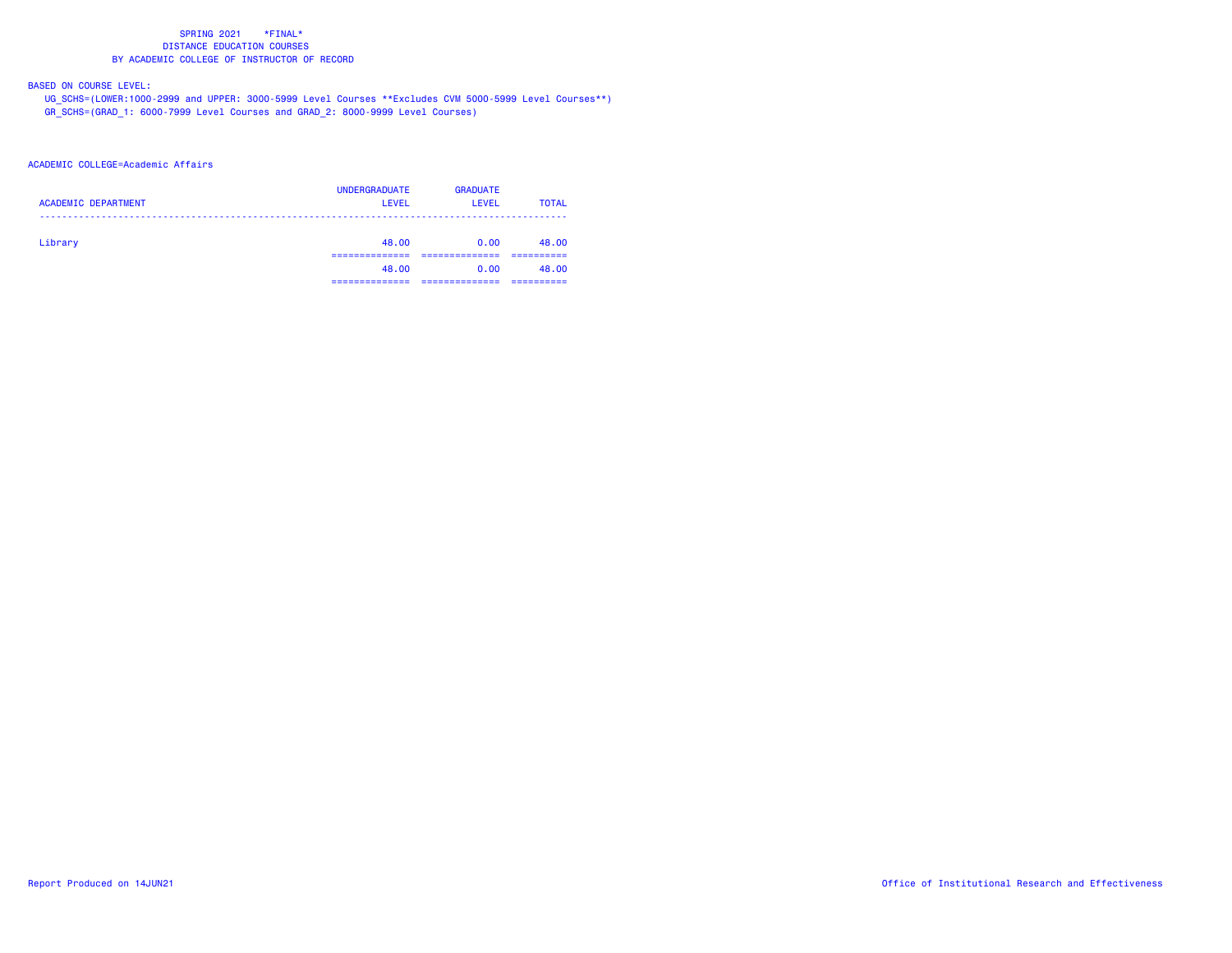# BASED ON COURSE LEVEL:

 UG\_SCHS=(LOWER:1000-2999 and UPPER: 3000-5999 Level Courses \*\*Excludes CVM 5000-5999 Level Courses\*\*) GR\_SCHS=(GRAD\_1: 6000-7999 Level Courses and GRAD\_2: 8000-9999 Level Courses)

## ACADEMIC COLLEGE=Academic Affairs

| <b>ACADEMIC DEPARTMENT</b> | <b>UNDERGRADUATE</b><br><b>LEVEL</b> | <b>GRADUATE</b><br>LEVEL | <b>TOTAL</b> |
|----------------------------|--------------------------------------|--------------------------|--------------|
| Library                    | 48.00                                | 0.00                     | 48.00        |
|                            | 48.00<br>----------                  | 0.00                     | 48.00        |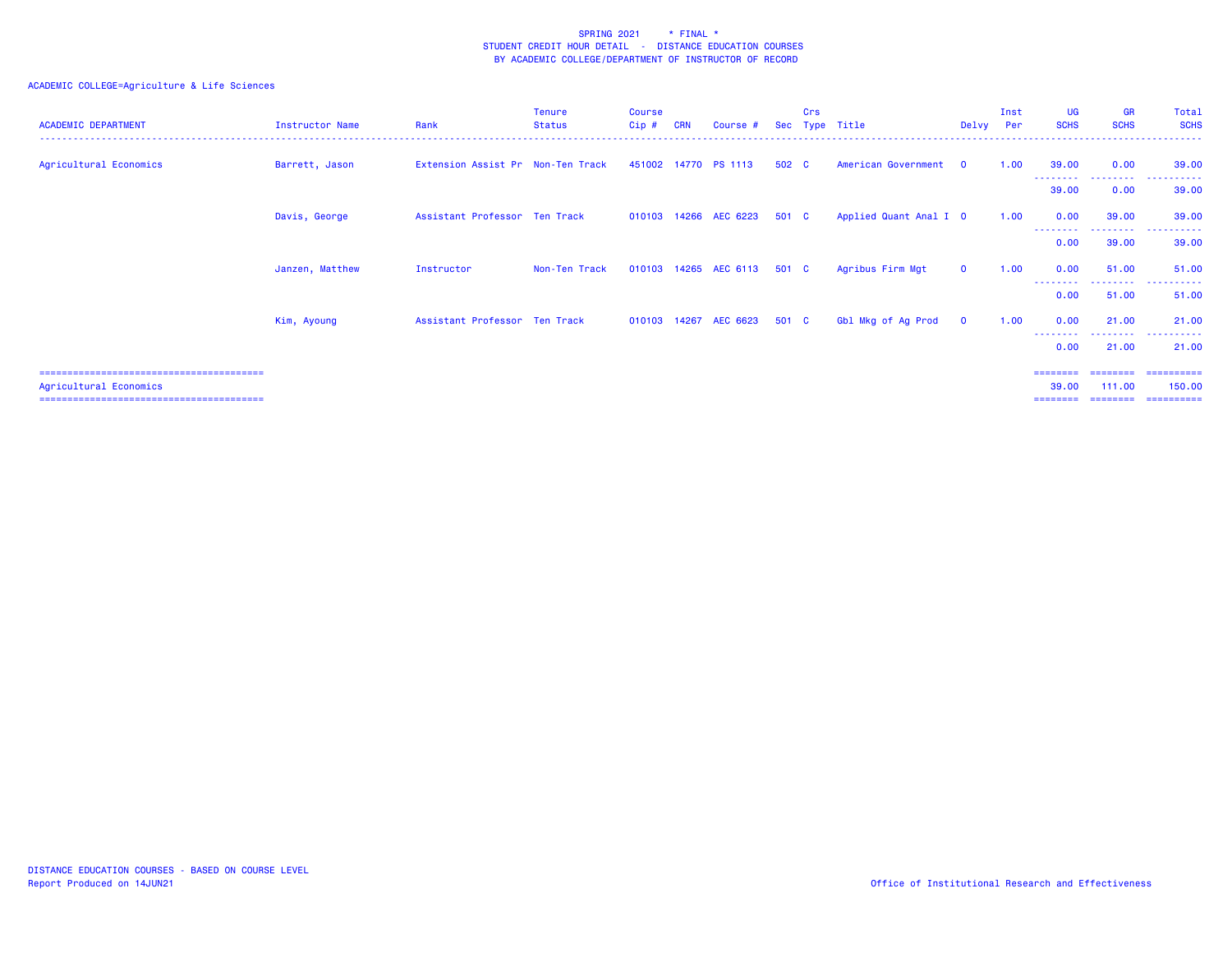| <b>ACADEMIC DEPARTMENT</b> | Instructor Name | Rank                              | Tenure<br>Status | <b>Course</b><br>$Cip$ # | <b>CRN</b> | Course #                    | Sec   | Crs | Type Title             | Delvy        | Inst<br>Per | <b>UG</b><br><b>SCHS</b>  | <b>GR</b><br><b>SCHS</b>         | Total<br><b>SCHS</b>    |
|----------------------------|-----------------|-----------------------------------|------------------|--------------------------|------------|-----------------------------|-------|-----|------------------------|--------------|-------------|---------------------------|----------------------------------|-------------------------|
| Agricultural Economics     | Barrett, Jason  | Extension Assist Pr Non-Ten Track |                  |                          |            | 451002 14770 PS 1113        | 502 C |     | American Government    | $\mathbf{O}$ | 1.00        | 39.00                     | 0.00                             | 39.00                   |
|                            |                 |                                   |                  |                          |            |                             |       |     |                        |              |             | 39.00                     | .<br>0.00                        | 39.00                   |
|                            | Davis, George   | Assistant Professor Ten Track     |                  |                          |            | 010103 14266 AEC 6223       | 501 C |     | Applied Quant Anal I 0 |              | 1.00        | 0.00                      | 39,00                            | 39.00                   |
|                            |                 |                                   |                  |                          |            |                             |       |     |                        |              |             | .<br>0.00                 | --------<br>39.00                | .<br>39.00              |
|                            | Janzen, Matthew | Instructor                        | Non-Ten Track    |                          |            | 010103 14265 AEC 6113       | 501 C |     | Agribus Firm Mgt       | $\mathbf{0}$ | 1.00        | 0.00                      | 51.00                            | 51.00                   |
|                            |                 |                                   |                  |                          |            |                             |       |     |                        |              |             | 0.00                      | --------<br>51.00                | ------<br>----<br>51.00 |
|                            | Kim, Ayoung     | Assistant Professor Ten Track     |                  |                          |            | 010103 14267 AEC 6623 501 C |       |     | Gbl Mkg of Ag Prod     | $\mathbf 0$  | 1.00        | 0.00                      | 21.00                            | 21.00                   |
|                            |                 |                                   |                  |                          |            |                             |       |     |                        |              |             | --------<br>0.00          | <u> - - - - - - - -</u><br>21.00 | .<br>21.00              |
| Agricultural Economics     |                 |                                   |                  |                          |            |                             |       |     |                        |              |             | ----<br>39,00<br>======== | 111.00                           | ==========<br>150,00    |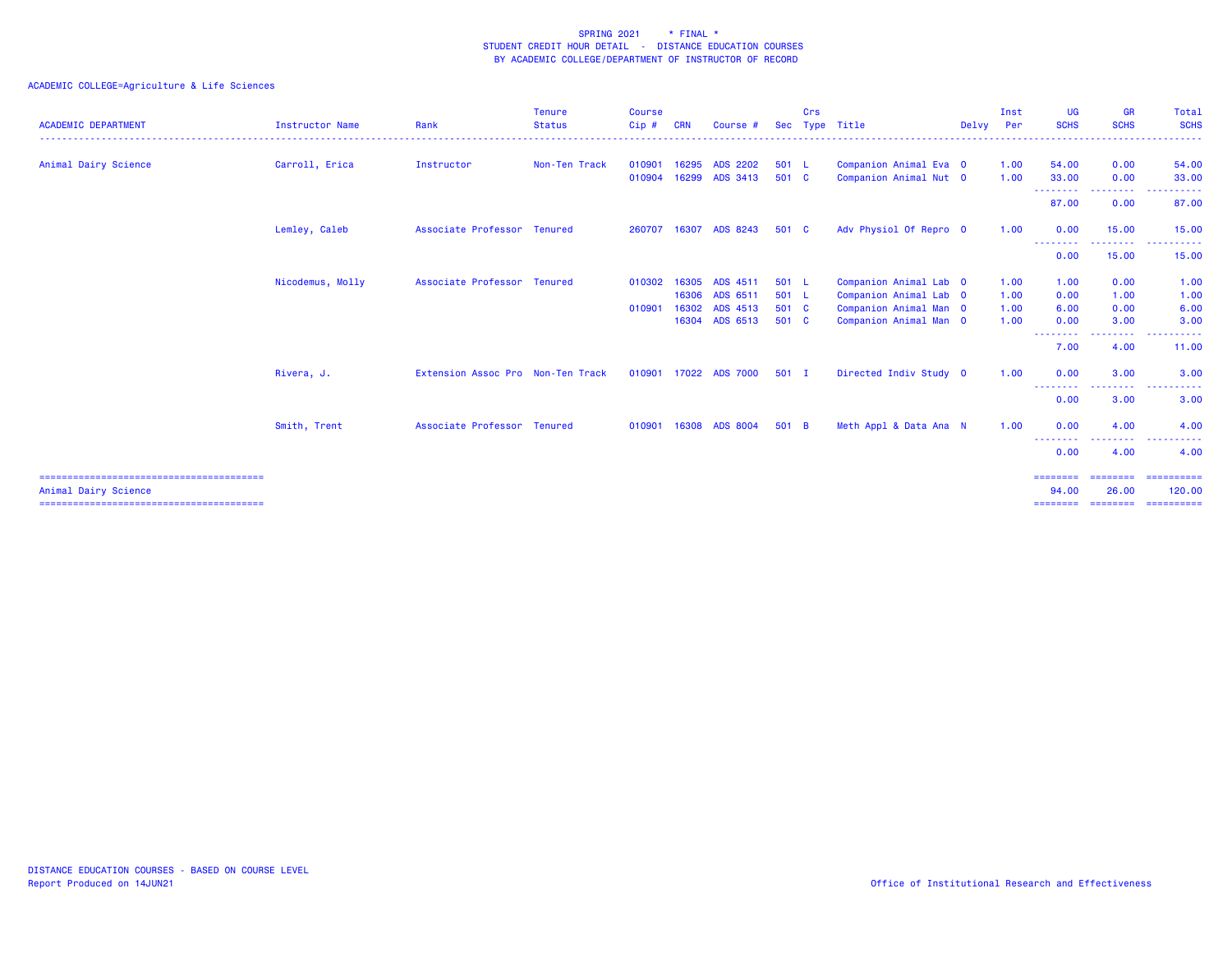| <b>ACADEMIC DEPARTMENT</b> | <b>Instructor Name</b> | Rank                              | Tenure<br><b>Status</b> | Course<br>Cip# | <b>CRN</b> | Course #              |         | Crs | Sec Type Title         | Delvy Per | Inst | UG<br><b>SCHS</b>                                                                                                                      | <b>GR</b><br><b>SCHS</b> | Total<br><b>SCHS</b>                                                                                                                                                                                                                                                                                                                                                                                                                                                                                               |
|----------------------------|------------------------|-----------------------------------|-------------------------|----------------|------------|-----------------------|---------|-----|------------------------|-----------|------|----------------------------------------------------------------------------------------------------------------------------------------|--------------------------|--------------------------------------------------------------------------------------------------------------------------------------------------------------------------------------------------------------------------------------------------------------------------------------------------------------------------------------------------------------------------------------------------------------------------------------------------------------------------------------------------------------------|
| Animal Dairy Science       | Carroll, Erica         | Instructor                        | Non-Ten Track           | 010901         | 16295      | <b>ADS 2202</b>       | 501 L   |     | Companion Animal Eva 0 |           | 1.00 | 54.00                                                                                                                                  | 0.00                     | 54.00                                                                                                                                                                                                                                                                                                                                                                                                                                                                                                              |
|                            |                        |                                   |                         | 010904         |            | 16299 ADS 3413        | 501 C   |     | Companion Animal Nut 0 |           | 1.00 | 33.00                                                                                                                                  | 0.00                     | 33.00                                                                                                                                                                                                                                                                                                                                                                                                                                                                                                              |
|                            |                        |                                   |                         |                |            |                       |         |     |                        |           |      | --------<br>87.00                                                                                                                      | <b></b><br>0.00          | .<br>87.00                                                                                                                                                                                                                                                                                                                                                                                                                                                                                                         |
|                            | Lemley, Caleb          | Associate Professor Tenured       |                         | 260707         | 16307      | ADS 8243              | 501 C   |     | Adv Physiol Of Repro 0 |           | 1.00 | 0.00<br><u>.</u>                                                                                                                       | 15.00                    | 15.00                                                                                                                                                                                                                                                                                                                                                                                                                                                                                                              |
|                            |                        |                                   |                         |                |            |                       |         |     |                        |           |      | 0.00                                                                                                                                   | 15.00                    | 15.00                                                                                                                                                                                                                                                                                                                                                                                                                                                                                                              |
|                            | Nicodemus, Molly       | Associate Professor Tenured       |                         | 010302         | 16305      | ADS 4511              | 501 L   |     | Companion Animal Lab 0 |           | 1.00 | 1.00                                                                                                                                   | 0.00                     | 1.00                                                                                                                                                                                                                                                                                                                                                                                                                                                                                                               |
|                            |                        |                                   |                         |                | 16306      | ADS 6511              | 501 L   |     | Companion Animal Lab 0 |           | 1.00 | 0.00                                                                                                                                   | 1.00                     | 1.00                                                                                                                                                                                                                                                                                                                                                                                                                                                                                                               |
|                            |                        |                                   |                         | 010901         |            | 16302 ADS 4513        | 501 C   |     | Companion Animal Man 0 |           | 1.00 | 6.00                                                                                                                                   | 0.00                     | 6.00                                                                                                                                                                                                                                                                                                                                                                                                                                                                                                               |
|                            |                        |                                   |                         |                | 16304      | ADS 6513              | 501 C   |     | Companion Animal Man 0 |           | 1.00 | 0.00                                                                                                                                   | 3.00                     | 3.00                                                                                                                                                                                                                                                                                                                                                                                                                                                                                                               |
|                            |                        |                                   |                         |                |            |                       |         |     |                        |           |      | $\frac{1}{2}$<br>7.00                                                                                                                  | 4.00                     | 11.00                                                                                                                                                                                                                                                                                                                                                                                                                                                                                                              |
|                            | Rivera, J.             | Extension Assoc Pro Non-Ten Track |                         |                |            | 010901 17022 ADS 7000 | $501$ I |     | Directed Indiv Study 0 |           | 1.00 | 0.00<br>$\frac{1}{2} \left( \frac{1}{2} \right) \left( \frac{1}{2} \right) \left( \frac{1}{2} \right) \left( \frac{1}{2} \right)$<br>. | 3.00                     | 3.00                                                                                                                                                                                                                                                                                                                                                                                                                                                                                                               |
|                            |                        |                                   |                         |                |            |                       |         |     |                        |           |      | 0.00                                                                                                                                   | 3.00                     | 3.00                                                                                                                                                                                                                                                                                                                                                                                                                                                                                                               |
|                            | Smith, Trent           | Associate Professor Tenured       |                         | 010901         |            | 16308 ADS 8004        | 501 B   |     | Meth Appl & Data Ana N |           | 1.00 | 0.00<br>--------                                                                                                                       | 4.00                     | 4.00                                                                                                                                                                                                                                                                                                                                                                                                                                                                                                               |
|                            |                        |                                   |                         |                |            |                       |         |     |                        |           |      | 0.00                                                                                                                                   | 4.00                     | 4.00                                                                                                                                                                                                                                                                                                                                                                                                                                                                                                               |
|                            |                        |                                   |                         |                |            |                       |         |     |                        |           |      | ========                                                                                                                               | ========                 | $\begin{array}{c} \multicolumn{3}{c} {\color{blue} \textbf{2}} & \multicolumn{3}{c} {\color{blue} \textbf{3}} & \multicolumn{3}{c} {\color{blue} \textbf{4}} \\ \multicolumn{3}{c} {\color{blue} \textbf{4}} & \multicolumn{3}{c} {\color{blue} \textbf{5}} & \multicolumn{3}{c} {\color{blue} \textbf{6}} & \multicolumn{3}{c} {\color{blue} \textbf{6}} \\ \multicolumn{3}{c} {\color{blue} \textbf{5}} & \multicolumn{3}{c} {\color{blue} \textbf{6}} & \multicolumn{3}{c} {\color{blue} \textbf{6}} & \multic$ |
| Animal Dairy Science       |                        |                                   |                         |                |            |                       |         |     |                        |           |      | 94.00                                                                                                                                  | 26.00                    | 120.00                                                                                                                                                                                                                                                                                                                                                                                                                                                                                                             |
|                            |                        |                                   |                         |                |            |                       |         |     |                        |           |      | $=$ = = = = = = =                                                                                                                      | --------                 | ==========                                                                                                                                                                                                                                                                                                                                                                                                                                                                                                         |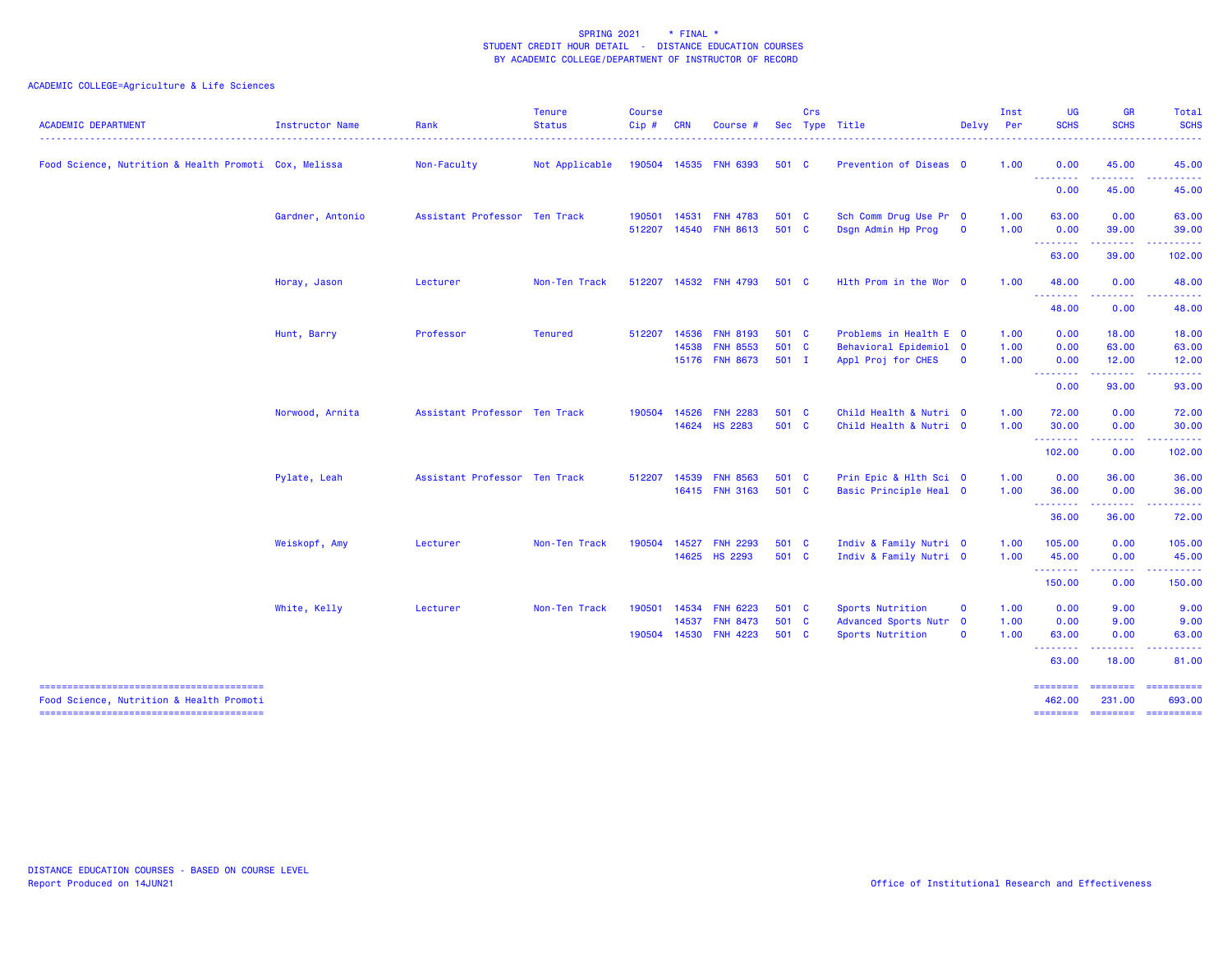| <b>ACADEMIC DEPARTMENT</b>                            | <b>Instructor Name</b> | Rank                          | <b>Tenure</b><br><b>Status</b> | <b>Course</b><br>Cip# | <b>CRN</b>              | Course #                                              |                           | Crs      | Sec Type Title                                                         | Delvy                        | Inst<br>Per          | <b>UG</b><br><b>SCHS</b>         | <b>GR</b><br><b>SCHS</b>                                                                                                                                     | Total<br><b>SCHS</b><br>$\frac{1}{2} \left( \frac{1}{2} \right) \left( \frac{1}{2} \right) \left( \frac{1}{2} \right) \left( \frac{1}{2} \right) \left( \frac{1}{2} \right)$ |
|-------------------------------------------------------|------------------------|-------------------------------|--------------------------------|-----------------------|-------------------------|-------------------------------------------------------|---------------------------|----------|------------------------------------------------------------------------|------------------------------|----------------------|----------------------------------|--------------------------------------------------------------------------------------------------------------------------------------------------------------|------------------------------------------------------------------------------------------------------------------------------------------------------------------------------|
| Food Science, Nutrition & Health Promoti Cox, Melissa |                        | Non-Faculty                   | Not Applicable                 |                       |                         | 190504 14535 FNH 6393                                 | 501 C                     |          | Prevention of Diseas 0                                                 |                              | 1.00                 | 0.00<br>---------                | 45.00<br>.                                                                                                                                                   | 45.00<br>222222<br>$  -$                                                                                                                                                     |
|                                                       |                        |                               |                                |                       |                         |                                                       |                           |          |                                                                        |                              |                      | 0.00                             | 45.00                                                                                                                                                        | 45.00                                                                                                                                                                        |
|                                                       | Gardner, Antonio       | Assistant Professor Ten Track |                                | 190501<br>512207      | 14531<br>14540          | <b>FNH 4783</b><br><b>FNH 8613</b>                    | 501 C<br>501 C            |          | Sch Comm Drug Use Pr 0<br>Dsgn Admin Hp Prog                           | $\mathbf 0$                  | 1.00<br>1.00         | 63.00<br>0.00                    | 0.00<br>39.00                                                                                                                                                | 63.00<br>39.00                                                                                                                                                               |
|                                                       |                        |                               |                                |                       |                         |                                                       |                           |          |                                                                        |                              |                      | --------<br>63.00                | 39.00                                                                                                                                                        | <b><i><u><u> - - - - -</u></u></i></b><br>102.00                                                                                                                             |
|                                                       | Horay, Jason           | Lecturer                      | Non-Ten Track                  | 512207                |                         | 14532 FNH 4793                                        | 501 C                     |          | Hith Prom in the Wor 0                                                 |                              | 1.00                 | 48.00<br>.                       | 0.00<br>$\frac{1}{2} \left( \frac{1}{2} \right) \left( \frac{1}{2} \right) \left( \frac{1}{2} \right) \left( \frac{1}{2} \right) \left( \frac{1}{2} \right)$ | 48.00<br>د د د د د د                                                                                                                                                         |
|                                                       |                        |                               |                                |                       |                         |                                                       |                           |          |                                                                        |                              |                      | 48.00                            | 0.00                                                                                                                                                         | 48.00                                                                                                                                                                        |
|                                                       | Hunt, Barry            | Professor                     | <b>Tenured</b>                 | 512207                | 14536<br>14538          | <b>FNH 8193</b><br><b>FNH 8553</b><br>15176 FNH 8673  | 501 C<br>501 C<br>$501$ I |          | Problems in Health E 0<br>Behavioral Epidemiol 0<br>Appl Proj for CHES | $\mathbf 0$                  | 1.00<br>1.00<br>1.00 | 0.00<br>0.00<br>0.00             | 18.00<br>63.00<br>12.00                                                                                                                                      | 18.00<br>63.00<br>12.00                                                                                                                                                      |
|                                                       |                        |                               |                                |                       |                         |                                                       |                           |          |                                                                        |                              |                      | .<br>0.00                        | ------<br>93.00                                                                                                                                              | .<br>93.00                                                                                                                                                                   |
|                                                       | Norwood, Arnita        | Assistant Professor Ten Track |                                | 190504                | 14526                   | <b>FNH 2283</b><br>14624 HS 2283                      | 501<br>501 C              | <b>C</b> | Child Health & Nutri 0<br>Child Health & Nutri 0                       |                              | 1.00<br>1.00         | 72.00<br>30.00                   | 0.00<br>0.00                                                                                                                                                 | 72.00<br>30.00                                                                                                                                                               |
|                                                       |                        |                               |                                |                       |                         |                                                       |                           |          |                                                                        |                              |                      | <b></b><br>102.00                | .<br>0.00                                                                                                                                                    | 102.00                                                                                                                                                                       |
|                                                       | Pylate, Leah           | Assistant Professor Ten Track |                                | 512207                | 14539                   | <b>FNH 8563</b><br>16415 FNH 3163                     | 501 C<br>501 C            |          | Prin Epic & Hlth Sci 0<br>Basic Principle Heal 0                       |                              | 1.00<br>1.00         | 0.00<br>36.00                    | 36.00<br>0.00                                                                                                                                                | 36.00<br>36.00                                                                                                                                                               |
|                                                       |                        |                               |                                |                       |                         |                                                       |                           |          |                                                                        |                              |                      | <u> - - - - - - - -</u><br>36.00 | .<br>36.00                                                                                                                                                   | <u>.</u><br>72.00                                                                                                                                                            |
|                                                       | Weiskopf, Amy          | Lecturer                      | Non-Ten Track                  | 190504                | 14527                   | <b>FNH 2293</b><br>14625 HS 2293                      | 501 C<br>501 C            |          | Indiv & Family Nutri 0<br>Indiv & Family Nutri 0                       |                              | 1.00<br>1.00         | 105.00<br>45.00                  | 0.00<br>0.00                                                                                                                                                 | 105.00<br>45.00                                                                                                                                                              |
|                                                       |                        |                               |                                |                       |                         |                                                       |                           |          |                                                                        |                              |                      | .<br>150.00                      | المستملك<br>0.00                                                                                                                                             | بالمستمال<br>150.00                                                                                                                                                          |
|                                                       | White, Kelly           | Lecturer                      | Non-Ten Track                  | 190501<br>190504      | 14534<br>14537<br>14530 | <b>FNH 6223</b><br><b>FNH 8473</b><br><b>FNH 4223</b> | 501 C<br>501 C<br>501 C   |          | Sports Nutrition<br>Advanced Sports Nutr 0<br>Sports Nutrition         | $\mathbf{O}$<br>$\mathbf{O}$ | 1.00<br>1.00<br>1.00 | 0.00<br>0.00<br>63.00            | 9.00<br>9.00<br>0.00                                                                                                                                         | 9.00<br>9.00<br>63.00                                                                                                                                                        |
|                                                       |                        |                               |                                |                       |                         |                                                       |                           |          |                                                                        |                              |                      | .<br>63.00                       | <u>.</u><br>18.00                                                                                                                                            | .<br>81.00                                                                                                                                                                   |
| Food Science, Nutrition & Health Promoti              |                        |                               |                                |                       |                         |                                                       |                           |          |                                                                        |                              |                      | ========<br>462,00               | ========<br>231,00                                                                                                                                           | $\begin{array}{c} \texttt{m} = \texttt{m} = \texttt{m} = \texttt{m} = \texttt{m} \end{array}$<br>693.00<br>======== ======== ==========                                      |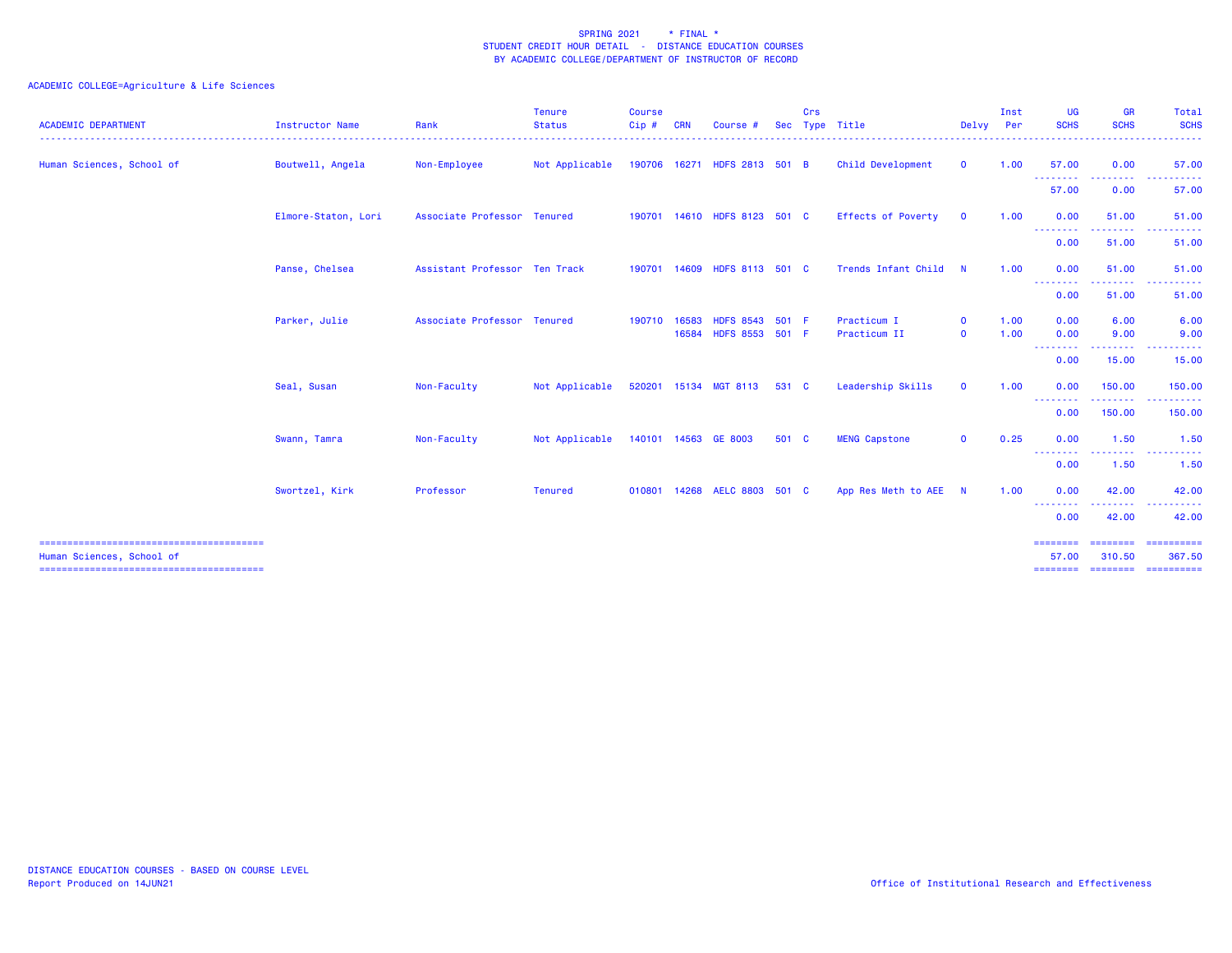| <b>ACADEMIC DEPARTMENT</b> | Instructor Name     | Rank                          | <b>Tenure</b><br><b>Status</b>      | <b>Course</b><br>Cip# | <b>CRN</b> | Course                                   | <b>Sec</b> | Crs | Type Title                  | Delvy Per                    | Inst         | UG<br><b>SCHS</b> | <b>GR</b><br><b>SCHS</b>               | Total<br><b>SCHS</b>                                                                                                                                                                                                                                                                                                                                                                                                                                                                             |
|----------------------------|---------------------|-------------------------------|-------------------------------------|-----------------------|------------|------------------------------------------|------------|-----|-----------------------------|------------------------------|--------------|-------------------|----------------------------------------|--------------------------------------------------------------------------------------------------------------------------------------------------------------------------------------------------------------------------------------------------------------------------------------------------------------------------------------------------------------------------------------------------------------------------------------------------------------------------------------------------|
| Human Sciences, School of  | Boutwell, Angela    | Non-Employee                  | Not Applicable                      |                       |            | 190706 16271 HDFS 2813 501 B             |            |     | Child Development           | $\mathbf{0}$                 | 1.00         | 57.00<br>.        | 0.00                                   | 57.00                                                                                                                                                                                                                                                                                                                                                                                                                                                                                            |
|                            |                     |                               |                                     |                       |            |                                          |            |     |                             |                              |              | 57.00             | 0.00                                   | 57.00                                                                                                                                                                                                                                                                                                                                                                                                                                                                                            |
|                            | Elmore-Staton, Lori | Associate Professor Tenured   |                                     |                       |            | 190701 14610 HDFS 8123 501 C             |            |     | <b>Effects of Poverty</b>   | $\mathbf{O}$                 | 1.00         | 0.00<br>.         | 51.00<br>. <b>.</b>                    | 51.00<br>------                                                                                                                                                                                                                                                                                                                                                                                                                                                                                  |
|                            |                     |                               |                                     |                       |            |                                          |            |     |                             |                              |              | 0.00              | 51.00                                  | 51.00                                                                                                                                                                                                                                                                                                                                                                                                                                                                                            |
|                            | Panse, Chelsea      | Assistant Professor Ten Track |                                     |                       |            | 190701 14609 HDFS 8113 501 C             |            |     | Trends Infant Child         | N                            | 1.00         | 0.00<br><b></b>   | 51.00<br>---------                     | 51.00<br>. <b>.</b>                                                                                                                                                                                                                                                                                                                                                                                                                                                                              |
|                            |                     |                               |                                     |                       |            |                                          |            |     |                             |                              |              | 0.00              | 51.00                                  | 51.00                                                                                                                                                                                                                                                                                                                                                                                                                                                                                            |
|                            | Parker, Julie       | Associate Professor Tenured   |                                     | 190710                | 16583      | HDFS 8543 501 F<br>16584 HDFS 8553 501 F |            |     | Practicum I<br>Practicum II | $\mathbf{0}$<br>$\mathbf{O}$ | 1.00<br>1.00 | 0.00<br>0.00      | 6.00<br>9.00                           | 6.00<br>9.00                                                                                                                                                                                                                                                                                                                                                                                                                                                                                     |
|                            |                     |                               |                                     |                       |            |                                          |            |     |                             |                              |              | --------<br>0.00  | .<br>15.00                             | 15.00                                                                                                                                                                                                                                                                                                                                                                                                                                                                                            |
|                            | Seal, Susan         | Non-Faculty                   | Not Applicable                      |                       |            | 520201 15134 MGT 8113 531 C              |            |     | Leadership Skills           | $\mathbf{O}$                 | 1.00         | 0.00              | 150.00                                 | 150.00                                                                                                                                                                                                                                                                                                                                                                                                                                                                                           |
|                            |                     |                               |                                     |                       |            |                                          |            |     |                             |                              |              | --------<br>0.00  | <b><i><u>ALLASSE</u></i></b><br>150.00 | .<br>150.00                                                                                                                                                                                                                                                                                                                                                                                                                                                                                      |
|                            | Swann, Tamra        | Non-Faculty                   | Not Applicable 140101 14563 GE 8003 |                       |            |                                          | 501 C      |     | <b>MENG Capstone</b>        | $\mathbf{0}$                 | 0.25         | 0.00              | 1.50                                   | 1.50                                                                                                                                                                                                                                                                                                                                                                                                                                                                                             |
|                            |                     |                               |                                     |                       |            |                                          |            |     |                             |                              |              | --------<br>0.00  | --------<br>1.50                       | ----------<br>1.50                                                                                                                                                                                                                                                                                                                                                                                                                                                                               |
|                            | Swortzel, Kirk      | Professor                     | <b>Tenured</b>                      |                       |            | 010801 14268 AELC 8803 501 C             |            |     | App Res Meth to AEE N       |                              | 1.00         | 0.00              | 42.00                                  | 42.00                                                                                                                                                                                                                                                                                                                                                                                                                                                                                            |
|                            |                     |                               |                                     |                       |            |                                          |            |     |                             |                              |              | <b></b><br>0.00   | 42.00                                  | 42.00                                                                                                                                                                                                                                                                                                                                                                                                                                                                                            |
| Human Sciences, School of  |                     |                               |                                     |                       |            |                                          |            |     |                             |                              |              | ========<br>57.00 | ========<br>310.50                     | $\begin{array}{cccccccccc} \multicolumn{2}{c}{} & \multicolumn{2}{c}{} & \multicolumn{2}{c}{} & \multicolumn{2}{c}{} & \multicolumn{2}{c}{} & \multicolumn{2}{c}{} & \multicolumn{2}{c}{} & \multicolumn{2}{c}{} & \multicolumn{2}{c}{} & \multicolumn{2}{c}{} & \multicolumn{2}{c}{} & \multicolumn{2}{c}{} & \multicolumn{2}{c}{} & \multicolumn{2}{c}{} & \multicolumn{2}{c}{} & \multicolumn{2}{c}{} & \multicolumn{2}{c}{} & \multicolumn{2}{c}{} & \multicolumn{2}{c}{} & \mult$<br>367.50 |
|                            |                     |                               |                                     |                       |            |                                          |            |     |                             |                              |              | ========          |                                        | --------------------                                                                                                                                                                                                                                                                                                                                                                                                                                                                             |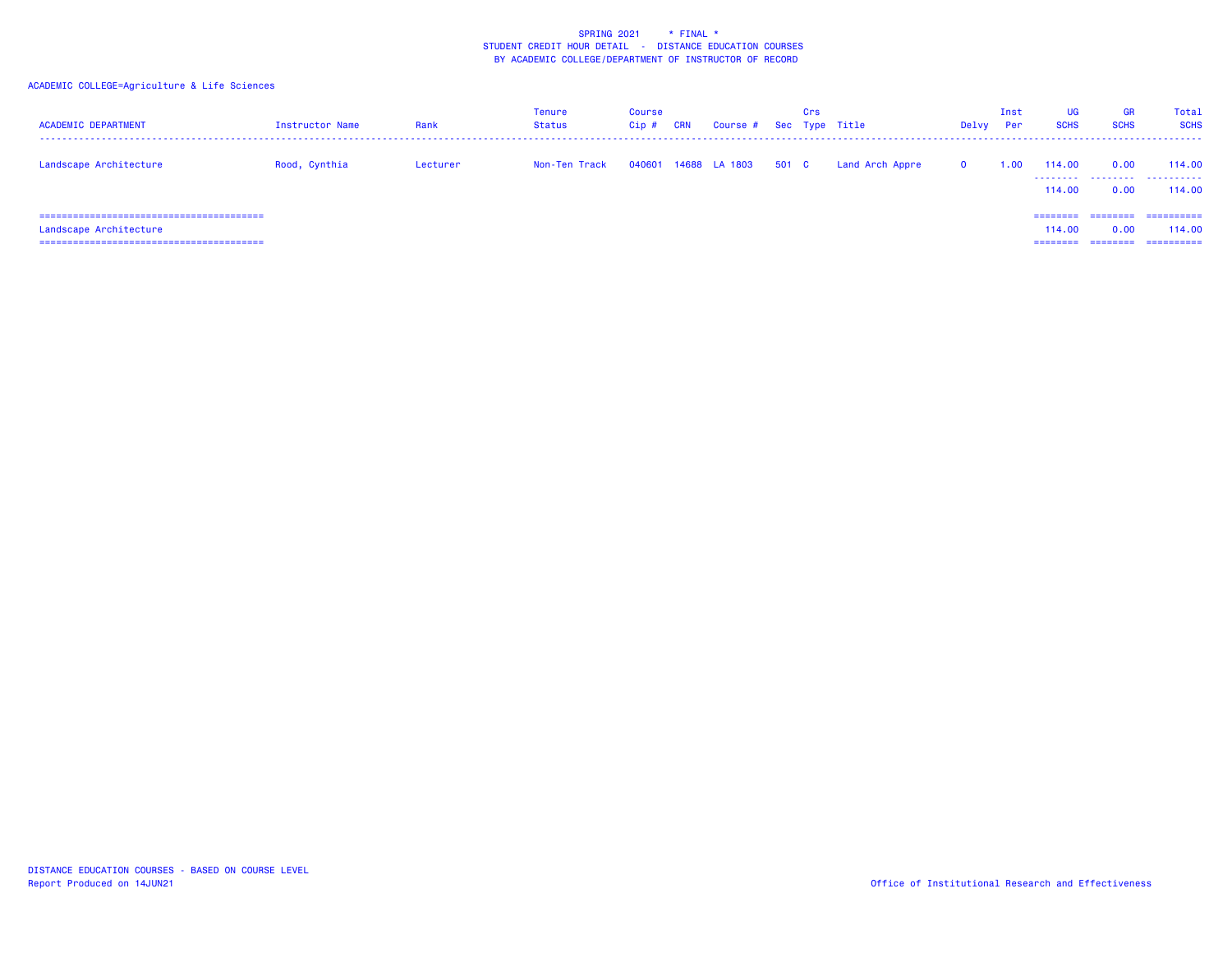| <b>ACADEMIC DEPARTMENT</b> | Instructor Name | Rank     | Tenure<br>Status | <b>Course</b><br>Cip# | <b>CRN</b> | Course # Sec Type Title |       | Crs |                 | Delvy        | Inst<br>Per | <b>UG</b><br><b>SCHS</b>       | <b>GR</b><br><b>SCHS</b>     | Total<br><b>SCHS</b>               |
|----------------------------|-----------------|----------|------------------|-----------------------|------------|-------------------------|-------|-----|-----------------|--------------|-------------|--------------------------------|------------------------------|------------------------------------|
| Landscape Architecture     | Rood, Cynthia   | Lecturer | Non-Ten Track    |                       |            | 040601 14688 LA 1803    | 501 C |     | Land Arch Appre | $\mathbf{0}$ | 1.00        | 114,00<br>114,00               | 0.00<br>0.00                 | 114,00<br>.<br>114,00              |
| Landscape Architecture     |                 |          |                  |                       |            |                         |       |     |                 |              |             | ========<br>114,00<br>======== | ========<br>0.00<br>======== | ==========<br>114,00<br>========== |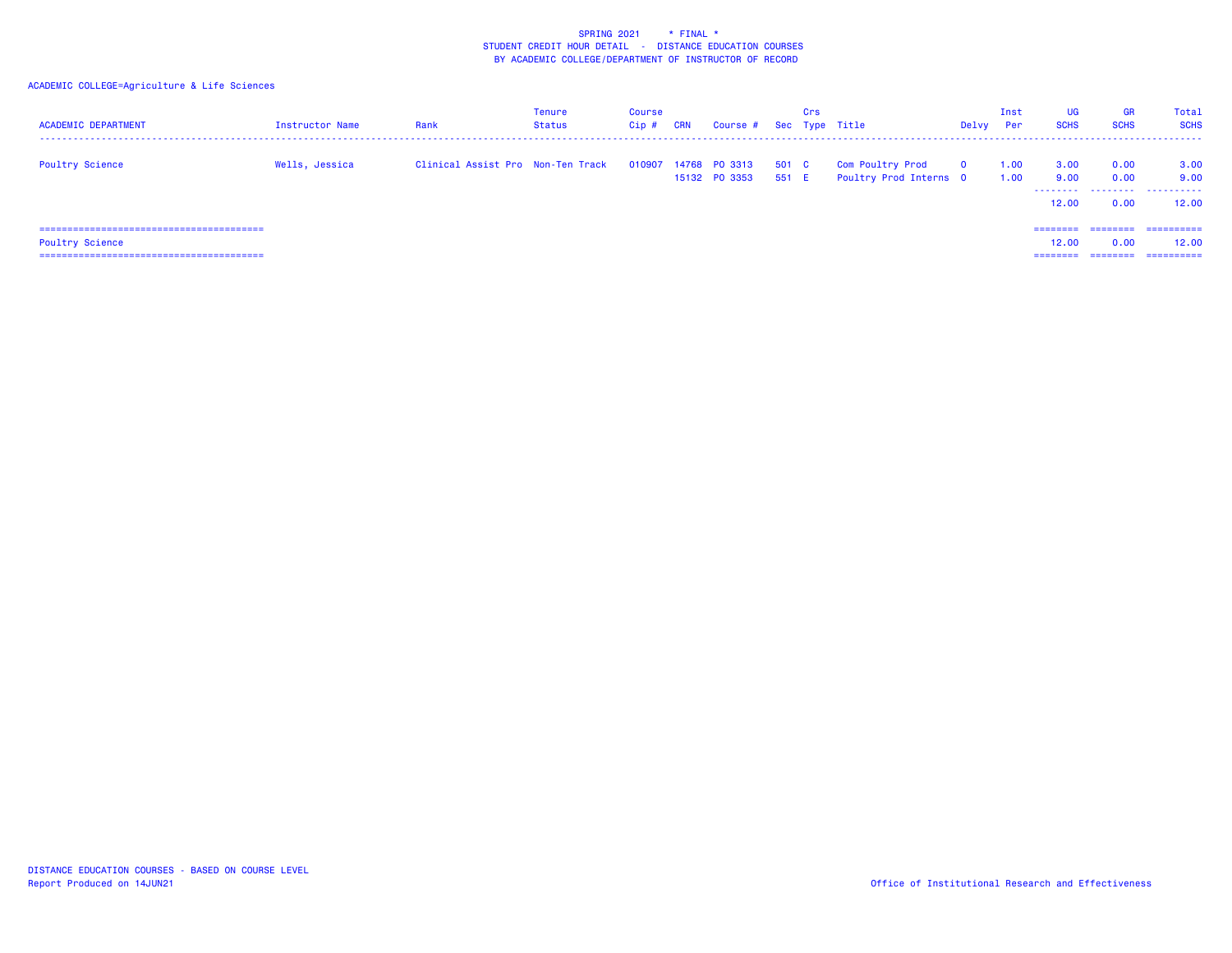| <b>ACADEMIC DEPARTMENT</b> | <b>Instructor Name</b> | Rank                              | Tenure<br>Status | Course<br>Cip# | <b>CRN</b> | Course # Sec Type Title               |                | Crs |                                                   | Delvy        | Inst<br><b>Per</b> | UG<br><b>SCHS</b>          | <b>GR</b><br><b>SCHS</b>  | Total<br><b>SCHS</b>       |
|----------------------------|------------------------|-----------------------------------|------------------|----------------|------------|---------------------------------------|----------------|-----|---------------------------------------------------|--------------|--------------------|----------------------------|---------------------------|----------------------------|
| <b>Poultry Science</b>     | Wells, Jessica         | Clinical Assist Pro Non-Ten Track |                  |                |            | 010907 14768 PO 3313<br>15132 PO 3353 | 501 C<br>551 E |     | <b>Com Poultry Prod</b><br>Poultry Prod Interns 0 | $\mathbf{o}$ | 1.00<br>1.00       | 3.00<br>9.00<br>.<br>12,00 | 0.00<br>0.00<br>.<br>0.00 | 3.00<br>9.00<br>.<br>12.00 |
|                            |                        |                                   |                  |                |            |                                       |                |     |                                                   |              |                    | ========                   | ========                  | ==========                 |
| <b>Poultry Science</b>     |                        |                                   |                  |                |            |                                       |                |     |                                                   |              |                    | 12,00                      | 0.00                      | 12.00                      |
|                            |                        |                                   |                  |                |            |                                       |                |     |                                                   |              |                    | ----                       |                           | -----------                |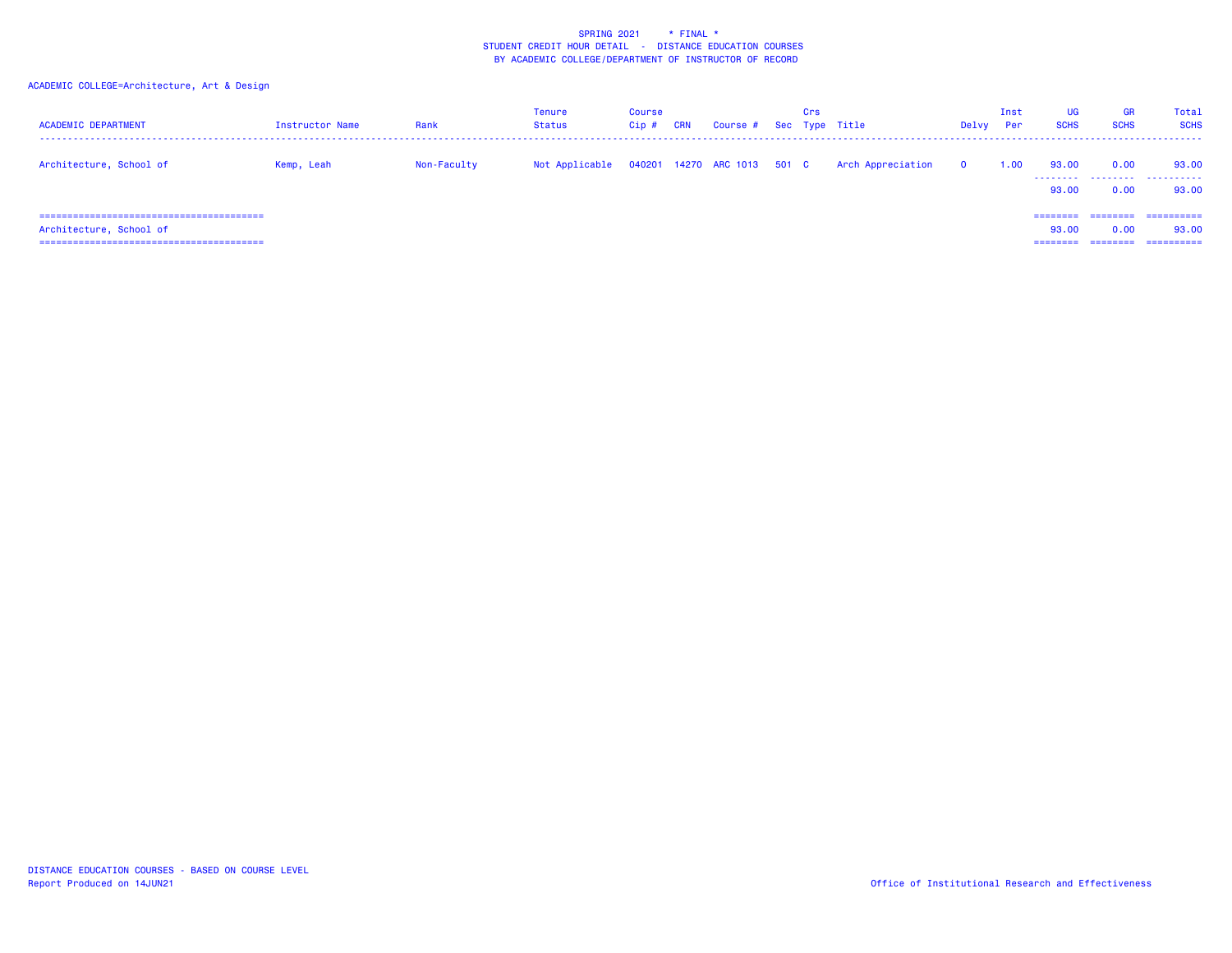| <b>ACADEMIC DEPARTMENT</b> | Instructor Name | Rank        | Tenure<br>Status | <b>Course</b><br>Cip# | <b>CRN</b> | Course # Sec Type Title     | Crs |                   | Delvy        | Inst<br>Per | <b>UG</b><br><b>SCHS</b>      | GR<br><b>SCHS</b>            | Total<br><b>SCHS</b>              |
|----------------------------|-----------------|-------------|------------------|-----------------------|------------|-----------------------------|-----|-------------------|--------------|-------------|-------------------------------|------------------------------|-----------------------------------|
| Architecture, School of    | Kemp, Leah      | Non-Faculty | Not Applicable   |                       |            | 040201 14270 ARC 1013 501 C |     | Arch Appreciation | $\mathbf{o}$ | 1.00        | 93.00<br>93.00                | 0.00<br>0.00                 | 93.00<br>.<br>93,00               |
| Architecture, School of    |                 |             |                  |                       |            |                             |     |                   |              |             | ========<br>93.00<br>======== | ========<br>0.00<br>======== | ==========<br>93,00<br>========== |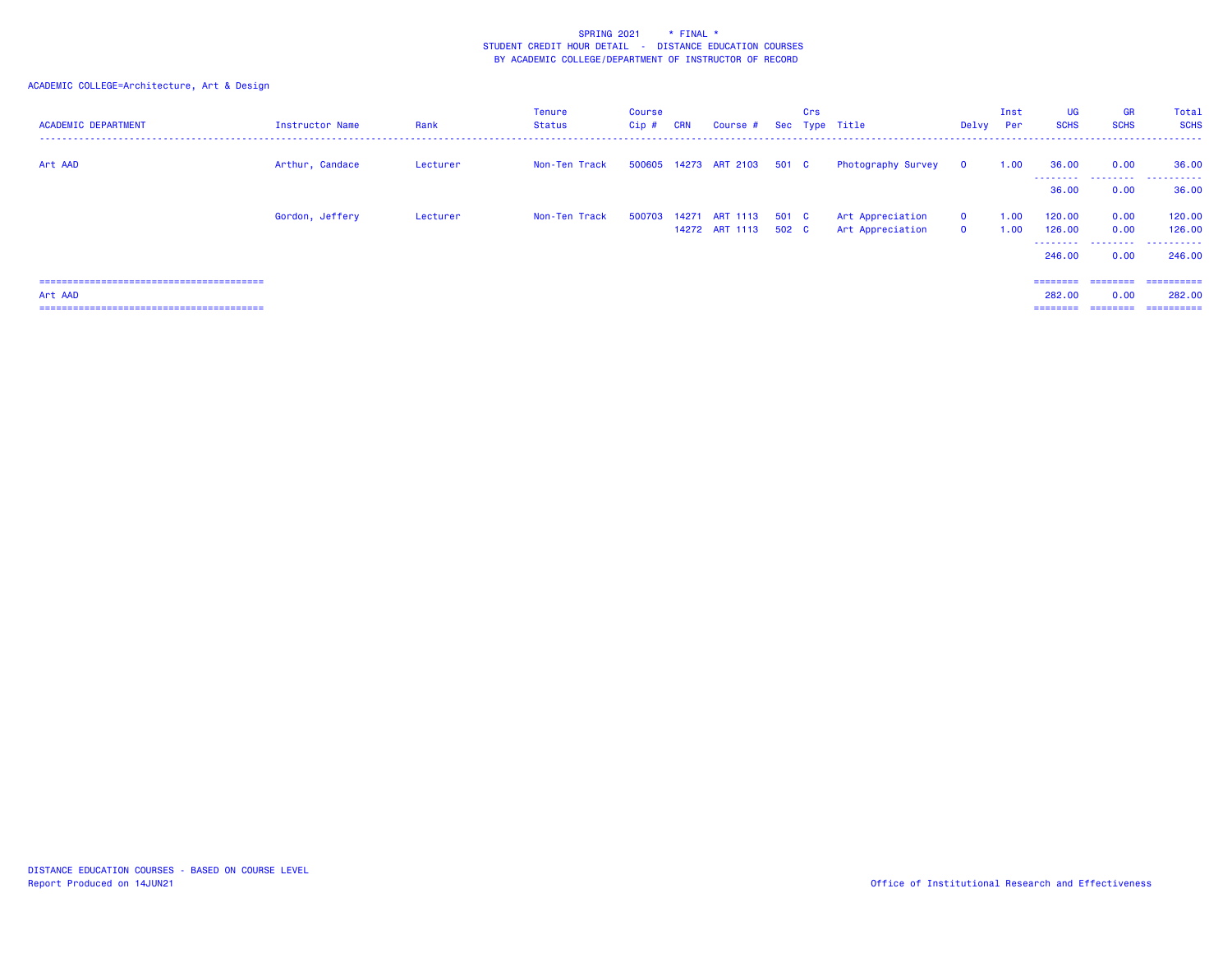| <b>ACADEMIC DEPARTMENT</b> | Instructor Name | Rank     | <b>Tenure</b><br><b>Status</b> | Course<br>$Cip$ # | <b>CRN</b> | Course #                               |       | Crs | Sec Type Title                       | Delvy Per                    | Inst         | UG<br><b>SCHS</b> | <b>GR</b><br><b>SCHS</b> | Total<br><b>SCHS</b> |
|----------------------------|-----------------|----------|--------------------------------|-------------------|------------|----------------------------------------|-------|-----|--------------------------------------|------------------------------|--------------|-------------------|--------------------------|----------------------|
| Art AAD                    | Arthur, Candace | Lecturer | Non-Ten Track                  |                   |            | 500605 14273 ART 2103 501 C            |       |     | Photography Survey                   | $\mathbf 0$                  | 1.00         | 36.00             | 0.00                     | 36.00                |
|                            |                 |          |                                |                   |            |                                        |       |     |                                      |                              |              | .<br>36.00        | .<br>0.00                | .<br>36.00           |
|                            | Gordon, Jeffery | Lecturer | Non-Ten Track                  | 500703            |            | 14271 ART 1113<br>14272 ART 1113 502 C | 501 C |     | Art Appreciation<br>Art Appreciation | $\mathbf{o}$<br>$\mathbf{O}$ | 1.00<br>1.00 | 120.00<br>126.00  | 0.00<br>0.00             | 120.00<br>126.00     |
|                            |                 |          |                                |                   |            |                                        |       |     |                                      |                              |              | .<br>246,00       | .<br>0.00                | .<br>246,00          |
|                            |                 |          |                                |                   |            |                                        |       |     |                                      |                              |              | ========          | ========                 | ==========           |
| Art AAD                    |                 |          |                                |                   |            |                                        |       |     |                                      |                              |              | 282,00            | 0.00                     | 282,00               |
|                            |                 |          |                                |                   |            |                                        |       |     |                                      |                              |              | ========          | ========                 | ==========           |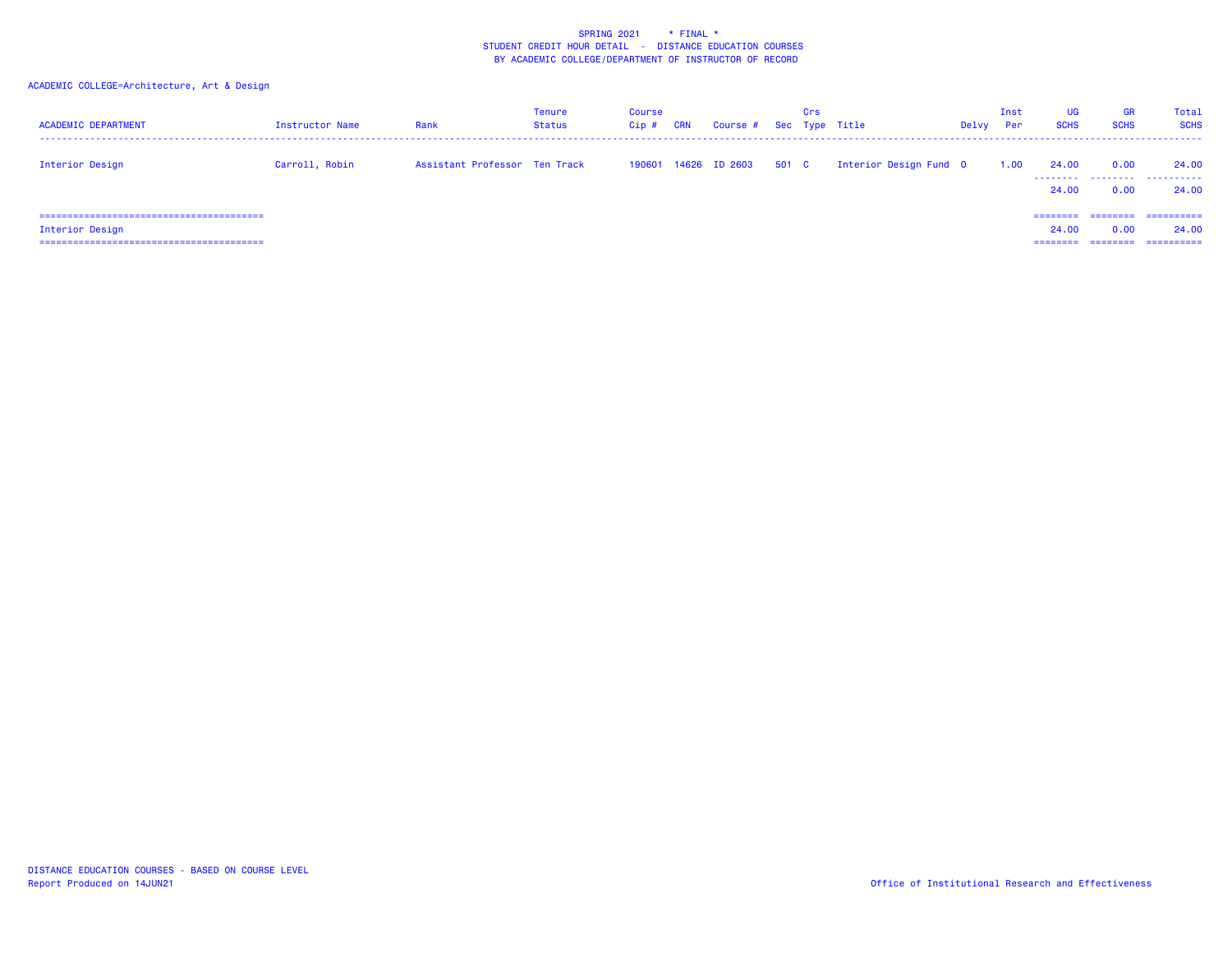| <b>ACADEMIC DEPARTMENT</b> | Instructor Name | Rank                          | Tenure<br>Status | Course<br>Cip# | <b>CRN</b> | Course #             |       | Crs | Sec Type Title         | Delvy | Inst<br>Per | <b>UG</b><br><b>SCHS</b>      | <b>GR</b><br><b>SCHS</b>     | Total<br><b>SCHS</b>              |
|----------------------------|-----------------|-------------------------------|------------------|----------------|------------|----------------------|-------|-----|------------------------|-------|-------------|-------------------------------|------------------------------|-----------------------------------|
| Interior Design            | Carroll, Robin  | Assistant Professor Ten Track |                  |                |            | 190601 14626 ID 2603 | 501 C |     | Interior Design Fund 0 |       | 1.00        | 24.00<br>.<br>24,00           | 0.00<br>0.00                 | 24,00<br>24,00                    |
| Interior Design            |                 |                               |                  |                |            |                      |       |     |                        |       |             | ========<br>24,00<br>======== | ========<br>0.00<br>======== | ==========<br>24,00<br>========== |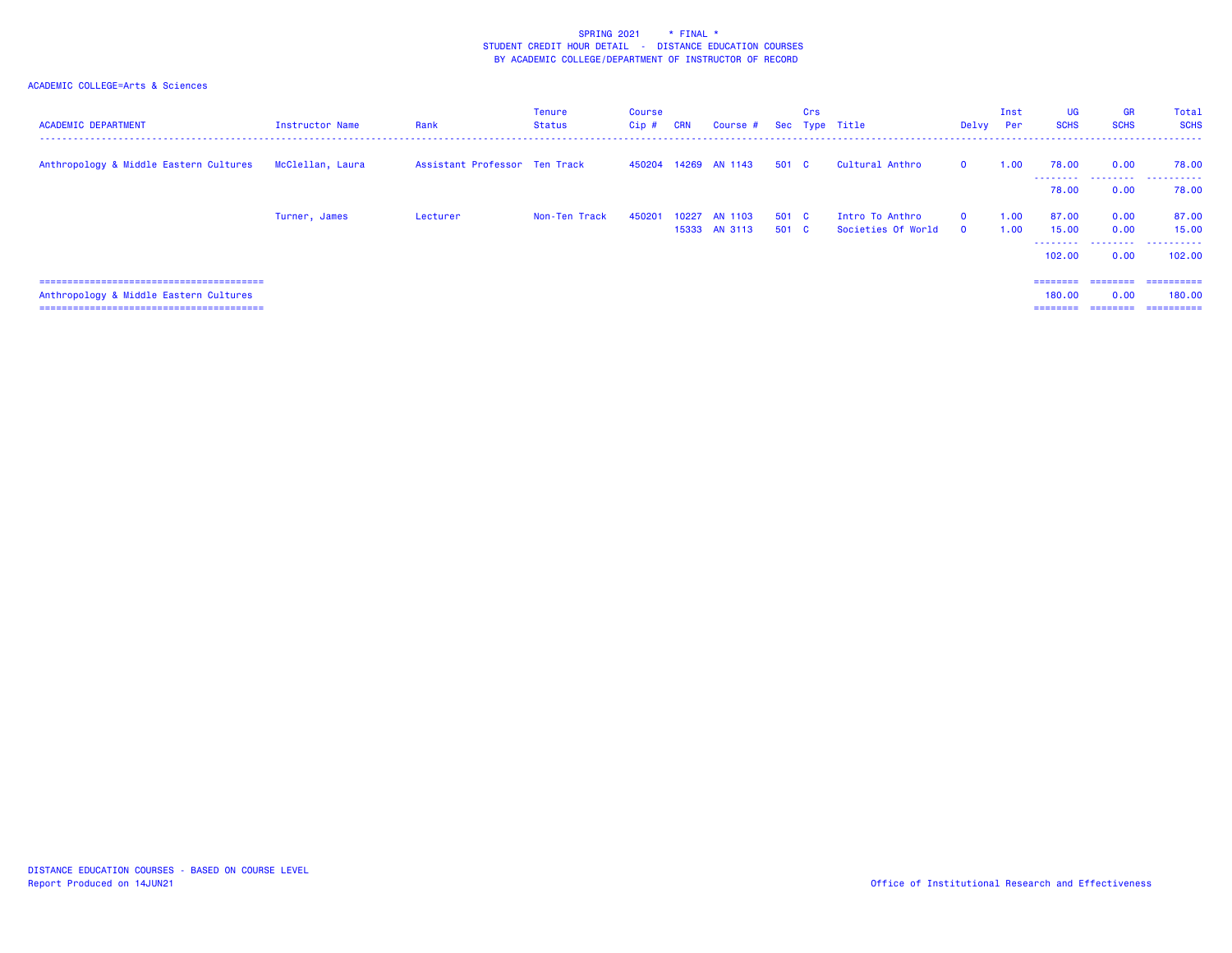| <b>ACADEMIC DEPARTMENT</b>             | Instructor Name  | Rank                          | Tenure<br><b>Status</b> | Course<br>Cip # | <b>CRN</b> | Course #                       |                | Crs | Sec Type Title                        | Delvy Per            | Inst         | <b>UG</b><br><b>SCHS</b>       | <b>GR</b><br><b>SCHS</b>            | Total<br><b>SCHS</b><br>.            |
|----------------------------------------|------------------|-------------------------------|-------------------------|-----------------|------------|--------------------------------|----------------|-----|---------------------------------------|----------------------|--------------|--------------------------------|-------------------------------------|--------------------------------------|
| Anthropology & Middle Eastern Cultures | McClellan, Laura | Assistant Professor Ten Track |                         | 450204          |            | 14269 AN 1143                  | 501 C          |     | Cultural Anthro                       | $\Omega$             | 1.00         | 78.00<br>.                     | 0.00                                | 78.00                                |
|                                        |                  |                               |                         |                 |            |                                |                |     |                                       |                      |              | 78.00                          | 0.00                                | 78.00                                |
|                                        | Turner, James    | Lecturer                      | Non-Ten Track           | 450201          |            | 10227 AN 1103<br>15333 AN 3113 | 501 C<br>501 C |     | Intro To Anthro<br>Societies Of World | $\Omega$<br>$\Omega$ | 1.00<br>1.00 | 87.00<br>15.00<br>.<br>102,00  | 0.00<br>0.00<br>0.00                | 87.00<br>15,00<br>102,00             |
| Anthropology & Middle Eastern Cultures |                  |                               |                         |                 |            |                                |                |     |                                       |                      |              | ========<br>180.00<br>======== | ========<br>0.00<br><b>CONSIDER</b> | -----------<br>180,00<br>----------- |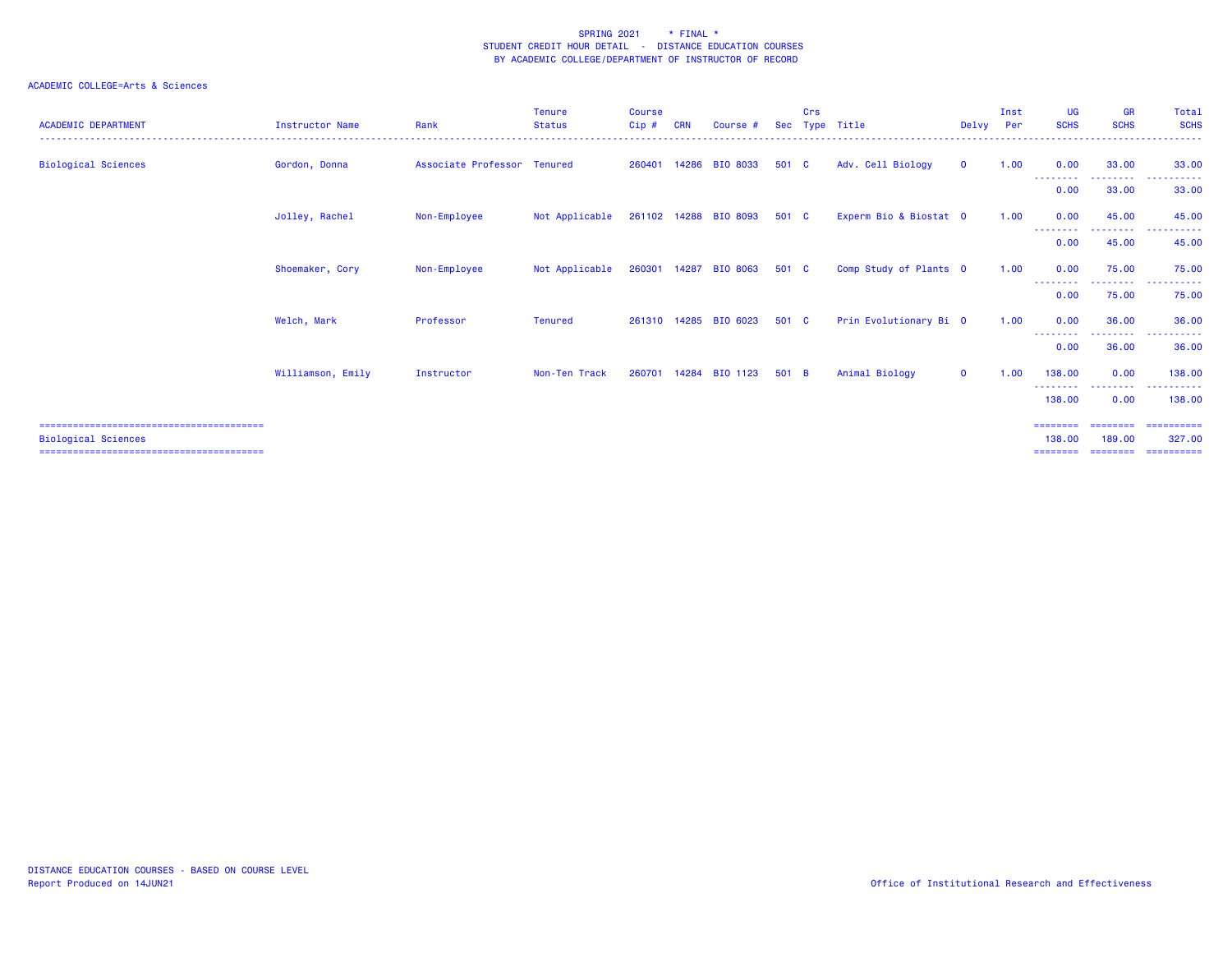| <b>ACADEMIC DEPARTMENT</b> | Instructor Name   | Rank                        | <b>Tenure</b><br><b>Status</b> | <b>Course</b><br>Cip# | <b>CRN</b> | Course #              | <b>Sec</b> | Crs | Type Title             | Delvy       | Inst<br>Per | <b>UG</b><br><b>SCHS</b>  | <b>GR</b><br><b>SCHS</b>   | Total<br><b>SCHS</b><br>. <u>.</u> . |
|----------------------------|-------------------|-----------------------------|--------------------------------|-----------------------|------------|-----------------------|------------|-----|------------------------|-------------|-------------|---------------------------|----------------------------|--------------------------------------|
| <b>Biological Sciences</b> | Gordon, Donna     | Associate Professor Tenured |                                |                       |            | 260401 14286 BIO 8033 | 501 C      |     | Adv. Cell Biology      | $\mathbf 0$ | 1.00        | 0.00<br>- - - - - - - - - | 33.00<br>---------         | 33,00<br><b>.</b> .                  |
|                            |                   |                             |                                |                       |            |                       |            |     |                        |             |             | 0.00                      | 33.00                      | 33.00                                |
|                            | Jolley, Rachel    | Non-Employee                | Not Applicable                 |                       |            | 261102 14288 BIO 8093 | 501 C      |     | Experm Bio & Biostat 0 |             | 1.00        | 0.00<br>--------          | 45.00<br>.                 | 45.00<br>. <b>.</b> .                |
|                            |                   |                             |                                |                       |            |                       |            |     |                        |             |             | 0.00                      | 45.00                      | 45.00                                |
|                            | Shoemaker, Cory   | Non-Employee                | Not Applicable                 | 260301                | 14287      | <b>BIO 8063</b>       | 501 C      |     | Comp Study of Plants 0 |             | 1.00        | 0.00<br>--------          | 75.00<br>- - - - - - - - - | 75.00<br>.                           |
|                            |                   |                             |                                |                       |            |                       |            |     |                        |             |             | 0.00                      | 75.00                      | 75.00                                |
|                            | Welch, Mark       | Professor                   | Tenured                        |                       |            | 261310 14285 BIO 6023 | 501 C      |     | Prin Evolutionary Bi 0 |             | 1.00        | 0.00<br>.                 | 36.00<br>. <u>.</u> .      | 36.00<br>$\sim$ $\sim$ $\sim$<br>.   |
|                            |                   |                             |                                |                       |            |                       |            |     |                        |             |             | 0.00                      | 36.00                      | 36.00                                |
|                            | Williamson, Emily | Instructor                  | Non-Ten Track                  | 260701                |            | 14284 BIO 1123        | 501 B      |     | Animal Biology         | $\mathbf 0$ | 1.00        | 138,00<br>---------       | 0.00<br>.                  | 138,00<br>.                          |
|                            |                   |                             |                                |                       |            |                       |            |     |                        |             |             | 138.00                    | 0.00                       | 138,00                               |
|                            |                   |                             |                                |                       |            |                       |            |     |                        |             |             | ========                  | ========                   | -----------                          |
| <b>Biological Sciences</b> |                   |                             |                                |                       |            |                       |            |     |                        |             |             | 138.00<br>========        | 189,00<br>========         | 327,00<br>==========                 |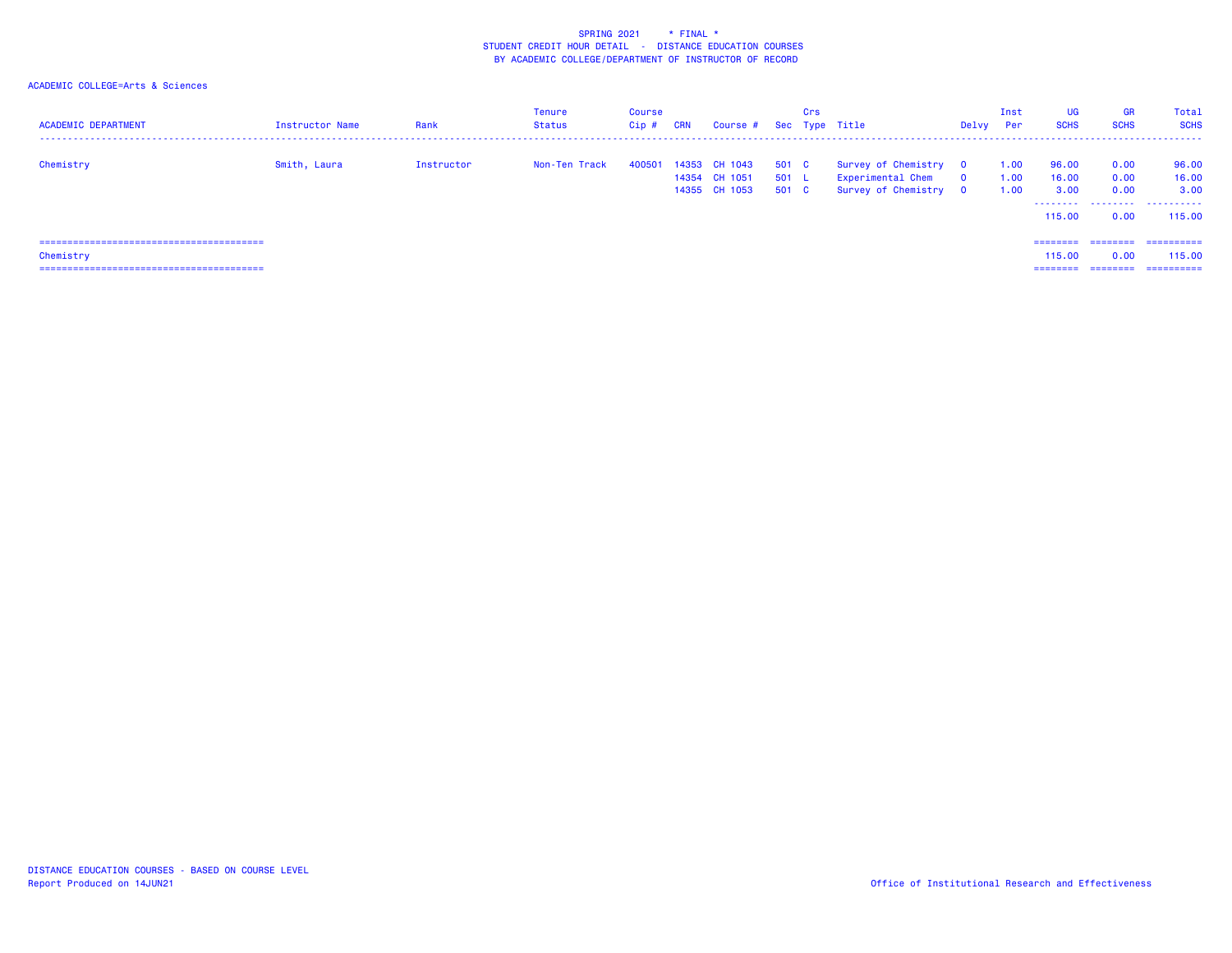| <b>ACADEMIC DEPARTMENT</b> | <b>Instructor Name</b> | Rank       | <b>Tenure</b><br>Status | Course<br>$Cip$ # | CRN | Course # Sec Type Title                                |                         | Crs |                                                                     | Delvy          | Inst<br>Per          | <b>UG</b><br><b>SCHS</b> | <b>GR</b><br><b>SCHS</b> | Total<br><b>SCHS</b>                                   |
|----------------------------|------------------------|------------|-------------------------|-------------------|-----|--------------------------------------------------------|-------------------------|-----|---------------------------------------------------------------------|----------------|----------------------|--------------------------|--------------------------|--------------------------------------------------------|
| Chemistry                  | Smith, Laura           | Instructor | Non-Ten Track           |                   |     | 400501 14353 CH 1043<br>14354 CH 1051<br>14355 CH 1053 | 501 C<br>501 L<br>501 C |     | Survey of Chemistry 0<br>Experimental Chem<br>Survey of Chemistry 0 | $\overline{0}$ | 1.00<br>1.00<br>1.00 | 96.00<br>16.00<br>3.00   | 0.00<br>0.00<br>0.00     | 96.00<br>16.00<br>3.00<br>--------  --------  -------- |
|                            |                        |            |                         |                   |     |                                                        |                         |     |                                                                     |                |                      | 115,00                   | 0.00                     | 115,00                                                 |
|                            |                        |            |                         |                   |     |                                                        |                         |     |                                                                     |                |                      | ========                 |                          | ====================                                   |
| Chemistry                  |                        |            |                         |                   |     |                                                        |                         |     |                                                                     |                |                      | 115.00                   | 0.00                     | 115.00                                                 |
|                            |                        |            |                         |                   |     |                                                        |                         |     |                                                                     |                |                      | ========                 |                          | ==========                                             |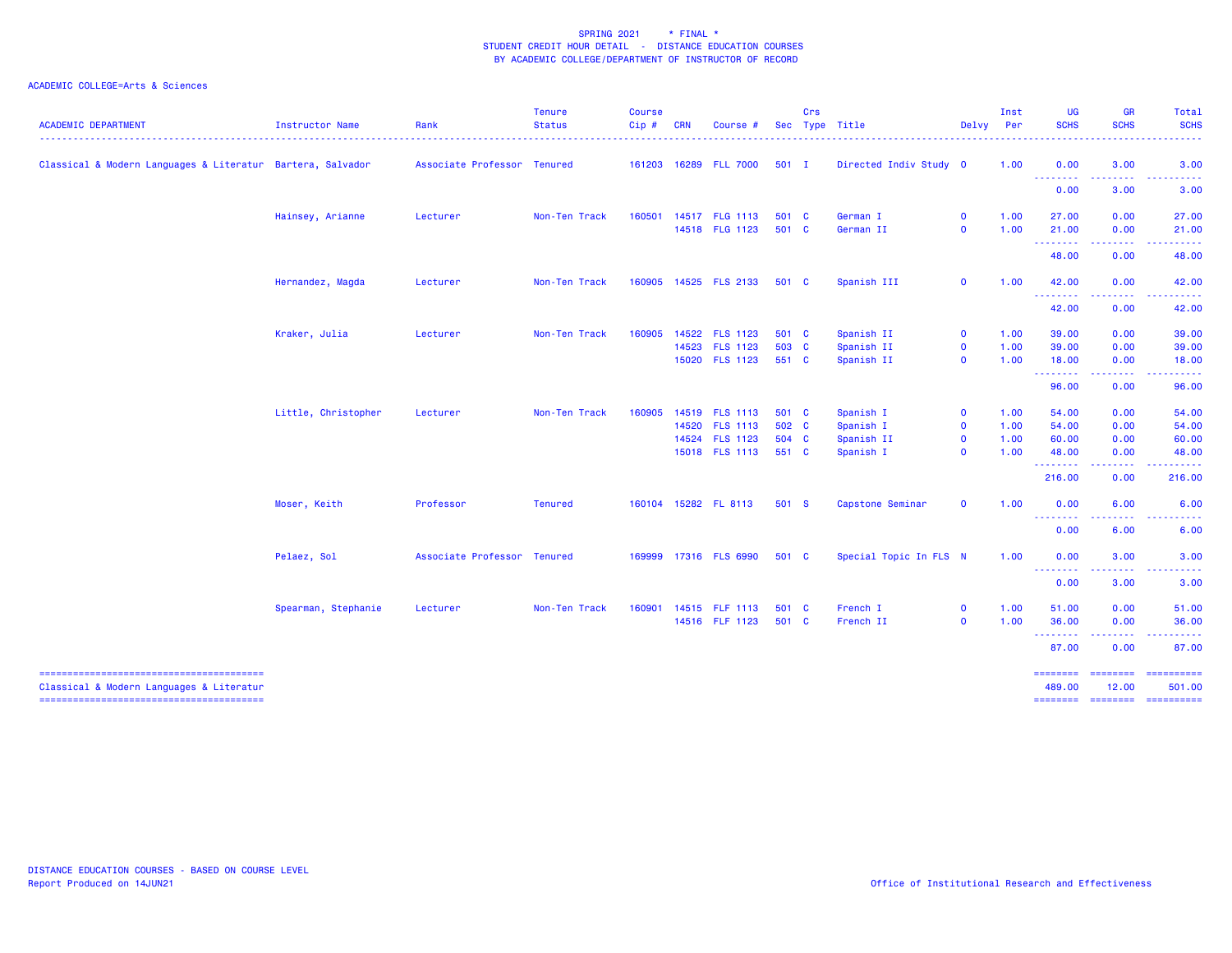| <b>ACADEMIC DEPARTMENT</b>                                 | <b>Instructor Name</b> | Rank                        | <b>Tenure</b><br><b>Status</b> | <b>Course</b><br>Cip# | <b>CRN</b> | Course                |         | Crs | Sec Type Title         | Delvy Per    | Inst | <b>UG</b><br><b>SCHS</b>                             | <b>GR</b><br><b>SCHS</b>                                                                                                                                     | Total<br><b>SCHS</b>                                                                                    |
|------------------------------------------------------------|------------------------|-----------------------------|--------------------------------|-----------------------|------------|-----------------------|---------|-----|------------------------|--------------|------|------------------------------------------------------|--------------------------------------------------------------------------------------------------------------------------------------------------------------|---------------------------------------------------------------------------------------------------------|
| Classical & Modern Languages & Literatur Bartera, Salvador |                        | Associate Professor Tenured |                                |                       |            | 161203 16289 FLL 7000 | $501$ I |     | Directed Indiv Study 0 |              | 1.00 | 0.00<br><u> - - - - - - - -</u>                      | 3.00                                                                                                                                                         | 3.00                                                                                                    |
|                                                            |                        |                             |                                |                       |            |                       |         |     |                        |              |      | 0.00                                                 | 3.00                                                                                                                                                         | 3.00                                                                                                    |
|                                                            | Hainsey, Arianne       | Lecturer                    | Non-Ten Track                  | 160501                |            | 14517 FLG 1113        | 501 C   |     | German I               | $\mathbf 0$  | 1.00 | 27.00                                                | 0.00                                                                                                                                                         | 27.00                                                                                                   |
|                                                            |                        |                             |                                |                       |            | 14518 FLG 1123        | 501 C   |     | German II              | $\mathbf{0}$ | 1.00 | 21.00                                                | 0.00                                                                                                                                                         | 21.00<br><u>.</u>                                                                                       |
|                                                            |                        |                             |                                |                       |            |                       |         |     |                        |              |      | <b></b><br>48.00                                     | -----<br>0.00                                                                                                                                                | 48.00                                                                                                   |
|                                                            | Hernandez, Magda       | Lecturer                    | Non-Ten Track                  |                       |            | 160905 14525 FLS 2133 | 501 C   |     | Spanish III            | $\mathbf 0$  | 1.00 | 42.00<br>--------                                    | 0.00<br>-----                                                                                                                                                | 42.00<br>------                                                                                         |
|                                                            |                        |                             |                                |                       |            |                       |         |     |                        |              |      | 42.00                                                | 0.00                                                                                                                                                         | 42.00                                                                                                   |
|                                                            | Kraker, Julia          | Lecturer                    | Non-Ten Track                  | 160905                |            | 14522 FLS 1123        | 501 C   |     | Spanish II             | $\mathbf{0}$ | 1.00 | 39.00                                                | 0.00                                                                                                                                                         | 39.00                                                                                                   |
|                                                            |                        |                             |                                |                       |            | 14523 FLS 1123        | 503 C   |     | Spanish II             | $\mathbf 0$  | 1.00 | 39.00                                                | 0.00                                                                                                                                                         | 39.00                                                                                                   |
|                                                            |                        |                             |                                |                       |            | 15020 FLS 1123        | 551 C   |     | Spanish II             | $\mathbf{0}$ | 1.00 | 18.00<br><b><i><u><u> Literature</u></u></i></b>     | 0.00<br>.                                                                                                                                                    | 18.00<br>.                                                                                              |
|                                                            |                        |                             |                                |                       |            |                       |         |     |                        |              |      | 96.00                                                | 0.00                                                                                                                                                         | 96.00                                                                                                   |
|                                                            | Little, Christopher    | Lecturer                    | Non-Ten Track                  | 160905                |            | 14519 FLS 1113        | 501 C   |     | Spanish I              | $\mathbf 0$  | 1.00 | 54.00                                                | 0.00                                                                                                                                                         | 54.00                                                                                                   |
|                                                            |                        |                             |                                |                       |            | 14520 FLS 1113        | 502 C   |     | Spanish I              | $\mathbf{O}$ | 1.00 | 54.00                                                | 0.00                                                                                                                                                         | 54.00                                                                                                   |
|                                                            |                        |                             |                                |                       |            | 14524 FLS 1123        | 504 C   |     | Spanish II             | $\mathbf 0$  | 1.00 | 60.00                                                | 0.00                                                                                                                                                         | 60.00                                                                                                   |
|                                                            |                        |                             |                                |                       |            | 15018 FLS 1113        | 551 C   |     | Spanish I              | $\mathbf 0$  | 1.00 | 48.00<br><b>.</b> .                                  | 0.00<br>.                                                                                                                                                    | 48.00                                                                                                   |
|                                                            |                        |                             |                                |                       |            |                       |         |     |                        |              |      | 216.00                                               | 0.00                                                                                                                                                         | .<br>216.00                                                                                             |
|                                                            | Moser, Keith           | Professor                   | <b>Tenured</b>                 |                       |            | 160104 15282 FL 8113  | 501 S   |     | Capstone Seminar       | $\mathbf{0}$ | 1.00 | 0.00                                                 | 6.00                                                                                                                                                         | 6.00                                                                                                    |
|                                                            |                        |                             |                                |                       |            |                       |         |     |                        |              |      | 0.00                                                 | 6.00                                                                                                                                                         | 6.00                                                                                                    |
|                                                            | Pelaez, Sol            | Associate Professor Tenured |                                |                       |            | 169999 17316 FLS 6990 | 501 C   |     | Special Topic In FLS N |              | 1.00 | 0.00                                                 | 3.00                                                                                                                                                         | 3.00                                                                                                    |
|                                                            |                        |                             |                                |                       |            |                       |         |     |                        |              |      | <b><i><u><u> - - - - - - - -</u></u></i></b><br>0.00 | $\frac{1}{2} \left( \frac{1}{2} \right) \left( \frac{1}{2} \right) \left( \frac{1}{2} \right) \left( \frac{1}{2} \right) \left( \frac{1}{2} \right)$<br>3.00 | . <b>.</b> .<br>3.00                                                                                    |
|                                                            | Spearman, Stephanie    | Lecturer                    | Non-Ten Track                  | 160901                |            | 14515 FLF 1113        | 501 C   |     | French I               | $\mathbf{0}$ | 1.00 | 51.00                                                | 0.00                                                                                                                                                         | 51.00                                                                                                   |
|                                                            |                        |                             |                                |                       |            | 14516 FLF 1123        | 501 C   |     | French II              | $\mathbf{0}$ | 1.00 | 36.00<br><b>--------</b>                             | 0.00<br><b><i><u><u>.</u></u></i></b>                                                                                                                        | 36.00<br>.                                                                                              |
|                                                            |                        |                             |                                |                       |            |                       |         |     |                        |              |      | 87.00                                                | 0.00                                                                                                                                                         | 87.00                                                                                                   |
|                                                            |                        |                             |                                |                       |            |                       |         |     |                        |              |      | ========                                             | <b>ESSESSES</b>                                                                                                                                              | ==========                                                                                              |
| Classical & Modern Languages & Literatur                   |                        |                             |                                |                       |            |                       |         |     |                        |              |      | 489.00<br><b>SEESSEES</b>                            | 12.00<br><b>CONSIGNS</b>                                                                                                                                     | 501.00<br>$\begin{array}{c} \texttt{m} = \texttt{m} = \texttt{m} = \texttt{m} = \texttt{m} \end{array}$ |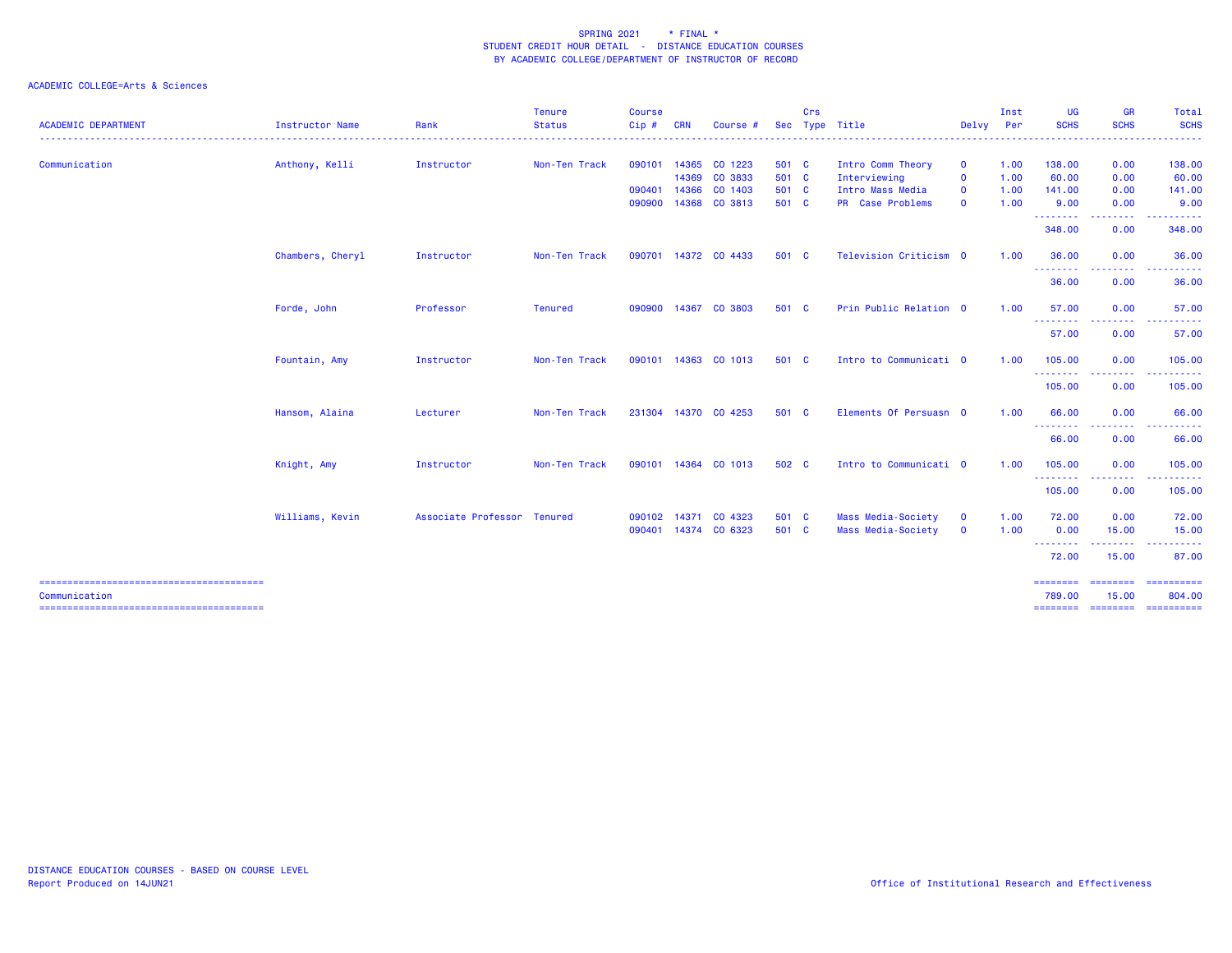|                            |                  |                             | <b>Tenure</b>      | <b>Course</b> |            |                      |            | Crs |                        |              | Inst | <b>UG</b>              | <b>GR</b>                                         | Total                         |
|----------------------------|------------------|-----------------------------|--------------------|---------------|------------|----------------------|------------|-----|------------------------|--------------|------|------------------------|---------------------------------------------------|-------------------------------|
| <b>ACADEMIC DEPARTMENT</b> | Instructor Name  | Rank                        | <b>Status</b><br>. | $Cip$ #       | <b>CRN</b> | Course $#$           | <b>Sec</b> |     | Type Title             | Delvv        | Per  | <b>SCHS</b><br>------- | <b>SCHS</b><br>.                                  | <b>SCHS</b><br>.              |
| Communication              | Anthony, Kelli   | Instructor                  | Non-Ten Track      | 090101        | 14365      | CO 1223              | 501 C      |     | Intro Comm Theory      | $\mathbf{o}$ | 1.00 | 138.00                 | 0.00                                              | 138.00                        |
|                            |                  |                             |                    |               |            | 14369 CO 3833        | 501 C      |     | Interviewing           | $\mathbf{o}$ | 1.00 | 60.00                  | 0.00                                              | 60.00                         |
|                            |                  |                             |                    | 090401        | 14366      | CO 1403              | 501 C      |     | Intro Mass Media       | $\mathbf 0$  | 1.00 | 141.00                 | 0.00                                              | 141.00                        |
|                            |                  |                             |                    | 090900        |            | 14368 CO 3813        | 501 C      |     | PR Case Problems       | $\mathbf 0$  | 1.00 | 9.00<br>.              | 0.00<br>.                                         | 9.00                          |
|                            |                  |                             |                    |               |            |                      |            |     |                        |              |      | 348.00                 | 0.00                                              | 348.00                        |
|                            | Chambers, Cheryl | Instructor                  | Non-Ten Track      | 090701        |            | 14372 CO 4433        | 501 C      |     | Television Criticism 0 |              | 1.00 | 36.00<br><b>.</b> .    | 0.00<br><b><i><u><u>ALLERS A</u></u></i></b>      | 36.00<br>.                    |
|                            |                  |                             |                    |               |            |                      |            |     |                        |              |      | 36.00                  | 0.00                                              | 36.00                         |
|                            | Forde, John      | Professor                   | <b>Tenured</b>     | 090900        | 14367      | CO 3803              | 501 C      |     | Prin Public Relation 0 |              | 1.00 | 57.00<br><b></b>       | 0.00<br><b>.</b>                                  | 57.00                         |
|                            |                  |                             |                    |               |            |                      |            |     |                        |              |      | 57.00                  | 0.00                                              | 57.00                         |
|                            | Fountain, Amy    | Instructor                  | Non-Ten Track      | 090101        | 14363      | CO 1013              | 501 C      |     | Intro to Communicati 0 |              | 1.00 | 105.00                 | 0.00<br>-----                                     | 105.00<br>.                   |
|                            |                  |                             |                    |               |            |                      |            |     |                        |              |      | ---------<br>105.00    | 0.00                                              | 105.00                        |
|                            | Hansom, Alaina   | Lecturer                    | Non-Ten Track      | 231304        |            | 14370 CO 4253        | 501 C      |     | Elements Of Persuasn 0 |              | 1.00 | 66.00                  | 0.00                                              | 66.00                         |
|                            |                  |                             |                    |               |            |                      |            |     |                        |              |      | <b></b><br>66.00       | .<br>0.00                                         | .<br>66.00                    |
|                            | Knight, Amy      | Instructor                  | Non-Ten Track      |               |            | 090101 14364 CO 1013 | 502 C      |     | Intro to Communicati 0 |              | 1.00 | 105.00                 | 0.00                                              | 105.00                        |
|                            |                  |                             |                    |               |            |                      |            |     |                        |              |      | .<br>105.00            | -----<br>0.00                                     | 105.00                        |
|                            | Williams, Kevin  | Associate Professor Tenured |                    | 090102        | 14371      | CO 4323              | 501 C      |     | Mass Media-Society     | $\mathbf 0$  | 1.00 | 72.00                  | 0.00                                              | 72.00                         |
|                            |                  |                             |                    | 090401        |            | 14374 CO 6323        | 501 C      |     | Mass Media-Society     | $\mathbf 0$  | 1.00 | 0.00<br><b></b>        | 15.00<br><b><i><u><u> - - - - - -</u></u></i></b> | 15.00<br>.                    |
|                            |                  |                             |                    |               |            |                      |            |     |                        |              |      | 72.00                  | 15.00                                             | 87.00                         |
| Communication              |                  |                             |                    |               |            |                      |            |     |                        |              |      | ========<br>789,00     | 15.00                                             | ===================<br>804.00 |
|                            |                  |                             |                    |               |            |                      |            |     |                        |              |      | ========               |                                                   | ========= ==========          |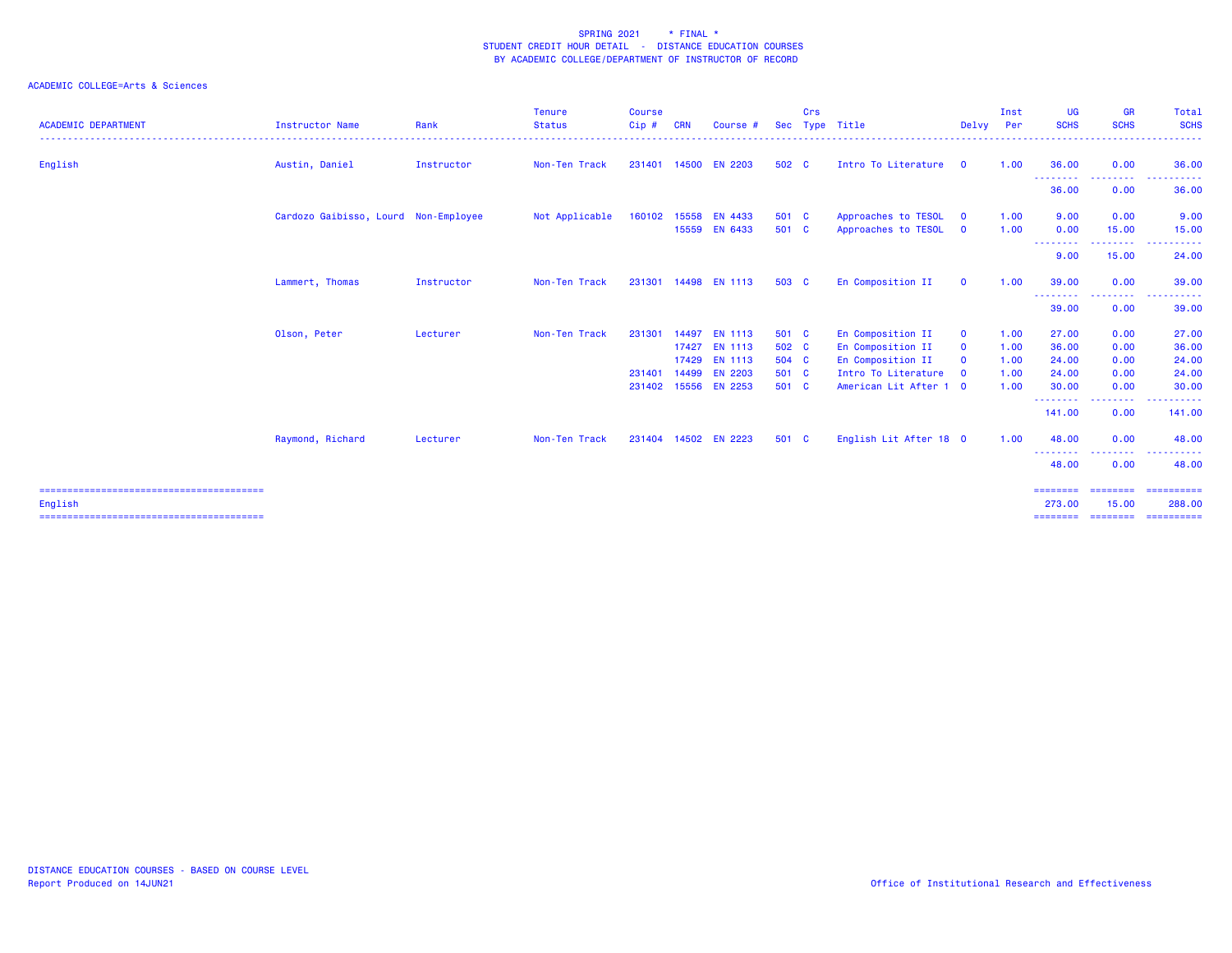| <b>ACADEMIC DEPARTMENT</b> | Instructor Name                      | Rank       | <b>Tenure</b><br><b>Status</b> | <b>Course</b><br>Cip# | <b>CRN</b> | Course #                                         | <b>Sec</b>              | Crs | Type Title                                                  | Delvy                                     | Inst<br>Per          | <b>UG</b><br><b>SCHS</b> | <b>GR</b><br><b>SCHS</b><br>. | Total<br><b>SCHS</b><br>.                                                                                                               |
|----------------------------|--------------------------------------|------------|--------------------------------|-----------------------|------------|--------------------------------------------------|-------------------------|-----|-------------------------------------------------------------|-------------------------------------------|----------------------|--------------------------|-------------------------------|-----------------------------------------------------------------------------------------------------------------------------------------|
| English                    | Austin, Daniel                       | Instructor | Non-Ten Track                  | 231401                |            | 14500 EN 2203                                    | 502 C                   |     | Intro To Literature 0                                       |                                           | 1.00                 | 36.00                    | 0.00                          | 36.00                                                                                                                                   |
|                            |                                      |            |                                |                       |            |                                                  |                         |     |                                                             |                                           |                      | ---------<br>36.00       | <b></b><br>0.00               | .<br>36.00                                                                                                                              |
|                            | Cardozo Gaibisso, Lourd Non-Employee |            | Not Applicable                 | 160102                |            | 15558 EN 4433<br>15559 EN 6433                   | 501 C<br>501 C          |     | Approaches to TESOL<br>Approaches to TESOL                  | $\mathbf{0}$<br>$\overline{\mathbf{0}}$   | 1.00<br>1.00         | 9.00<br>0.00             | 0.00<br>15.00                 | 9.00<br>15.00                                                                                                                           |
|                            |                                      |            |                                |                       |            |                                                  |                         |     |                                                             |                                           |                      | --------<br>9.00         | .<br>15.00                    | .<br>$\frac{1}{2} \left( \frac{1}{2} \right) \left( \frac{1}{2} \right) \left( \frac{1}{2} \right) \left( \frac{1}{2} \right)$<br>24.00 |
|                            | Lammert, Thomas                      | Instructor | Non-Ten Track                  | 231301                |            | 14498 EN 1113                                    | 503 C                   |     | En Composition II                                           | $\mathbf{0}$                              | 1.00                 | 39.00                    | 0.00                          | 39.00                                                                                                                                   |
|                            |                                      |            |                                |                       |            |                                                  |                         |     |                                                             |                                           |                      | ---------<br>39.00       | --------<br>0.00              | .<br>---<br>39.00                                                                                                                       |
|                            | Olson, Peter                         | Lecturer   | Non-Ten Track                  | 231301                | 17427      | 14497 EN 1113<br><b>EN 1113</b><br>17429 EN 1113 | 501 C<br>502 C<br>504 C |     | En Composition II<br>En Composition II<br>En Composition II | $\mathbf 0$<br>$\mathbf 0$<br>$\mathbf 0$ | 1.00<br>1.00<br>1.00 | 27.00<br>36.00<br>24.00  | 0.00<br>0.00<br>0.00          | 27.00<br>36.00<br>24.00                                                                                                                 |
|                            |                                      |            |                                | 231401<br>231402      |            | 14499 EN 2203<br>15556 EN 2253                   | 501 C<br>501 C          |     | Intro To Literature<br>American Lit After 1 0               | $\overline{0}$                            | 1.00<br>1.00         | 24.00<br>30.00           | 0.00<br>0.00                  | 24.00<br>30.00                                                                                                                          |
|                            |                                      |            |                                |                       |            |                                                  |                         |     |                                                             |                                           |                      | --------<br>141.00       | --------<br>0.00              | .<br>141.00                                                                                                                             |
|                            | Raymond, Richard                     | Lecturer   | Non-Ten Track                  | 231404                |            | 14502 EN 2223                                    | 501 C                   |     | English Lit After 18 0                                      |                                           | 1.00                 | 48.00<br>--------        | 0.00<br>-----                 | 48.00                                                                                                                                   |
|                            |                                      |            |                                |                       |            |                                                  |                         |     |                                                             |                                           |                      | 48.00                    | 0.00                          | 48.00                                                                                                                                   |
| English                    |                                      |            |                                |                       |            |                                                  |                         |     |                                                             |                                           |                      | ========<br>273.00       | ========<br>15.00             | ==========<br>288,00                                                                                                                    |
|                            |                                      |            |                                |                       |            |                                                  |                         |     |                                                             |                                           |                      | <b>EEEEEEEE</b>          | ========                      | ==========                                                                                                                              |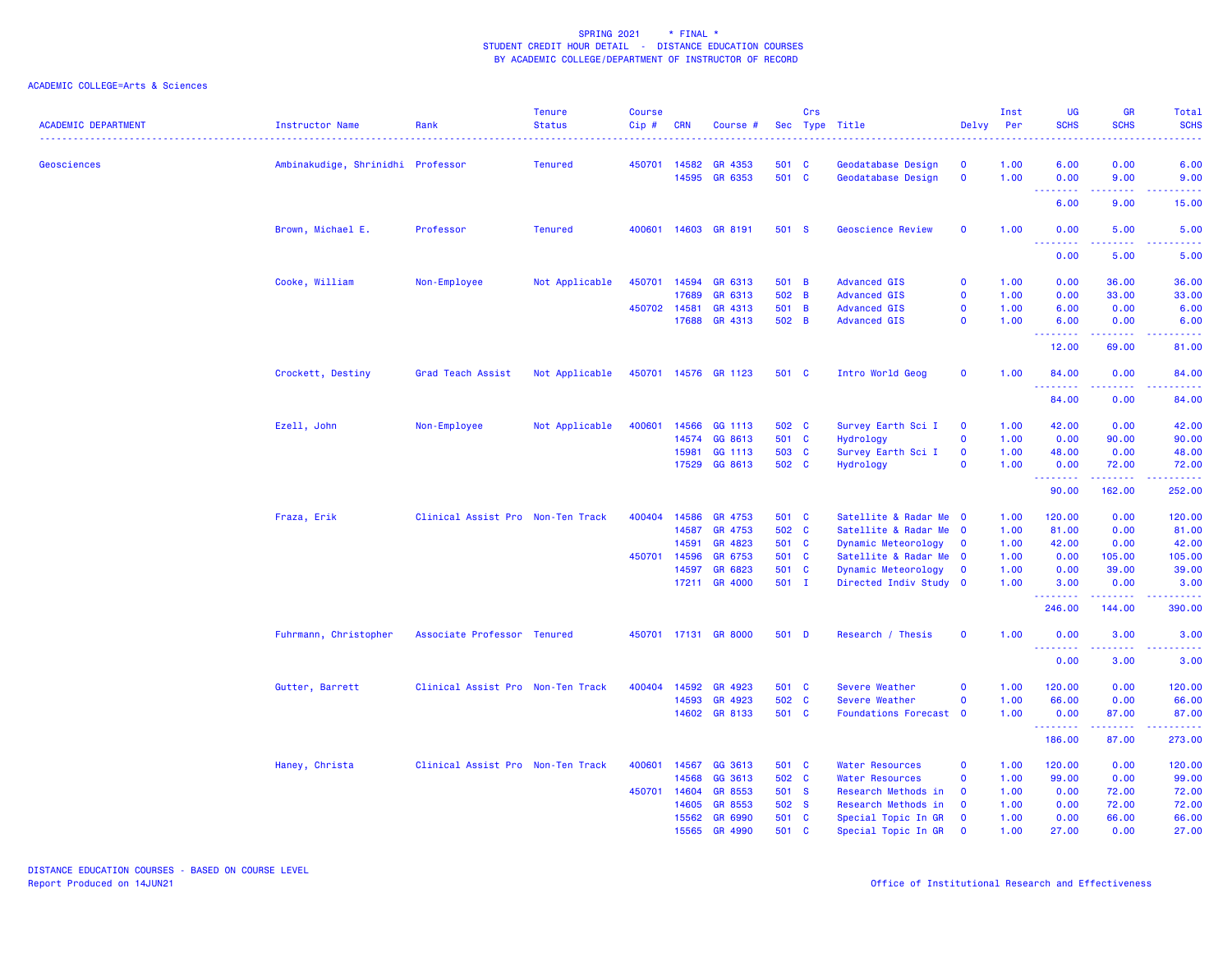| <b>ACADEMIC DEPARTMENT</b> | <b>Instructor Name</b>            | Rank                              | <b>Tenure</b><br><b>Status</b> | <b>Course</b><br>Cip# | <b>CRN</b>     | Course #             | Sec            | Crs | Type Title                                 | Delvy                      | Inst<br>Per  | <b>UG</b><br><b>SCHS</b>                           | <b>GR</b><br><b>SCHS</b> | Total<br><b>SCHS</b>                 |
|----------------------------|-----------------------------------|-----------------------------------|--------------------------------|-----------------------|----------------|----------------------|----------------|-----|--------------------------------------------|----------------------------|--------------|----------------------------------------------------|--------------------------|--------------------------------------|
| Geosciences                | Ambinakudige, Shrinidhi Professor |                                   | <b>Tenured</b>                 | 450701                | 14582          | GR 4353              | 501 C          |     | Geodatabase Design                         | $\mathbf 0$                | 1.00         | 6.00                                               | 0.00                     | 6.00                                 |
|                            |                                   |                                   |                                |                       | 14595          | GR 6353              | 501 C          |     | Geodatabase Design                         | $\mathbf 0$                | 1.00         | 0.00                                               | 9.00                     | 9.00                                 |
|                            |                                   |                                   |                                |                       |                |                      |                |     |                                            |                            |              | .<br>6.00                                          | 9.00                     | $\sim$ $\sim$ $\sim$ $\sim$<br>15.00 |
|                            |                                   |                                   |                                |                       |                |                      |                |     |                                            |                            |              |                                                    |                          |                                      |
|                            | Brown, Michael E.                 | Professor                         | <b>Tenured</b>                 | 400601                |                | 14603 GR 8191        | 501 S          |     | <b>Geoscience Review</b>                   | $\mathbf 0$                | 1.00         | 0.00<br><u> - - - - - - - -</u>                    | 5.00                     | 5.00                                 |
|                            |                                   |                                   |                                |                       |                |                      |                |     |                                            |                            |              | 0.00                                               | 5.00                     | 5.00                                 |
|                            | Cooke, William                    | Non-Employee                      | Not Applicable                 | 450701                | 14594<br>17689 | GR 6313<br>GR 6313   | 501 B<br>502 B |     | <b>Advanced GIS</b><br><b>Advanced GIS</b> | $\mathbf 0$<br>$\mathbf 0$ | 1.00<br>1.00 | 0.00<br>0.00                                       | 36.00<br>33.00           | 36.00<br>33.00                       |
|                            |                                   |                                   |                                |                       | 450702 14581   | GR 4313              | 501 B          |     | <b>Advanced GIS</b>                        | $\mathbf 0$                | 1.00         | 6.00                                               | 0.00                     | 6.00                                 |
|                            |                                   |                                   |                                |                       |                | 17688 GR 4313        | 502 B          |     | <b>Advanced GIS</b>                        | $\mathbf 0$                | 1.00         | 6.00                                               | 0.00                     | 6.00                                 |
|                            |                                   |                                   |                                |                       |                |                      |                |     |                                            |                            |              |                                                    |                          |                                      |
|                            |                                   |                                   |                                |                       |                |                      |                |     |                                            |                            |              | 12.00                                              | 69.00                    | 81,00                                |
|                            | Crockett, Destiny                 | Grad Teach Assist                 | Not Applicable                 | 450701                |                | 14576 GR 1123        | 501 C          |     | Intro World Geog                           | $\mathbf 0$                | 1.00         | 84.00<br>.                                         | 0.00                     | 84.00<br>المستملة                    |
|                            |                                   |                                   |                                |                       |                |                      |                |     |                                            |                            |              | 84.00                                              | 0.00                     | 84.00                                |
|                            | Ezell, John                       | Non-Employee                      | Not Applicable                 | 400601                | 14566          | GG 1113              | 502 C          |     | Survey Earth Sci I                         | $\mathbf 0$                | 1.00         | 42.00                                              | 0.00                     | 42.00                                |
|                            |                                   |                                   |                                |                       | 14574          | GG 8613              | 501 C          |     | Hydrology                                  | $\mathbf 0$                | 1.00         | 0.00                                               | 90.00                    | 90.00                                |
|                            |                                   |                                   |                                |                       | 15981          | GG 1113              | 503 C          |     | Survey Earth Sci I                         | $\mathbf 0$                | 1.00         | 48.00                                              | 0.00                     | 48.00                                |
|                            |                                   |                                   |                                |                       |                | 17529 GG 8613        | 502 C          |     | Hydrology                                  | $\mathbf 0$                | 1.00         | 0.00<br>--------                                   | 72.00<br><u>.</u>        | 72.00<br>.                           |
|                            |                                   |                                   |                                |                       |                |                      |                |     |                                            |                            |              | 90.00                                              | 162.00                   | 252.00                               |
|                            | Fraza, Erik                       | Clinical Assist Pro Non-Ten Track |                                | 400404                | 14586          | GR 4753              | 501 C          |     | Satellite & Radar Me 0                     |                            | 1.00         | 120.00                                             | 0.00                     | 120.00                               |
|                            |                                   |                                   |                                |                       | 14587          | GR 4753              | 502 C          |     | Satellite & Radar Me 0                     |                            | 1.00         | 81.00                                              | 0.00                     | 81.00                                |
|                            |                                   |                                   |                                |                       | 14591          | GR 4823              | 501 C          |     | Dynamic Meteorology                        | $\mathbf 0$                | 1.00         | 42.00                                              | 0.00                     | 42.00                                |
|                            |                                   |                                   |                                | 450701                | 14596          | GR 6753              | 501 C          |     | Satellite & Radar Me                       | $\overline{\mathbf{0}}$    | 1.00         | 0.00                                               | 105.00                   | 105.00                               |
|                            |                                   |                                   |                                |                       | 14597          | GR 6823              | 501 C          |     | Dynamic Meteorology                        | $\mathbf 0$                | 1.00         | 0.00                                               | 39.00                    | 39.00                                |
|                            |                                   |                                   |                                |                       |                | 17211 GR 4000        | 501 I          |     | Directed Indiv Study 0                     |                            | 1.00         | 3.00<br>.                                          | 0.00<br>.                | 3.00<br><b>.</b>                     |
|                            |                                   |                                   |                                |                       |                |                      |                |     |                                            |                            |              | 246.00                                             | 144.00                   | 390.00                               |
|                            | Fuhrmann, Christopher             | Associate Professor Tenured       |                                |                       |                | 450701 17131 GR 8000 | 501 D          |     | Research / Thesis                          | $\mathbf 0$                | 1.00         | 0.00<br><b><i><u><u> - - - - - - -</u></u></i></b> | 3.00                     | 3.00                                 |
|                            |                                   |                                   |                                |                       |                |                      |                |     |                                            |                            |              | 0.00                                               | 3.00                     | 3.00                                 |
|                            | Gutter, Barrett                   | Clinical Assist Pro Non-Ten Track |                                | 400404                | 14592          | GR 4923              | 501 C          |     | Severe Weather                             | $\mathbf 0$                | 1.00         | 120.00                                             | 0.00                     | 120.00                               |
|                            |                                   |                                   |                                |                       | 14593          | GR 4923              | 502 C          |     | Severe Weather                             | $\mathbf 0$                | 1.00         | 66.00                                              | 0.00                     | 66.00                                |
|                            |                                   |                                   |                                |                       |                | 14602 GR 8133        | 501 C          |     | Foundations Forecast 0                     |                            | 1.00         | 0.00<br><u>.</u>                                   | 87.00                    | 87.00                                |
|                            |                                   |                                   |                                |                       |                |                      |                |     |                                            |                            |              | 186.00                                             | 87.00                    | 273.00                               |
|                            | Haney, Christa                    | Clinical Assist Pro Non-Ten Track |                                | 400601                | 14567          | GG 3613              | 501 C          |     | <b>Water Resources</b>                     | $\mathbf 0$                | 1.00         | 120.00                                             | 0.00                     | 120.00                               |
|                            |                                   |                                   |                                |                       | 14568          | GG 3613              | 502 C          |     | <b>Water Resources</b>                     | $\mathbf 0$                | 1.00         | 99.00                                              | 0.00                     | 99.00                                |
|                            |                                   |                                   |                                | 450701                | 14604          | GR 8553              | 501 S          |     | Research Methods in                        | $\mathbf 0$                | 1.00         | 0.00                                               | 72.00                    | 72.00                                |
|                            |                                   |                                   |                                |                       | 14605          | GR 8553              | 502 S          |     | Research Methods in                        | $\overline{0}$             | 1.00         | 0.00                                               | 72.00                    | 72.00                                |
|                            |                                   |                                   |                                |                       | 15562          | GR 6990              | 501 C          |     | Special Topic In GR                        | $\mathbf 0$                | 1.00         | 0.00                                               | 66.00                    | 66.00                                |
|                            |                                   |                                   |                                |                       | 15565          | GR 4990              | 501 C          |     | Special Topic In GR                        | $\Omega$                   | 1.00         | 27.00                                              | 0.00                     | 27.00                                |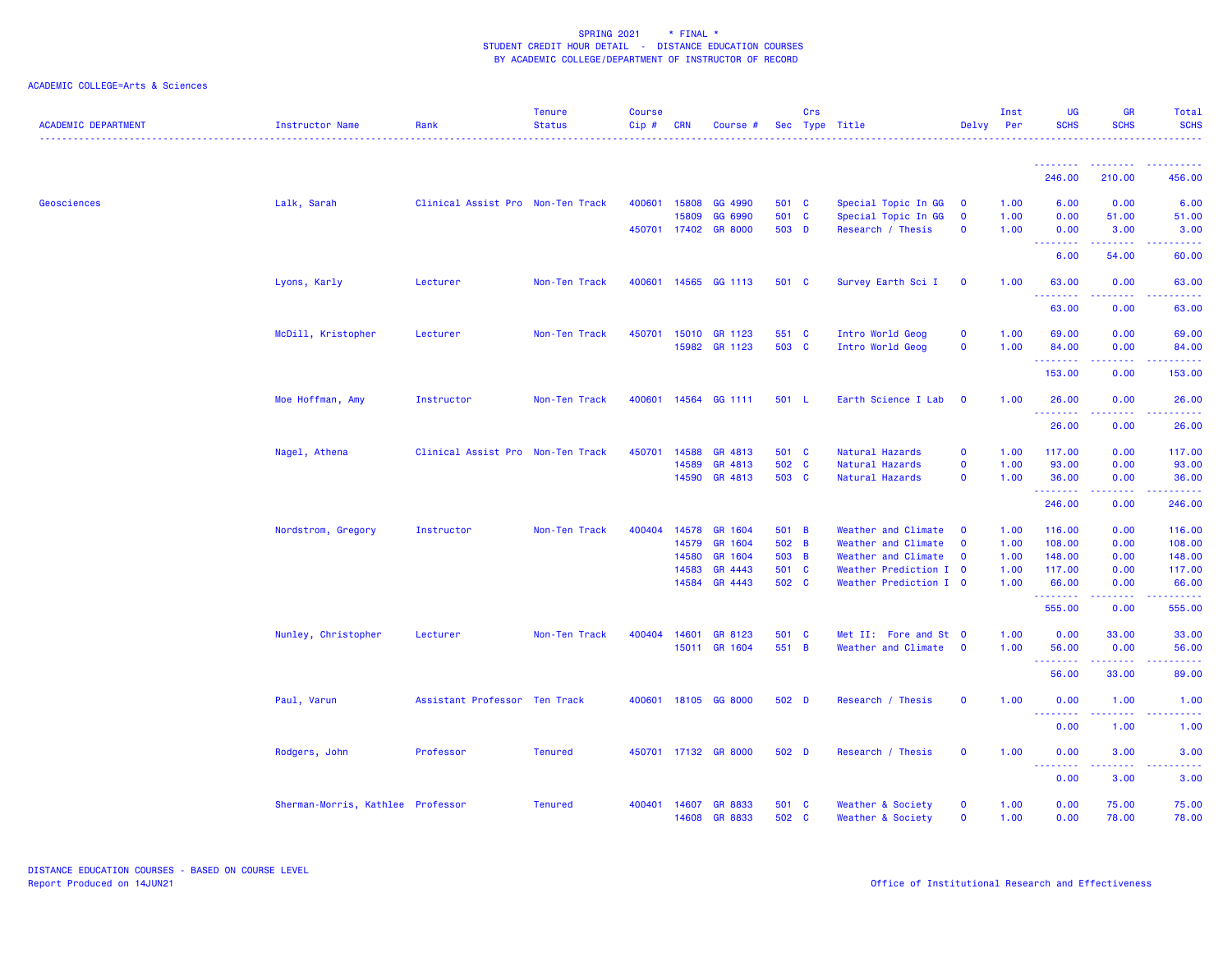| <b>ACADEMIC DEPARTMENT</b> | <b>Instructor Name</b>            | Rank                              | <b>Tenure</b><br><b>Status</b> | <b>Course</b><br>Cip# | <b>CRN</b>   | Course #                        |                | Crs | Sec Type Title                         | Delvy                       | Inst<br>Per  | <b>UG</b><br><b>SCHS</b>                                                                                                                                                                                                                                                                                                                                                                                                                                                               | <b>GR</b><br><b>SCHS</b> | Total<br><b>SCHS</b>               |
|----------------------------|-----------------------------------|-----------------------------------|--------------------------------|-----------------------|--------------|---------------------------------|----------------|-----|----------------------------------------|-----------------------------|--------------|----------------------------------------------------------------------------------------------------------------------------------------------------------------------------------------------------------------------------------------------------------------------------------------------------------------------------------------------------------------------------------------------------------------------------------------------------------------------------------------|--------------------------|------------------------------------|
|                            |                                   |                                   |                                |                       |              |                                 |                |     |                                        |                             |              | <u>.</u>                                                                                                                                                                                                                                                                                                                                                                                                                                                                               |                          |                                    |
|                            |                                   |                                   |                                |                       |              |                                 |                |     |                                        |                             |              | 246.00                                                                                                                                                                                                                                                                                                                                                                                                                                                                                 | 210.00                   | 456.00                             |
| Geosciences                | Lalk, Sarah                       | Clinical Assist Pro Non-Ten Track |                                | 400601                | 15808        | GG 4990                         | 501 C          |     | Special Topic In GG                    | $\mathbf 0$                 | 1.00         | 6.00                                                                                                                                                                                                                                                                                                                                                                                                                                                                                   | 0.00                     | 6.00                               |
|                            |                                   |                                   |                                |                       | 15809        | GG 6990                         | 501 C          |     | Special Topic In GG                    | $\mathbf 0$                 | 1.00         | 0.00                                                                                                                                                                                                                                                                                                                                                                                                                                                                                   | 51.00                    | 51.00                              |
|                            |                                   |                                   |                                |                       |              | 450701 17402 GR 8000            | 503 D          |     | Research / Thesis                      | $\mathbf 0$                 | 1.00         | 0.00<br><b><i><u><u> - - - - - - -</u></u></i></b>                                                                                                                                                                                                                                                                                                                                                                                                                                     | 3.00<br>.                | 3.00<br>.                          |
|                            |                                   |                                   |                                |                       |              |                                 |                |     |                                        |                             |              | 6.00                                                                                                                                                                                                                                                                                                                                                                                                                                                                                   | 54.00                    | 60.00                              |
|                            | Lyons, Karly                      | Lecturer                          | Non-Ten Track                  |                       |              | 400601 14565 GG 1113            | 501 C          |     | Survey Earth Sci I                     | $\mathbf 0$                 | 1.00         | 63.00                                                                                                                                                                                                                                                                                                                                                                                                                                                                                  | 0.00<br><u>.</u>         | 63.00<br>.                         |
|                            |                                   |                                   |                                |                       |              |                                 |                |     |                                        |                             |              | 63.00                                                                                                                                                                                                                                                                                                                                                                                                                                                                                  | 0.00                     | 63.00                              |
|                            | McDill, Kristopher                | Lecturer                          | Non-Ten Track                  | 450701                |              | 15010 GR 1123                   | 551 C          |     | Intro World Geog                       | $\mathbf 0$                 | 1.00         | 69.00                                                                                                                                                                                                                                                                                                                                                                                                                                                                                  | 0.00                     | 69.00                              |
|                            |                                   |                                   |                                |                       |              | 15982 GR 1123                   | 503 C          |     | Intro World Geog                       | $\mathbf 0$                 | 1.00         | 84.00                                                                                                                                                                                                                                                                                                                                                                                                                                                                                  | 0.00                     | 84.00                              |
|                            |                                   |                                   |                                |                       |              |                                 |                |     |                                        |                             |              | .<br>153.00                                                                                                                                                                                                                                                                                                                                                                                                                                                                            | .<br>0.00                | .<br>153.00                        |
|                            |                                   | Instructor                        |                                | 400601                |              | 14564 GG 1111                   | 501 L          |     | Earth Science I Lab                    | $\mathbf 0$                 | 1.00         | 26.00                                                                                                                                                                                                                                                                                                                                                                                                                                                                                  | 0.00                     | 26.00                              |
|                            | Moe Hoffman, Amy                  |                                   | Non-Ten Track                  |                       |              |                                 |                |     |                                        |                             |              | $\begin{array}{cccccccccccccc} \multicolumn{2}{c}{} & \multicolumn{2}{c}{} & \multicolumn{2}{c}{} & \multicolumn{2}{c}{} & \multicolumn{2}{c}{} & \multicolumn{2}{c}{} & \multicolumn{2}{c}{} & \multicolumn{2}{c}{} & \multicolumn{2}{c}{} & \multicolumn{2}{c}{} & \multicolumn{2}{c}{} & \multicolumn{2}{c}{} & \multicolumn{2}{c}{} & \multicolumn{2}{c}{} & \multicolumn{2}{c}{} & \multicolumn{2}{c}{} & \multicolumn{2}{c}{} & \multicolumn{2}{c}{} & \multicolumn{2}{c}{} & \$ | .                        | <u>.</u>                           |
|                            |                                   |                                   |                                |                       |              |                                 |                |     |                                        |                             |              | 26.00                                                                                                                                                                                                                                                                                                                                                                                                                                                                                  | 0.00                     | 26.00                              |
|                            | Nagel, Athena                     | Clinical Assist Pro Non-Ten Track |                                | 450701                | 14588        | GR 4813                         | 501 C          |     | Natural Hazards                        | $\mathbf 0$                 | 1.00         | 117.00                                                                                                                                                                                                                                                                                                                                                                                                                                                                                 | 0.00                     | 117.00                             |
|                            |                                   |                                   |                                |                       | 14589        | GR 4813                         | 502 C          |     | Natural Hazards                        | $\mathbf 0$                 | 1.00         | 93.00                                                                                                                                                                                                                                                                                                                                                                                                                                                                                  | 0.00                     | 93.00                              |
|                            |                                   |                                   |                                |                       | 14590        | GR 4813                         | 503 C          |     | Natural Hazards                        | $\mathbf 0$                 | 1.00         | 36.00<br>.                                                                                                                                                                                                                                                                                                                                                                                                                                                                             | 0.00                     | 36.00<br>$\omega$ is $\omega$ in . |
|                            |                                   |                                   |                                |                       |              |                                 |                |     |                                        |                             |              | 246.00                                                                                                                                                                                                                                                                                                                                                                                                                                                                                 | 0.00                     | 246.00                             |
|                            | Nordstrom, Gregory                | Instructor                        | Non-Ten Track                  | 400404                | 14578        | GR 1604                         | 501 B          |     | Weather and Climate                    | $\mathbf 0$                 | 1.00         | 116.00                                                                                                                                                                                                                                                                                                                                                                                                                                                                                 | 0.00                     | 116.00                             |
|                            |                                   |                                   |                                |                       | 14579        | GR 1604                         | 502 B          |     | Weather and Climate                    | $\mathbf{o}$                | 1.00         | 108.00                                                                                                                                                                                                                                                                                                                                                                                                                                                                                 | 0.00                     | 108.00                             |
|                            |                                   |                                   |                                |                       | 14580        | GR 1604                         | 503 B          |     | Weather and Climate                    | $\mathbf 0$                 | 1.00         | 148.00                                                                                                                                                                                                                                                                                                                                                                                                                                                                                 | 0.00                     | 148.00                             |
|                            |                                   |                                   |                                |                       | 14583        | GR 4443                         | 501 C          |     | Weather Prediction I 0                 |                             | 1.00         | 117.00                                                                                                                                                                                                                                                                                                                                                                                                                                                                                 | 0.00                     | 117.00                             |
|                            |                                   |                                   |                                |                       |              | 14584 GR 4443                   | 502 C          |     | Weather Prediction I 0                 |                             | 1.00         | 66.00<br>.                                                                                                                                                                                                                                                                                                                                                                                                                                                                             | 0.00<br>.                | 66.00<br>.                         |
|                            |                                   |                                   |                                |                       |              |                                 |                |     |                                        |                             |              | 555.00                                                                                                                                                                                                                                                                                                                                                                                                                                                                                 | 0.00                     | 555.00                             |
|                            | Nunley, Christopher               | Lecturer                          | Non-Ten Track                  |                       | 400404 14601 | GR 8123                         | 501 C          |     | Met II: Fore and St 0                  |                             | 1.00         | 0.00                                                                                                                                                                                                                                                                                                                                                                                                                                                                                   | 33.00                    | 33.00                              |
|                            |                                   |                                   |                                |                       |              | 15011 GR 1604                   | 551 B          |     | Weather and Climate                    | $\mathbf 0$                 | 1.00         | 56.00<br><b><i><u>AAAAAAAA</u></i></b>                                                                                                                                                                                                                                                                                                                                                                                                                                                 | 0.00<br><u>.</u>         | 56.00<br>.                         |
|                            |                                   |                                   |                                |                       |              |                                 |                |     |                                        |                             |              | 56.00                                                                                                                                                                                                                                                                                                                                                                                                                                                                                  | 33.00                    | 89.00                              |
|                            | Paul, Varun                       | Assistant Professor Ten Track     |                                | 400601                |              | 18105 GG 8000                   | 502 D          |     | Research / Thesis                      | $\mathbf 0$                 | 1.00         | 0.00                                                                                                                                                                                                                                                                                                                                                                                                                                                                                   | 1.00                     | 1.00                               |
|                            |                                   |                                   |                                |                       |              |                                 |                |     |                                        |                             |              | <b></b><br>0.00                                                                                                                                                                                                                                                                                                                                                                                                                                                                        | 1.00                     | بالمحام<br>1.00                    |
|                            | Rodgers, John                     | Professor                         | <b>Tenured</b>                 |                       |              | 450701 17132 GR 8000            | 502 D          |     | Research / Thesis                      | $\mathbf 0$                 | 1.00         | 0.00                                                                                                                                                                                                                                                                                                                                                                                                                                                                                   | 3.00                     | 3.00                               |
|                            |                                   |                                   |                                |                       |              |                                 |                |     |                                        |                             |              |                                                                                                                                                                                                                                                                                                                                                                                                                                                                                        | 3.00                     | 3.00                               |
|                            |                                   |                                   |                                |                       |              |                                 |                |     |                                        |                             |              | 0.00                                                                                                                                                                                                                                                                                                                                                                                                                                                                                   |                          |                                    |
|                            | Sherman-Morris, Kathlee Professor |                                   | <b>Tenured</b>                 | 400401                | 14607        | <b>GR 8833</b><br>14608 GR 8833 | 501 C<br>502 C |     | Weather & Society<br>Weather & Society | $\mathbf 0$<br>$\mathbf{O}$ | 1.00<br>1.00 | 0.00<br>0.00                                                                                                                                                                                                                                                                                                                                                                                                                                                                           | 75.00<br>78.00           | 75.00<br>78.00                     |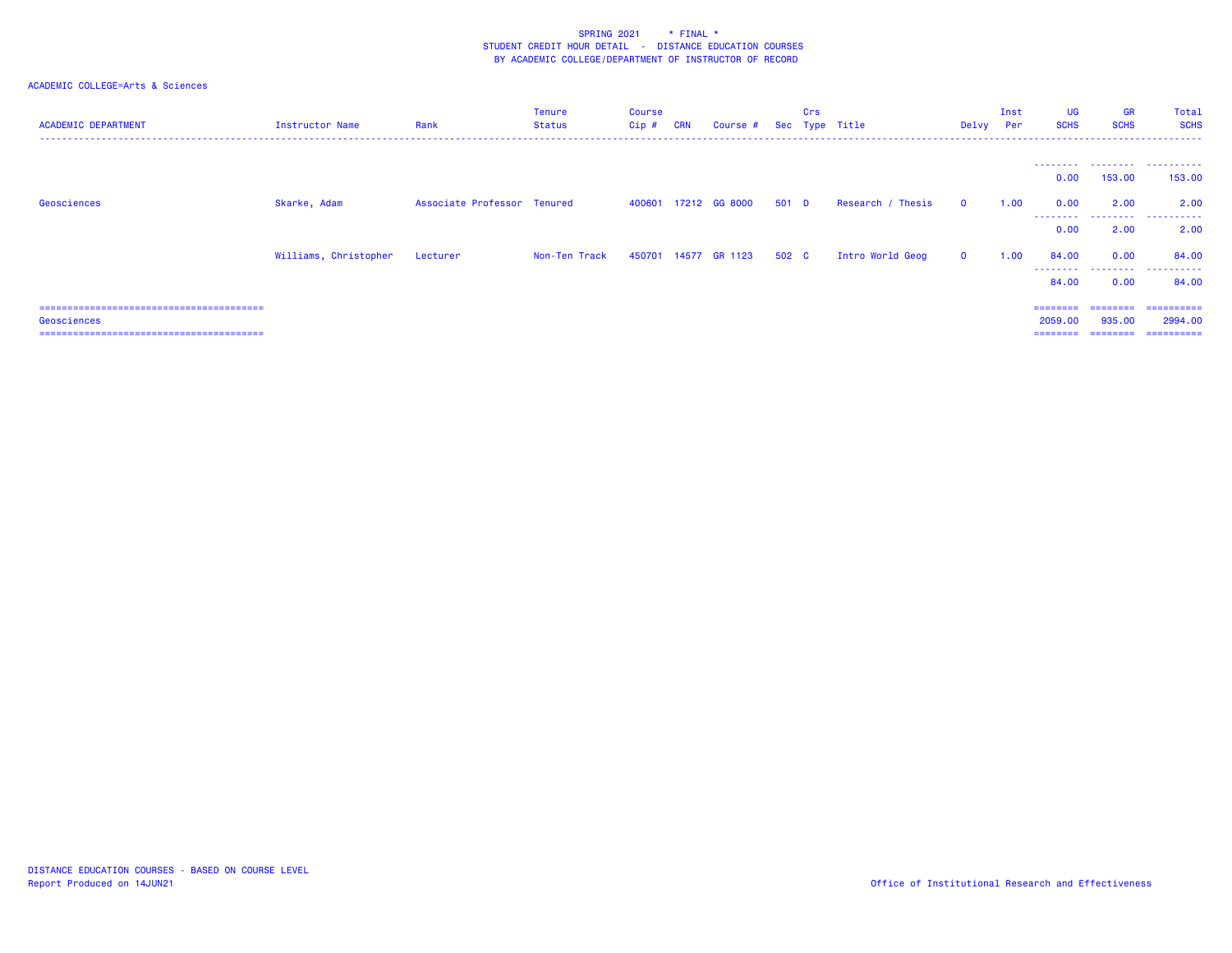| <b>ACADEMIC DEPARTMENT</b> | <b>Instructor Name</b> | Rank                        | <b>Tenure</b><br>Status | <b>Course</b><br>Cip # | <b>CRN</b> | Course #             |       | Crs | Sec Type Title    | Delvy Per    | Inst | UG<br><b>SCHS</b>  | <b>GR</b><br><b>SCHS</b> | Total<br><b>SCHS</b> |
|----------------------------|------------------------|-----------------------------|-------------------------|------------------------|------------|----------------------|-------|-----|-------------------|--------------|------|--------------------|--------------------------|----------------------|
|                            |                        |                             |                         |                        |            |                      |       |     |                   |              |      | 0.00               | 153,00                   | 153,00               |
| Geosciences                | Skarke, Adam           | Associate Professor Tenured |                         |                        |            | 400601 17212 GG 8000 | 501 D |     | Research / Thesis | $\Omega$     | 1.00 | 0.00               | 2.00                     | 2.00                 |
|                            |                        |                             |                         |                        |            |                      |       |     |                   |              |      | ---------<br>0.00  | .<br>2.00                | . <b>.</b><br>2.00   |
|                            | Williams, Christopher  | Lecturer                    | Non-Ten Track           |                        |            | 450701 14577 GR 1123 | 502 C |     | Intro World Geog  | $\mathbf{0}$ | 1.00 | 84.00              | 0.00                     | 84.00                |
|                            |                        |                             |                         |                        |            |                      |       |     |                   |              |      | ---------<br>84.00 | .<br>0.00                | .<br>84.00           |
|                            |                        |                             |                         |                        |            |                      |       |     |                   |              |      | $=$ = = = = = = =  | ========                 | ==========           |
| Geosciences                |                        |                             |                         |                        |            |                      |       |     |                   |              |      | 2059.00            | 935,00                   | 2994.00              |
|                            |                        |                             |                         |                        |            |                      |       |     |                   |              |      | ========           | ========                 | ==========           |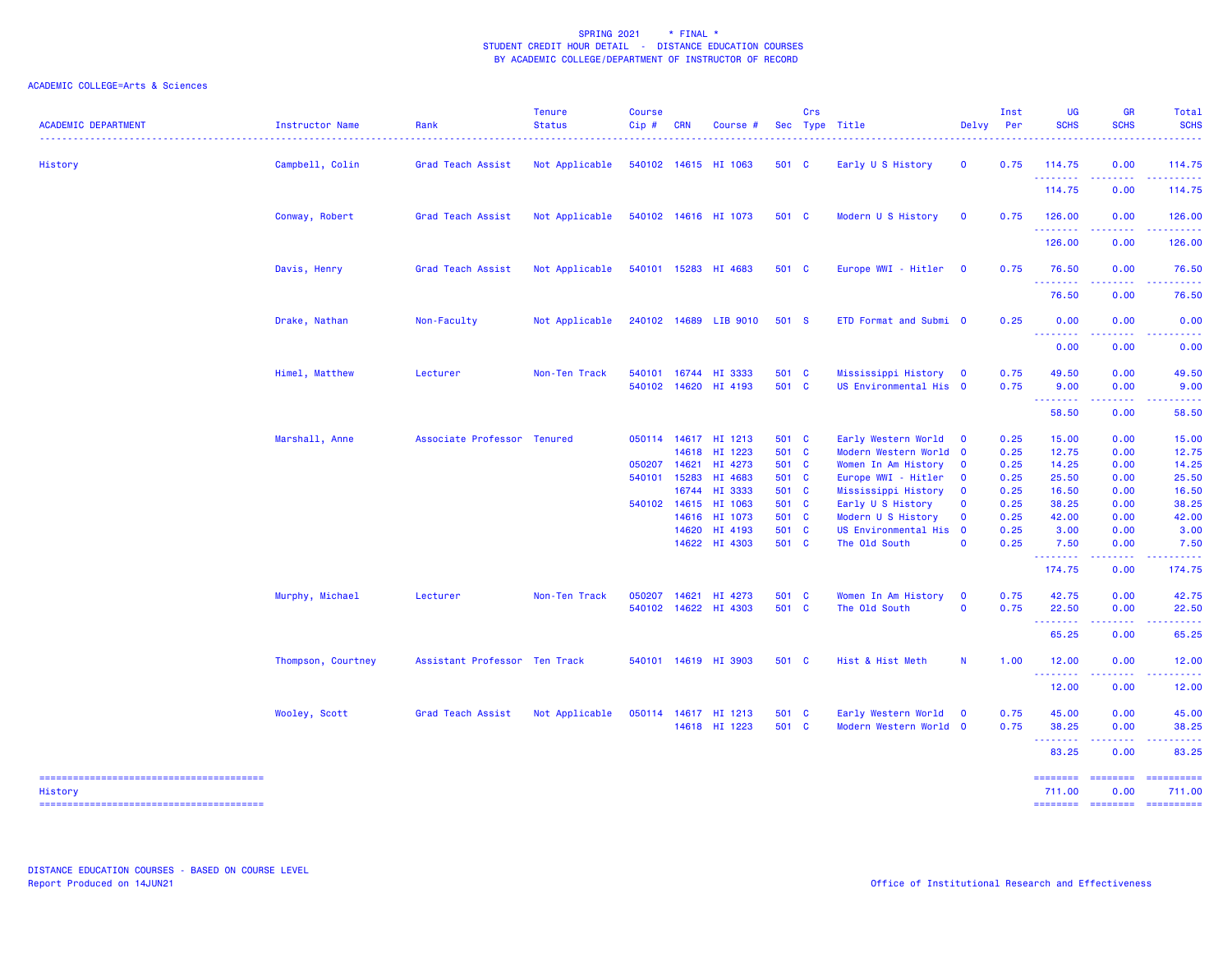| <b>ACADEMIC DEPARTMENT</b> | Instructor Name    | Rank                          | <b>Tenure</b><br><b>Status</b> | <b>Course</b><br>Cip# | <b>CRN</b> | Course #                              |                | Crs | Sec Type Title                                  | Delvy                   | Inst<br>Per  | UG<br><b>SCHS</b>                                  | <b>GR</b><br><b>SCHS</b>                                                                                                                                     | Total<br><b>SCHS</b>                             |
|----------------------------|--------------------|-------------------------------|--------------------------------|-----------------------|------------|---------------------------------------|----------------|-----|-------------------------------------------------|-------------------------|--------------|----------------------------------------------------|--------------------------------------------------------------------------------------------------------------------------------------------------------------|--------------------------------------------------|
| History                    | Campbell, Colin    | Grad Teach Assist             | Not Applicable                 |                       |            | 540102 14615 HI 1063                  | 501 C          |     | Early U S History                               | $\mathbf 0$             | 0.75         | 114.75<br>.                                        | 0.00<br>.                                                                                                                                                    | 114.75<br>2.2.2.2.1                              |
|                            |                    |                               |                                |                       |            |                                       |                |     |                                                 |                         |              | 114.75                                             | 0.00                                                                                                                                                         | 114.75                                           |
|                            | Conway, Robert     | Grad Teach Assist             | Not Applicable                 |                       |            | 540102 14616 HI 1073                  | 501 C          |     | Modern U S History                              | $\mathbf{O}$            | 0.75         | 126.00                                             | 0.00                                                                                                                                                         | 126.00                                           |
|                            |                    |                               |                                |                       |            |                                       |                |     |                                                 |                         |              | <u>.</u><br>126.00                                 | 0.00                                                                                                                                                         | <b><i><u><u> - - - - -</u></u></i></b><br>126.00 |
|                            | Davis, Henry       | Grad Teach Assist             | Not Applicable                 |                       |            | 540101 15283 HI 4683                  | 501 C          |     | Europe WWI - Hitler 0                           |                         | 0.75         | 76.50                                              | 0.00                                                                                                                                                         | 76.50                                            |
|                            |                    |                               |                                |                       |            |                                       |                |     |                                                 |                         |              | .<br>76.50                                         | .<br>0.00                                                                                                                                                    | .<br>76.50                                       |
|                            | Drake, Nathan      | Non-Faculty                   | Not Applicable                 |                       |            | 240102 14689 LIB 9010                 | 501 S          |     | ETD Format and Submi 0                          |                         | 0.25         | 0.00                                               | 0.00                                                                                                                                                         | 0.00                                             |
|                            |                    |                               |                                |                       |            |                                       |                |     |                                                 |                         |              | <b><i><u><u> - - - - - - -</u></u></i></b><br>0.00 | .<br>0.00                                                                                                                                                    | .<br>0.00                                        |
|                            | Himel, Matthew     | Lecturer                      | Non-Ten Track                  | 540101<br>540102      | 14620      | 16744 HI 3333<br>HI 4193              | 501 C<br>501 C |     | Mississippi History 0<br>US Environmental His 0 |                         | 0.75<br>0.75 | 49.50<br>9.00                                      | 0.00<br>0.00                                                                                                                                                 | 49.50<br>9.00                                    |
|                            |                    |                               |                                |                       |            |                                       |                |     |                                                 |                         |              | .<br>58.50                                         | 0.00                                                                                                                                                         | 58.50                                            |
|                            | Marshall, Anne     | Associate Professor Tenured   |                                |                       |            | 050114 14617 HI 1213<br>14618 HI 1223 | 501 C<br>501 C |     | Early Western World<br>Modern Western World 0   | $\mathbf 0$             | 0.25<br>0.25 | 15.00<br>12.75                                     | 0.00<br>0.00                                                                                                                                                 | 15.00<br>12.75                                   |
|                            |                    |                               |                                | 050207                | 14621      | HI 4273                               | 501 C          |     | Women In Am History                             | $\mathbf{0}$            | 0.25         | 14.25                                              | 0.00                                                                                                                                                         | 14.25                                            |
|                            |                    |                               |                                | 540101                | 15283      | HI 4683                               | 501 C          |     | Europe WWI - Hitler                             | $\mathbf 0$             | 0.25         | 25.50                                              | 0.00                                                                                                                                                         | 25.50                                            |
|                            |                    |                               |                                |                       | 16744      | HI 3333                               | 501 C          |     | Mississippi History                             | $\mathbf{O}$            | 0.25         | 16.50                                              | 0.00                                                                                                                                                         | 16.50                                            |
|                            |                    |                               |                                | 540102                | 14615      | HI 1063                               | 501 C          |     | Early U S History                               | $\mathbf 0$             | 0.25         | 38.25                                              | 0.00                                                                                                                                                         | 38.25                                            |
|                            |                    |                               |                                |                       |            | 14616 HI 1073                         | 501 C          |     | Modern U S History                              | $\mathbf 0$             | 0.25         | 42.00                                              | 0.00                                                                                                                                                         | 42.00                                            |
|                            |                    |                               |                                |                       | 14620      | HI 4193                               | 501 C          |     | US Environmental His                            | $\overline{\mathbf{0}}$ | 0.25         | 3.00                                               | 0.00                                                                                                                                                         | 3.00                                             |
|                            |                    |                               |                                |                       |            | 14622 HI 4303                         | 501 C          |     | The Old South                                   | $\mathbf{o}$            | 0.25         | 7.50<br><u>.</u>                                   | 0.00<br>.                                                                                                                                                    | 7.50<br>.                                        |
|                            |                    |                               |                                |                       |            |                                       |                |     |                                                 |                         |              | 174.75                                             | 0.00                                                                                                                                                         | 174.75                                           |
|                            | Murphy, Michael    | Lecturer                      | Non-Ten Track                  | 050207                | 14621      | HI 4273                               | 501 C          |     | Women In Am History                             | $\mathbf 0$             | 0.75         | 42.75                                              | 0.00                                                                                                                                                         | 42.75                                            |
|                            |                    |                               |                                | 540102                |            | 14622 HI 4303                         | 501 C          |     | The Old South                                   | $\mathbf 0$             | 0.75         | 22.50                                              | 0.00                                                                                                                                                         | 22.50                                            |
|                            |                    |                               |                                |                       |            |                                       |                |     |                                                 |                         |              | <b></b><br>65.25                                   | .<br>0.00                                                                                                                                                    | .<br>65.25                                       |
|                            | Thompson, Courtney | Assistant Professor Ten Track |                                | 540101                |            | 14619 HI 3903                         | 501 C          |     | Hist & Hist Meth                                | N                       | 1.00         | 12.00                                              | 0.00                                                                                                                                                         | 12.00                                            |
|                            |                    |                               |                                |                       |            |                                       |                |     |                                                 |                         |              | .<br>12.00                                         | .<br>0.00                                                                                                                                                    | والمتمام المتار<br>12.00                         |
|                            | Wooley, Scott      | Grad Teach Assist             | Not Applicable                 | 050114                |            | 14617 HI 1213                         | 501 C          |     | Early Western World                             | $\overline{\mathbf{0}}$ | 0.75         | 45.00                                              | 0.00                                                                                                                                                         | 45.00                                            |
|                            |                    |                               |                                |                       |            | 14618 HI 1223                         | 501 C          |     | Modern Western World 0                          |                         | 0.75         | 38.25                                              | 0.00                                                                                                                                                         | 38.25                                            |
|                            |                    |                               |                                |                       |            |                                       |                |     |                                                 |                         |              | --------<br>83.25                                  | $\frac{1}{2} \left( \frac{1}{2} \right) \left( \frac{1}{2} \right) \left( \frac{1}{2} \right) \left( \frac{1}{2} \right) \left( \frac{1}{2} \right)$<br>0.00 | .<br>83.25                                       |
|                            |                    |                               |                                |                       |            |                                       |                |     |                                                 |                         |              | ========                                           | ========                                                                                                                                                     | ==========                                       |
| History                    |                    |                               |                                |                       |            |                                       |                |     |                                                 |                         |              | 711.00                                             | 0.00                                                                                                                                                         | 711.00                                           |
|                            |                    |                               |                                |                       |            |                                       |                |     |                                                 |                         |              |                                                    |                                                                                                                                                              | ======== ======== ==========                     |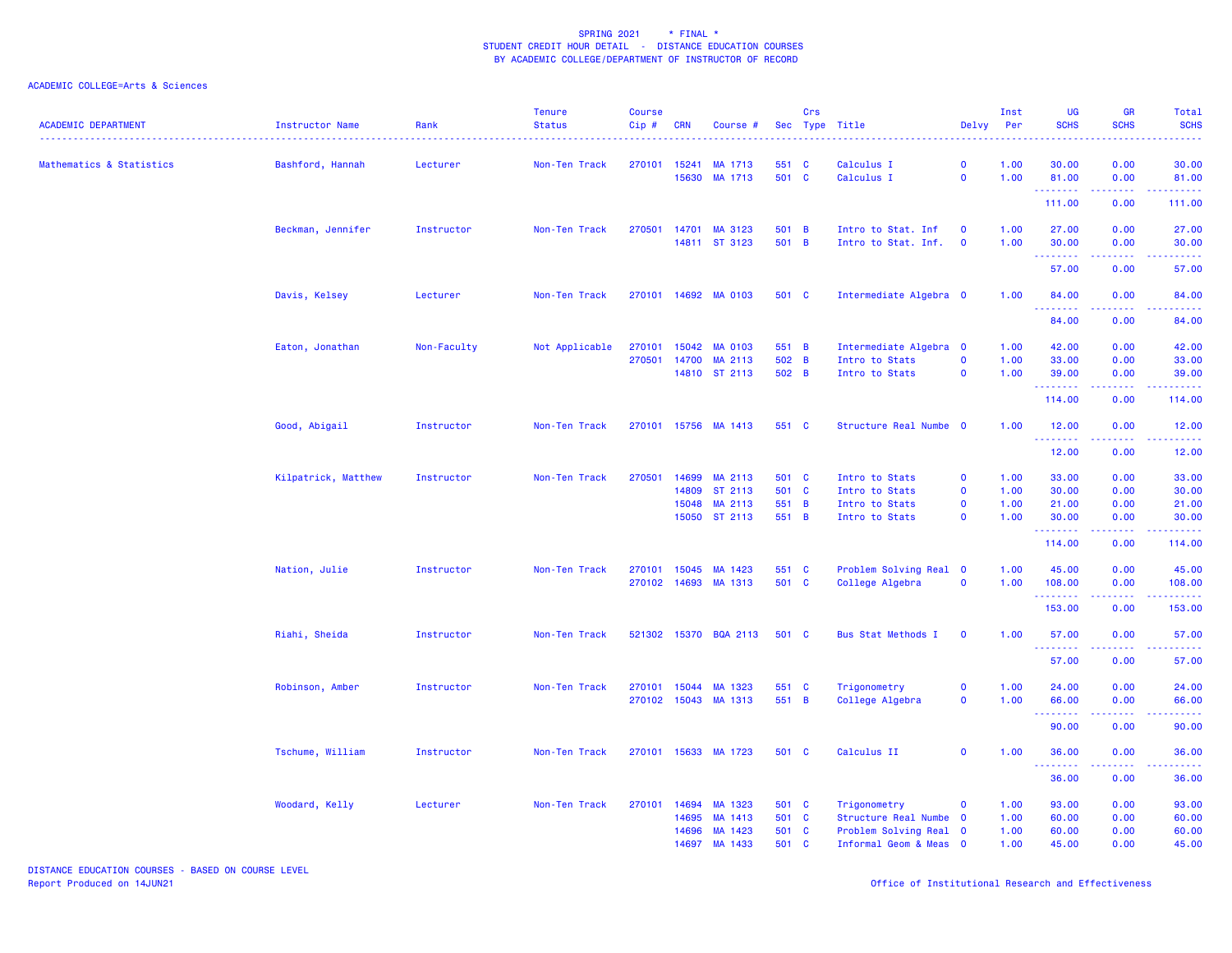| <b>ACADEMIC DEPARTMENT</b> | Instructor Name     | Rank        | <b>Tenure</b><br><b>Status</b> | <b>Course</b><br>$Cip$ # | <b>CRN</b>            | Course #                 |                | Crs | Sec Type Title                   | Delvy                      | Inst<br>Per  | UG<br><b>SCHS</b>      | <b>GR</b><br><b>SCHS</b> | <b>Total</b><br><b>SCHS</b> |
|----------------------------|---------------------|-------------|--------------------------------|--------------------------|-----------------------|--------------------------|----------------|-----|----------------------------------|----------------------------|--------------|------------------------|--------------------------|-----------------------------|
| Mathematics & Statistics   | Bashford, Hannah    | Lecturer    | Non-Ten Track                  | 270101                   | 15241                 | MA 1713                  | 551 C          |     | Calculus I                       | $\mathbf 0$                | 1.00         | 30.00                  | 0.00                     | 30.00                       |
|                            |                     |             |                                |                          | 15630                 | MA 1713                  | 501 C          |     | Calculus I                       | $\mathbf 0$                | 1.00         | 81.00<br>. <u>.</u>    | 0.00<br>.                | 81.00                       |
|                            |                     |             |                                |                          |                       |                          |                |     |                                  |                            |              | 111.00                 | 0.00                     | 111.00                      |
|                            | Beckman, Jennifer   | Instructor  | Non-Ten Track                  | 270501                   |                       | 14701 MA 3123            | 501 B          |     | Intro to Stat. Inf               | $\mathbf 0$                | 1.00         | 27.00                  | 0.00                     | 27.00                       |
|                            |                     |             |                                |                          |                       | 14811 ST 3123            | 501 B          |     | Intro to Stat. Inf.              | $\mathbf 0$                | 1.00         | 30.00<br>.             | 0.00                     | 30.00                       |
|                            |                     |             |                                |                          |                       |                          |                |     |                                  |                            |              | 57.00                  | 0.00                     | 57.00                       |
|                            | Davis, Kelsey       | Lecturer    | Non-Ten Track                  |                          |                       | 270101 14692 MA 0103     | 501 C          |     | Intermediate Algebra 0           |                            | 1.00         | 84.00<br>.             | 0.00<br>.                | 84.00                       |
|                            |                     |             |                                |                          |                       |                          |                |     |                                  |                            |              | 84.00                  | 0.00                     | 84.00                       |
|                            | Eaton, Jonathan     | Non-Faculty | Not Applicable                 | 270101                   |                       | 15042 MA 0103            | 551 B          |     | Intermediate Algebra 0           |                            | 1.00         | 42.00                  | 0.00                     | 42.00                       |
|                            |                     |             |                                | 270501                   | 14700                 | MA 2113<br>14810 ST 2113 | 502 B<br>502 B |     | Intro to Stats<br>Intro to Stats | $\mathbf 0$<br>$\mathbf 0$ | 1.00<br>1.00 | 33.00<br>39.00         | 0.00<br>0.00             | 33.00<br>39.00              |
|                            |                     |             |                                |                          |                       |                          |                |     |                                  |                            |              | .<br>114.00            | 0.00                     | 114.00                      |
|                            | Good, Abigail       | Instructor  | Non-Ten Track                  |                          |                       | 270101 15756 MA 1413     | 551 C          |     | Structure Real Numbe 0           |                            | 1.00         | 12.00                  | 0.00                     | 12.00                       |
|                            |                     |             |                                |                          |                       |                          |                |     |                                  |                            |              | .<br>12.00             | 0.00                     | 12.00                       |
|                            |                     |             |                                |                          |                       |                          |                |     |                                  |                            |              |                        |                          |                             |
|                            | Kilpatrick, Matthew | Instructor  | Non-Ten Track                  |                          | 270501 14699<br>14809 | MA 2113<br>ST 2113       | 501 C<br>501 C |     | Intro to Stats<br>Intro to Stats | $\mathbf 0$<br>$\mathbf 0$ | 1.00<br>1.00 | 33.00<br>30.00         | 0.00<br>0.00             | 33.00<br>30.00              |
|                            |                     |             |                                |                          | 15048                 | MA 2113                  | 551 B          |     | Intro to Stats                   | $\mathbf 0$                | 1.00         | 21.00                  | 0.00                     | 21.00                       |
|                            |                     |             |                                |                          |                       | 15050 ST 2113            | 551 B          |     | Intro to Stats                   | $\mathbf 0$                | 1.00         | 30.00                  | 0.00                     | 30.00                       |
|                            |                     |             |                                |                          |                       |                          |                |     |                                  |                            |              | .<br>114.00            | -----<br>0.00            | 114.00                      |
|                            | Nation, Julie       | Instructor  | Non-Ten Track                  | 270101                   |                       | 15045 MA 1423            | 551 C          |     | Problem Solving Real 0           |                            | 1.00         | 45.00                  | 0.00                     | 45.00                       |
|                            |                     |             |                                |                          |                       | 270102 14693 MA 1313     | 501 C          |     | College Algebra                  | $\mathbf 0$                | 1.00         | 108.00<br>. <u>.</u> . | 0.00                     | 108.00                      |
|                            |                     |             |                                |                          |                       |                          |                |     |                                  |                            |              | 153.00                 | 0.00                     | 153.00                      |
|                            | Riahi, Sheida       | Instructor  | Non-Ten Track                  |                          |                       | 521302 15370 BQA 2113    | 501 C          |     | <b>Bus Stat Methods I</b>        | $\mathbf 0$                | 1.00         | 57.00<br>.             | 0.00                     | 57.00                       |
|                            |                     |             |                                |                          |                       |                          |                |     |                                  |                            |              | 57.00                  | 0.00                     | 57.00                       |
|                            | Robinson, Amber     | Instructor  | Non-Ten Track                  | 270101                   | 15044                 | MA 1323                  | 551 C          |     | Trigonometry                     | $\mathbf 0$                | 1.00         | 24.00                  | 0.00                     | 24.00                       |
|                            |                     |             |                                |                          |                       | 270102 15043 MA 1313     | 551 B          |     | College Algebra                  | $\mathbf 0$                | 1.00         | 66.00<br>.             | 0.00<br>.                | 66.00<br>د د د د د          |
|                            |                     |             |                                |                          |                       |                          |                |     |                                  |                            |              | 90.00                  | 0.00                     | 90.00                       |
|                            | Tschume, William    | Instructor  | Non-Ten Track                  |                          |                       | 270101 15633 MA 1723     | 501 C          |     | Calculus II                      | $\mathbf 0$                | 1.00         | 36.00<br>.             | 0.00                     | 36.00                       |
|                            |                     |             |                                |                          |                       |                          |                |     |                                  |                            |              | 36.00                  | 0.00                     | 36.00                       |
|                            | Woodard, Kelly      | Lecturer    | Non-Ten Track                  |                          | 270101 14694          | MA 1323                  | 501 C          |     | Trigonometry                     | $\mathbf 0$                | 1.00         | 93.00                  | 0.00                     | 93.00                       |
|                            |                     |             |                                |                          | 14695                 | MA 1413                  | 501 C          |     | Structure Real Numbe             | $\overline{\mathbf{0}}$    | 1.00         | 60.00                  | 0.00                     | 60.00                       |
|                            |                     |             |                                |                          | 14696                 | MA 1423                  | 501 C          |     | Problem Solving Real 0           |                            | 1.00         | 60.00                  | 0.00                     | 60.00                       |
|                            |                     |             |                                |                          | 14697                 | MA 1433                  | 501 C          |     | Informal Geom & Meas 0           |                            | 1.00         | 45.00                  | 0.00                     | 45.00                       |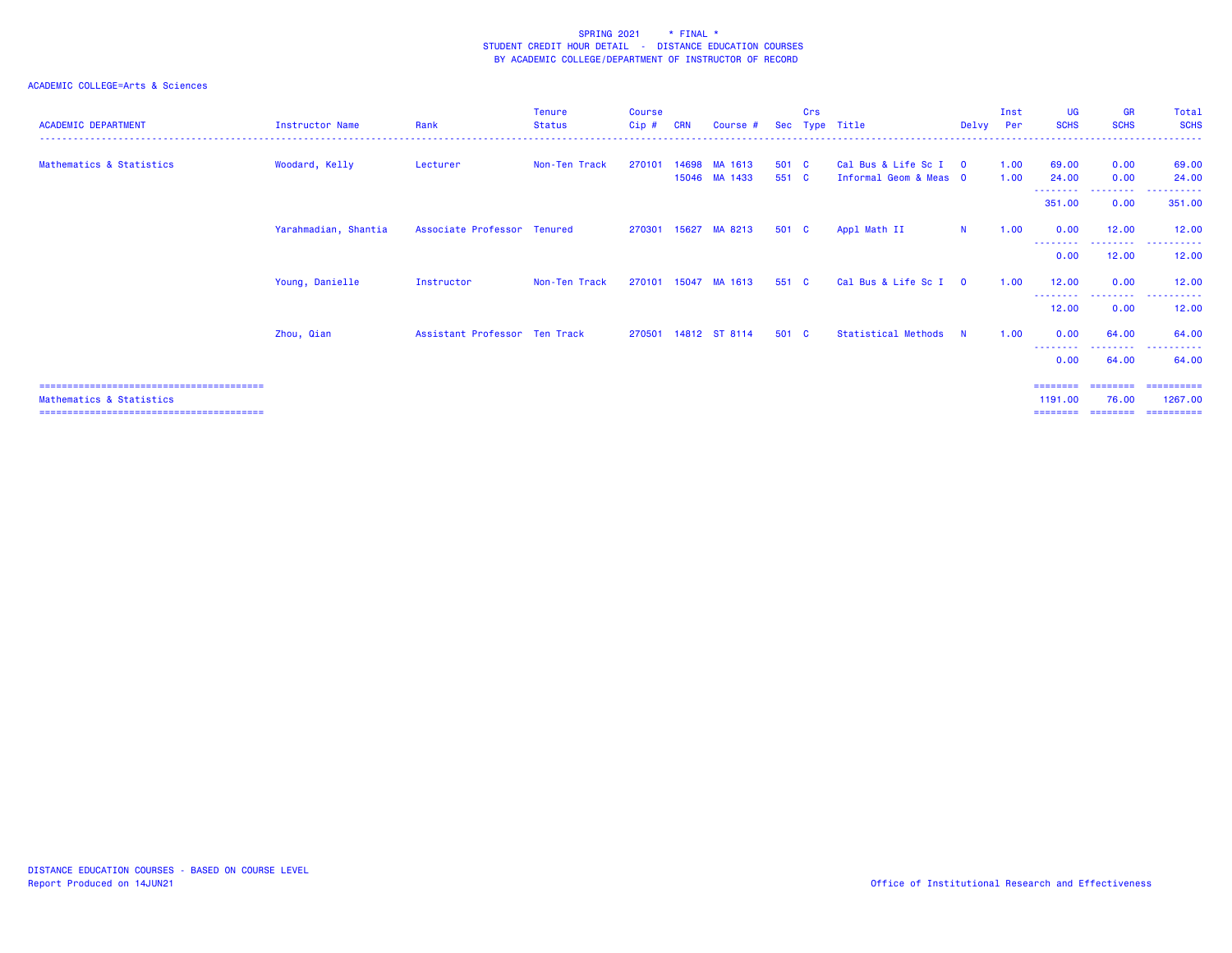| <b>ACADEMIC DEPARTMENT</b> | Instructor Name      | Rank                          | Tenure<br><b>Status</b> | <b>Course</b><br>Cip# | <b>CRN</b> | Course #                 |                | Crs | Sec Type Title                                | Delvy Per      | Inst         | UG<br><b>SCHS</b> | <b>GR</b><br><b>SCHS</b> | Total<br><b>SCHS</b>                   |
|----------------------------|----------------------|-------------------------------|-------------------------|-----------------------|------------|--------------------------|----------------|-----|-----------------------------------------------|----------------|--------------|-------------------|--------------------------|----------------------------------------|
| Mathematics & Statistics   | Woodard, Kelly       | Lecturer                      | Non-Ten Track           | 270101                | 14698      | MA 1613<br>15046 MA 1433 | 501 C<br>551 C |     | Cal Bus & Life Sc I<br>Informal Geom & Meas 0 | $\overline{0}$ | 1.00<br>1.00 | 69.00<br>24.00    | 0.00<br>0.00             | 69.00<br>24.00                         |
|                            |                      |                               |                         |                       |            |                          |                |     |                                               |                |              | .<br>351.00       | .<br>0.00                | 351.00                                 |
|                            | Yarahmadian, Shantia | Associate Professor Tenured   |                         |                       |            | 270301 15627 MA 8213     | 501 C          |     | Appl Math II                                  | N              | 1.00         | 0.00              | 12.00                    | 12.00                                  |
|                            |                      |                               |                         |                       |            |                          |                |     |                                               |                |              | 0.00              | 12.00                    | .<br>. <u>.</u> .<br>12.00             |
|                            | Young, Danielle      | Instructor                    | Non-Ten Track           | 270101                | 15047      | MA 1613                  | 551 C          |     | Cal Bus & Life Sc I                           | $\Omega$       | 1.00         | 12.00             | 0.00                     | 12.00                                  |
|                            |                      |                               |                         |                       |            |                          |                |     |                                               |                |              | --------<br>12.00 | .<br>0.00                | .<br>12.00                             |
|                            | Zhou, Qian           | Assistant Professor Ten Track |                         |                       |            | 270501 14812 ST 8114     | 501 C          |     | Statistical Methods                           | <b>N</b>       | 1.00         | 0.00              | 64.00                    | 64.00                                  |
|                            |                      |                               |                         |                       |            |                          |                |     |                                               |                |              | 0.00              | . <u>.</u> .<br>64.00    | 64.00                                  |
|                            |                      |                               |                         |                       |            |                          |                |     |                                               |                |              | ========          | ========                 | ==========                             |
| Mathematics & Statistics   |                      |                               |                         |                       |            |                          |                |     |                                               |                |              | 1191.00           | 76.00                    | 1267.00<br>======== ======== ========= |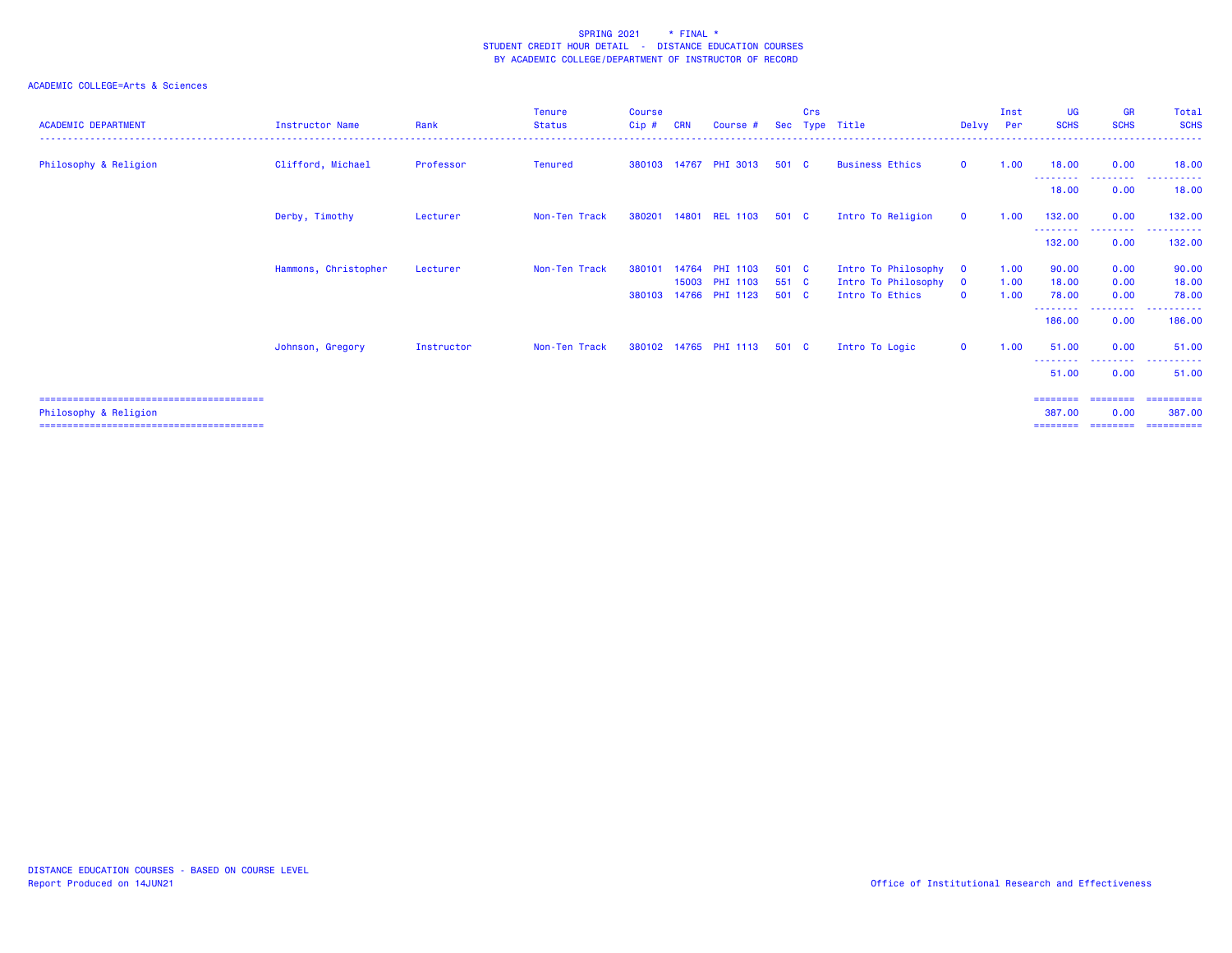| <b>ACADEMIC DEPARTMENT</b> | <b>Instructor Name</b> | Rank       | Tenure<br><b>Status</b> | <b>Course</b><br>$Cip$ # | <b>CRN</b> | Course #                          | <b>Sec</b>     | Crs | Type Title                             | Delvy Per                | Inst         | UG<br><b>SCHS</b>          | <b>GR</b><br><b>SCHS</b> | Total<br><b>SCHS</b>                  |
|----------------------------|------------------------|------------|-------------------------|--------------------------|------------|-----------------------------------|----------------|-----|----------------------------------------|--------------------------|--------------|----------------------------|--------------------------|---------------------------------------|
| Philosophy & Religion      | Clifford, Michael      | Professor  | Tenured                 |                          |            | 380103 14767 PHI 3013             | 501 C          |     | <b>Business Ethics</b>                 | $\mathbf{O}$             | 1.00         | 18,00<br>---------         | 0.00<br>.                | 18.00<br>.                            |
|                            |                        |            |                         |                          |            |                                   |                |     |                                        |                          |              | 18.00                      | 0.00                     | 18.00                                 |
|                            | Derby, Timothy         | Lecturer   | Non-Ten Track           |                          |            | 380201 14801 REL 1103             | 501 C          |     | Intro To Religion                      | $\mathbf{O}$             | 1.00         | 132,00                     | 0.00                     | 132,00                                |
|                            |                        |            |                         |                          |            |                                   |                |     |                                        |                          |              | ---------<br>132,00        | .<br>0.00                | ----------<br>132,00                  |
|                            | Hammons, Christopher   | Lecturer   | Non-Ten Track           | 380101                   | 14764      | <b>PHI 1103</b>                   | 501 C          |     | Intro To Philosophy                    | $\mathbf{0}$             | 1.00         | 90.00                      | 0.00                     | 90.00                                 |
|                            |                        |            |                         | 380103                   | 15003      | <b>PHI 1103</b><br>14766 PHI 1123 | 551 C<br>501 C |     | Intro To Philosophy<br>Intro To Ethics | $\mathbf{0}$<br>$\Omega$ | 1.00<br>1.00 | 18.00<br>78.00             | 0.00<br>0.00             | 18.00<br>78.00                        |
|                            |                        |            |                         |                          |            |                                   |                |     |                                        |                          |              | --------<br>186,00         | .<br>0.00                | <u> - - - - - - - - - -</u><br>186.00 |
|                            | Johnson, Gregory       | Instructor | Non-Ten Track           |                          |            | 380102 14765 PHI 1113             | 501 C          |     | Intro To Logic                         | $\mathbf{O}$             | 1.00         | 51.00                      | 0.00                     | 51.00                                 |
|                            |                        |            |                         |                          |            |                                   |                |     |                                        |                          |              | - - - - - - - - -<br>51.00 | -----<br>0.00            | 51.00                                 |
|                            |                        |            |                         |                          |            |                                   |                |     |                                        |                          |              | ========                   | $=$ = = = = = = =        | ==========                            |
| Philosophy & Religion      |                        |            |                         |                          |            |                                   |                |     |                                        |                          |              | 387.00<br>========         | 0.00                     | 387,00<br>-----------                 |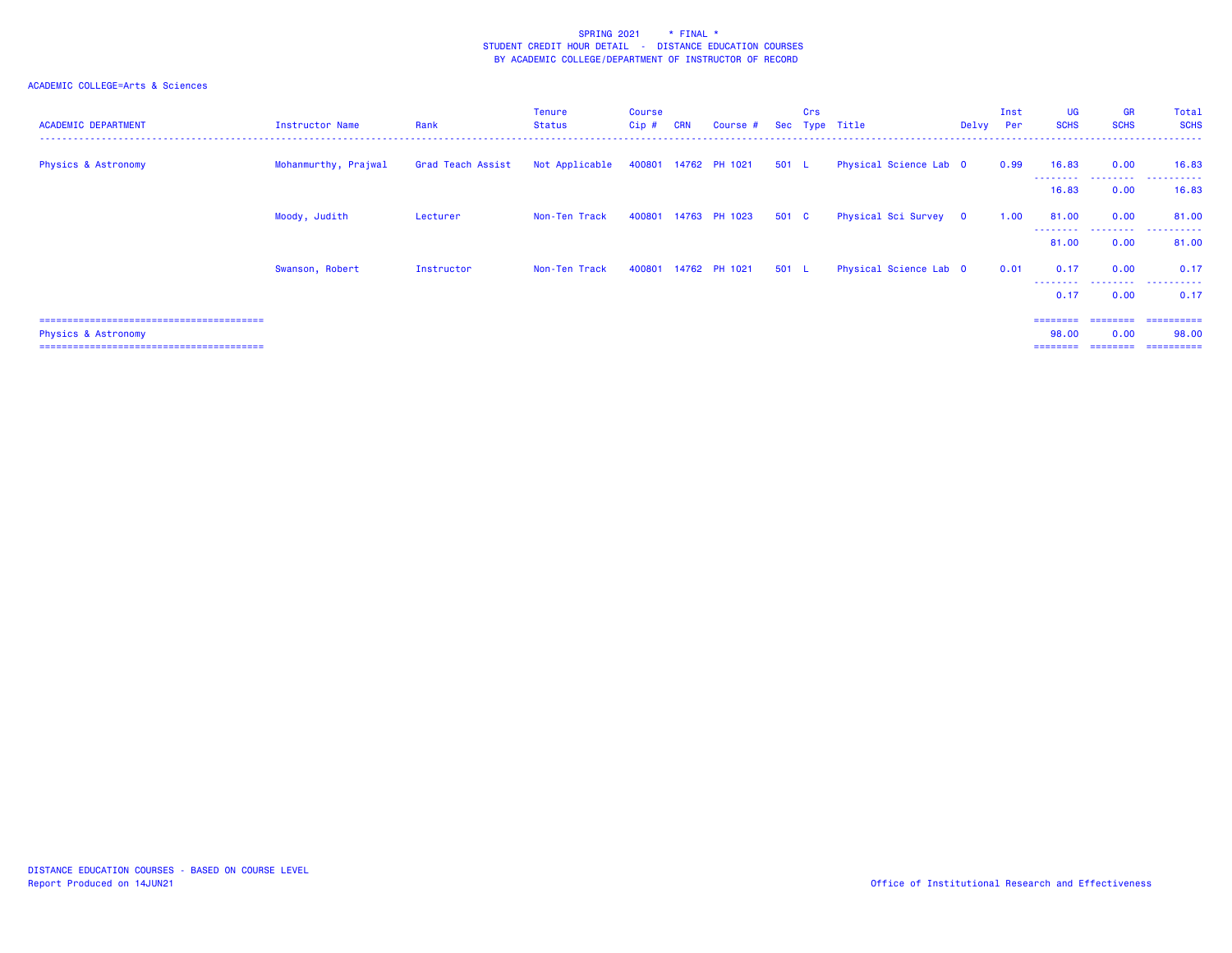| <b>ACADEMIC DEPARTMENT</b>     | Instructor Name      | Rank              | <b>Tenure</b><br>Status             | <b>Course</b><br>Cip# | <b>CRN</b> | Course #             |       | Crs | Sec Type Title         | Delvy Per | Inst | <b>UG</b><br><b>SCHS</b> | <b>GR</b><br><b>SCHS</b> | Total<br><b>SCHS</b> |
|--------------------------------|----------------------|-------------------|-------------------------------------|-----------------------|------------|----------------------|-------|-----|------------------------|-----------|------|--------------------------|--------------------------|----------------------|
| <b>Physics &amp; Astronomy</b> | Mohanmurthy, Prajwal | Grad Teach Assist | Not Applicable 400801 14762 PH 1021 |                       |            |                      | 501 L |     | Physical Science Lab 0 |           | 0.99 | 16.83<br>--------        | 0.00<br>.                | 16.83<br>.           |
|                                |                      |                   |                                     |                       |            |                      |       |     |                        |           |      | 16.83                    | 0.00                     | 16.83                |
|                                | Moody, Judith        | Lecturer          | Non-Ten Track                       |                       |            | 400801 14763 PH 1023 | 501 C |     | Physical Sci Survey 0  |           | 1.00 | 81.00                    | 0.00                     | 81.00                |
|                                |                      |                   |                                     |                       |            |                      |       |     |                        |           |      | 81.00                    | 0.00                     | 81.00                |
|                                | Swanson, Robert      | Instructor        | Non-Ten Track                       |                       |            | 400801 14762 PH 1021 | 501 L |     | Physical Science Lab 0 |           | 0.01 | 0.17                     | 0.00                     | 0.17                 |
|                                |                      |                   |                                     |                       |            |                      |       |     |                        |           |      | ---------<br>0.17        | .<br>0.00                | .<br>0.17            |
|                                |                      |                   |                                     |                       |            |                      |       |     |                        |           |      | ========                 | ========                 | ==========           |
| <b>Physics &amp; Astronomy</b> |                      |                   |                                     |                       |            |                      |       |     |                        |           |      | 98.00                    | 0.00                     | 98.00<br>========    |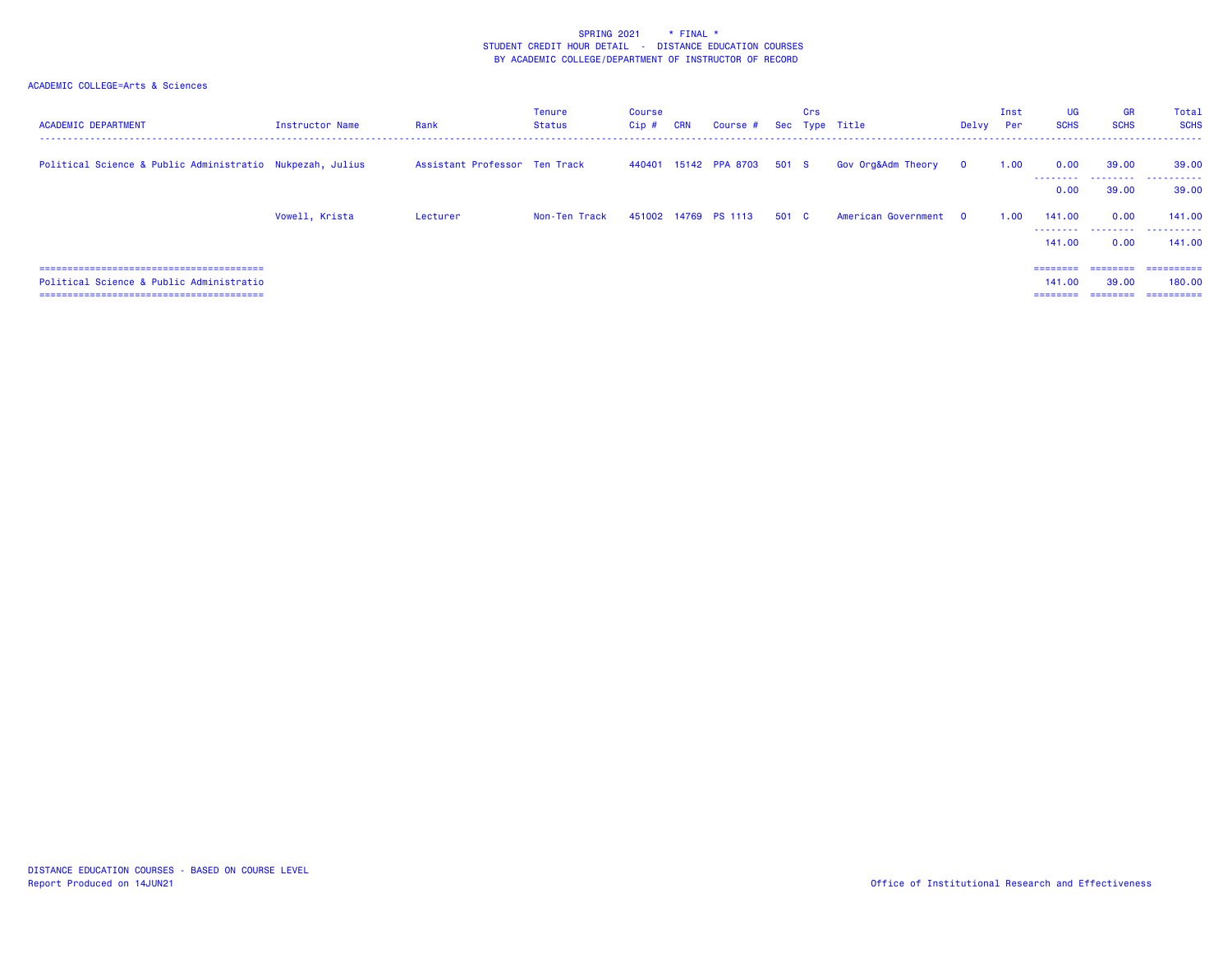| <b>ACADEMIC DEPARTMENT</b>                                | Instructor Name | Rank                          | Tenure<br>Status | <b>Course</b><br>$Cip$ # | <b>CRN</b> | Course # Sec Type Title     |       | Crs |                       | Delvy Per    | Inst | <b>UG</b><br><b>SCHS</b>                | <b>GR</b><br><b>SCHS</b>              | Total<br><b>SCHS</b>               |
|-----------------------------------------------------------|-----------------|-------------------------------|------------------|--------------------------|------------|-----------------------------|-------|-----|-----------------------|--------------|------|-----------------------------------------|---------------------------------------|------------------------------------|
| Political Science & Public Administratio Nukpezah, Julius |                 | Assistant Professor Ten Track |                  |                          |            | 440401 15142 PPA 8703 501 S |       |     | Gov Org&Adm Theory    | $\mathbf{o}$ | 1.00 | 0.00<br>--------                        | 39.00<br>.                            | 39.00<br>.                         |
|                                                           |                 |                               |                  |                          |            |                             |       |     |                       |              |      | 0.00                                    | 39,00                                 | 39,00                              |
|                                                           | Vowell, Krista  | Lecturer                      | Non-Ten Track    |                          |            | 451002 14769 PS 1113        | 501 C |     | American Government 0 |              | 1.00 | 141.00                                  | 0.00                                  | 141.00                             |
|                                                           |                 |                               |                  |                          |            |                             |       |     |                       |              |      | 141.00                                  | 0.00                                  | 141.00                             |
| Political Science & Public Administratio                  |                 |                               |                  |                          |            |                             |       |     |                       |              |      | $=$ = = = = = = =<br>141.00<br>======== | <b>ERRETTER</b><br>39.00<br>--------- | ==========<br>180,00<br>========== |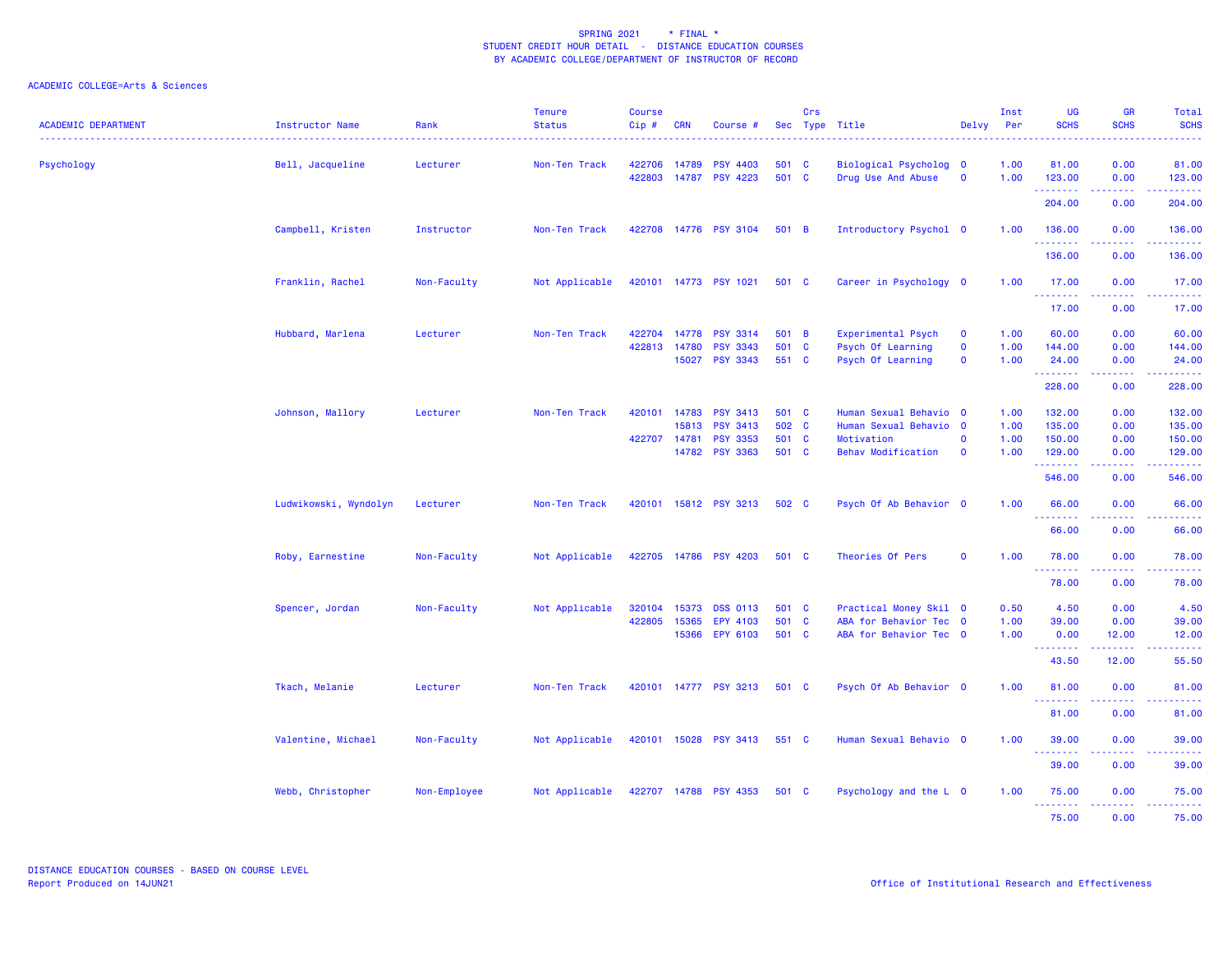| <b>ACADEMIC DEPARTMENT</b> | Instructor Name       | Rank         | <b>Tenure</b><br><b>Status</b> | <b>Course</b><br>Cip# | <b>CRN</b>                   | Course #                           |                | Crs | Sec Type Title                               | Delvy                       | Inst<br>Per  | <b>UG</b><br><b>SCHS</b> | <b>GR</b><br><b>SCHS</b>                                                                                                                                     | Total<br><b>SCHS</b>                                                                                                                                          |
|----------------------------|-----------------------|--------------|--------------------------------|-----------------------|------------------------------|------------------------------------|----------------|-----|----------------------------------------------|-----------------------------|--------------|--------------------------|--------------------------------------------------------------------------------------------------------------------------------------------------------------|---------------------------------------------------------------------------------------------------------------------------------------------------------------|
| Psychology                 | Bell, Jacqueline      | Lecturer     | Non-Ten Track                  | 422706<br>422803      | 14789                        | <b>PSY 4403</b><br>14787 PSY 4223  | 501<br>501 C   | - C | Biological Psycholog 0<br>Drug Use And Abuse | $\mathbf 0$                 | 1.00<br>1.00 | 81.00<br>123.00          | 0.00<br>0.00                                                                                                                                                 | 81.00<br>123.00                                                                                                                                               |
|                            |                       |              |                                |                       |                              |                                    |                |     |                                              |                             |              | .<br>204.00              | .<br>0.00                                                                                                                                                    | <b><i><u><u>AAAAA</u></u></i></b><br>204.00                                                                                                                   |
|                            | Campbell, Kristen     | Instructor   | Non-Ten Track                  |                       |                              | 422708 14776 PSY 3104              | 501 B          |     | Introductory Psychol 0                       |                             | 1.00         | 136.00<br>.              | 0.00<br>. <u>. .</u>                                                                                                                                         | 136.00<br>.                                                                                                                                                   |
|                            |                       |              |                                |                       |                              |                                    |                |     |                                              |                             |              | 136.00                   | 0.00                                                                                                                                                         | 136.00                                                                                                                                                        |
|                            | Franklin, Rachel      | Non-Faculty  | Not Applicable                 |                       |                              | 420101 14773 PSY 1021              | 501 C          |     | Career in Psychology 0                       |                             | 1.00         | 17.00<br>.               | 0.00<br>.                                                                                                                                                    | 17.00<br>.                                                                                                                                                    |
|                            |                       |              |                                |                       |                              |                                    |                |     |                                              |                             |              | 17.00                    | 0.00                                                                                                                                                         | 17.00                                                                                                                                                         |
|                            | Hubbard, Marlena      | Lecturer     | Non-Ten Track                  |                       | 422704 14778<br>422813 14780 | <b>PSY 3314</b><br><b>PSY 3343</b> | 501 B<br>501 C |     | Experimental Psych<br>Psych Of Learning      | $\mathbf{O}$<br>$\mathbf 0$ | 1.00<br>1.00 | 60.00<br>144.00          | 0.00<br>0.00                                                                                                                                                 | 60.00<br>144.00                                                                                                                                               |
|                            |                       |              |                                |                       |                              | 15027 PSY 3343                     | 551 C          |     | Psych Of Learning                            | $\mathbf{o}$                | 1.00         | 24.00<br>.               | 0.00<br>$\frac{1}{2} \left( \frac{1}{2} \right) \left( \frac{1}{2} \right) \left( \frac{1}{2} \right) \left( \frac{1}{2} \right) \left( \frac{1}{2} \right)$ | 24.00<br>2.2.2.2.2.2                                                                                                                                          |
|                            |                       |              |                                |                       |                              |                                    |                |     |                                              |                             |              | 228.00                   | 0.00                                                                                                                                                         | 228.00                                                                                                                                                        |
|                            | Johnson, Mallory      | Lecturer     | Non-Ten Track                  | 420101                | 14783                        | <b>PSY 3413</b>                    | 501 C          |     | Human Sexual Behavio 0                       |                             | 1.00         | 132.00                   | 0.00                                                                                                                                                         | 132.00                                                                                                                                                        |
|                            |                       |              |                                |                       | 15813                        | <b>PSY 3413</b>                    | 502 C          |     | Human Sexual Behavio 0                       |                             | 1.00         | 135.00                   | 0.00                                                                                                                                                         | 135.00                                                                                                                                                        |
|                            |                       |              |                                |                       | 422707 14781                 | <b>PSY 3353</b>                    | 501 C          |     | Motivation                                   | $\mathbf 0$                 | 1.00         | 150.00                   | 0.00                                                                                                                                                         | 150.00                                                                                                                                                        |
|                            |                       |              |                                |                       |                              | 14782 PSY 3363                     | 501 C          |     | <b>Behav Modification</b>                    | $\mathbf 0$                 | 1.00         | 129.00<br>.              | 0.00<br>$\frac{1}{2} \left( \frac{1}{2} \right) \left( \frac{1}{2} \right) \left( \frac{1}{2} \right)$                                                       | 129.00<br>.                                                                                                                                                   |
|                            |                       |              |                                |                       |                              |                                    |                |     |                                              |                             |              | 546.00                   | 0.00                                                                                                                                                         | 546.00                                                                                                                                                        |
|                            | Ludwikowski, Wyndolyn | Lecturer     | Non-Ten Track                  |                       |                              | 420101 15812 PSY 3213              | 502 C          |     | Psych Of Ab Behavior 0                       |                             | 1.00         | 66.00<br>.               | 0.00<br>.                                                                                                                                                    | 66.00<br>$\frac{1}{2} \left( \frac{1}{2} \right) \left( \frac{1}{2} \right) \left( \frac{1}{2} \right) \left( \frac{1}{2} \right) \left( \frac{1}{2} \right)$ |
|                            |                       |              |                                |                       |                              |                                    |                |     |                                              |                             |              | 66.00                    | 0.00                                                                                                                                                         | 66.00                                                                                                                                                         |
|                            | Roby, Earnestine      | Non-Faculty  | Not Applicable                 |                       |                              | 422705 14786 PSY 4203              | 501 C          |     | Theories Of Pers                             | $\mathbf 0$                 | 1.00         | 78.00<br>.               | 0.00                                                                                                                                                         | 78.00                                                                                                                                                         |
|                            |                       |              |                                |                       |                              |                                    |                |     |                                              |                             |              | 78.00                    | 0.00                                                                                                                                                         | 78.00                                                                                                                                                         |
|                            | Spencer, Jordan       | Non-Faculty  | Not Applicable                 | 320104                | 15373                        | <b>DSS 0113</b>                    | 501 C          |     | Practical Money Skil 0                       |                             | 0.50         | 4.50                     | 0.00                                                                                                                                                         | 4.50                                                                                                                                                          |
|                            |                       |              |                                | 422805                | 15365                        | EPY 4103                           | 501 C          |     | ABA for Behavior Tec 0                       |                             | 1.00         | 39.00                    | 0.00                                                                                                                                                         | 39.00                                                                                                                                                         |
|                            |                       |              |                                |                       |                              | 15366 EPY 6103                     | 501 C          |     | ABA for Behavior Tec 0                       |                             | 1.00         | 0.00<br>.                | 12.00                                                                                                                                                        | 12.00<br>.                                                                                                                                                    |
|                            |                       |              |                                |                       |                              |                                    |                |     |                                              |                             |              | 43.50                    | 12.00                                                                                                                                                        | 55.50                                                                                                                                                         |
|                            | Tkach, Melanie        | Lecturer     | Non-Ten Track                  |                       |                              | 420101 14777 PSY 3213              | 501 C          |     | Psych Of Ab Behavior 0                       |                             | 1.00         | 81.00<br>--------        | 0.00<br>.                                                                                                                                                    | 81.00<br>.                                                                                                                                                    |
|                            |                       |              |                                |                       |                              |                                    |                |     |                                              |                             |              | 81.00                    | 0.00                                                                                                                                                         | 81.00                                                                                                                                                         |
|                            | Valentine, Michael    | Non-Faculty  | Not Applicable                 |                       |                              | 420101 15028 PSY 3413              | 551 C          |     | Human Sexual Behavio 0                       |                             | 1.00         | 39.00<br>.               | 0.00                                                                                                                                                         | 39.00                                                                                                                                                         |
|                            |                       |              |                                |                       |                              |                                    |                |     |                                              |                             |              | 39.00                    | 0.00                                                                                                                                                         | 39.00                                                                                                                                                         |
|                            | Webb, Christopher     | Non-Employee | Not Applicable                 |                       |                              | 422707 14788 PSY 4353              | 501 C          |     | Psychology and the L 0                       |                             | 1.00         | 75.00<br>.               | 0.00<br>.                                                                                                                                                    | 75.00<br>. <u>.</u> .                                                                                                                                         |
|                            |                       |              |                                |                       |                              |                                    |                |     |                                              |                             |              | 75.00                    | 0.00                                                                                                                                                         | 75.00                                                                                                                                                         |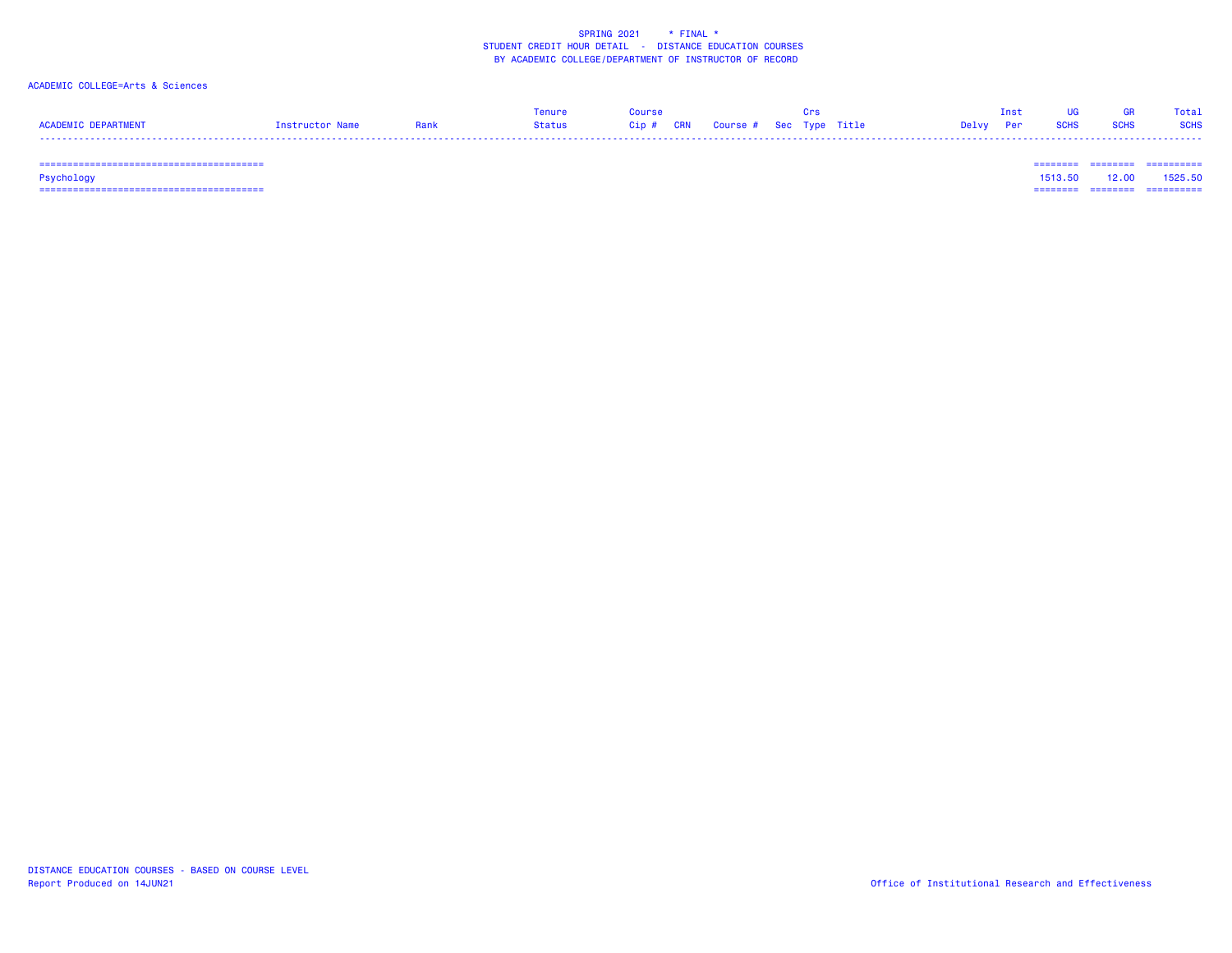### ACADEMIC COLLEGE=Arts & Sciences

|                     |                 |               | Course                            |  |       |             |             | Total       |
|---------------------|-----------------|---------------|-----------------------------------|--|-------|-------------|-------------|-------------|
| ACADEMIC DEPARTMENT | Instructor Name | <b>Status</b> | Cip # CRN Course # Sec Type Title |  | Delvy | <b>SCHS</b> | <b>SCHS</b> | <b>SCHS</b> |
| -----               |                 |               |                                   |  |       |             |             |             |

======================================== ======== ======== ==========

Psychology 1513.50 12.00 1525.50

======================================== ======== ======== ==========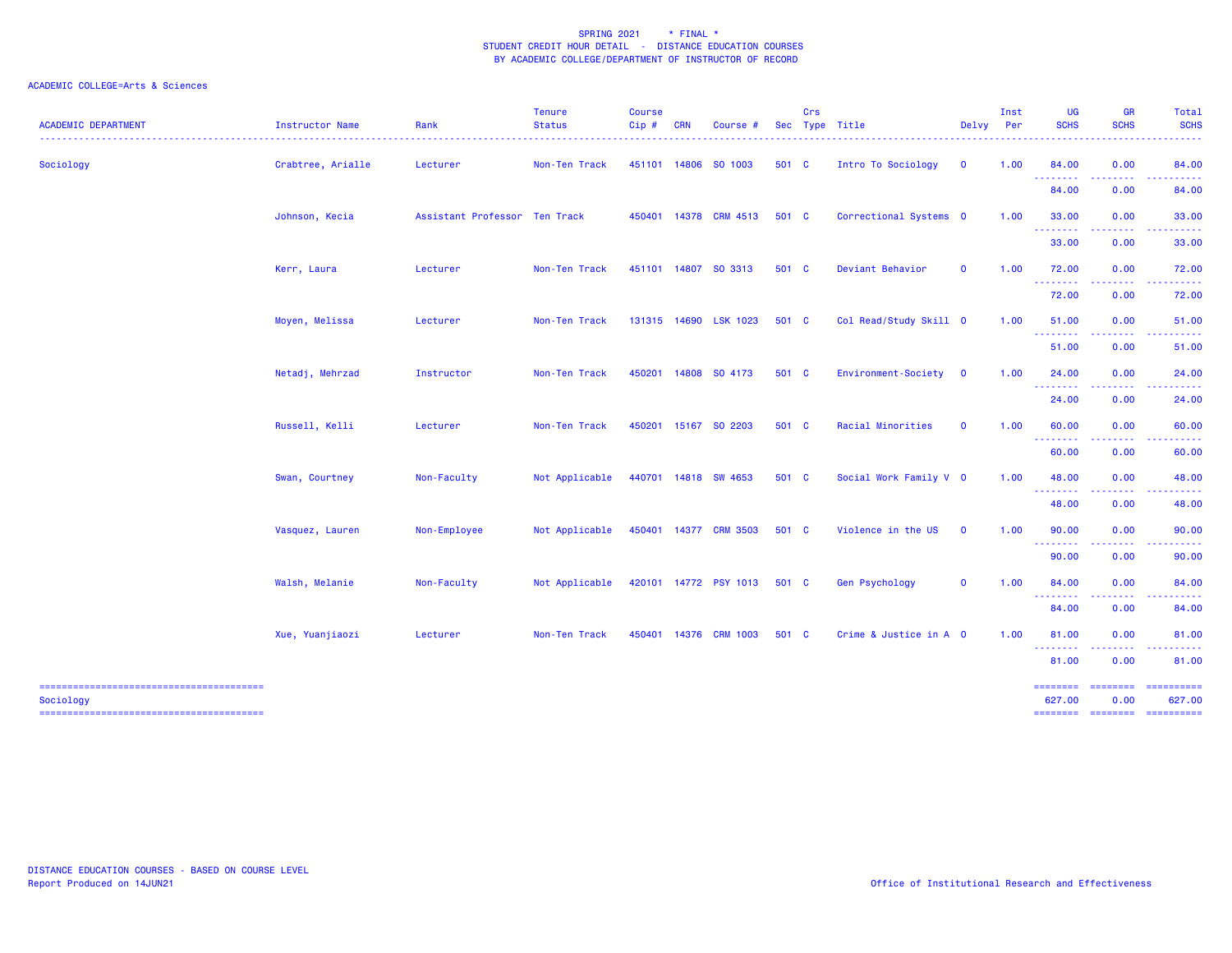| <b>ACADEMIC DEPARTMENT</b> | Instructor Name   | Rank                          | <b>Tenure</b><br><b>Status</b> | <b>Course</b><br>Cip# | <b>CRN</b> | Course #              |       | Crs | Sec Type Title         | Delvy        | Inst<br>Per | <b>UG</b><br><b>SCHS</b>                                                                                                                                                                                                                                                                                                                                                                                                                                                                        | GR<br><b>SCHS</b> | Total<br><b>SCHS</b>         |
|----------------------------|-------------------|-------------------------------|--------------------------------|-----------------------|------------|-----------------------|-------|-----|------------------------|--------------|-------------|-------------------------------------------------------------------------------------------------------------------------------------------------------------------------------------------------------------------------------------------------------------------------------------------------------------------------------------------------------------------------------------------------------------------------------------------------------------------------------------------------|-------------------|------------------------------|
| Sociology                  | Crabtree, Arialle | Lecturer                      | Non-Ten Track                  |                       |            | 451101 14806 SO 1003  | 501 C |     | Intro To Sociology     | $\mathbf 0$  | 1.00        | 84.00                                                                                                                                                                                                                                                                                                                                                                                                                                                                                           | 0.00              | 84.00<br>والمراسات لمراس     |
|                            |                   |                               |                                |                       |            |                       |       |     |                        |              |             | <b></b><br>84.00                                                                                                                                                                                                                                                                                                                                                                                                                                                                                | -----<br>0.00     | 84.00                        |
|                            | Johnson, Kecia    | Assistant Professor Ten Track |                                |                       |            | 450401 14378 CRM 4513 | 501 C |     | Correctional Systems 0 |              | 1.00        | 33.00<br>--------                                                                                                                                                                                                                                                                                                                                                                                                                                                                               | 0.00<br>.         | 33.00                        |
|                            |                   |                               |                                |                       |            |                       |       |     |                        |              |             | 33.00                                                                                                                                                                                                                                                                                                                                                                                                                                                                                           | 0.00              | 33.00                        |
|                            | Kerr, Laura       | Lecturer                      | Non-Ten Track                  |                       |            | 451101 14807 SO 3313  | 501 C |     | Deviant Behavior       | $\mathbf{o}$ | 1.00        | 72.00<br><b></b>                                                                                                                                                                                                                                                                                                                                                                                                                                                                                | 0.00              | 72.00                        |
|                            |                   |                               |                                |                       |            |                       |       |     |                        |              |             | 72.00                                                                                                                                                                                                                                                                                                                                                                                                                                                                                           | 0.00              | 72.00                        |
|                            | Moyen, Melissa    | Lecturer                      | Non-Ten Track                  |                       |            | 131315 14690 LSK 1023 | 501 C |     | Col Read/Study Skill 0 |              | 1.00        | 51.00<br>$\begin{array}{cccccccccccccc} \multicolumn{2}{c}{} & \multicolumn{2}{c}{} & \multicolumn{2}{c}{} & \multicolumn{2}{c}{} & \multicolumn{2}{c}{} & \multicolumn{2}{c}{} & \multicolumn{2}{c}{} & \multicolumn{2}{c}{} & \multicolumn{2}{c}{} & \multicolumn{2}{c}{} & \multicolumn{2}{c}{} & \multicolumn{2}{c}{} & \multicolumn{2}{c}{} & \multicolumn{2}{c}{} & \multicolumn{2}{c}{} & \multicolumn{2}{c}{} & \multicolumn{2}{c}{} & \multicolumn{2}{c}{} & \multicolumn{2}{c}{} & \$ | 0.00<br>.         | 51.00                        |
|                            |                   |                               |                                |                       |            |                       |       |     |                        |              |             | 51.00                                                                                                                                                                                                                                                                                                                                                                                                                                                                                           | 0.00              | 51.00                        |
|                            | Netadj, Mehrzad   | Instructor                    | Non-Ten Track                  | 450201                |            | 14808 SO 4173         | 501 C |     | Environment-Society    | $\mathbf 0$  | 1.00        | 24.00<br>$\begin{array}{cccccccccccccc} \multicolumn{2}{c}{} & \multicolumn{2}{c}{} & \multicolumn{2}{c}{} & \multicolumn{2}{c}{} & \multicolumn{2}{c}{} & \multicolumn{2}{c}{} & \multicolumn{2}{c}{} & \multicolumn{2}{c}{} & \multicolumn{2}{c}{} & \multicolumn{2}{c}{} & \multicolumn{2}{c}{} & \multicolumn{2}{c}{} & \multicolumn{2}{c}{} & \multicolumn{2}{c}{} & \multicolumn{2}{c}{} & \multicolumn{2}{c}{} & \multicolumn{2}{c}{} & \multicolumn{2}{c}{} & \multicolumn{2}{c}{} & \$ | 0.00<br>.         | 24.00                        |
|                            |                   |                               |                                |                       |            |                       |       |     |                        |              |             | 24.00                                                                                                                                                                                                                                                                                                                                                                                                                                                                                           | 0.00              | 24.00                        |
|                            | Russell, Kelli    | Lecturer                      | Non-Ten Track                  |                       |            | 450201 15167 SO 2203  | 501 C |     | Racial Minorities      | $\mathbf 0$  | 1.00        | 60.00<br><b>.</b> .                                                                                                                                                                                                                                                                                                                                                                                                                                                                             | 0.00              | 60.00                        |
|                            |                   |                               |                                |                       |            |                       |       |     |                        |              |             | 60.00                                                                                                                                                                                                                                                                                                                                                                                                                                                                                           | 0.00              | 60.00                        |
|                            | Swan, Courtney    | Non-Faculty                   | Not Applicable                 |                       |            | 440701 14818 SW 4653  | 501 C |     | Social Work Family V 0 |              | 1.00        | 48.00<br><b></b>                                                                                                                                                                                                                                                                                                                                                                                                                                                                                | 0.00<br>.         | 48.00                        |
|                            |                   |                               |                                |                       |            |                       |       |     |                        |              |             | 48.00                                                                                                                                                                                                                                                                                                                                                                                                                                                                                           | 0.00              | 48.00                        |
|                            | Vasquez, Lauren   | Non-Employee                  | Not Applicable                 |                       |            | 450401 14377 CRM 3503 | 501 C |     | Violence in the US     | $\mathbf 0$  | 1.00        | 90.00<br>. <b>. .</b> .                                                                                                                                                                                                                                                                                                                                                                                                                                                                         | 0.00              | 90.00                        |
|                            |                   |                               |                                |                       |            |                       |       |     |                        |              |             | 90.00                                                                                                                                                                                                                                                                                                                                                                                                                                                                                           | 0.00              | 90.00                        |
|                            | Walsh, Melanie    | Non-Faculty                   | Not Applicable                 |                       |            | 420101 14772 PSY 1013 | 501 C |     | <b>Gen Psychology</b>  | $\mathbf 0$  | 1.00        | 84.00<br><b>.</b> .                                                                                                                                                                                                                                                                                                                                                                                                                                                                             | 0.00<br>.         | 84.00<br>.                   |
|                            |                   |                               |                                |                       |            |                       |       |     |                        |              |             | 84.00                                                                                                                                                                                                                                                                                                                                                                                                                                                                                           | 0.00              | 84.00                        |
|                            | Xue, Yuanjiaozi   | Lecturer                      | Non-Ten Track                  | 450401                | 14376      | <b>CRM 1003</b>       | 501 C |     | Crime & Justice in A 0 |              | 1.00        | 81.00<br><b><i><u><u> - - - - - - -</u></u></i></b>                                                                                                                                                                                                                                                                                                                                                                                                                                             | 0.00              | 81.00                        |
|                            |                   |                               |                                |                       |            |                       |       |     |                        |              |             | 81.00                                                                                                                                                                                                                                                                                                                                                                                                                                                                                           | 0.00              | 81.00                        |
| Sociology                  |                   |                               |                                |                       |            |                       |       |     |                        |              |             | ---------<br>627.00                                                                                                                                                                                                                                                                                                                                                                                                                                                                             | ---------<br>0.00 | ==========<br>627.00         |
|                            |                   |                               |                                |                       |            |                       |       |     |                        |              |             |                                                                                                                                                                                                                                                                                                                                                                                                                                                                                                 |                   | ======== ======== ========== |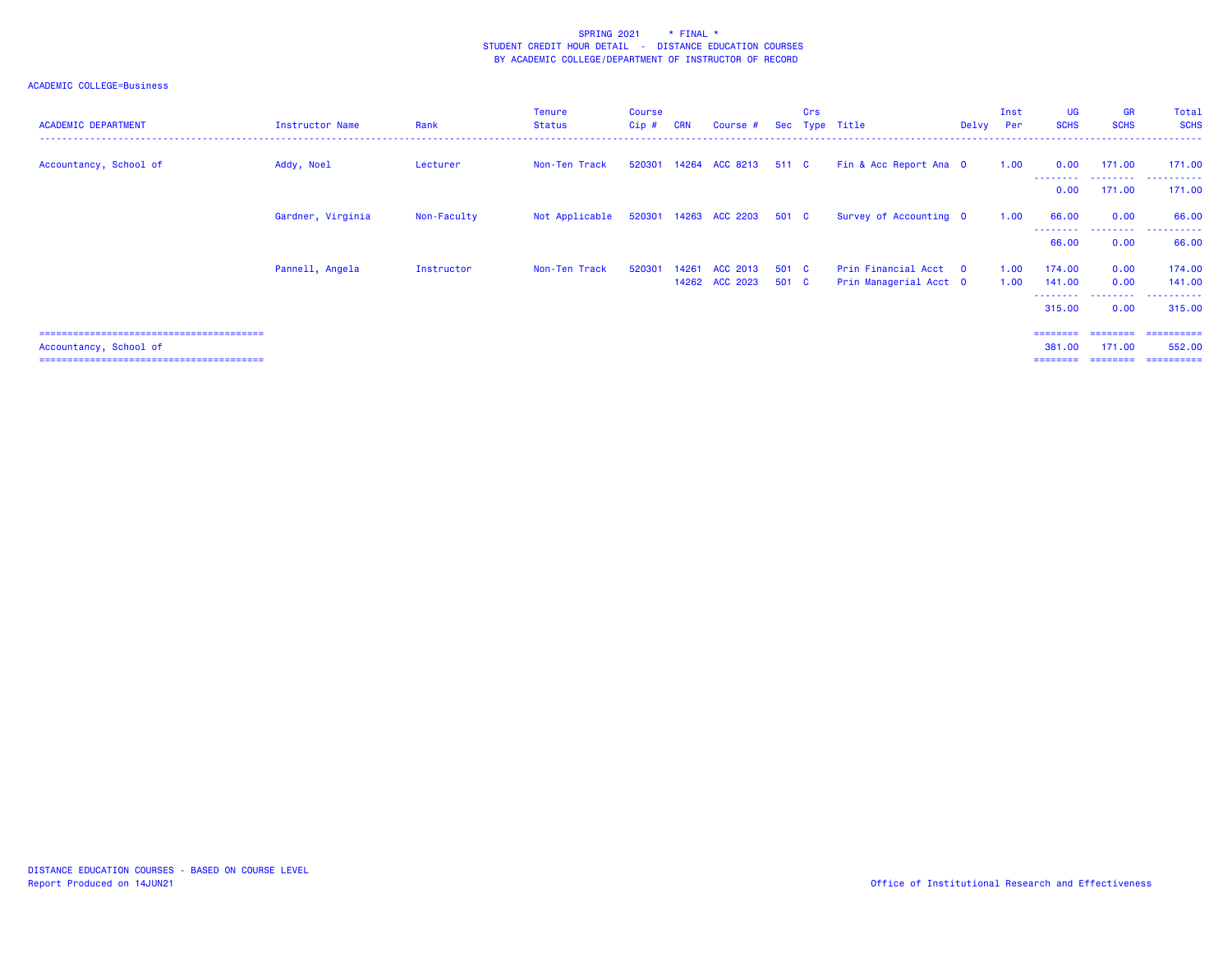| <b>ACADEMIC DEPARTMENT</b> | Instructor Name   | Rank        | <b>Tenure</b><br>Status | <b>Course</b><br>$Cip$ # | <b>CRN</b> | Course #                    |                | Crs | Sec Type Title                                  | Delvy Per | Inst         | <b>UG</b><br><b>SCHS</b> | <b>GR</b><br><b>SCHS</b> | Total<br><b>SCHS</b>       |
|----------------------------|-------------------|-------------|-------------------------|--------------------------|------------|-----------------------------|----------------|-----|-------------------------------------------------|-----------|--------------|--------------------------|--------------------------|----------------------------|
| Accountancy, School of     | Addy, Noel        | Lecturer    | Non-Ten Track           |                          |            | 520301 14264 ACC 8213 511 C |                |     | Fin & Acc Report Ana O                          |           | 1.00         | 0.00                     | 171.00<br>.              | 171.00<br>.                |
|                            |                   |             |                         |                          |            |                             |                |     |                                                 |           |              | 0.00                     | 171.00                   | 171.00                     |
|                            | Gardner, Virginia | Non-Faculty | Not Applicable          |                          |            | 520301 14263 ACC 2203 501 C |                |     | Survey of Accounting 0                          |           | 1.00         | 66.00                    | 0.00                     | 66.00                      |
|                            |                   |             |                         |                          |            |                             |                |     |                                                 |           |              | --------<br>66.00        | .<br>0.00                | . <u>.</u> .<br>.<br>66.00 |
|                            | Pannell, Angela   | Instructor  | Non-Ten Track           | 520301                   | 14261      | ACC 2013<br>14262 ACC 2023  | 501 C<br>501 C |     | Prin Financial Acct 0<br>Prin Managerial Acct 0 |           | 1.00<br>1.00 | 174.00<br>141.00         | 0.00<br>0.00             | 174.00<br>141.00           |
|                            |                   |             |                         |                          |            |                             |                |     |                                                 |           |              | ---------<br>315.00      | .<br>0.00                | .<br>315,00                |
|                            |                   |             |                         |                          |            |                             |                |     |                                                 |           |              | ========                 | ========                 | ==========                 |
| Accountancy, School of     |                   |             |                         |                          |            |                             |                |     |                                                 |           |              | 381,00<br>========       | 171.00<br>========       | 552,00<br>-----------      |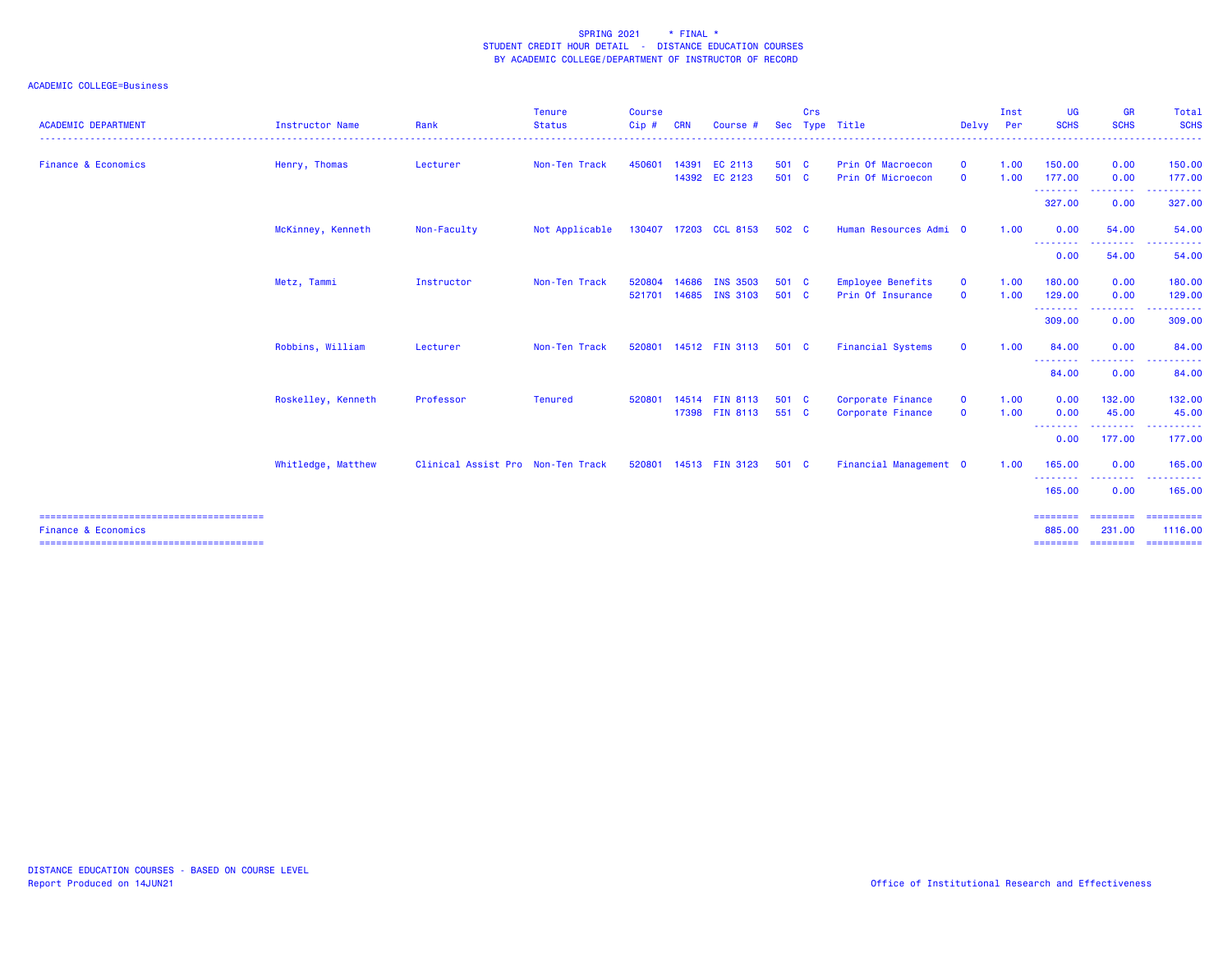| <b>ACADEMIC DEPARTMENT</b>     | <b>Instructor Name</b> | Rank                              | <b>Tenure</b><br><b>Status</b> | <b>Course</b><br>Cip# | <b>CRN</b> | Course #                       | <b>Sec</b>     | Crs | Type Title                             | Delvy Per                    | Inst         | <b>UG</b><br><b>SCHS</b> | <b>GR</b><br><b>SCHS</b>           | <b>Total</b><br><b>SCHS</b>   |
|--------------------------------|------------------------|-----------------------------------|--------------------------------|-----------------------|------------|--------------------------------|----------------|-----|----------------------------------------|------------------------------|--------------|--------------------------|------------------------------------|-------------------------------|
|                                |                        |                                   |                                |                       |            |                                |                |     |                                        |                              |              |                          |                                    | -----------------             |
| <b>Finance &amp; Economics</b> | Henry, Thomas          | Lecturer                          | Non-Ten Track                  | 450601                |            | 14391 EC 2113<br>14392 EC 2123 | 501 C<br>501 C |     | Prin Of Macroecon<br>Prin Of Microecon | $\mathbf{0}$<br>$\mathbf{0}$ | 1.00<br>1.00 | 150.00<br>177.00         | 0.00<br>0.00                       | 150.00<br>177.00              |
|                                |                        |                                   |                                |                       |            |                                |                |     |                                        |                              |              | ---------<br>327.00      | <b><i><u>ALLAS</u></i></b><br>0.00 | .<br>327.00                   |
|                                | McKinney, Kenneth      | Non-Faculty                       | Not Applicable                 |                       |            | 130407 17203 CCL 8153          | 502 C          |     | Human Resources Admi 0                 |                              | 1.00         | 0.00                     | 54.00                              | 54.00                         |
|                                |                        |                                   |                                |                       |            |                                |                |     |                                        |                              |              | --------<br>0.00         | 54.00                              | 54.00                         |
|                                | Metz, Tammi            | Instructor                        | Non-Ten Track                  | 520804                | 14686      | <b>INS 3503</b>                | 501 C          |     | <b>Employee Benefits</b>               | $\mathbf{0}$                 | 1.00         | 180.00                   | 0.00                               | 180.00                        |
|                                |                        |                                   |                                |                       |            | 521701 14685 INS 3103          | 501 C          |     | Prin Of Insurance                      | $\mathbf{O}$                 | 1.00         | 129,00<br>---------      | 0.00<br><b><i><u>ALLAS</u></i></b> | 129.00<br>.                   |
|                                |                        |                                   |                                |                       |            |                                |                |     |                                        |                              |              | 309.00                   | 0.00                               | 309.00                        |
|                                | Robbins, William       | Lecturer                          | Non-Ten Track                  | 520801                |            | 14512 FIN 3113                 | 501 C          |     | <b>Financial Systems</b>               | $\mathbf 0$                  | 1.00         | 84.00                    | 0.00                               | 84.00                         |
|                                |                        |                                   |                                |                       |            |                                |                |     |                                        |                              |              | ---------<br>84.00       | -----<br>0.00                      | 84.00                         |
|                                | Roskelley, Kenneth     | Professor                         | <b>Tenured</b>                 | 520801                |            | 14514 FIN 8113                 | 501 C          |     | Corporate Finance                      | $\mathbf{O}$                 | 1.00         | 0.00                     | 132.00                             | 132.00                        |
|                                |                        |                                   |                                |                       |            | 17398 FIN 8113                 | 551 C          |     | Corporate Finance                      | $\mathbf 0$                  | 1.00         | 0.00<br>--------         | 45.00<br>.                         | 45.00<br>.                    |
|                                |                        |                                   |                                |                       |            |                                |                |     |                                        |                              |              | 0.00                     | 177.00                             | 177.00                        |
|                                | Whitledge, Matthew     | Clinical Assist Pro Non-Ten Track |                                |                       |            | 520801 14513 FIN 3123          | 501 C          |     | Financial Management 0                 |                              | 1.00         | 165.00<br>--------       | 0.00                               | 165.00<br>.                   |
|                                |                        |                                   |                                |                       |            |                                |                |     |                                        |                              |              | 165.00                   | 0.00                               | 165.00                        |
| <b>Finance &amp; Economics</b> |                        |                                   |                                |                       |            |                                |                |     |                                        |                              |              | ========<br>885.00       | ========<br>231.00                 | ==========<br>1116.00         |
|                                |                        |                                   |                                |                       |            |                                |                |     |                                        |                              |              |                          |                                    | ========= ======== ========== |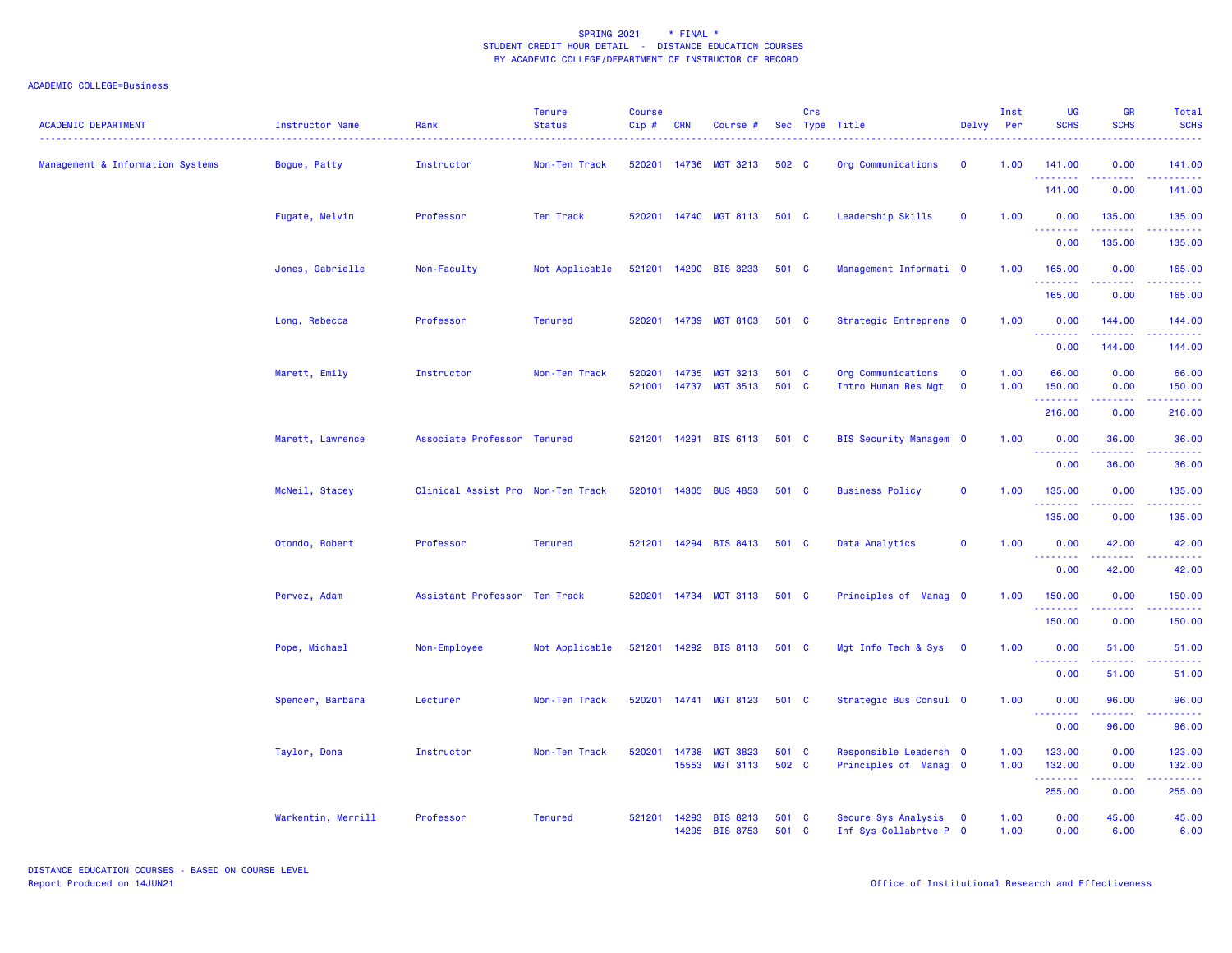| <b>ACADEMIC DEPARTMENT</b>       | Instructor Name    | Rank                              | <b>Tenure</b><br><b>Status</b> | <b>Course</b><br>Cip# | <b>CRN</b> | Course #                                 |                | Crs | Sec Type Title                                  | Delvy                       | Inst<br>Per  | UG<br><b>SCHS</b>               | <b>GR</b><br><b>SCHS</b>                                                                                                                                     | Total<br><b>SCHS</b> |
|----------------------------------|--------------------|-----------------------------------|--------------------------------|-----------------------|------------|------------------------------------------|----------------|-----|-------------------------------------------------|-----------------------------|--------------|---------------------------------|--------------------------------------------------------------------------------------------------------------------------------------------------------------|----------------------|
| Management & Information Systems | Bogue, Patty       | Instructor                        | Non-Ten Track                  |                       |            | 520201 14736 MGT 3213                    | 502 C          |     | Org Communications                              | $\mathbf{o}$                | 1.00         | 141.00<br>.                     | 0.00<br>$\frac{1}{2} \left( \frac{1}{2} \right) \left( \frac{1}{2} \right) \left( \frac{1}{2} \right) \left( \frac{1}{2} \right) \left( \frac{1}{2} \right)$ | 141.00               |
|                                  |                    |                                   |                                |                       |            |                                          |                |     |                                                 |                             |              | 141.00                          | 0.00                                                                                                                                                         | 141.00               |
|                                  | Fugate, Melvin     | Professor                         | Ten Track                      |                       |            | 520201 14740 MGT 8113                    | 501 C          |     | Leadership Skills                               | $\mathbf{O}$                | 1.00         | 0.00<br><u>.</u>                | 135.00<br>.                                                                                                                                                  | 135.00               |
|                                  |                    |                                   |                                |                       |            |                                          |                |     |                                                 |                             |              | 0.00                            | 135.00                                                                                                                                                       | 135.00               |
|                                  | Jones, Gabrielle   | Non-Faculty                       | Not Applicable                 |                       |            | 521201 14290 BIS 3233                    | 501 C          |     | Management Informati 0                          |                             | 1.00         | 165.00<br>.                     | 0.00                                                                                                                                                         | 165.00               |
|                                  |                    |                                   |                                |                       |            |                                          |                |     |                                                 |                             |              | 165.00                          | 0.00                                                                                                                                                         | 165.00               |
|                                  | Long, Rebecca      | Professor                         | <b>Tenured</b>                 |                       |            | 520201 14739 MGT 8103                    | 501 C          |     | Strategic Entreprene 0                          |                             | 1.00         | 0.00<br><u>.</u>                | 144.00<br>د د د د د د                                                                                                                                        | 144.00               |
|                                  |                    |                                   |                                |                       |            |                                          |                |     |                                                 |                             |              | 0.00                            | 144.00                                                                                                                                                       | 144.00               |
|                                  | Marett, Emily      | Instructor                        | Non-Ten Track                  | 520201                | 14735      | <b>MGT 3213</b><br>521001 14737 MGT 3513 | 501 C<br>501 C |     | Org Communications<br>Intro Human Res Mgt       | $\mathbf{O}$<br>$\mathbf 0$ | 1.00<br>1.00 | 66.00<br>150.00                 | 0.00<br>0.00                                                                                                                                                 | 66.00<br>150.00      |
|                                  |                    |                                   |                                |                       |            |                                          |                |     |                                                 |                             |              | . <u>.</u><br>216.00            | 0.00                                                                                                                                                         | 216.00               |
|                                  | Marett, Lawrence   | Associate Professor Tenured       |                                |                       |            | 521201 14291 BIS 6113                    | 501 C          |     | <b>BIS Security Managem 0</b>                   |                             | 1.00         | 0.00                            | 36.00                                                                                                                                                        | 36.00                |
|                                  |                    |                                   |                                |                       |            |                                          |                |     |                                                 |                             |              | <u> - - - - - - - -</u><br>0.00 | 36.00                                                                                                                                                        | 36.00                |
|                                  | McNeil, Stacey     | Clinical Assist Pro Non-Ten Track |                                |                       |            | 520101 14305 BUS 4853                    | 501 C          |     | <b>Business Policy</b>                          | $\mathbf{o}$                | 1.00         | 135.00                          | 0.00                                                                                                                                                         | 135.00               |
|                                  |                    |                                   |                                |                       |            |                                          |                |     |                                                 |                             |              | .<br>135.00                     | .<br>0.00                                                                                                                                                    | -----<br>135.00      |
|                                  |                    | Professor                         | <b>Tenured</b>                 |                       |            | 521201 14294 BIS 8413                    | 501 C          |     | Data Analytics                                  | $\mathbf 0$                 | 1.00         | 0.00                            | 42.00                                                                                                                                                        | 42.00                |
|                                  | Otondo, Robert     |                                   |                                |                       |            |                                          |                |     |                                                 |                             |              | .                               | 42.00                                                                                                                                                        | 42.00                |
|                                  |                    |                                   |                                |                       |            |                                          | 501 C          |     |                                                 |                             | 1.00         | 0.00                            |                                                                                                                                                              |                      |
|                                  | Pervez, Adam       | Assistant Professor Ten Track     |                                |                       |            | 520201 14734 MGT 3113                    |                |     | Principles of Manag 0                           |                             |              | 150.00<br>.                     | 0.00                                                                                                                                                         | 150.00               |
|                                  |                    |                                   |                                |                       |            | 521201 14292 BIS 8113                    | 501 C          |     | Mgt Info Tech & Sys 0                           |                             | 1.00         | 150.00<br>0.00                  | 0.00<br>51.00                                                                                                                                                | 150.00<br>51.00      |
|                                  | Pope, Michael      | Non-Employee                      | Not Applicable                 |                       |            |                                          |                |     |                                                 |                             |              | <u>.</u>                        | $\frac{1}{2} \left( \frac{1}{2} \right) \left( \frac{1}{2} \right) \left( \frac{1}{2} \right) \left( \frac{1}{2} \right) \left( \frac{1}{2} \right)$         | .                    |
|                                  |                    |                                   |                                | 520201                |            | 14741 MGT 8123                           | 501 C          |     |                                                 |                             | 1.00         | 0.00<br>0.00                    | 51.00                                                                                                                                                        | 51.00                |
|                                  | Spencer, Barbara   | Lecturer                          | Non-Ten Track                  |                       |            |                                          |                |     | Strategic Bus Consul 0                          |                             |              | .                               | 96.00<br>.                                                                                                                                                   | 96.00                |
|                                  | Taylor, Dona       | Instructor                        | Non-Ten Track                  | 520201                | 14738      | <b>MGT 3823</b>                          | 501 C          |     | Responsible Leadersh 0                          |                             | 1.00         | 0.00<br>123.00                  | 96.00<br>0.00                                                                                                                                                | 96.00<br>123.00      |
|                                  |                    |                                   |                                |                       |            | 15553 MGT 3113                           | 502 C          |     | Principles of Manag 0                           |                             | 1.00         | 132.00                          | 0.00<br>.                                                                                                                                                    | 132.00               |
|                                  |                    |                                   |                                |                       |            |                                          |                |     |                                                 |                             |              | .<br>255.00                     | 0.00                                                                                                                                                         | 255.00               |
|                                  | Warkentin, Merrill | Professor                         | <b>Tenured</b>                 | 521201                |            | 14293 BIS 8213<br>14295 BIS 8753         | 501 C<br>501 C |     | Secure Sys Analysis 0<br>Inf Sys Collabrtve P 0 |                             | 1.00<br>1.00 | 0.00<br>0.00                    | 45.00<br>6.00                                                                                                                                                | 45.00<br>6.00        |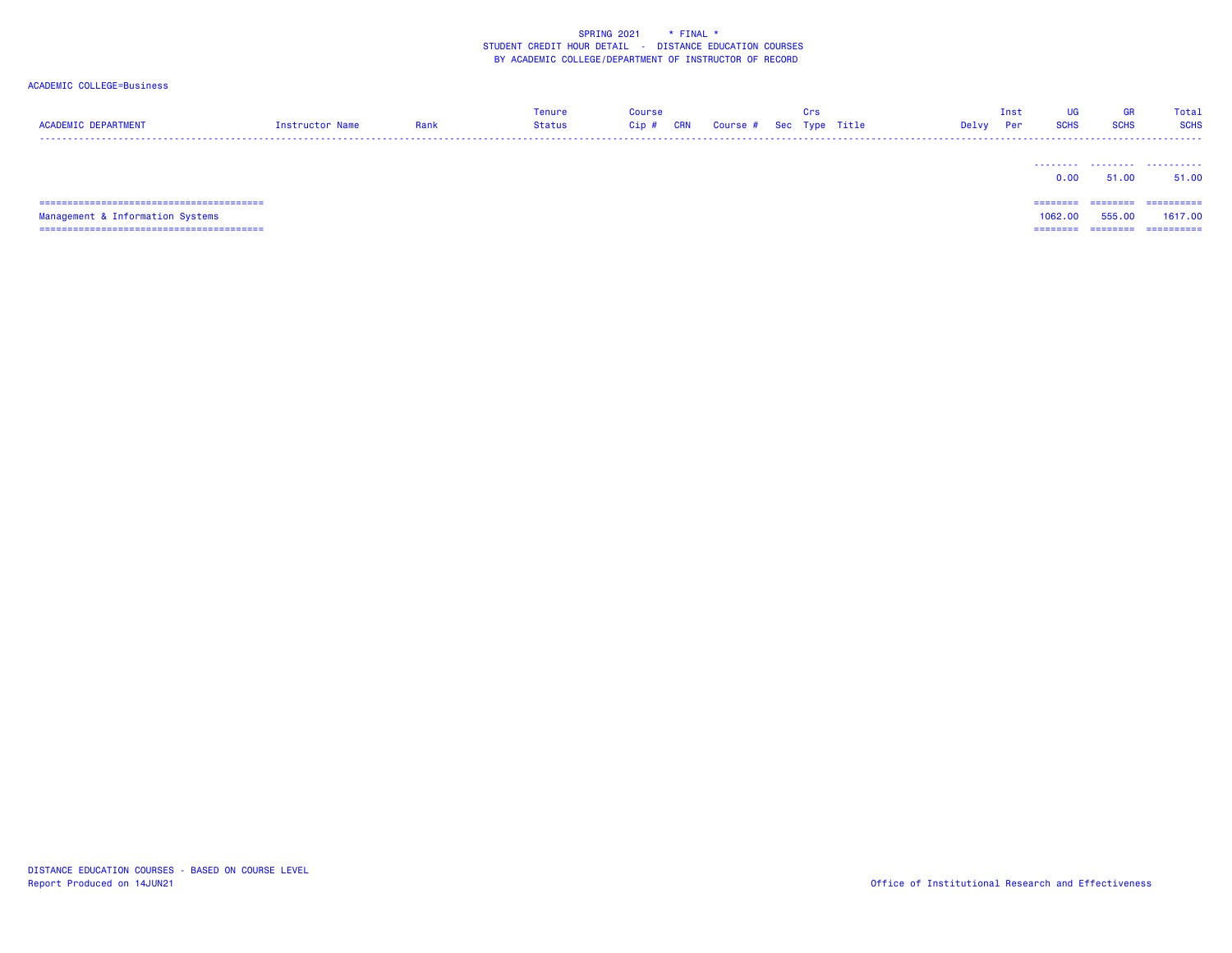### ACADEMIC COLLEGE=Business

| <b>ACADEMIC DEPARTMENT</b>      | Instructor Name | Rank | <b>Tenure</b><br><b>Status</b> | <b>Course</b><br>Cip# | <b>CRN</b> | Course # Sec Type Title | Crs | Delvy | Inst<br>Per | UG<br><b>SCHS</b> | GR<br><b>SCHS</b> | <b>Total</b><br><b>SCHS</b> |
|---------------------------------|-----------------|------|--------------------------------|-----------------------|------------|-------------------------|-----|-------|-------------|-------------------|-------------------|-----------------------------|
|                                 |                 |      |                                |                       |            |                         |     |       |             | 0.00              | 51.00             | 51.00                       |
| =============================== |                 |      |                                |                       |            |                         |     |       |             | ______            | --------          | -----------                 |

 Management & Information Systems 1062.00 555.00 1617.00 ======================================== ======== ======== ==========

DISTANCE EDUCATION COURSES - BASED ON COURSE LEVELReport Produced on 14JUN21 Office of Institutional Research and Effectiveness

1062.00 555.00 1617.00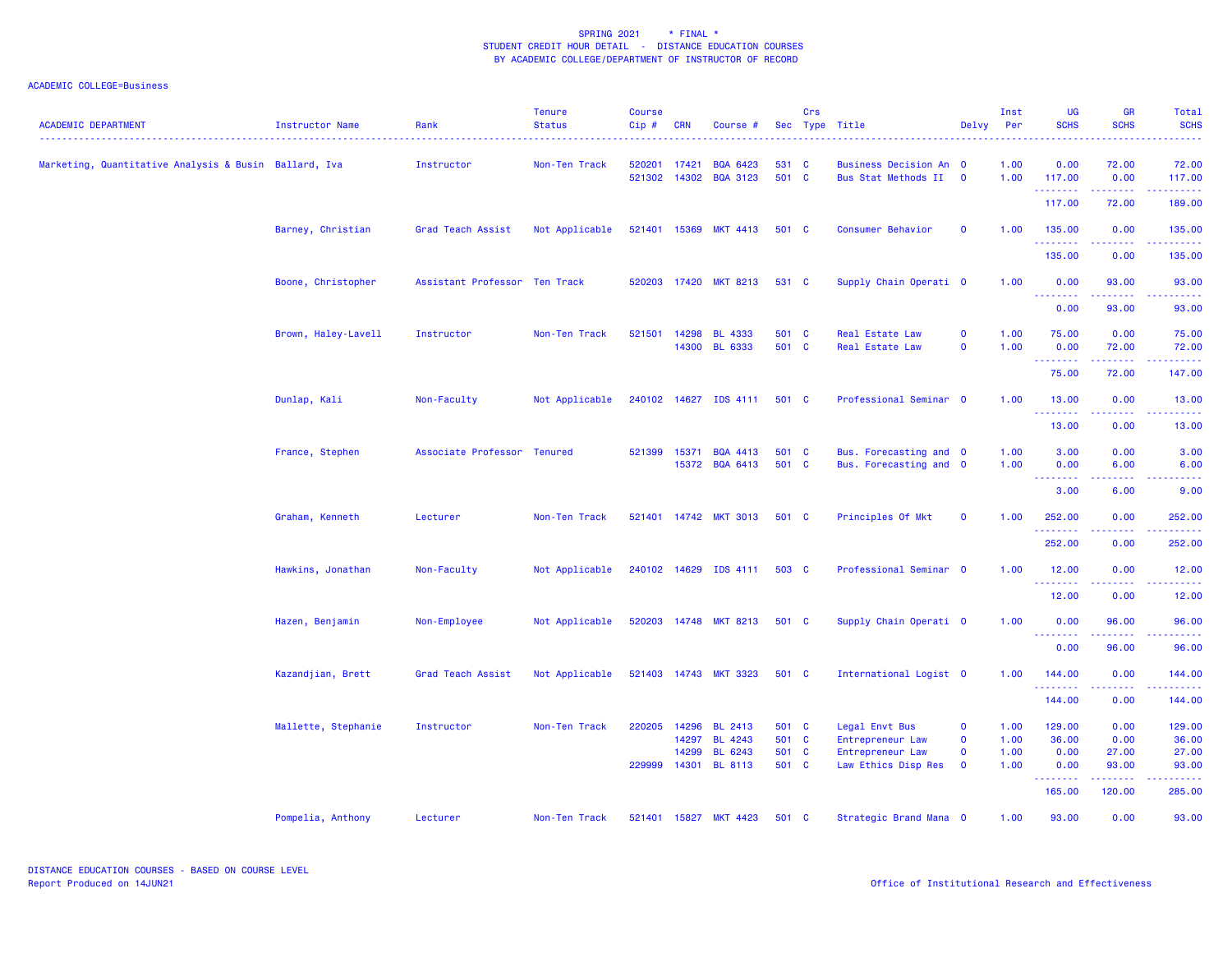| <b>ACADEMIC DEPARTMENT</b>                            | Instructor Name     | Rank                          | <b>Tenure</b><br><b>Status</b> | <b>Course</b><br>Cip# | <b>CRN</b>     | Course #                           |                | Crs | Sec Type Title                                       | Delvy                      | Inst<br>Per  | <b>UG</b><br><b>SCHS</b>              | <b>GR</b><br><b>SCHS</b> | <b>Total</b><br><b>SCHS</b> |
|-------------------------------------------------------|---------------------|-------------------------------|--------------------------------|-----------------------|----------------|------------------------------------|----------------|-----|------------------------------------------------------|----------------------------|--------------|---------------------------------------|--------------------------|-----------------------------|
| Marketing, Quantitative Analysis & Busin Ballard, Iva |                     | Instructor                    | Non-Ten Track                  | 520201<br>521302      | 17421<br>14302 | <b>BQA 6423</b><br><b>BQA 3123</b> | 531 C<br>501 C |     | <b>Business Decision An 0</b><br>Bus Stat Methods II | $\mathbf 0$                | 1.00<br>1.00 | 0.00<br>117.00<br>.                   | 72.00<br>0.00<br>.       | 72.00<br>117.00             |
|                                                       |                     |                               |                                |                       |                |                                    |                |     |                                                      |                            |              | 117.00                                | 72.00                    | 189.00                      |
|                                                       | Barney, Christian   | Grad Teach Assist             | Not Applicable                 | 521401                | 15369          | <b>MKT 4413</b>                    | 501 C          |     | Consumer Behavior                                    | $\mathbf 0$                | 1.00         | 135.00<br>--------                    | 0.00<br>. <b>. .</b>     | 135.00                      |
|                                                       |                     |                               |                                |                       |                |                                    |                |     |                                                      |                            |              | 135.00                                | 0.00                     | 135.00                      |
|                                                       | Boone, Christopher  | Assistant Professor Ten Track |                                | 520203                |                | 17420 MKT 8213                     | 531 C          |     | Supply Chain Operati 0                               |                            | 1.00         | 0.00<br>.                             | 93.00<br><b>.</b>        | 93.00                       |
|                                                       |                     |                               |                                |                       |                |                                    |                |     |                                                      |                            |              | 0.00                                  | 93.00                    | 93.00                       |
|                                                       | Brown, Haley-Lavell | Instructor                    | Non-Ten Track                  | 521501                | 14298          | <b>BL 4333</b><br>14300 BL 6333    | 501 C<br>501 C |     | <b>Real Estate Law</b><br>Real Estate Law            | $\mathbf 0$<br>$\mathbf 0$ | 1.00<br>1.00 | 75.00<br>0.00                         | 0.00<br>72.00            | 75.00<br>72.00              |
|                                                       |                     |                               |                                |                       |                |                                    |                |     |                                                      |                            |              | <u>.</u><br>75.00                     | 72.00                    | 147.00                      |
|                                                       | Dunlap, Kali        | Non-Faculty                   | Not Applicable                 |                       |                | 240102 14627 IDS 4111              | 501 C          |     | Professional Seminar 0                               |                            | 1.00         | 13.00                                 | 0.00                     | 13.00                       |
|                                                       |                     |                               |                                |                       |                |                                    |                |     |                                                      |                            |              | <b></b><br>13.00                      | .<br>0.00                | 13.00                       |
|                                                       | France, Stephen     | Associate Professor Tenured   |                                | 521399                | 15371          | <b>BQA 4413</b>                    | 501 C          |     | Bus. Forecasting and 0                               |                            | 1.00         | 3.00                                  | 0.00                     | 3.00                        |
|                                                       |                     |                               |                                |                       |                | 15372 BQA 6413                     | 501 C          |     | Bus. Forecasting and 0                               |                            | 1.00         | 0.00<br>$\sim$ $\sim$ $\sim$<br>----- | 6.00                     | 6.00<br>.                   |
|                                                       |                     |                               |                                |                       |                |                                    |                |     |                                                      |                            |              | 3.00                                  | 6.00                     | 9.00                        |
|                                                       | Graham, Kenneth     | Lecturer                      | Non-Ten Track                  | 521401                |                | 14742 MKT 3013                     | 501 C          |     | Principles Of Mkt                                    | $\mathbf 0$                | 1.00         | 252.00                                | 0.00                     | 252.00                      |
|                                                       |                     |                               |                                |                       |                |                                    |                |     |                                                      |                            |              | 252.00                                | 0.00                     | 252.00                      |
|                                                       | Hawkins, Jonathan   | Non-Faculty                   | Not Applicable                 |                       |                | 240102 14629 IDS 4111              | 503 C          |     | Professional Seminar 0                               |                            | 1.00         | 12.00<br><u>.</u>                     | 0.00                     | 12.00                       |
|                                                       |                     |                               |                                |                       |                |                                    |                |     |                                                      |                            |              | 12.00                                 | 0.00                     | 12.00                       |
|                                                       | Hazen, Benjamin     | Non-Employee                  | Not Applicable                 |                       |                | 520203 14748 MKT 8213              | 501 C          |     | Supply Chain Operati 0                               |                            | 1.00         | 0.00<br>.                             | 96.00<br>.               | 96.00<br>.                  |
|                                                       |                     |                               |                                |                       |                |                                    |                |     |                                                      |                            |              | 0.00                                  | 96.00                    | 96.00                       |
|                                                       | Kazandjian, Brett   | Grad Teach Assist             | Not Applicable                 |                       |                | 521403 14743 MKT 3323              | 501 C          |     | International Logist 0                               |                            | 1.00         | 144.00<br>.                           | 0.00                     | 144.00                      |
|                                                       |                     |                               |                                |                       |                |                                    |                |     |                                                      |                            |              | 144.00                                | 0.00                     | 144.00                      |
|                                                       | Mallette, Stephanie | Instructor                    | Non-Ten Track                  | 220205                | 14296<br>14297 | BL 2413<br><b>BL 4243</b>          | 501 C<br>501 C |     | Legal Envt Bus<br>Entrepreneur Law                   | $\mathbf 0$<br>$\mathbf 0$ | 1.00<br>1.00 | 129.00<br>36.00                       | 0.00<br>0.00             | 129.00<br>36.00             |
|                                                       |                     |                               |                                |                       | 14299          | BL 6243                            | 501 C          |     | Entrepreneur Law                                     | $\mathbf 0$                | 1.00         | 0.00                                  | 27.00                    | 27.00                       |
|                                                       |                     |                               |                                | 229999                |                | 14301 BL 8113                      | 501 C          |     | Law Ethics Disp Res                                  | $\mathbf 0$                | 1.00         | 0.00<br><b><i><u>AAAAAAA</u></i></b>  | 93.00<br><u>.</u>        | 93.00                       |
|                                                       |                     |                               |                                |                       |                |                                    |                |     |                                                      |                            |              | 165.00                                | 120.00                   | 285.00                      |
|                                                       | Pompelia, Anthony   | Lecturer                      | Non-Ten Track                  | 521401                | 15827          | <b>MKT 4423</b>                    | 501 C          |     | Strategic Brand Mana 0                               |                            | 1.00         | 93.00                                 | 0.00                     | 93.00                       |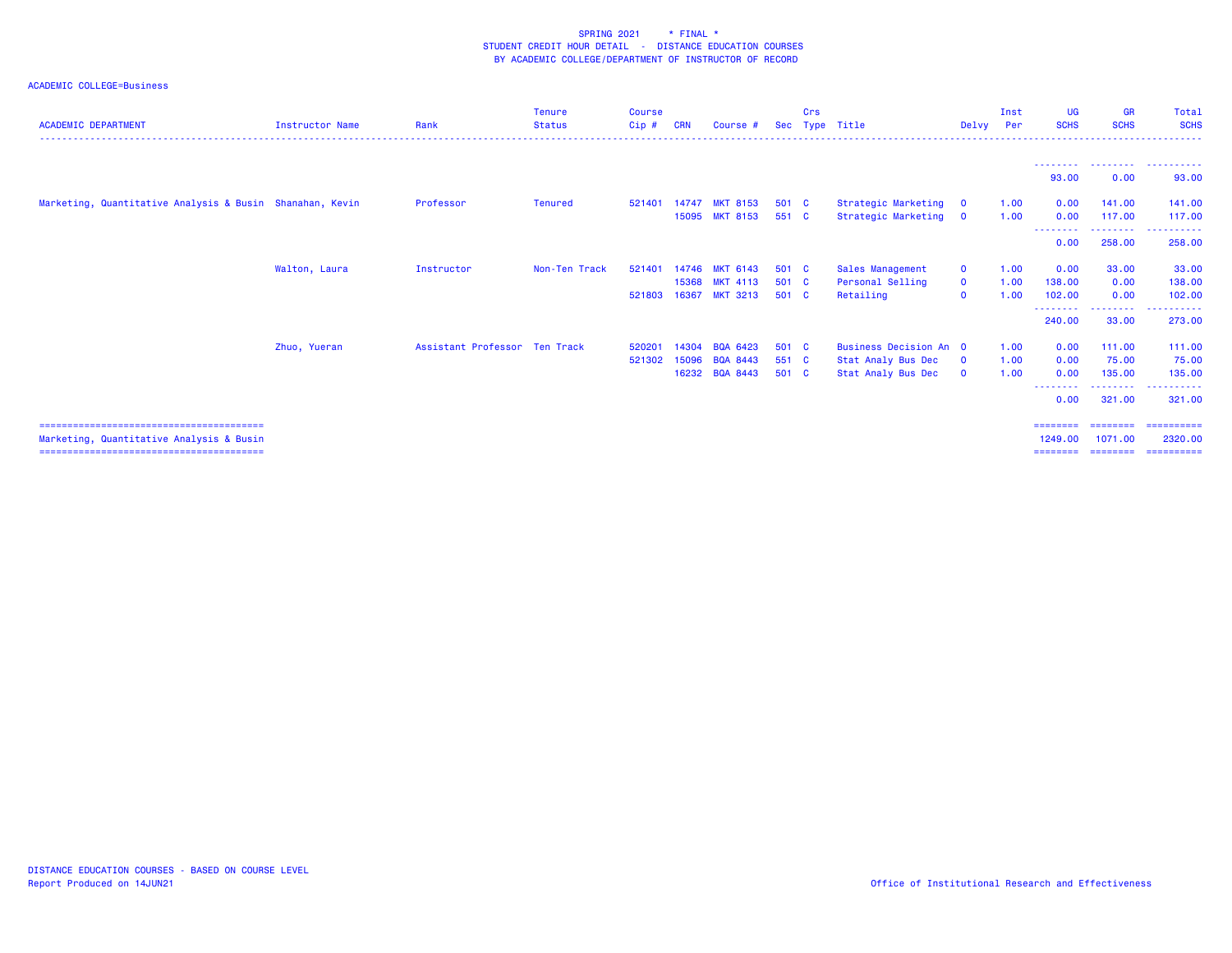| <b>ACADEMIC DEPARTMENT</b>                               | Instructor Name | Rank                          | Tenure<br><b>Status</b> | Course<br>$Cip$ # | <b>CRN</b> | Course #        | Sec   | Crs | Type Title             | Delvy        | Inst<br>Per | UG<br><b>SCHS</b>  | <b>GR</b><br><b>SCHS</b> | Total<br><b>SCHS</b>                  |
|----------------------------------------------------------|-----------------|-------------------------------|-------------------------|-------------------|------------|-----------------|-------|-----|------------------------|--------------|-------------|--------------------|--------------------------|---------------------------------------|
|                                                          |                 |                               |                         |                   |            |                 |       |     |                        |              |             |                    |                          |                                       |
|                                                          |                 |                               |                         |                   |            |                 |       |     |                        |              |             | 93.00              | 0.00                     | 93.00                                 |
| Marketing, Quantitative Analysis & Busin Shanahan, Kevin |                 | Professor                     | Tenured                 | 521401            | 14747      | <b>MKT 8153</b> | 501 C |     | Strategic Marketing    | $\mathbf{0}$ | 1.00        | 0.00               | 141.00                   | 141.00                                |
|                                                          |                 |                               |                         |                   |            | 15095 MKT 8153  | 551 C |     | Strategic Marketing    | $\mathbf{0}$ | 1.00        | 0.00               | 117.00<br>. <u>.</u>     | 117.00<br><u> - - - - - - - - - -</u> |
|                                                          |                 |                               |                         |                   |            |                 |       |     |                        |              |             | 0.00               | 258.00                   | 258.00                                |
|                                                          | Walton, Laura   | Instructor                    | Non-Ten Track           | 521401            | 14746      | <b>MKT 6143</b> | 501 C |     | Sales Management       | $\mathbf{O}$ | 1.00        | 0.00               | 33.00                    | 33.00                                 |
|                                                          |                 |                               |                         |                   | 15368      | <b>MKT 4113</b> | 501 C |     | Personal Selling       | $\mathbf{O}$ | 1.00        | 138.00             | 0.00                     | 138.00                                |
|                                                          |                 |                               |                         | 521803            | 16367      | <b>MKT 3213</b> | 501 C |     | Retailing              | $\mathbf{o}$ | 1.00        | 102.00             | 0.00                     | 102.00                                |
|                                                          |                 |                               |                         |                   |            |                 |       |     |                        |              |             | <u>.</u><br>240.00 | --------<br>33.00        | .<br>273.00                           |
|                                                          | Zhuo, Yueran    | Assistant Professor Ten Track |                         | 520201            | 14304      | BQA 6423        | 501 C |     | Business Decision An 0 |              | 1.00        | 0.00               | 111.00                   | 111.00                                |
|                                                          |                 |                               |                         | 521302            | 15096      | BQA 8443        | 551 C |     | Stat Analy Bus Dec     | $\mathbf 0$  | 1.00        | 0.00               | 75.00                    | 75.00                                 |
|                                                          |                 |                               |                         |                   |            | 16232 BQA 8443  | 501 C |     | Stat Analy Bus Dec     | $\mathbf{0}$ | 1.00        | 0.00               | 135,00                   | 135.00                                |
|                                                          |                 |                               |                         |                   |            |                 |       |     |                        |              |             | --------<br>0.00   | . <u>.</u> .<br>321.00   | ----------<br>321,00                  |
|                                                          |                 |                               |                         |                   |            |                 |       |     |                        |              |             | ========           |                          |                                       |
| Marketing, Quantitative Analysis & Busin                 |                 |                               |                         |                   |            |                 |       |     |                        |              |             | 1249.00            | 1071.00                  | 2320,00                               |
|                                                          |                 |                               |                         |                   |            |                 |       |     |                        |              |             | ========           | ========                 | ==========                            |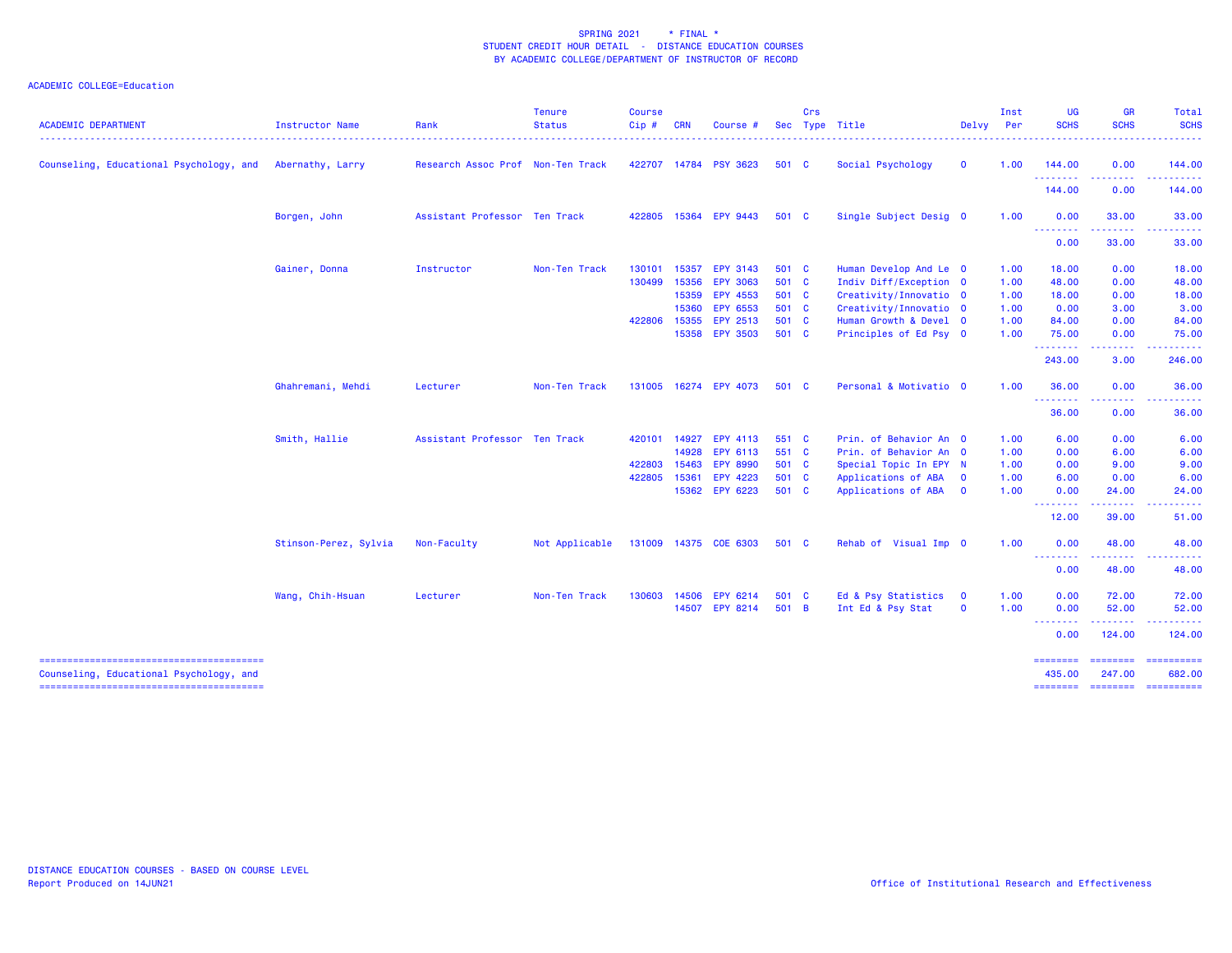| <b>ACADEMIC DEPARTMENT</b>              | Instructor Name       | Rank                              | <b>Tenure</b><br><b>Status</b> | Course<br>Cip# | <b>CRN</b> | Course #              |       | Crs | Sec Type Title         | Delvy        | Inst<br>Per | <b>UG</b><br><b>SCHS</b>                                                                                                                                                                                                                                                                                                                                                                                                                                                                       | <b>GR</b><br><b>SCHS</b>                                                                                                                                     | Total<br><b>SCHS</b>                            |
|-----------------------------------------|-----------------------|-----------------------------------|--------------------------------|----------------|------------|-----------------------|-------|-----|------------------------|--------------|-------------|------------------------------------------------------------------------------------------------------------------------------------------------------------------------------------------------------------------------------------------------------------------------------------------------------------------------------------------------------------------------------------------------------------------------------------------------------------------------------------------------|--------------------------------------------------------------------------------------------------------------------------------------------------------------|-------------------------------------------------|
| Counseling, Educational Psychology, and | Abernathy, Larry      | Research Assoc Prof Non-Ten Track |                                |                |            | 422707 14784 PSY 3623 | 501 C |     | Social Psychology      | $\mathbf 0$  | 1.00        | 144.00<br>.                                                                                                                                                                                                                                                                                                                                                                                                                                                                                    | 0.00<br>$\frac{1}{2} \left( \frac{1}{2} \right) \left( \frac{1}{2} \right) \left( \frac{1}{2} \right) \left( \frac{1}{2} \right) \left( \frac{1}{2} \right)$ | 144.00<br>.                                     |
|                                         |                       |                                   |                                |                |            |                       |       |     |                        |              |             | 144.00                                                                                                                                                                                                                                                                                                                                                                                                                                                                                         | 0.00                                                                                                                                                         | 144.00                                          |
|                                         | Borgen, John          | Assistant Professor Ten Track     |                                |                |            | 422805 15364 EPY 9443 | 501 C |     | Single Subject Desig 0 |              | 1.00        | 0.00<br><b></b>                                                                                                                                                                                                                                                                                                                                                                                                                                                                                | 33.00<br>.                                                                                                                                                   | 33.00<br><b><i><u><u> - - - - -</u></u></i></b> |
|                                         |                       |                                   |                                |                |            |                       |       |     |                        |              |             | 0.00                                                                                                                                                                                                                                                                                                                                                                                                                                                                                           | 33.00                                                                                                                                                        | 33.00                                           |
|                                         | Gainer, Donna         | Instructor                        | Non-Ten Track                  | 130101         | 15357      | <b>EPY 3143</b>       | 501 C |     | Human Develop And Le 0 |              | 1.00        | 18.00                                                                                                                                                                                                                                                                                                                                                                                                                                                                                          | 0.00                                                                                                                                                         | 18.00                                           |
|                                         |                       |                                   |                                | 130499         | 15356      | <b>EPY 3063</b>       | 501 C |     | Indiv Diff/Exception 0 |              | 1.00        | 48.00                                                                                                                                                                                                                                                                                                                                                                                                                                                                                          | 0.00                                                                                                                                                         | 48.00                                           |
|                                         |                       |                                   |                                |                |            | 15359 EPY 4553        | 501 C |     | Creativity/Innovatio 0 |              | 1.00        | 18.00                                                                                                                                                                                                                                                                                                                                                                                                                                                                                          | 0.00                                                                                                                                                         | 18.00                                           |
|                                         |                       |                                   |                                |                | 15360      | EPY 6553              | 501 C |     | Creativity/Innovatio 0 |              | 1.00        | 0.00                                                                                                                                                                                                                                                                                                                                                                                                                                                                                           | 3.00                                                                                                                                                         | 3.00                                            |
|                                         |                       |                                   |                                | 422806 15355   |            | <b>EPY 2513</b>       | 501 C |     | Human Growth & Devel 0 |              | 1.00        | 84.00                                                                                                                                                                                                                                                                                                                                                                                                                                                                                          | 0.00                                                                                                                                                         | 84.00                                           |
|                                         |                       |                                   |                                |                |            | 15358 EPY 3503        | 501 C |     | Principles of Ed Psy 0 |              | 1.00        | 75.00<br>.                                                                                                                                                                                                                                                                                                                                                                                                                                                                                     | 0.00<br>$\frac{1}{2} \left( \frac{1}{2} \right) \left( \frac{1}{2} \right) \left( \frac{1}{2} \right) \left( \frac{1}{2} \right) \left( \frac{1}{2} \right)$ | 75.00<br><u>.</u>                               |
|                                         |                       |                                   |                                |                |            |                       |       |     |                        |              |             | 243.00                                                                                                                                                                                                                                                                                                                                                                                                                                                                                         | 3.00                                                                                                                                                         | 246.00                                          |
|                                         | Ghahremani, Mehdi     | Lecturer                          | Non-Ten Track                  |                |            | 131005 16274 EPY 4073 | 501 C |     | Personal & Motivatio 0 |              | 1.00        | 36.00<br><u>.</u>                                                                                                                                                                                                                                                                                                                                                                                                                                                                              | 0.00                                                                                                                                                         | 36.00                                           |
|                                         |                       |                                   |                                |                |            |                       |       |     |                        |              |             | 36.00                                                                                                                                                                                                                                                                                                                                                                                                                                                                                          | 0.00                                                                                                                                                         | 36.00                                           |
|                                         | Smith, Hallie         | Assistant Professor Ten Track     |                                | 420101         | 14927      | <b>EPY 4113</b>       | 551 C |     | Prin. of Behavior An 0 |              | 1.00        | 6.00                                                                                                                                                                                                                                                                                                                                                                                                                                                                                           | 0.00                                                                                                                                                         | 6.00                                            |
|                                         |                       |                                   |                                |                | 14928      | EPY 6113              | 551 C |     | Prin. of Behavior An 0 |              | 1.00        | 0.00                                                                                                                                                                                                                                                                                                                                                                                                                                                                                           | 6.00                                                                                                                                                         | 6.00                                            |
|                                         |                       |                                   |                                | 422803         | 15463      | <b>EPY 8990</b>       | 501 C |     | Special Topic In EPY N |              | 1.00        | 0.00                                                                                                                                                                                                                                                                                                                                                                                                                                                                                           | 9.00                                                                                                                                                         | 9.00                                            |
|                                         |                       |                                   |                                | 422805         | 15361      | EPY 4223              | 501 C |     | Applications of ABA    | $\mathbf 0$  | 1.00        | 6.00                                                                                                                                                                                                                                                                                                                                                                                                                                                                                           | 0.00                                                                                                                                                         | 6.00                                            |
|                                         |                       |                                   |                                |                |            | 15362 EPY 6223        | 501 C |     | Applications of ABA    | $\mathbf{o}$ | 1.00        | 0.00                                                                                                                                                                                                                                                                                                                                                                                                                                                                                           | 24.00                                                                                                                                                        | 24.00                                           |
|                                         |                       |                                   |                                |                |            |                       |       |     |                        |              |             | <b><i><u><u> - - - - - - -</u></u></i></b><br>12.00                                                                                                                                                                                                                                                                                                                                                                                                                                            | 39.00                                                                                                                                                        | 51.00                                           |
|                                         | Stinson-Perez, Sylvia | Non-Faculty                       | Not Applicable                 |                |            | 131009 14375 COE 6303 | 501 C |     | Rehab of Visual Imp 0  |              | 1.00        | 0.00                                                                                                                                                                                                                                                                                                                                                                                                                                                                                           | 48.00                                                                                                                                                        | 48.00                                           |
|                                         |                       |                                   |                                |                |            |                       |       |     |                        |              |             | $\frac{1}{2} \left( \frac{1}{2} \right) \left( \frac{1}{2} \right) \left( \frac{1}{2} \right) \left( \frac{1}{2} \right)$<br>.<br>0.00                                                                                                                                                                                                                                                                                                                                                         | .<br>48.00                                                                                                                                                   | . <b>.</b><br>48.00                             |
|                                         | Wang, Chih-Hsuan      | Lecturer                          | Non-Ten Track                  | 130603         | 14506      | EPY 6214              | 501 C |     | Ed & Psy Statistics    | $\mathbf 0$  | 1.00        | 0.00                                                                                                                                                                                                                                                                                                                                                                                                                                                                                           | 72.00                                                                                                                                                        | 72.00                                           |
|                                         |                       |                                   |                                |                |            | 14507 EPY 8214        | 501 B |     | Int Ed & Psy Stat      | $\mathbf 0$  | 1.00        | 0.00<br>$\begin{array}{cccccccccccccc} \multicolumn{2}{c}{} & \multicolumn{2}{c}{} & \multicolumn{2}{c}{} & \multicolumn{2}{c}{} & \multicolumn{2}{c}{} & \multicolumn{2}{c}{} & \multicolumn{2}{c}{} & \multicolumn{2}{c}{} & \multicolumn{2}{c}{} & \multicolumn{2}{c}{} & \multicolumn{2}{c}{} & \multicolumn{2}{c}{} & \multicolumn{2}{c}{} & \multicolumn{2}{c}{} & \multicolumn{2}{c}{} & \multicolumn{2}{c}{} & \multicolumn{2}{c}{} & \multicolumn{2}{c}{} & \multicolumn{2}{c}{} & \$ | 52.00                                                                                                                                                        | 52.00<br>.                                      |
|                                         |                       |                                   |                                |                |            |                       |       |     |                        |              |             | 0.00                                                                                                                                                                                                                                                                                                                                                                                                                                                                                           | 124.00                                                                                                                                                       | 124.00                                          |
| Counseling, Educational Psychology, and |                       |                                   |                                |                |            |                       |       |     |                        |              |             | ========<br>435.00                                                                                                                                                                                                                                                                                                                                                                                                                                                                             | --------<br>247.00                                                                                                                                           | 682.00                                          |
|                                         |                       |                                   |                                |                |            |                       |       |     |                        |              |             | <b>SESSESSE</b>                                                                                                                                                                                                                                                                                                                                                                                                                                                                                | ===================                                                                                                                                          |                                                 |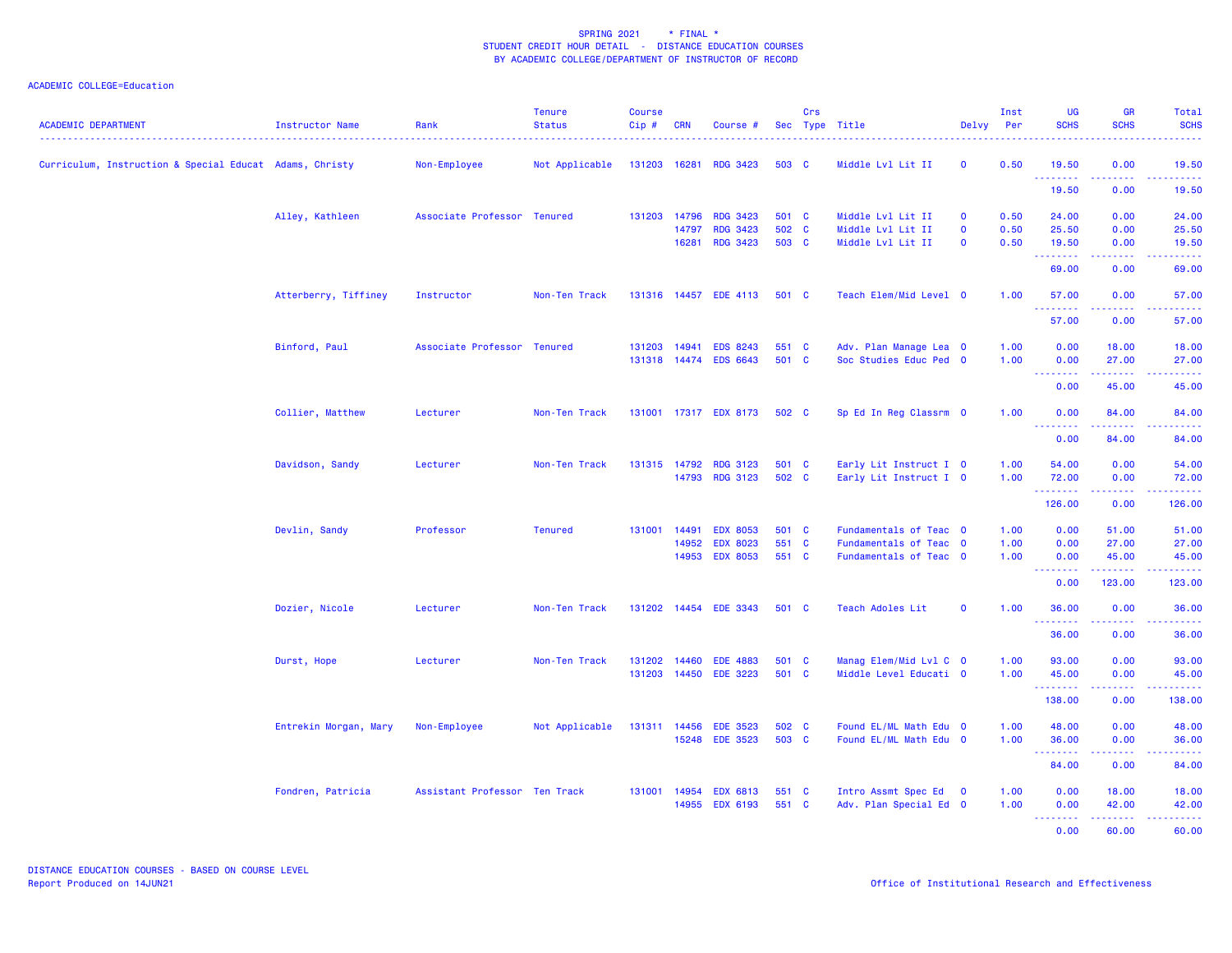| <b>ACADEMIC DEPARTMENT</b>                              | Instructor Name       | Rank                          | <b>Tenure</b><br><b>Status</b> | <b>Course</b><br>Cip# | <b>CRN</b>   | Course #                          |                | Crs | Sec Type Title                                   | Delvy        | Inst<br><b>Per</b> | UG<br><b>SCHS</b>                                                                                                                                                                                                                                                                                                                                                                                                                                                                              | <b>GR</b><br><b>SCHS</b>                                                                                                                                     | Total<br><b>SCHS</b>      |
|---------------------------------------------------------|-----------------------|-------------------------------|--------------------------------|-----------------------|--------------|-----------------------------------|----------------|-----|--------------------------------------------------|--------------|--------------------|------------------------------------------------------------------------------------------------------------------------------------------------------------------------------------------------------------------------------------------------------------------------------------------------------------------------------------------------------------------------------------------------------------------------------------------------------------------------------------------------|--------------------------------------------------------------------------------------------------------------------------------------------------------------|---------------------------|
| Curriculum, Instruction & Special Educat Adams, Christy |                       | Non-Employee                  | Not Applicable                 | 131203 16281          |              | <b>RDG 3423</b>                   | 503 C          |     | Middle Lvl Lit II                                | $\mathbf{O}$ | 0.50               | 19.50<br>.                                                                                                                                                                                                                                                                                                                                                                                                                                                                                     | 0.00<br>.                                                                                                                                                    | 19.50                     |
|                                                         |                       |                               |                                |                       |              |                                   |                |     |                                                  |              |                    | 19.50                                                                                                                                                                                                                                                                                                                                                                                                                                                                                          | 0.00                                                                                                                                                         | 19.50                     |
|                                                         | Alley, Kathleen       | Associate Professor Tenured   |                                |                       | 131203 14796 | <b>RDG 3423</b>                   | 501 C          |     | Middle Lvl Lit II                                | $\mathbf{O}$ | 0.50               | 24.00                                                                                                                                                                                                                                                                                                                                                                                                                                                                                          | 0.00                                                                                                                                                         | 24.00                     |
|                                                         |                       |                               |                                |                       | 14797        | <b>RDG 3423</b>                   | 502 C          |     | Middle Lvl Lit II                                | $\mathbf{O}$ | 0.50               | 25.50                                                                                                                                                                                                                                                                                                                                                                                                                                                                                          | 0.00                                                                                                                                                         | 25.50                     |
|                                                         |                       |                               |                                |                       | 16281        | <b>RDG 3423</b>                   | 503 C          |     | Middle Lvl Lit II                                | $\mathbf 0$  | 0.50               | 19.50                                                                                                                                                                                                                                                                                                                                                                                                                                                                                          | 0.00<br>22222                                                                                                                                                | 19.50<br>.                |
|                                                         |                       |                               |                                |                       |              |                                   |                |     |                                                  |              |                    | 69.00                                                                                                                                                                                                                                                                                                                                                                                                                                                                                          | 0.00                                                                                                                                                         | 69.00                     |
|                                                         | Atterberry, Tiffiney  | Instructor                    | Non-Ten Track                  |                       |              | 131316 14457 EDE 4113             | 501 C          |     | Teach Elem/Mid Level 0                           |              | 1.00               | 57.00                                                                                                                                                                                                                                                                                                                                                                                                                                                                                          | 0.00                                                                                                                                                         | 57.00                     |
|                                                         |                       |                               |                                |                       |              |                                   |                |     |                                                  |              |                    | .<br>57.00                                                                                                                                                                                                                                                                                                                                                                                                                                                                                     | .<br>0.00                                                                                                                                                    | .<br>57.00                |
|                                                         | Binford, Paul         | Associate Professor Tenured   |                                |                       | 131203 14941 | <b>EDS 8243</b>                   | 551 C          |     | Adv. Plan Manage Lea 0                           |              | 1.00               | 0.00                                                                                                                                                                                                                                                                                                                                                                                                                                                                                           | 18.00                                                                                                                                                        | 18.00                     |
|                                                         |                       |                               |                                |                       |              | 131318 14474 EDS 6643             | 501 C          |     | Soc Studies Educ Ped 0                           |              | 1.00               | 0.00                                                                                                                                                                                                                                                                                                                                                                                                                                                                                           | 27.00                                                                                                                                                        | 27.00                     |
|                                                         |                       |                               |                                |                       |              |                                   |                |     |                                                  |              |                    | $\begin{array}{cccccccccccccc} \multicolumn{2}{c}{} & \multicolumn{2}{c}{} & \multicolumn{2}{c}{} & \multicolumn{2}{c}{} & \multicolumn{2}{c}{} & \multicolumn{2}{c}{} & \multicolumn{2}{c}{} & \multicolumn{2}{c}{} & \multicolumn{2}{c}{} & \multicolumn{2}{c}{} & \multicolumn{2}{c}{} & \multicolumn{2}{c}{} & \multicolumn{2}{c}{} & \multicolumn{2}{c}{} & \multicolumn{2}{c}{} & \multicolumn{2}{c}{} & \multicolumn{2}{c}{} & \multicolumn{2}{c}{} & \multicolumn{2}{c}{} & \$<br>0.00 | .<br>45.00                                                                                                                                                   | 45.00                     |
|                                                         | Collier, Matthew      | Lecturer                      | Non-Ten Track                  |                       |              | 131001 17317 EDX 8173             | 502 C          |     | Sp Ed In Reg Classrm 0                           |              | 1.00               | 0.00                                                                                                                                                                                                                                                                                                                                                                                                                                                                                           | 84.00                                                                                                                                                        | 84.00                     |
|                                                         |                       |                               |                                |                       |              |                                   |                |     |                                                  |              |                    | <u>.</u><br>0.00                                                                                                                                                                                                                                                                                                                                                                                                                                                                               | المتمامين<br>84.00                                                                                                                                           | .<br>84.00                |
|                                                         | Davidson, Sandy       | Lecturer                      | Non-Ten Track                  |                       | 131315 14792 | <b>RDG 3123</b>                   | 501 C          |     | Early Lit Instruct I 0                           |              | 1.00               | 54.00                                                                                                                                                                                                                                                                                                                                                                                                                                                                                          | 0.00                                                                                                                                                         | 54.00                     |
|                                                         |                       |                               |                                |                       |              | 14793 RDG 3123                    | 502 C          |     | Early Lit Instruct I 0                           |              | 1.00               | 72.00                                                                                                                                                                                                                                                                                                                                                                                                                                                                                          | 0.00                                                                                                                                                         | 72.00                     |
|                                                         |                       |                               |                                |                       |              |                                   |                |     |                                                  |              |                    | <b><i><u><u> - - - - - - -</u></u></i></b><br>126.00                                                                                                                                                                                                                                                                                                                                                                                                                                           | 22222<br>0.00                                                                                                                                                | 126.00                    |
|                                                         | Devlin, Sandy         | Professor                     | <b>Tenured</b>                 | 131001 14491          |              | <b>EDX 8053</b>                   | 501 C          |     | Fundamentals of Teac 0                           |              | 1.00               | 0.00                                                                                                                                                                                                                                                                                                                                                                                                                                                                                           | 51.00                                                                                                                                                        | 51.00                     |
|                                                         |                       |                               |                                |                       | 14952        | <b>EDX 8023</b>                   | 551 C          |     | Fundamentals of Teac 0                           |              | 1.00               | 0.00                                                                                                                                                                                                                                                                                                                                                                                                                                                                                           | 27.00                                                                                                                                                        | 27.00                     |
|                                                         |                       |                               |                                |                       |              | 14953 EDX 8053                    | 551 C          |     | Fundamentals of Teac 0                           |              | 1.00               | 0.00                                                                                                                                                                                                                                                                                                                                                                                                                                                                                           | 45.00                                                                                                                                                        | 45.00                     |
|                                                         |                       |                               |                                |                       |              |                                   |                |     |                                                  |              |                    | $\begin{array}{cccccccccccccc} \multicolumn{2}{c}{} & \multicolumn{2}{c}{} & \multicolumn{2}{c}{} & \multicolumn{2}{c}{} & \multicolumn{2}{c}{} & \multicolumn{2}{c}{} & \multicolumn{2}{c}{} & \multicolumn{2}{c}{} & \multicolumn{2}{c}{} & \multicolumn{2}{c}{} & \multicolumn{2}{c}{} & \multicolumn{2}{c}{} & \multicolumn{2}{c}{} & \multicolumn{2}{c}{} & \multicolumn{2}{c}{} & \multicolumn{2}{c}{} & \multicolumn{2}{c}{} & \multicolumn{2}{c}{} & \multicolumn{2}{c}{} & \$<br>0.00 | 123.00                                                                                                                                                       | $- - - - - - -$<br>123.00 |
|                                                         | Dozier, Nicole        | Lecturer                      | Non-Ten Track                  |                       |              | 131202 14454 EDE 3343             | 501 C          |     | Teach Adoles Lit                                 | $\mathbf{O}$ | 1.00               | 36.00                                                                                                                                                                                                                                                                                                                                                                                                                                                                                          | 0.00                                                                                                                                                         | 36.00                     |
|                                                         |                       |                               |                                |                       |              |                                   |                |     |                                                  |              |                    | .<br>36.00                                                                                                                                                                                                                                                                                                                                                                                                                                                                                     | $\frac{1}{2} \left( \frac{1}{2} \right) \left( \frac{1}{2} \right) \left( \frac{1}{2} \right) \left( \frac{1}{2} \right) \left( \frac{1}{2} \right)$<br>0.00 | .<br>36.00                |
|                                                         | Durst, Hope           | Lecturer                      | Non-Ten Track                  |                       | 131202 14460 | <b>EDE 4883</b>                   | 501 C          |     | Manag Elem/Mid Lvl C 0                           |              | 1.00               | 93.00                                                                                                                                                                                                                                                                                                                                                                                                                                                                                          | 0.00                                                                                                                                                         | 93.00                     |
|                                                         |                       |                               |                                |                       |              | 131203 14450 EDE 3223             | 501 C          |     | Middle Level Educati 0                           |              | 1.00               | 45.00                                                                                                                                                                                                                                                                                                                                                                                                                                                                                          | 0.00                                                                                                                                                         | 45.00                     |
|                                                         |                       |                               |                                |                       |              |                                   |                |     |                                                  |              |                    | 138.00                                                                                                                                                                                                                                                                                                                                                                                                                                                                                         | .<br>0.00                                                                                                                                                    | 138.00                    |
|                                                         |                       |                               |                                |                       |              |                                   |                |     |                                                  |              |                    |                                                                                                                                                                                                                                                                                                                                                                                                                                                                                                |                                                                                                                                                              |                           |
|                                                         | Entrekin Morgan, Mary | Non-Employee                  | Not Applicable                 |                       | 131311 14456 | <b>EDE 3523</b><br>15248 EDE 3523 | 502 C<br>503 C |     | Found EL/ML Math Edu 0<br>Found EL/ML Math Edu 0 |              | 1.00<br>1.00       | 48.00<br>36.00                                                                                                                                                                                                                                                                                                                                                                                                                                                                                 | 0.00<br>0.00                                                                                                                                                 | 48.00<br>36.00            |
|                                                         |                       |                               |                                |                       |              |                                   |                |     |                                                  |              |                    | .                                                                                                                                                                                                                                                                                                                                                                                                                                                                                              |                                                                                                                                                              |                           |
|                                                         |                       |                               |                                |                       |              |                                   |                |     |                                                  |              |                    | 84.00                                                                                                                                                                                                                                                                                                                                                                                                                                                                                          | 0.00                                                                                                                                                         | 84.00                     |
|                                                         | Fondren, Patricia     | Assistant Professor Ten Track |                                |                       |              | 131001 14954 EDX 6813             | 551 C          |     | Intro Assmt Spec Ed 0                            |              | 1.00               | 0.00                                                                                                                                                                                                                                                                                                                                                                                                                                                                                           | 18.00                                                                                                                                                        | 18.00                     |
|                                                         |                       |                               |                                |                       |              | 14955 EDX 6193                    | 551 C          |     | Adv. Plan Special Ed 0                           |              | 1.00               | 0.00<br>$\begin{array}{cccccccccccccc} \multicolumn{2}{c}{} & \multicolumn{2}{c}{} & \multicolumn{2}{c}{} & \multicolumn{2}{c}{} & \multicolumn{2}{c}{} & \multicolumn{2}{c}{} & \multicolumn{2}{c}{} & \multicolumn{2}{c}{} & \multicolumn{2}{c}{} & \multicolumn{2}{c}{} & \multicolumn{2}{c}{} & \multicolumn{2}{c}{} & \multicolumn{2}{c}{} & \multicolumn{2}{c}{} & \multicolumn{2}{c}{} & \multicolumn{2}{c}{} & \multicolumn{2}{c}{} & \multicolumn{2}{c}{} & \multicolumn{2}{c}{} & \$ | 42.00<br>.                                                                                                                                                   | 42.00<br>.                |
|                                                         |                       |                               |                                |                       |              |                                   |                |     |                                                  |              |                    | 0.00                                                                                                                                                                                                                                                                                                                                                                                                                                                                                           | 60.00                                                                                                                                                        | 60.00                     |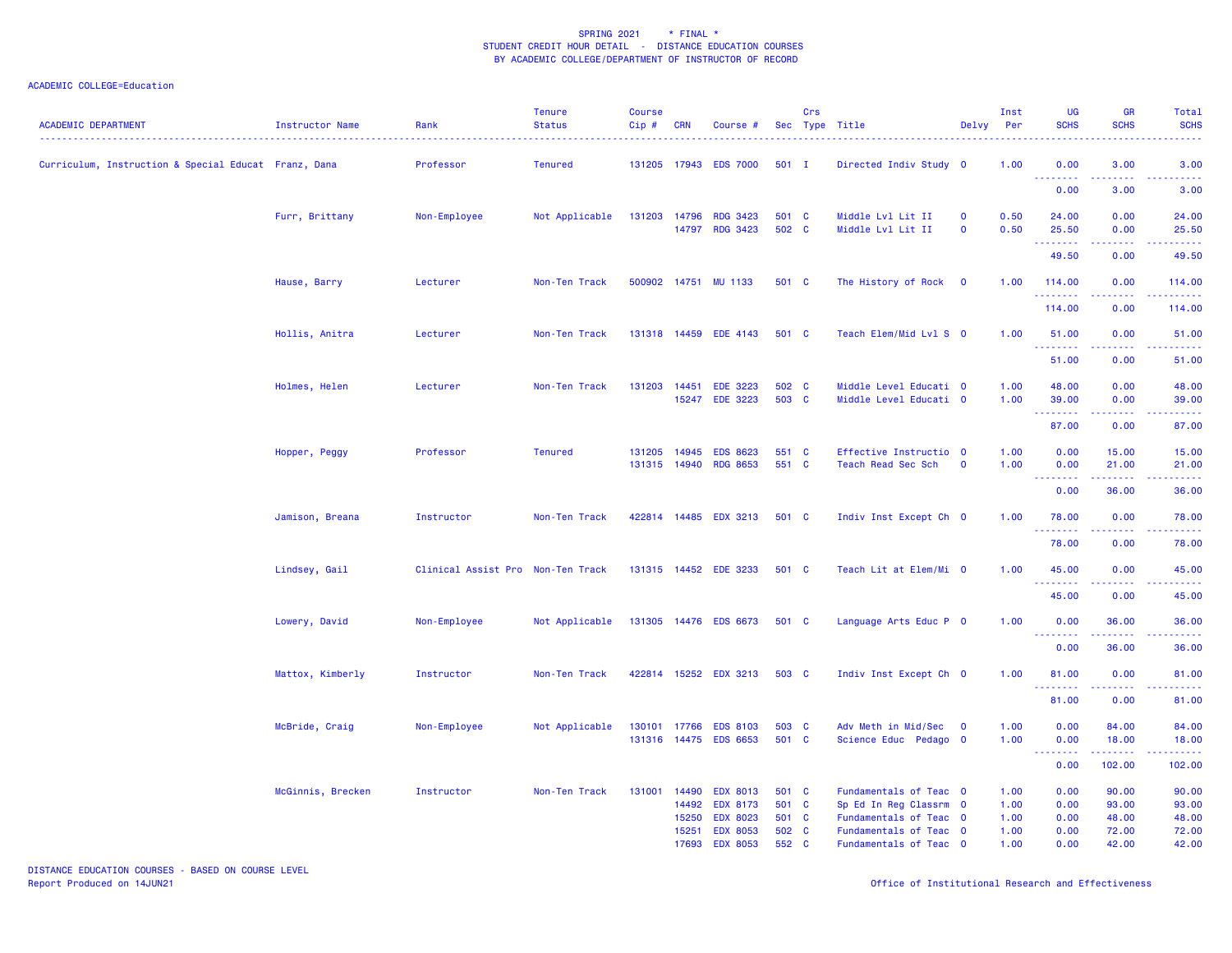| <b>ACADEMIC DEPARTMENT</b>                           | Instructor Name   | Rank                              | <b>Tenure</b><br><b>Status</b> | <b>Course</b><br>Cip# | <b>CRN</b>                       | Course #                                                                                    |                                           | Crs | Sec Type Title                                                                                                                 | Delvy                      | Inst<br>Per                          | UG<br><b>SCHS</b>                    | GR<br><b>SCHS</b>                         | Total<br><b>SCHS</b>                      |
|------------------------------------------------------|-------------------|-----------------------------------|--------------------------------|-----------------------|----------------------------------|---------------------------------------------------------------------------------------------|-------------------------------------------|-----|--------------------------------------------------------------------------------------------------------------------------------|----------------------------|--------------------------------------|--------------------------------------|-------------------------------------------|-------------------------------------------|
| Curriculum, Instruction & Special Educat Franz, Dana |                   | Professor                         | <b>Tenured</b>                 |                       |                                  | 131205 17943 EDS 7000                                                                       | $501$ I                                   |     | Directed Indiv Study 0                                                                                                         |                            | 1.00                                 | 0.00                                 | 3.00                                      | 3.00                                      |
|                                                      |                   |                                   |                                |                       |                                  |                                                                                             |                                           |     |                                                                                                                                |                            |                                      | <b>.</b><br>0.00                     | 3.00                                      | 3.00                                      |
|                                                      | Furr, Brittany    | Non-Employee                      | Not Applicable                 |                       |                                  | 131203 14796 RDG 3423<br>14797 RDG 3423                                                     | 501 C<br>502 C                            |     | Middle Lvl Lit II<br>Middle Lvl Lit II                                                                                         | $\mathbf 0$<br>$\mathbf 0$ | 0.50<br>0.50                         | 24.00<br>25.50                       | 0.00<br>0.00                              | 24.00<br>25.50                            |
|                                                      |                   |                                   |                                |                       |                                  |                                                                                             |                                           |     |                                                                                                                                |                            |                                      | .<br>49.50                           | 0.00                                      | 49.50                                     |
|                                                      | Hause, Barry      | Lecturer                          | Non-Ten Track                  |                       |                                  | 500902 14751 MU 1133                                                                        | 501 C                                     |     | The History of Rock                                                                                                            | $\overline{\mathbf{0}}$    | 1.00                                 | 114.00                               | 0.00                                      | 114.00                                    |
|                                                      |                   |                                   |                                |                       |                                  |                                                                                             |                                           |     |                                                                                                                                |                            |                                      | 114.00                               | 0.00                                      | 114.00                                    |
|                                                      | Hollis, Anitra    | Lecturer                          | Non-Ten Track                  |                       |                                  | 131318 14459 EDE 4143                                                                       | 501 C                                     |     | Teach Elem/Mid Lvl S 0                                                                                                         |                            | 1.00                                 | 51.00                                | 0.00                                      | 51.00                                     |
|                                                      |                   |                                   |                                |                       |                                  |                                                                                             |                                           |     |                                                                                                                                |                            |                                      | .<br>51.00                           | 0.00                                      | 51.00                                     |
|                                                      | Holmes, Helen     | Lecturer                          | Non-Ten Track                  | 131203                | 14451<br>15247                   | <b>EDE 3223</b><br><b>EDE 3223</b>                                                          | 502 C<br>503 C                            |     | Middle Level Educati 0<br>Middle Level Educati 0                                                                               |                            | 1.00<br>1.00                         | 48.00<br>39.00                       | 0.00<br>0.00                              | 48.00<br>39.00                            |
|                                                      |                   |                                   |                                |                       |                                  |                                                                                             |                                           |     |                                                                                                                                |                            |                                      | .<br>87.00                           | .<br>0.00                                 | 87.00                                     |
|                                                      | Hopper, Peggy     | Professor                         | <b>Tenured</b>                 | 131205 14945          |                                  | <b>EDS 8623</b><br>131315 14940 RDG 8653                                                    | 551 C<br>551 C                            |     | Effective Instructio 0<br>Teach Read Sec Sch                                                                                   | $\mathbf 0$                | 1.00<br>1.00                         | 0.00<br>0.00                         | 15.00<br>21.00                            | 15.00<br>21.00                            |
|                                                      |                   |                                   |                                |                       |                                  |                                                                                             |                                           |     |                                                                                                                                |                            |                                      | $\sim 100$<br>.<br>0.00              | 36.00                                     | 36.00                                     |
|                                                      | Jamison, Breana   | Instructor                        | Non-Ten Track                  |                       |                                  | 422814 14485 EDX 3213                                                                       | 501 C                                     |     | Indiv Inst Except Ch 0                                                                                                         |                            | 1.00                                 | 78.00                                | 0.00                                      | 78.00                                     |
|                                                      |                   |                                   |                                |                       |                                  |                                                                                             |                                           |     |                                                                                                                                |                            |                                      | . <b>.</b><br>78.00                  | .<br>0.00                                 | . <u>.</u><br>78.00                       |
|                                                      | Lindsey, Gail     | Clinical Assist Pro Non-Ten Track |                                |                       |                                  | 131315 14452 EDE 3233                                                                       | 501 C                                     |     | Teach Lit at Elem/Mi 0                                                                                                         |                            | 1.00                                 | 45.00                                | 0.00                                      | 45.00                                     |
|                                                      |                   |                                   |                                |                       |                                  |                                                                                             |                                           |     |                                                                                                                                |                            |                                      | .<br>45.00                           | .<br>0.00                                 | . <u>.</u><br>45.00                       |
|                                                      | Lowery, David     | Non-Employee                      | Not Applicable                 |                       |                                  | 131305 14476 EDS 6673                                                                       | 501 C                                     |     | Language Arts Educ P 0                                                                                                         |                            | 1.00                                 | 0.00                                 | 36.00                                     | 36.00                                     |
|                                                      |                   |                                   |                                |                       |                                  |                                                                                             |                                           |     |                                                                                                                                |                            |                                      | .<br>0.00                            | 36.00                                     | 36.00                                     |
|                                                      | Mattox, Kimberly  | Instructor                        | Non-Ten Track                  |                       |                                  | 422814 15252 EDX 3213                                                                       | 503 C                                     |     | Indiv Inst Except Ch 0                                                                                                         |                            | 1.00                                 | 81.00                                | 0.00                                      | 81.00                                     |
|                                                      |                   |                                   |                                |                       |                                  |                                                                                             |                                           |     |                                                                                                                                |                            |                                      | .<br>81.00                           | 0.00                                      | 81.00                                     |
|                                                      | McBride, Craig    | Non-Employee                      | Not Applicable                 | 130101 17766          |                                  | <b>EDS 8103</b><br>131316 14475 EDS 6653                                                    | 503 C<br>501 C                            |     | Adv Meth in Mid/Sec<br>Science Educ Pedago 0                                                                                   | $\overline{\mathbf{0}}$    | 1.00<br>1.00                         | 0.00<br>0.00                         | 84.00<br>18.00                            | 84.00<br>18.00                            |
|                                                      |                   |                                   |                                |                       |                                  |                                                                                             |                                           |     |                                                                                                                                |                            |                                      | <u>.</u><br>0.00                     | المتماليات<br>102.00                      | .<br>102.00                               |
|                                                      | McGinnis, Brecken | Instructor                        | Non-Ten Track                  | 131001 14490          | 14492<br>15250<br>15251<br>17693 | <b>EDX 8013</b><br><b>EDX 8173</b><br><b>EDX 8023</b><br><b>EDX 8053</b><br><b>EDX 8053</b> | 501 C<br>501 C<br>501 C<br>502 C<br>552 C |     | Fundamentals of Teac 0<br>Sp Ed In Reg Classrm 0<br>Fundamentals of Teac 0<br>Fundamentals of Teac 0<br>Fundamentals of Teac 0 |                            | 1.00<br>1.00<br>1.00<br>1.00<br>1.00 | 0.00<br>0.00<br>0.00<br>0.00<br>0.00 | 90.00<br>93.00<br>48.00<br>72.00<br>42.00 | 90.00<br>93.00<br>48.00<br>72.00<br>42.00 |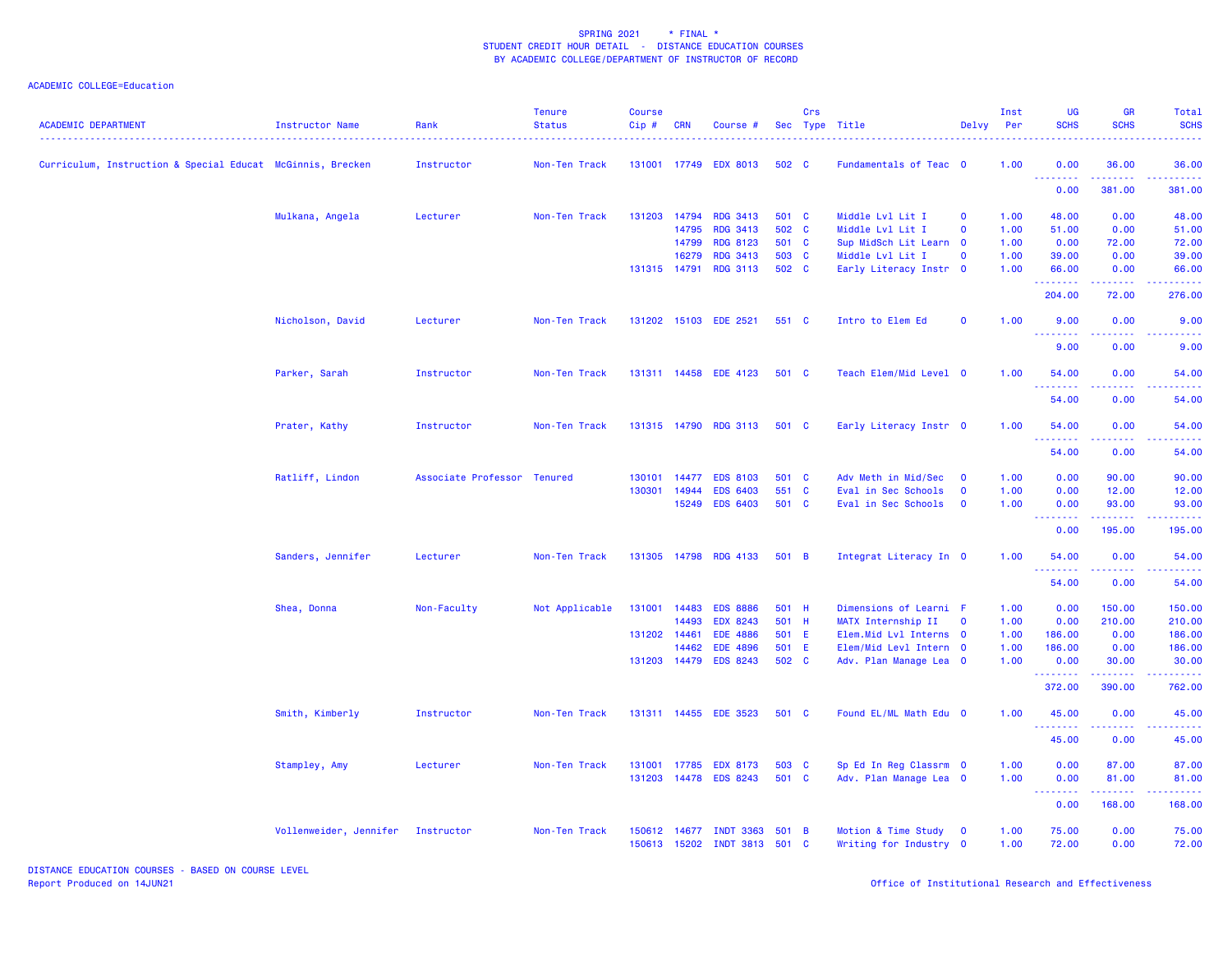## ACADEMIC COLLEGE=Education

| <b>ACADEMIC DEPARTMENT</b>                                 | Instructor Name        | Rank                        | <b>Tenure</b><br><b>Status</b> | <b>Course</b><br>Cip# | CRN   | Course #               |       | Crs | Sec Type Title          | Delvy        | Inst<br>Per | UG<br><b>SCHS</b>             | GR<br><b>SCHS</b>                                                                                                                 | Total<br><b>SCHS</b>                                                                                                              |
|------------------------------------------------------------|------------------------|-----------------------------|--------------------------------|-----------------------|-------|------------------------|-------|-----|-------------------------|--------------|-------------|-------------------------------|-----------------------------------------------------------------------------------------------------------------------------------|-----------------------------------------------------------------------------------------------------------------------------------|
| Curriculum, Instruction & Special Educat McGinnis, Brecken |                        | Instructor                  | Non-Ten Track                  |                       |       | 131001 17749 EDX 8013  | 502 C |     | Fundamentals of Teac 0  |              | 1.00        | 0.00<br><u> - - - - - - -</u> | 36.00                                                                                                                             | 36.00                                                                                                                             |
|                                                            |                        |                             |                                |                       |       |                        |       |     |                         |              |             | 0.00                          | 381.00                                                                                                                            | 381.00                                                                                                                            |
|                                                            | Mulkana, Angela        | Lecturer                    | Non-Ten Track                  | 131203 14794          |       | <b>RDG 3413</b>        | 501 C |     | Middle Lvl Lit I        | $\mathbf 0$  | 1.00        | 48.00                         | 0.00                                                                                                                              | 48.00                                                                                                                             |
|                                                            |                        |                             |                                |                       | 14795 | <b>RDG 3413</b>        | 502 C |     | Middle Lvl Lit I        | $\mathbf 0$  | 1.00        | 51.00                         | 0.00                                                                                                                              | 51.00                                                                                                                             |
|                                                            |                        |                             |                                |                       | 14799 | <b>RDG 8123</b>        | 501 C |     | Sup MidSch Lit Learn 0  |              | 1.00        | 0.00                          | 72.00                                                                                                                             | 72.00                                                                                                                             |
|                                                            |                        |                             |                                |                       | 16279 | <b>RDG 3413</b>        | 503 C |     | Middle Lvl Lit I        | $\mathbf 0$  | 1.00        | 39.00                         | 0.00                                                                                                                              | 39.00                                                                                                                             |
|                                                            |                        |                             |                                | 131315 14791          |       | <b>RDG 3113</b>        | 502 C |     | Early Literacy Instr 0  |              | 1.00        | 66.00<br>.                    | 0.00<br>$\frac{1}{2} \left( \frac{1}{2} \right) \left( \frac{1}{2} \right) \left( \frac{1}{2} \right) \left( \frac{1}{2} \right)$ | 66.00<br>.                                                                                                                        |
|                                                            |                        |                             |                                |                       |       |                        |       |     |                         |              |             | 204.00                        | 72.00                                                                                                                             | 276.00                                                                                                                            |
|                                                            | Nicholson, David       | Lecturer                    | Non-Ten Track                  |                       |       | 131202 15103 EDE 2521  | 551 C |     | Intro to Elem Ed        | $\mathbf 0$  | 1.00        | 9.00<br>.                     | 0.00<br>.                                                                                                                         | 9.00<br>$\frac{1}{2} \left( \frac{1}{2} \right) \left( \frac{1}{2} \right) \left( \frac{1}{2} \right) \left( \frac{1}{2} \right)$ |
|                                                            |                        |                             |                                |                       |       |                        |       |     |                         |              |             | 9.00                          | 0.00                                                                                                                              | 9.00                                                                                                                              |
|                                                            | Parker, Sarah          | Instructor                  | Non-Ten Track                  |                       |       | 131311 14458 EDE 4123  | 501 C |     | Teach Elem/Mid Level 0  |              | 1.00        | 54.00<br><u>.</u>             | 0.00                                                                                                                              | 54.00                                                                                                                             |
|                                                            |                        |                             |                                |                       |       |                        |       |     |                         |              |             | 54.00                         | 0.00                                                                                                                              | 54.00                                                                                                                             |
|                                                            | Prater, Kathy          | Instructor                  | Non-Ten Track                  |                       |       | 131315 14790 RDG 3113  | 501 C |     | Early Literacy Instr 0  |              | 1.00        | 54.00<br>.                    | 0.00                                                                                                                              | 54.00                                                                                                                             |
|                                                            |                        |                             |                                |                       |       |                        |       |     |                         |              |             | 54.00                         | 0.00                                                                                                                              | 54.00                                                                                                                             |
|                                                            | Ratliff, Lindon        | Associate Professor Tenured |                                | 130101                | 14477 | <b>EDS 8103</b>        | 501 C |     | Adv Meth in Mid/Sec     | $\mathbf{0}$ | 1.00        | 0.00                          | 90.00                                                                                                                             | 90.00                                                                                                                             |
|                                                            |                        |                             |                                | 130301                | 14944 | <b>EDS 6403</b>        | 551 C |     | Eval in Sec Schools     | $\mathbf 0$  | 1.00        | 0.00                          | 12.00                                                                                                                             | 12.00                                                                                                                             |
|                                                            |                        |                             |                                |                       |       | 15249 EDS 6403         | 501 C |     | Eval in Sec Schools     | $\mathbf 0$  | 1.00        | 0.00<br>.                     | 93.00                                                                                                                             | 93.00                                                                                                                             |
|                                                            |                        |                             |                                |                       |       |                        |       |     |                         |              |             | 0.00                          | 195.00                                                                                                                            | 195.00                                                                                                                            |
|                                                            | Sanders, Jennifer      | Lecturer                    | Non-Ten Track                  |                       |       | 131305 14798 RDG 4133  | 501 B |     | Integrat Literacy In 0  |              | 1.00        | 54.00<br>.                    | 0.00<br>$\frac{1}{2} \left( \frac{1}{2} \right) \left( \frac{1}{2} \right) \left( \frac{1}{2} \right) \left( \frac{1}{2} \right)$ | 54.00<br>.                                                                                                                        |
|                                                            |                        |                             |                                |                       |       |                        |       |     |                         |              |             | 54.00                         | 0.00                                                                                                                              | 54.00                                                                                                                             |
|                                                            | Shea, Donna            | Non-Faculty                 | Not Applicable                 | 131001 14483          |       | <b>EDS 8886</b>        | 501 H |     | Dimensions of Learni F  |              | 1.00        | 0.00                          | 150.00                                                                                                                            | 150.00                                                                                                                            |
|                                                            |                        |                             |                                |                       | 14493 | <b>EDX 8243</b>        | 501 H |     | MATX Internship II      | $\mathbf 0$  | 1.00        | 0.00                          | 210.00                                                                                                                            | 210.00                                                                                                                            |
|                                                            |                        |                             |                                | 131202 14461          |       | <b>EDE 4886</b>        | 501 E |     | Elem. Mid Lvl Interns 0 |              | 1.00        | 186.00                        | 0.00                                                                                                                              | 186.00                                                                                                                            |
|                                                            |                        |                             |                                |                       | 14462 | <b>EDE 4896</b>        | 501 E |     | Elem/Mid Levl Intern 0  |              | 1.00        | 186.00                        | 0.00                                                                                                                              | 186.00                                                                                                                            |
|                                                            |                        |                             |                                | 131203 14479          |       | <b>EDS 8243</b>        | 502 C |     | Adv. Plan Manage Lea 0  |              | 1.00        | 0.00<br>.                     | 30.00<br>.                                                                                                                        | 30.00<br>.                                                                                                                        |
|                                                            |                        |                             |                                |                       |       |                        |       |     |                         |              |             | 372.00                        | 390.00                                                                                                                            | 762.00                                                                                                                            |
|                                                            | Smith, Kimberly        | Instructor                  | Non-Ten Track                  |                       |       | 131311 14455 EDE 3523  | 501 C |     | Found EL/ML Math Edu 0  |              | 1.00        | 45.00<br>.                    | 0.00<br>.                                                                                                                         | 45.00                                                                                                                             |
|                                                            |                        |                             |                                |                       |       |                        |       |     |                         |              |             | 45.00                         | 0.00                                                                                                                              | 45.00                                                                                                                             |
|                                                            | Stampley, Amy          | Lecturer                    | Non-Ten Track                  | 131001                | 17785 | <b>EDX 8173</b>        | 503 C |     | Sp Ed In Reg Classrm 0  |              | 1.00        | 0.00                          | 87.00                                                                                                                             | 87.00                                                                                                                             |
|                                                            |                        |                             |                                |                       |       | 131203 14478 EDS 8243  | 501 C |     | Adv. Plan Manage Lea 0  |              | 1.00        | 0.00                          | 81.00                                                                                                                             | 81.00                                                                                                                             |
|                                                            |                        |                             |                                |                       |       |                        |       |     |                         |              |             | .<br>0.00                     | 168.00                                                                                                                            | 168.00                                                                                                                            |
|                                                            | Vollenweider, Jennifer | Instructor                  | Non-Ten Track                  |                       |       | 150612 14677 INDT 3363 | 501 B |     | Motion & Time Study     | $\mathbf 0$  | 1.00        | 75.00                         | 0.00                                                                                                                              | 75.00                                                                                                                             |
|                                                            |                        |                             |                                | 150613 15202          |       | INDT 3813 501 C        |       |     | Writing for Industry 0  |              | 1.00        | 72.00                         | 0.00                                                                                                                              | 72.00                                                                                                                             |

DISTANCE EDUCATION COURSES - BASED ON COURSE LEVELReport Produced on 14JUN21 Office of Institutional Research and Effectiveness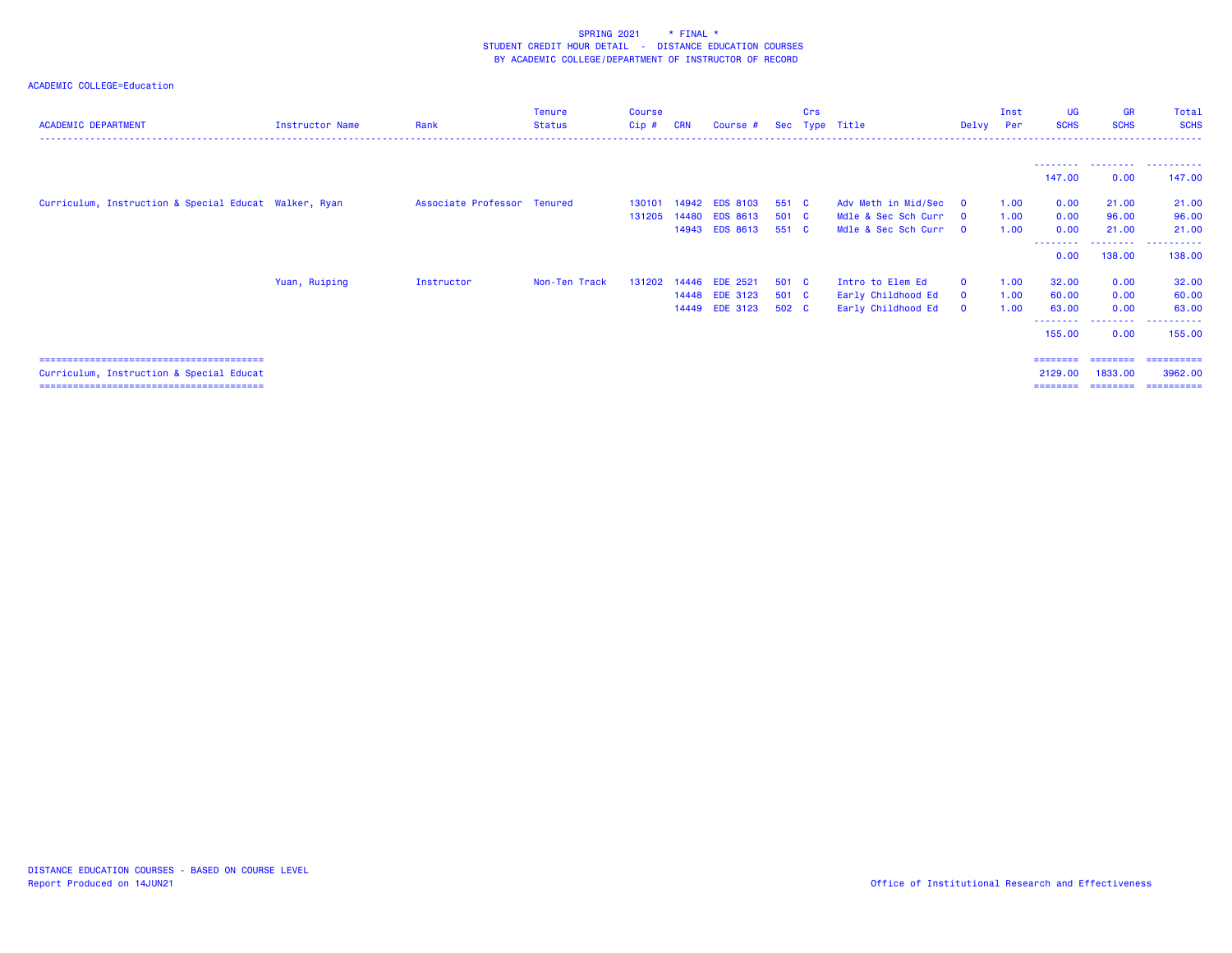| <b>ACADEMIC DEPARTMENT</b>                            | Instructor Name | Rank                        | <b>Tenure</b><br><b>Status</b> | Course<br>Cip# | <b>CRN</b> | Course #        | Sec   | Crs<br>Type | Title               | Delvy                   | Inst<br>Per | UG<br><b>SCHS</b>   | <b>GR</b><br><b>SCHS</b> | Total<br><b>SCHS</b> |
|-------------------------------------------------------|-----------------|-----------------------------|--------------------------------|----------------|------------|-----------------|-------|-------------|---------------------|-------------------------|-------------|---------------------|--------------------------|----------------------|
|                                                       |                 |                             |                                |                |            |                 |       |             |                     |                         |             |                     |                          |                      |
|                                                       |                 |                             |                                |                |            |                 |       |             |                     |                         |             | ---------<br>147.00 | .<br>0.00                | .<br>147.00          |
| Curriculum, Instruction & Special Educat Walker, Ryan |                 | Associate Professor Tenured |                                | 130101         | 14942      | <b>EDS 8103</b> | 551 C |             | Adv Meth in Mid/Sec | $\overline{\mathbf{0}}$ | 1.00        | 0.00                | 21.00                    | 21.00                |
|                                                       |                 |                             |                                | 131205         | 14480      | <b>EDS 8613</b> | 501 C |             | Mdle & Sec Sch Curr | $\Omega$                | 1.00        | 0.00                | 96.00                    | 96.00                |
|                                                       |                 |                             |                                |                |            | 14943 EDS 8613  | 551 C |             | Mdle & Sec Sch Curr | $\Omega$                | 1.00        | 0.00                | 21.00                    | 21.00                |
|                                                       |                 |                             |                                |                |            |                 |       |             |                     |                         |             | --------<br>0.00    | ---------<br>138.00      | .<br>138.00          |
|                                                       | Yuan, Ruiping   | Instructor                  | Non-Ten Track                  | 131202         | 14446      | <b>EDE 2521</b> | 501 C |             | Intro to Elem Ed    | $\Omega$                | 1.00        | 32.00               | 0.00                     | 32.00                |
|                                                       |                 |                             |                                |                |            | 14448 EDE 3123  | 501 C |             | Early Childhood Ed  | $\mathbf{0}$            | 1.00        | 60.00               | 0.00                     | 60.00                |
|                                                       |                 |                             |                                |                |            | 14449 EDE 3123  | 502 C |             | Early Childhood Ed  | $\mathbf{0}$            | 1.00        | 63.00               | 0.00                     | 63.00                |
|                                                       |                 |                             |                                |                |            |                 |       |             |                     |                         |             | --------<br>155.00  | .<br>0.00                | 155.00               |
|                                                       |                 |                             |                                |                |            |                 |       |             |                     |                         |             | ========            | ========                 | ==========           |
| Curriculum, Instruction & Special Educat              |                 |                             |                                |                |            |                 |       |             |                     |                         |             | 2129,00             | 1833.00                  | 3962.00              |
|                                                       |                 |                             |                                |                |            |                 |       |             |                     |                         |             | ========            | ---------                | ==========           |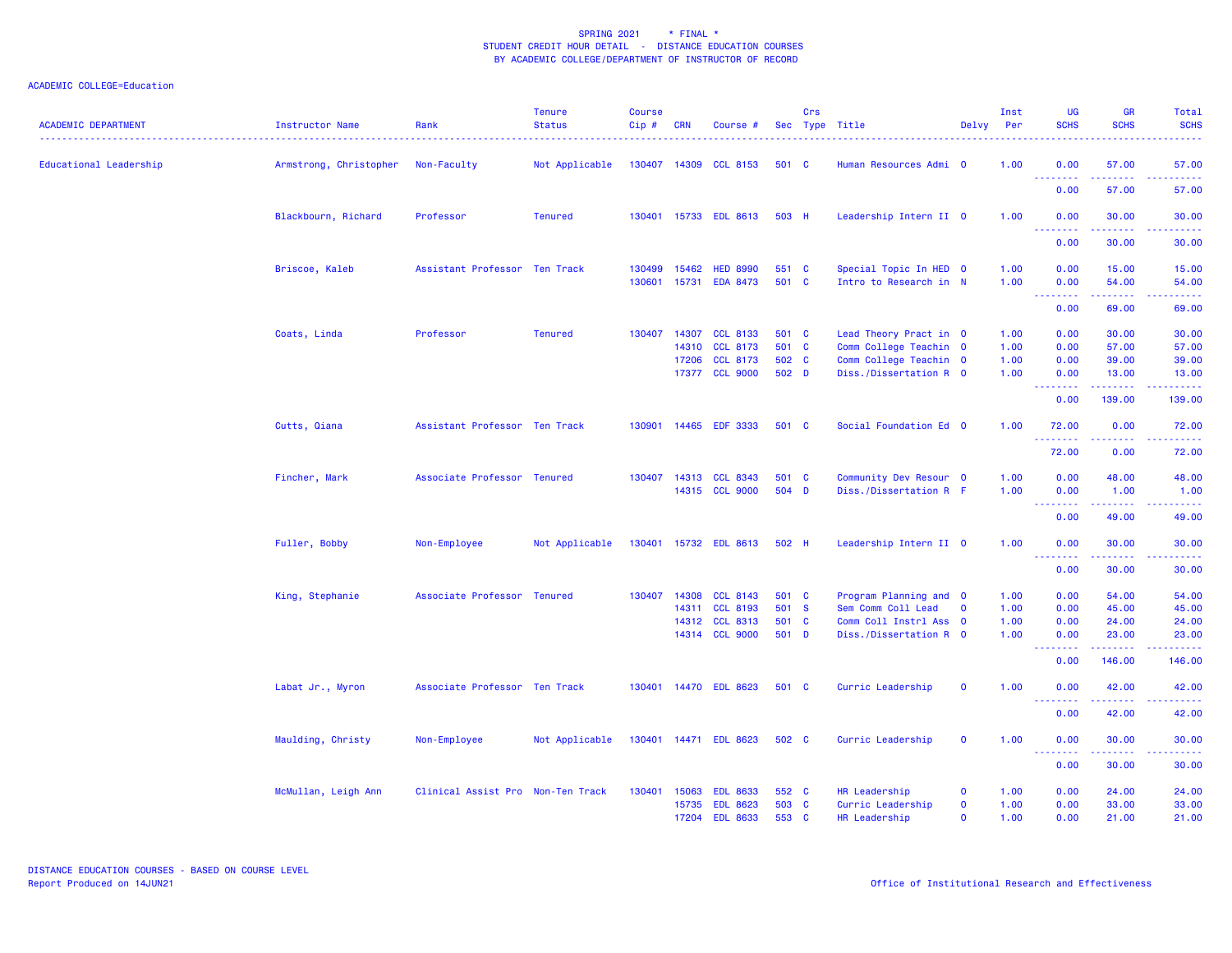| <b>ACADEMIC DEPARTMENT</b> | Instructor Name        | Rank<br>.                         | <b>Tenure</b><br><b>Status</b><br><u>.</u> | <b>Course</b><br>Cip# | <b>CRN</b> | Course #                          |                | Crs | Sec Type Title                                   | Delvy Per    | Inst         | <b>UG</b><br><b>SCHS</b>                             | <b>GR</b><br><b>SCHS</b>                                                                                                                                     | Total<br><b>SCHS</b><br>. |
|----------------------------|------------------------|-----------------------------------|--------------------------------------------|-----------------------|------------|-----------------------------------|----------------|-----|--------------------------------------------------|--------------|--------------|------------------------------------------------------|--------------------------------------------------------------------------------------------------------------------------------------------------------------|---------------------------|
| Educational Leadership     | Armstrong, Christopher | Non-Faculty                       | Not Applicable                             |                       |            | 130407 14309 CCL 8153             | 501 C          |     | Human Resources Admi 0                           |              | 1.00         | 0.00<br><u>.</u>                                     | 57.00<br>.                                                                                                                                                   | 57.00<br>.                |
|                            |                        |                                   |                                            |                       |            |                                   |                |     |                                                  |              |              | 0.00                                                 | 57.00                                                                                                                                                        | 57.00                     |
|                            | Blackbourn, Richard    | Professor                         | <b>Tenured</b>                             |                       |            | 130401 15733 EDL 8613             | 503 H          |     | Leadership Intern II 0                           |              | 1.00         | 0.00<br><u> - - - - - - - -</u>                      | 30.00                                                                                                                                                        | 30.00                     |
|                            |                        |                                   |                                            |                       |            |                                   |                |     |                                                  |              |              | 0.00                                                 | 30.00                                                                                                                                                        | 30.00                     |
|                            | Briscoe, Kaleb         | Assistant Professor Ten Track     |                                            | 130499                | 15462      | <b>HED 8990</b>                   | 551 C          |     | Special Topic In HED 0                           |              | 1.00         | 0.00                                                 | 15.00                                                                                                                                                        | 15.00                     |
|                            |                        |                                   |                                            | 130601                | 15731      | <b>EDA 8473</b>                   | 501 C          |     | Intro to Research in N                           |              | 1.00         | 0.00<br><b><i><u><u> - - - - - - - -</u></u></i></b> | 54.00<br>.                                                                                                                                                   | 54.00<br><u>.</u>         |
|                            |                        |                                   |                                            |                       |            |                                   |                |     |                                                  |              |              | 0.00                                                 | 69.00                                                                                                                                                        | 69.00                     |
|                            | Coats, Linda           | Professor                         | <b>Tenured</b>                             | 130407                | 14307      | <b>CCL 8133</b><br>14310 CCL 8173 | 501 C<br>501 C |     | Lead Theory Pract in 0<br>Comm College Teachin 0 |              | 1.00<br>1.00 | 0.00<br>0.00                                         | 30.00<br>57.00                                                                                                                                               | 30.00<br>57.00            |
|                            |                        |                                   |                                            |                       | 17206      | <b>CCL 8173</b>                   | 502 C          |     | Comm College Teachin 0                           |              | 1.00         | 0.00                                                 | 39.00                                                                                                                                                        | 39.00                     |
|                            |                        |                                   |                                            |                       |            | 17377 CCL 9000                    | 502 D          |     | Diss./Dissertation R 0                           |              | 1.00         | 0.00                                                 | 13.00                                                                                                                                                        | 13.00                     |
|                            |                        |                                   |                                            |                       |            |                                   |                |     |                                                  |              |              | <u> - - - - - - - -</u><br>0.00                      | 139.00                                                                                                                                                       | .<br>139.00               |
|                            | Cutts, Qiana           | Assistant Professor Ten Track     |                                            | 130901                |            | 14465 EDF 3333                    | 501 C          |     | Social Foundation Ed 0                           |              | 1.00         | 72.00                                                | 0.00                                                                                                                                                         | 72.00                     |
|                            |                        |                                   |                                            |                       |            |                                   |                |     |                                                  |              |              | 72.00                                                | $\frac{1}{2} \left( \frac{1}{2} \right) \left( \frac{1}{2} \right) \left( \frac{1}{2} \right) \left( \frac{1}{2} \right) \left( \frac{1}{2} \right)$<br>0.00 | .<br>72.00                |
|                            | Fincher, Mark          | Associate Professor Tenured       |                                            |                       |            | 130407 14313 CCL 8343             | 501 C          |     | Community Dev Resour 0                           |              | 1.00         | 0.00                                                 | 48.00                                                                                                                                                        | 48.00                     |
|                            |                        |                                   |                                            |                       |            | 14315 CCL 9000                    | 504 D          |     | Diss./Dissertation R F                           |              | 1.00         | 0.00                                                 | 1.00                                                                                                                                                         | 1.00                      |
|                            |                        |                                   |                                            |                       |            |                                   |                |     |                                                  |              |              | 0.00                                                 | 49.00                                                                                                                                                        | 49.00                     |
|                            | Fuller, Bobby          | Non-Employee                      | Not Applicable                             |                       |            | 130401 15732 EDL 8613             | 502 H          |     | Leadership Intern II 0                           |              | 1.00         | 0.00<br><u>.</u>                                     | 30.00                                                                                                                                                        | 30.00<br>.                |
|                            |                        |                                   |                                            |                       |            |                                   |                |     |                                                  |              |              | 0.00                                                 | 30.00                                                                                                                                                        | 30.00                     |
|                            | King, Stephanie        | Associate Professor Tenured       |                                            | 130407 14308          |            | <b>CCL 8143</b>                   | 501 C          |     | Program Planning and 0                           |              | 1.00         | 0.00                                                 | 54.00                                                                                                                                                        | 54.00                     |
|                            |                        |                                   |                                            |                       |            | 14311 CCL 8193                    | 501 S          |     | Sem Comm Coll Lead                               | $\mathbf 0$  | 1.00         | 0.00                                                 | 45.00                                                                                                                                                        | 45.00                     |
|                            |                        |                                   |                                            |                       | 14312      | <b>CCL 8313</b>                   | 501 C          |     | Comm Coll Instrl Ass 0                           |              | 1.00         | 0.00                                                 | 24.00                                                                                                                                                        | 24.00                     |
|                            |                        |                                   |                                            |                       |            | 14314 CCL 9000                    | 501 D          |     | Diss./Dissertation R 0                           |              | 1.00         | 0.00<br><b><i><u><u> - - - - - - -</u></u></i></b>   | 23.00<br><b><i><u>AAAAAA</u></i></b>                                                                                                                         | 23.00<br>.                |
|                            |                        |                                   |                                            |                       |            |                                   |                |     |                                                  |              |              | 0.00                                                 | 146.00                                                                                                                                                       | 146.00                    |
|                            | Labat Jr., Myron       | Associate Professor Ten Track     |                                            |                       |            | 130401 14470 EDL 8623             | 501 C          |     | Curric Leadership                                | $\mathbf 0$  | 1.00         | 0.00<br><b><i><u>AAAAAAAA</u></i></b>                | 42.00<br><u>.</u>                                                                                                                                            | 42.00<br>.                |
|                            |                        |                                   |                                            |                       |            |                                   |                |     |                                                  |              |              | 0.00                                                 | 42.00                                                                                                                                                        | 42.00                     |
|                            | Maulding, Christy      | Non-Employee                      | Not Applicable                             |                       |            | 130401 14471 EDL 8623             | 502 C          |     | Curric Leadership                                | $\mathbf 0$  | 1.00         | 0.00                                                 | 30.00                                                                                                                                                        | 30.00                     |
|                            |                        |                                   |                                            |                       |            |                                   |                |     |                                                  |              |              | <b><i><u>AAAAAAA</u></i></b><br>0.00                 | 30.00                                                                                                                                                        | 30.00                     |
|                            | McMullan, Leigh Ann    | Clinical Assist Pro Non-Ten Track |                                            | 130401                | 15063      | <b>EDL 8633</b>                   | 552 C          |     | HR Leadership                                    | $\mathbf 0$  | 1.00         | 0.00                                                 | 24.00                                                                                                                                                        | 24.00                     |
|                            |                        |                                   |                                            |                       | 15735      | <b>EDL 8623</b>                   | 503 C          |     | Curric Leadership                                | $\mathbf 0$  | 1.00         | 0.00                                                 | 33.00                                                                                                                                                        | 33.00                     |
|                            |                        |                                   |                                            |                       |            | 17204 EDL 8633                    | 553 C          |     | HR Leadership                                    | $\mathbf{O}$ | 1.00         | 0.00                                                 | 21.00                                                                                                                                                        | 21.00                     |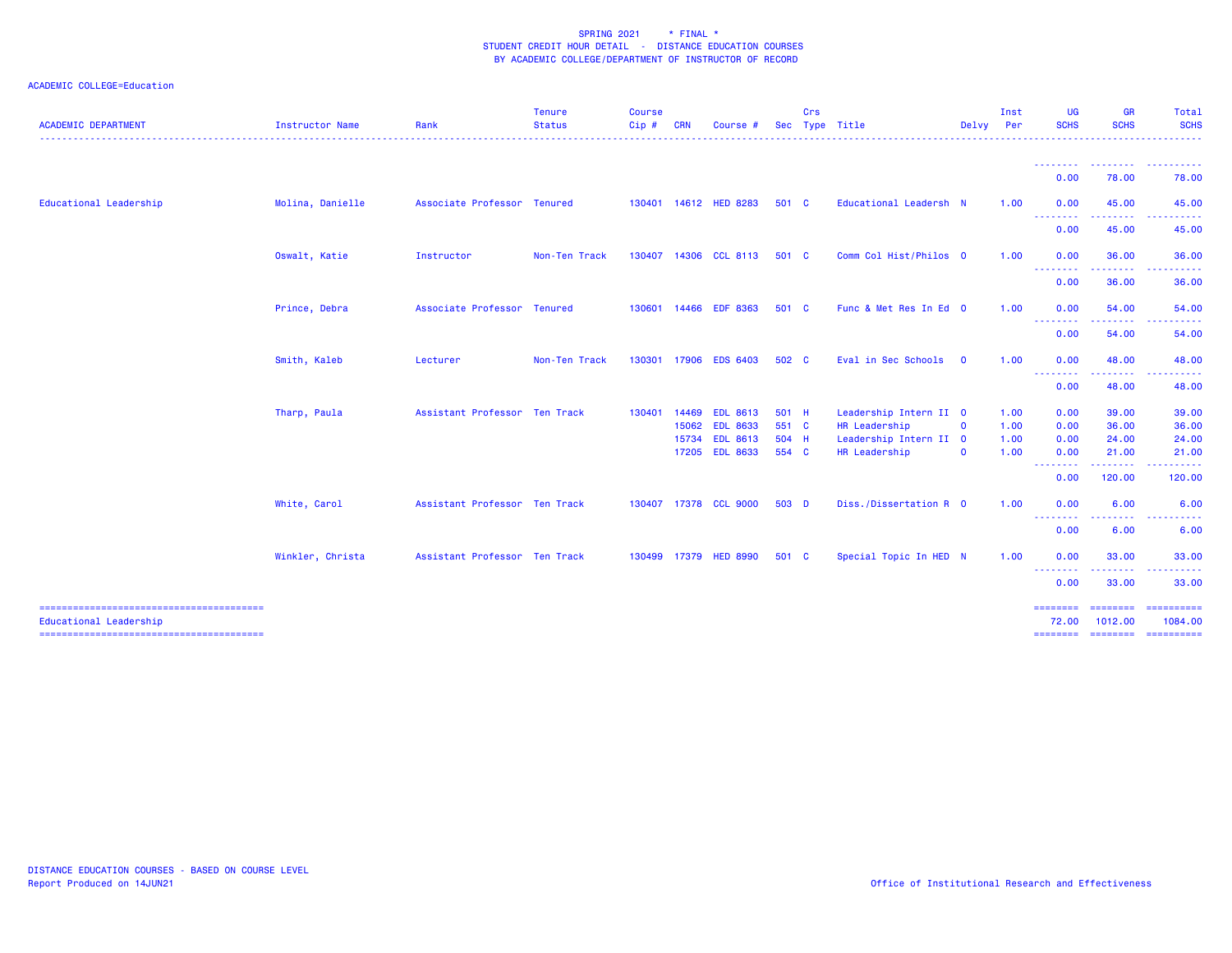| <b>ACADEMIC DEPARTMENT</b> | <b>Instructor Name</b> | Rank                          | <b>Tenure</b><br><b>Status</b> | <b>Course</b><br>Cip# | <b>CRN</b> | Course #              | <b>Sec</b> | Crs | Type Title             | Delvy Per   | Inst | <b>UG</b><br><b>SCHS</b>                         | <b>GR</b><br><b>SCHS</b> | <b>Total</b><br><b>SCHS</b> |
|----------------------------|------------------------|-------------------------------|--------------------------------|-----------------------|------------|-----------------------|------------|-----|------------------------|-------------|------|--------------------------------------------------|--------------------------|-----------------------------|
|                            |                        |                               |                                |                       |            |                       |            |     |                        |             |      |                                                  |                          |                             |
|                            |                        |                               |                                |                       |            |                       |            |     |                        |             |      | 0.00                                             | .<br>78.00               | .<br>78.00                  |
| Educational Leadership     | Molina, Danielle       | Associate Professor Tenured   |                                |                       |            | 130401 14612 HED 8283 | 501 C      |     | Educational Leadersh N |             | 1.00 | 0.00<br><b></b>                                  | 45.00<br>.               | 45.00                       |
|                            |                        |                               |                                |                       |            |                       |            |     |                        |             |      | 0.00                                             | 45.00                    | 45.00                       |
|                            | Oswalt, Katie          | Instructor                    | Non-Ten Track                  | 130407                |            | 14306 CCL 8113        | 501 C      |     | Comm Col Hist/Philos 0 |             | 1.00 | 0.00<br>--------                                 | 36.00<br>-------         | 36.00<br>.                  |
|                            |                        |                               |                                |                       |            |                       |            |     |                        |             |      | 0.00                                             | 36.00                    | 36.00                       |
|                            | Prince, Debra          | Associate Professor Tenured   |                                | 130601                |            | 14466 EDF 8363        | 501 C      |     | Func & Met Res In Ed 0 |             | 1.00 | 0.00<br><b><i><u><u> Liston List</u></u></i></b> | 54.00<br><u>.</u>        | 54.00<br><u>.</u>           |
|                            |                        |                               |                                |                       |            |                       |            |     |                        |             |      | 0.00                                             | 54.00                    | 54.00                       |
|                            | Smith, Kaleb           | Lecturer                      | Non-Ten Track                  | 130301                |            | 17906 EDS 6403        | 502 C      |     | Eval in Sec Schools    | $\mathbf 0$ | 1.00 | 0.00<br><b></b>                                  | 48.00                    | 48.00                       |
|                            |                        |                               |                                |                       |            |                       |            |     |                        |             |      | 0.00                                             | 48.00                    | 48.00                       |
|                            | Tharp, Paula           | Assistant Professor Ten Track |                                | 130401                | 14469      | <b>EDL 8613</b>       | 501 H      |     | Leadership Intern II 0 |             | 1.00 | 0.00                                             | 39.00                    | 39.00                       |
|                            |                        |                               |                                |                       |            | 15062 EDL 8633        | 551 C      |     | HR Leadership          | $\mathbf 0$ | 1.00 | 0.00                                             | 36.00                    | 36.00                       |
|                            |                        |                               |                                |                       | 15734      | <b>EDL 8613</b>       | 504 H      |     | Leadership Intern II 0 |             | 1.00 | 0.00                                             | 24.00                    | 24.00                       |
|                            |                        |                               |                                |                       |            | 17205 EDL 8633        | 554 C      |     | HR Leadership          | $\mathbf 0$ | 1.00 | 0.00<br><b></b>                                  | 21.00<br>.               | 21,00<br>.                  |
|                            |                        |                               |                                |                       |            |                       |            |     |                        |             |      | 0.00                                             | 120.00                   | 120.00                      |
|                            | White, Carol           | Assistant Professor Ten Track |                                |                       |            | 130407 17378 CCL 9000 | 503 D      |     | Diss./Dissertation R 0 |             | 1.00 | 0.00                                             | 6.00                     | 6.00                        |
|                            |                        |                               |                                |                       |            |                       |            |     |                        |             |      | 0.00                                             | 6.00                     | 6.00                        |
|                            | Winkler, Christa       | Assistant Professor Ten Track |                                |                       |            | 130499 17379 HED 8990 | 501 C      |     | Special Topic In HED N |             | 1.00 | 0.00<br>- - - - - - - -                          | 33.00                    | 33.00                       |
|                            |                        |                               |                                |                       |            |                       |            |     |                        |             |      | 0.00                                             | 33.00                    | 33,00                       |
| Educational Leadership     |                        |                               |                                |                       |            |                       |            |     |                        |             |      | 72.00                                            | ---------<br>1012.00     | - ==========<br>1084.00     |
|                            |                        |                               |                                |                       |            |                       |            |     |                        |             |      |                                                  |                          |                             |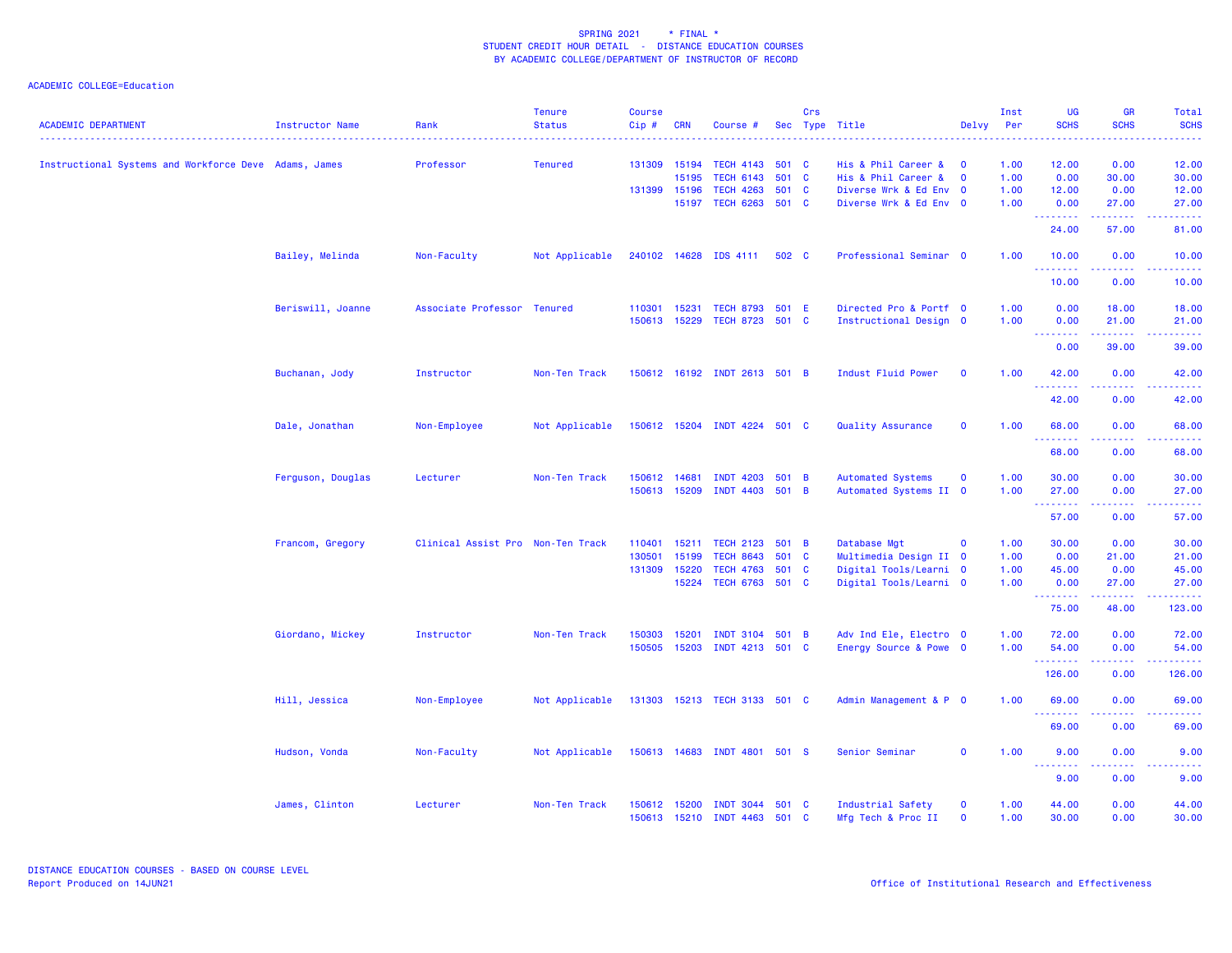| Instructional Systems and Workforce Deve Adams, James<br>Professor<br><b>Tenured</b><br>131309<br><b>TECH 4143</b><br>501 C<br>His & Phil Career &<br>1.00<br>12.00<br>0.00<br>15194<br>$\mathbf{0}$<br><b>TECH 6143</b><br>501 C<br>1.00<br>0.00<br>30.00<br>15195<br>His & Phil Career &<br>$\overline{\mathbf{0}}$<br><b>TECH 4263</b><br>501 C<br>Diverse Wrk & Ed Env 0<br>1.00<br>131399 15196<br>12.00<br>0.00<br>15197<br>TECH 6263 501 C<br>Diverse Wrk & Ed Env 0<br>1.00<br>27.00<br>0.00<br>.<br>.<br>24.00<br>57.00<br>Bailey, Melinda<br>Non-Faculty<br>Not Applicable<br>240102 14628 IDS 4111<br>502 C<br>Professional Seminar 0<br>1.00<br>10.00<br>0.00<br>.<br>.<br>.<br>10.00<br>0.00<br>15231<br>TECH 8793 501 E<br>Directed Pro & Portf 0<br>1.00<br>Beriswill, Joanne<br>Associate Professor Tenured<br>110301<br>0.00<br>18.00<br>150613 15229<br>TECH 8723 501 C<br>Instructional Design 0<br>1.00<br>0.00<br>21.00<br>.<br>.<br>.<br>0.00<br>39.00<br>Indust Fluid Power<br>Buchanan, Jody<br>Instructor<br>Non-Ten Track<br>150612 16192 INDT 2613 501 B<br>$\overline{\mathbf{0}}$<br>1.00<br>42.00<br>0.00<br>.<br>.<br>42.00<br>0.00<br>Dale, Jonathan<br>Non-Employee<br>Not Applicable<br>150612 15204 INDT 4224 501 C<br>Quality Assurance<br>$\mathbf 0$<br>1.00<br>68.00<br>0.00<br>$\sim$ $\sim$ $\sim$ $\sim$<br>68.00<br>0.00<br>Ferguson, Douglas<br>Non-Ten Track<br><b>Automated Systems</b><br>$\mathbf{o}$<br>1.00<br>30.00<br>0.00<br>Lecturer<br>150612<br>14681<br>INDT 4203 501 B<br>15209<br>INDT 4403 501 B<br>Automated Systems II 0<br>1.00<br>150613<br>27.00<br>0.00<br>.<br>$\frac{1}{2} \left( \frac{1}{2} \right) \left( \frac{1}{2} \right) \left( \frac{1}{2} \right) \left( \frac{1}{2} \right)$<br>57.00<br>0.00<br>Francom, Gregory<br>Clinical Assist Pro Non-Ten Track<br>15211<br>TECH 2123 501 B<br>Database Mgt<br>1.00<br>30.00<br>110401<br>$\mathbf 0$<br>0.00<br>130501<br>15199<br><b>TECH 8643</b><br>501<br>Multimedia Design II 0<br>$\mathbf{C}$<br>1.00<br>0.00<br>21.00<br>131309<br>15220<br><b>TECH 4763</b><br>501 C<br>Digital Tools/Learni 0<br>1.00<br>45.00<br>0.00<br>15224<br>TECH 6763 501 C<br>1.00<br>Digital Tools/Learni 0<br>0.00<br>27.00<br>.<br>المستمرين<br>.<br>75.00<br>48.00<br>Giordano, Mickey<br>150303<br>15201<br>INDT 3104 501 B<br>Adv Ind Ele, Electro 0<br>1.00<br>72.00<br>Instructor<br>Non-Ten Track<br>0.00<br>150505<br>15203<br>INDT 4213 501 C<br>Energy Source & Powe 0<br>1.00<br>54.00<br>0.00<br>.<br>.<br>.<br>126.00<br>0.00<br>Hill, Jessica<br>Non-Employee<br>Not Applicable<br>131303<br>15213 TECH 3133 501 C<br>Admin Management & P 0<br>1.00<br>69.00<br>0.00<br>.<br>$  -$<br>.<br>69.00<br>0.00<br>Not Applicable<br>150613 14683 INDT 4801 501 S<br>$\mathbf 0$<br>1.00<br>Hudson, Vonda<br>Non-Faculty<br>Senior Seminar<br>9.00<br>0.00<br>.<br>.<br>.<br>9.00<br>0.00<br>James, Clinton<br>$\mathbf{o}$<br>1.00<br>Lecturer<br>Non-Ten Track<br>150612<br>15200<br>INDT 3044 501 C<br>Industrial Safety<br>44.00<br>0.00<br>150613 15210 INDT 4463 501 C | <b>ACADEMIC DEPARTMENT</b> | Instructor Name | Rank<br>. | <b>Tenure</b><br><b>Status</b> | <b>Course</b><br>Cip# | <b>CRN</b> | Course # | Crs | Sec Type Title<br>. <u>.</u> | Delvy       | Inst<br>Per<br>$\frac{1}{2} \left( \frac{1}{2} \right) \left( \frac{1}{2} \right) \left( \frac{1}{2} \right)$ | <b>UG</b><br><b>SCHS</b> | <b>GR</b><br><b>SCHS</b> | Total<br><b>SCHS</b><br>$\frac{1}{2} \left( \frac{1}{2} \right) \left( \frac{1}{2} \right) \left( \frac{1}{2} \right) \left( \frac{1}{2} \right) \left( \frac{1}{2} \right)$ |
|-------------------------------------------------------------------------------------------------------------------------------------------------------------------------------------------------------------------------------------------------------------------------------------------------------------------------------------------------------------------------------------------------------------------------------------------------------------------------------------------------------------------------------------------------------------------------------------------------------------------------------------------------------------------------------------------------------------------------------------------------------------------------------------------------------------------------------------------------------------------------------------------------------------------------------------------------------------------------------------------------------------------------------------------------------------------------------------------------------------------------------------------------------------------------------------------------------------------------------------------------------------------------------------------------------------------------------------------------------------------------------------------------------------------------------------------------------------------------------------------------------------------------------------------------------------------------------------------------------------------------------------------------------------------------------------------------------------------------------------------------------------------------------------------------------------------------------------------------------------------------------------------------------------------------------------------------------------------------------------------------------------------------------------------------------------------------------------------------------------------------------------------------------------------------------------------------------------------------------------------------------------------------------------------------------------------------------------------------------------------------------------------------------------------------------------------------------------------------------------------------------------------------------------------------------------------------------------------------------------------------------------------------------------------------------------------------------------------------------------------------------------------------------------------------------------------------------------------------------------------------------------------------------------------------------------------------------------------------------------------------------------------------------------------------------------------------------------------------|----------------------------|-----------------|-----------|--------------------------------|-----------------------|------------|----------|-----|------------------------------|-------------|---------------------------------------------------------------------------------------------------------------|--------------------------|--------------------------|------------------------------------------------------------------------------------------------------------------------------------------------------------------------------|
|                                                                                                                                                                                                                                                                                                                                                                                                                                                                                                                                                                                                                                                                                                                                                                                                                                                                                                                                                                                                                                                                                                                                                                                                                                                                                                                                                                                                                                                                                                                                                                                                                                                                                                                                                                                                                                                                                                                                                                                                                                                                                                                                                                                                                                                                                                                                                                                                                                                                                                                                                                                                                                                                                                                                                                                                                                                                                                                                                                                                                                                                                                 |                            |                 |           |                                |                       |            |          |     |                              |             |                                                                                                               |                          |                          | 12.00                                                                                                                                                                        |
|                                                                                                                                                                                                                                                                                                                                                                                                                                                                                                                                                                                                                                                                                                                                                                                                                                                                                                                                                                                                                                                                                                                                                                                                                                                                                                                                                                                                                                                                                                                                                                                                                                                                                                                                                                                                                                                                                                                                                                                                                                                                                                                                                                                                                                                                                                                                                                                                                                                                                                                                                                                                                                                                                                                                                                                                                                                                                                                                                                                                                                                                                                 |                            |                 |           |                                |                       |            |          |     |                              |             |                                                                                                               |                          |                          | 30.00                                                                                                                                                                        |
|                                                                                                                                                                                                                                                                                                                                                                                                                                                                                                                                                                                                                                                                                                                                                                                                                                                                                                                                                                                                                                                                                                                                                                                                                                                                                                                                                                                                                                                                                                                                                                                                                                                                                                                                                                                                                                                                                                                                                                                                                                                                                                                                                                                                                                                                                                                                                                                                                                                                                                                                                                                                                                                                                                                                                                                                                                                                                                                                                                                                                                                                                                 |                            |                 |           |                                |                       |            |          |     |                              |             |                                                                                                               |                          |                          | 12.00                                                                                                                                                                        |
|                                                                                                                                                                                                                                                                                                                                                                                                                                                                                                                                                                                                                                                                                                                                                                                                                                                                                                                                                                                                                                                                                                                                                                                                                                                                                                                                                                                                                                                                                                                                                                                                                                                                                                                                                                                                                                                                                                                                                                                                                                                                                                                                                                                                                                                                                                                                                                                                                                                                                                                                                                                                                                                                                                                                                                                                                                                                                                                                                                                                                                                                                                 |                            |                 |           |                                |                       |            |          |     |                              |             |                                                                                                               |                          |                          | 27.00                                                                                                                                                                        |
|                                                                                                                                                                                                                                                                                                                                                                                                                                                                                                                                                                                                                                                                                                                                                                                                                                                                                                                                                                                                                                                                                                                                                                                                                                                                                                                                                                                                                                                                                                                                                                                                                                                                                                                                                                                                                                                                                                                                                                                                                                                                                                                                                                                                                                                                                                                                                                                                                                                                                                                                                                                                                                                                                                                                                                                                                                                                                                                                                                                                                                                                                                 |                            |                 |           |                                |                       |            |          |     |                              |             |                                                                                                               |                          |                          | 81.00                                                                                                                                                                        |
|                                                                                                                                                                                                                                                                                                                                                                                                                                                                                                                                                                                                                                                                                                                                                                                                                                                                                                                                                                                                                                                                                                                                                                                                                                                                                                                                                                                                                                                                                                                                                                                                                                                                                                                                                                                                                                                                                                                                                                                                                                                                                                                                                                                                                                                                                                                                                                                                                                                                                                                                                                                                                                                                                                                                                                                                                                                                                                                                                                                                                                                                                                 |                            |                 |           |                                |                       |            |          |     |                              |             |                                                                                                               |                          |                          | 10.00                                                                                                                                                                        |
|                                                                                                                                                                                                                                                                                                                                                                                                                                                                                                                                                                                                                                                                                                                                                                                                                                                                                                                                                                                                                                                                                                                                                                                                                                                                                                                                                                                                                                                                                                                                                                                                                                                                                                                                                                                                                                                                                                                                                                                                                                                                                                                                                                                                                                                                                                                                                                                                                                                                                                                                                                                                                                                                                                                                                                                                                                                                                                                                                                                                                                                                                                 |                            |                 |           |                                |                       |            |          |     |                              |             |                                                                                                               |                          |                          | 10.00                                                                                                                                                                        |
|                                                                                                                                                                                                                                                                                                                                                                                                                                                                                                                                                                                                                                                                                                                                                                                                                                                                                                                                                                                                                                                                                                                                                                                                                                                                                                                                                                                                                                                                                                                                                                                                                                                                                                                                                                                                                                                                                                                                                                                                                                                                                                                                                                                                                                                                                                                                                                                                                                                                                                                                                                                                                                                                                                                                                                                                                                                                                                                                                                                                                                                                                                 |                            |                 |           |                                |                       |            |          |     |                              |             |                                                                                                               |                          |                          | 18.00                                                                                                                                                                        |
|                                                                                                                                                                                                                                                                                                                                                                                                                                                                                                                                                                                                                                                                                                                                                                                                                                                                                                                                                                                                                                                                                                                                                                                                                                                                                                                                                                                                                                                                                                                                                                                                                                                                                                                                                                                                                                                                                                                                                                                                                                                                                                                                                                                                                                                                                                                                                                                                                                                                                                                                                                                                                                                                                                                                                                                                                                                                                                                                                                                                                                                                                                 |                            |                 |           |                                |                       |            |          |     |                              |             |                                                                                                               |                          |                          | 21.00                                                                                                                                                                        |
|                                                                                                                                                                                                                                                                                                                                                                                                                                                                                                                                                                                                                                                                                                                                                                                                                                                                                                                                                                                                                                                                                                                                                                                                                                                                                                                                                                                                                                                                                                                                                                                                                                                                                                                                                                                                                                                                                                                                                                                                                                                                                                                                                                                                                                                                                                                                                                                                                                                                                                                                                                                                                                                                                                                                                                                                                                                                                                                                                                                                                                                                                                 |                            |                 |           |                                |                       |            |          |     |                              |             |                                                                                                               |                          |                          | 39.00                                                                                                                                                                        |
|                                                                                                                                                                                                                                                                                                                                                                                                                                                                                                                                                                                                                                                                                                                                                                                                                                                                                                                                                                                                                                                                                                                                                                                                                                                                                                                                                                                                                                                                                                                                                                                                                                                                                                                                                                                                                                                                                                                                                                                                                                                                                                                                                                                                                                                                                                                                                                                                                                                                                                                                                                                                                                                                                                                                                                                                                                                                                                                                                                                                                                                                                                 |                            |                 |           |                                |                       |            |          |     |                              |             |                                                                                                               |                          |                          | 42.00                                                                                                                                                                        |
|                                                                                                                                                                                                                                                                                                                                                                                                                                                                                                                                                                                                                                                                                                                                                                                                                                                                                                                                                                                                                                                                                                                                                                                                                                                                                                                                                                                                                                                                                                                                                                                                                                                                                                                                                                                                                                                                                                                                                                                                                                                                                                                                                                                                                                                                                                                                                                                                                                                                                                                                                                                                                                                                                                                                                                                                                                                                                                                                                                                                                                                                                                 |                            |                 |           |                                |                       |            |          |     |                              |             |                                                                                                               |                          |                          | 42.00                                                                                                                                                                        |
|                                                                                                                                                                                                                                                                                                                                                                                                                                                                                                                                                                                                                                                                                                                                                                                                                                                                                                                                                                                                                                                                                                                                                                                                                                                                                                                                                                                                                                                                                                                                                                                                                                                                                                                                                                                                                                                                                                                                                                                                                                                                                                                                                                                                                                                                                                                                                                                                                                                                                                                                                                                                                                                                                                                                                                                                                                                                                                                                                                                                                                                                                                 |                            |                 |           |                                |                       |            |          |     |                              |             |                                                                                                               |                          |                          | 68.00                                                                                                                                                                        |
|                                                                                                                                                                                                                                                                                                                                                                                                                                                                                                                                                                                                                                                                                                                                                                                                                                                                                                                                                                                                                                                                                                                                                                                                                                                                                                                                                                                                                                                                                                                                                                                                                                                                                                                                                                                                                                                                                                                                                                                                                                                                                                                                                                                                                                                                                                                                                                                                                                                                                                                                                                                                                                                                                                                                                                                                                                                                                                                                                                                                                                                                                                 |                            |                 |           |                                |                       |            |          |     |                              |             |                                                                                                               |                          |                          | 68.00                                                                                                                                                                        |
|                                                                                                                                                                                                                                                                                                                                                                                                                                                                                                                                                                                                                                                                                                                                                                                                                                                                                                                                                                                                                                                                                                                                                                                                                                                                                                                                                                                                                                                                                                                                                                                                                                                                                                                                                                                                                                                                                                                                                                                                                                                                                                                                                                                                                                                                                                                                                                                                                                                                                                                                                                                                                                                                                                                                                                                                                                                                                                                                                                                                                                                                                                 |                            |                 |           |                                |                       |            |          |     |                              |             |                                                                                                               |                          |                          | 30.00                                                                                                                                                                        |
|                                                                                                                                                                                                                                                                                                                                                                                                                                                                                                                                                                                                                                                                                                                                                                                                                                                                                                                                                                                                                                                                                                                                                                                                                                                                                                                                                                                                                                                                                                                                                                                                                                                                                                                                                                                                                                                                                                                                                                                                                                                                                                                                                                                                                                                                                                                                                                                                                                                                                                                                                                                                                                                                                                                                                                                                                                                                                                                                                                                                                                                                                                 |                            |                 |           |                                |                       |            |          |     |                              |             |                                                                                                               |                          |                          | 27.00                                                                                                                                                                        |
|                                                                                                                                                                                                                                                                                                                                                                                                                                                                                                                                                                                                                                                                                                                                                                                                                                                                                                                                                                                                                                                                                                                                                                                                                                                                                                                                                                                                                                                                                                                                                                                                                                                                                                                                                                                                                                                                                                                                                                                                                                                                                                                                                                                                                                                                                                                                                                                                                                                                                                                                                                                                                                                                                                                                                                                                                                                                                                                                                                                                                                                                                                 |                            |                 |           |                                |                       |            |          |     |                              |             |                                                                                                               |                          |                          | 57.00                                                                                                                                                                        |
|                                                                                                                                                                                                                                                                                                                                                                                                                                                                                                                                                                                                                                                                                                                                                                                                                                                                                                                                                                                                                                                                                                                                                                                                                                                                                                                                                                                                                                                                                                                                                                                                                                                                                                                                                                                                                                                                                                                                                                                                                                                                                                                                                                                                                                                                                                                                                                                                                                                                                                                                                                                                                                                                                                                                                                                                                                                                                                                                                                                                                                                                                                 |                            |                 |           |                                |                       |            |          |     |                              |             |                                                                                                               |                          |                          | 30.00                                                                                                                                                                        |
|                                                                                                                                                                                                                                                                                                                                                                                                                                                                                                                                                                                                                                                                                                                                                                                                                                                                                                                                                                                                                                                                                                                                                                                                                                                                                                                                                                                                                                                                                                                                                                                                                                                                                                                                                                                                                                                                                                                                                                                                                                                                                                                                                                                                                                                                                                                                                                                                                                                                                                                                                                                                                                                                                                                                                                                                                                                                                                                                                                                                                                                                                                 |                            |                 |           |                                |                       |            |          |     |                              |             |                                                                                                               |                          |                          | 21.00                                                                                                                                                                        |
|                                                                                                                                                                                                                                                                                                                                                                                                                                                                                                                                                                                                                                                                                                                                                                                                                                                                                                                                                                                                                                                                                                                                                                                                                                                                                                                                                                                                                                                                                                                                                                                                                                                                                                                                                                                                                                                                                                                                                                                                                                                                                                                                                                                                                                                                                                                                                                                                                                                                                                                                                                                                                                                                                                                                                                                                                                                                                                                                                                                                                                                                                                 |                            |                 |           |                                |                       |            |          |     |                              |             |                                                                                                               |                          |                          | 45.00                                                                                                                                                                        |
|                                                                                                                                                                                                                                                                                                                                                                                                                                                                                                                                                                                                                                                                                                                                                                                                                                                                                                                                                                                                                                                                                                                                                                                                                                                                                                                                                                                                                                                                                                                                                                                                                                                                                                                                                                                                                                                                                                                                                                                                                                                                                                                                                                                                                                                                                                                                                                                                                                                                                                                                                                                                                                                                                                                                                                                                                                                                                                                                                                                                                                                                                                 |                            |                 |           |                                |                       |            |          |     |                              |             |                                                                                                               |                          |                          | 27.00                                                                                                                                                                        |
|                                                                                                                                                                                                                                                                                                                                                                                                                                                                                                                                                                                                                                                                                                                                                                                                                                                                                                                                                                                                                                                                                                                                                                                                                                                                                                                                                                                                                                                                                                                                                                                                                                                                                                                                                                                                                                                                                                                                                                                                                                                                                                                                                                                                                                                                                                                                                                                                                                                                                                                                                                                                                                                                                                                                                                                                                                                                                                                                                                                                                                                                                                 |                            |                 |           |                                |                       |            |          |     |                              |             |                                                                                                               |                          |                          | 123.00                                                                                                                                                                       |
|                                                                                                                                                                                                                                                                                                                                                                                                                                                                                                                                                                                                                                                                                                                                                                                                                                                                                                                                                                                                                                                                                                                                                                                                                                                                                                                                                                                                                                                                                                                                                                                                                                                                                                                                                                                                                                                                                                                                                                                                                                                                                                                                                                                                                                                                                                                                                                                                                                                                                                                                                                                                                                                                                                                                                                                                                                                                                                                                                                                                                                                                                                 |                            |                 |           |                                |                       |            |          |     |                              |             |                                                                                                               |                          |                          | 72.00                                                                                                                                                                        |
|                                                                                                                                                                                                                                                                                                                                                                                                                                                                                                                                                                                                                                                                                                                                                                                                                                                                                                                                                                                                                                                                                                                                                                                                                                                                                                                                                                                                                                                                                                                                                                                                                                                                                                                                                                                                                                                                                                                                                                                                                                                                                                                                                                                                                                                                                                                                                                                                                                                                                                                                                                                                                                                                                                                                                                                                                                                                                                                                                                                                                                                                                                 |                            |                 |           |                                |                       |            |          |     |                              |             |                                                                                                               |                          |                          | 54.00                                                                                                                                                                        |
|                                                                                                                                                                                                                                                                                                                                                                                                                                                                                                                                                                                                                                                                                                                                                                                                                                                                                                                                                                                                                                                                                                                                                                                                                                                                                                                                                                                                                                                                                                                                                                                                                                                                                                                                                                                                                                                                                                                                                                                                                                                                                                                                                                                                                                                                                                                                                                                                                                                                                                                                                                                                                                                                                                                                                                                                                                                                                                                                                                                                                                                                                                 |                            |                 |           |                                |                       |            |          |     |                              |             |                                                                                                               |                          |                          | 126.00                                                                                                                                                                       |
|                                                                                                                                                                                                                                                                                                                                                                                                                                                                                                                                                                                                                                                                                                                                                                                                                                                                                                                                                                                                                                                                                                                                                                                                                                                                                                                                                                                                                                                                                                                                                                                                                                                                                                                                                                                                                                                                                                                                                                                                                                                                                                                                                                                                                                                                                                                                                                                                                                                                                                                                                                                                                                                                                                                                                                                                                                                                                                                                                                                                                                                                                                 |                            |                 |           |                                |                       |            |          |     |                              |             |                                                                                                               |                          |                          | 69.00                                                                                                                                                                        |
|                                                                                                                                                                                                                                                                                                                                                                                                                                                                                                                                                                                                                                                                                                                                                                                                                                                                                                                                                                                                                                                                                                                                                                                                                                                                                                                                                                                                                                                                                                                                                                                                                                                                                                                                                                                                                                                                                                                                                                                                                                                                                                                                                                                                                                                                                                                                                                                                                                                                                                                                                                                                                                                                                                                                                                                                                                                                                                                                                                                                                                                                                                 |                            |                 |           |                                |                       |            |          |     |                              |             |                                                                                                               |                          |                          | 69.00                                                                                                                                                                        |
|                                                                                                                                                                                                                                                                                                                                                                                                                                                                                                                                                                                                                                                                                                                                                                                                                                                                                                                                                                                                                                                                                                                                                                                                                                                                                                                                                                                                                                                                                                                                                                                                                                                                                                                                                                                                                                                                                                                                                                                                                                                                                                                                                                                                                                                                                                                                                                                                                                                                                                                                                                                                                                                                                                                                                                                                                                                                                                                                                                                                                                                                                                 |                            |                 |           |                                |                       |            |          |     |                              |             |                                                                                                               |                          |                          | 9.00                                                                                                                                                                         |
|                                                                                                                                                                                                                                                                                                                                                                                                                                                                                                                                                                                                                                                                                                                                                                                                                                                                                                                                                                                                                                                                                                                                                                                                                                                                                                                                                                                                                                                                                                                                                                                                                                                                                                                                                                                                                                                                                                                                                                                                                                                                                                                                                                                                                                                                                                                                                                                                                                                                                                                                                                                                                                                                                                                                                                                                                                                                                                                                                                                                                                                                                                 |                            |                 |           |                                |                       |            |          |     |                              |             |                                                                                                               |                          |                          | 9.00                                                                                                                                                                         |
|                                                                                                                                                                                                                                                                                                                                                                                                                                                                                                                                                                                                                                                                                                                                                                                                                                                                                                                                                                                                                                                                                                                                                                                                                                                                                                                                                                                                                                                                                                                                                                                                                                                                                                                                                                                                                                                                                                                                                                                                                                                                                                                                                                                                                                                                                                                                                                                                                                                                                                                                                                                                                                                                                                                                                                                                                                                                                                                                                                                                                                                                                                 |                            |                 |           |                                |                       |            |          |     | Mfg Tech & Proc II           | $\mathbf 0$ | 1.00                                                                                                          | 30.00                    | 0.00                     | 44.00<br>30.00                                                                                                                                                               |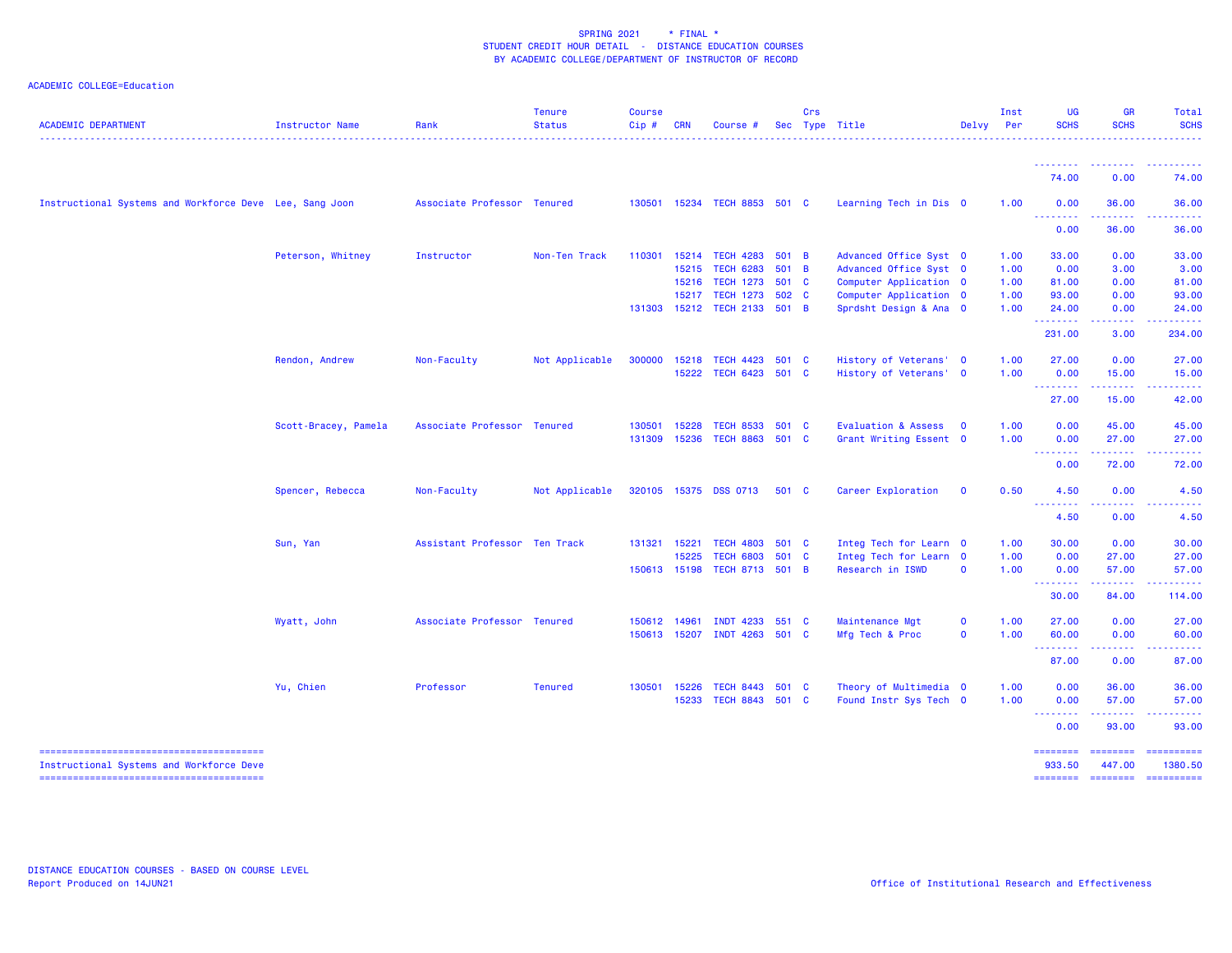| <b>ACADEMIC DEPARTMENT</b>                              | Instructor Name      | Rank                          | <b>Tenure</b><br><b>Status</b><br>. | <b>Course</b><br>Cip# | <b>CRN</b>     | Course #                            |       | Crs | Sec Type Title                                   | Delvy       | Inst<br>Per  | <b>UG</b><br><b>SCHS</b>                                                                                                                                                                                                                                                                                                                                                                                                                                                                       | <b>GR</b><br><b>SCHS</b> | <b>Total</b><br><b>SCHS</b><br>. |
|---------------------------------------------------------|----------------------|-------------------------------|-------------------------------------|-----------------------|----------------|-------------------------------------|-------|-----|--------------------------------------------------|-------------|--------------|------------------------------------------------------------------------------------------------------------------------------------------------------------------------------------------------------------------------------------------------------------------------------------------------------------------------------------------------------------------------------------------------------------------------------------------------------------------------------------------------|--------------------------|----------------------------------|
|                                                         |                      |                               |                                     |                       |                |                                     |       |     |                                                  |             |              |                                                                                                                                                                                                                                                                                                                                                                                                                                                                                                |                          |                                  |
|                                                         |                      |                               |                                     |                       |                |                                     |       |     |                                                  |             |              | 74.00                                                                                                                                                                                                                                                                                                                                                                                                                                                                                          | 0.00                     | 74.00                            |
| Instructional Systems and Workforce Deve Lee, Sang Joon |                      | Associate Professor Tenured   |                                     | 130501                |                | 15234 TECH 8853 501 C               |       |     | Learning Tech in Dis 0                           |             | 1.00         | 0.00<br>$\begin{array}{cccccccccccccc} \multicolumn{2}{c}{} & \multicolumn{2}{c}{} & \multicolumn{2}{c}{} & \multicolumn{2}{c}{} & \multicolumn{2}{c}{} & \multicolumn{2}{c}{} & \multicolumn{2}{c}{} & \multicolumn{2}{c}{} & \multicolumn{2}{c}{} & \multicolumn{2}{c}{} & \multicolumn{2}{c}{} & \multicolumn{2}{c}{} & \multicolumn{2}{c}{} & \multicolumn{2}{c}{} & \multicolumn{2}{c}{} & \multicolumn{2}{c}{} & \multicolumn{2}{c}{} & \multicolumn{2}{c}{} & \multicolumn{2}{c}{} & \$ | 36.00                    | 36.00                            |
|                                                         |                      |                               |                                     |                       |                |                                     |       |     |                                                  |             |              | 0.00                                                                                                                                                                                                                                                                                                                                                                                                                                                                                           | 36.00                    | 36.00                            |
|                                                         | Peterson, Whitney    | Instructor                    | Non-Ten Track                       | 110301                | 15214          | <b>TECH 4283</b>                    | 501 B |     | Advanced Office Syst 0                           |             | 1.00         | 33.00                                                                                                                                                                                                                                                                                                                                                                                                                                                                                          | 0.00                     | 33.00                            |
|                                                         |                      |                               |                                     |                       | 15215          | <b>TECH 6283</b>                    | 501 B |     | Advanced Office Syst 0                           |             | 1.00         | 0.00                                                                                                                                                                                                                                                                                                                                                                                                                                                                                           | 3.00                     | 3.00                             |
|                                                         |                      |                               |                                     |                       | 15216          | <b>TECH 1273</b>                    | 501 C |     | Computer Application 0                           |             | 1.00         | 81.00                                                                                                                                                                                                                                                                                                                                                                                                                                                                                          | 0.00                     | 81.00                            |
|                                                         |                      |                               |                                     |                       |                | 15217 TECH 1273 502 C               |       |     | Computer Application 0                           |             | 1.00         | 93.00                                                                                                                                                                                                                                                                                                                                                                                                                                                                                          | 0.00                     | 93.00                            |
|                                                         |                      |                               |                                     | 131303                |                | 15212 TECH 2133 501 B               |       |     | Sprdsht Design & Ana 0                           |             | 1.00         | 24.00<br>.                                                                                                                                                                                                                                                                                                                                                                                                                                                                                     | 0.00<br>22222            | 24.00                            |
|                                                         |                      |                               |                                     |                       |                |                                     |       |     |                                                  |             |              | 231.00                                                                                                                                                                                                                                                                                                                                                                                                                                                                                         | 3.00                     | 234.00                           |
|                                                         | Rendon, Andrew       | Non-Faculty                   | Not Applicable                      | 300000                | 15218          | TECH 4423 501 C                     |       |     | History of Veterans' 0                           |             | 1.00         | 27,00                                                                                                                                                                                                                                                                                                                                                                                                                                                                                          | 0.00                     | 27.00                            |
|                                                         |                      |                               |                                     |                       | 15222          | TECH 6423 501 C                     |       |     | History of Veterans' 0                           |             | 1.00         | 0.00                                                                                                                                                                                                                                                                                                                                                                                                                                                                                           | 15.00                    | 15.00                            |
|                                                         |                      |                               |                                     |                       |                |                                     |       |     |                                                  |             |              | <u>.</u><br>27.00                                                                                                                                                                                                                                                                                                                                                                                                                                                                              | 15.00                    | 42.00                            |
|                                                         |                      |                               |                                     |                       |                |                                     |       |     |                                                  |             |              |                                                                                                                                                                                                                                                                                                                                                                                                                                                                                                |                          |                                  |
|                                                         | Scott-Bracey, Pamela | Associate Professor Tenured   |                                     | 130501                | 15228          | TECH 8533 501 C                     |       |     | Evaluation & Assess 0                            |             | 1.00         | 0.00                                                                                                                                                                                                                                                                                                                                                                                                                                                                                           | 45.00                    | 45.00                            |
|                                                         |                      |                               |                                     | 131309                | 15236          | TECH 8863 501 C                     |       |     | Grant Writing Essent 0                           |             | 1.00         | 0.00<br>$\begin{array}{cccccccccccccc} \multicolumn{2}{c}{} & \multicolumn{2}{c}{} & \multicolumn{2}{c}{} & \multicolumn{2}{c}{} & \multicolumn{2}{c}{} & \multicolumn{2}{c}{} & \multicolumn{2}{c}{} & \multicolumn{2}{c}{} & \multicolumn{2}{c}{} & \multicolumn{2}{c}{} & \multicolumn{2}{c}{} & \multicolumn{2}{c}{} & \multicolumn{2}{c}{} & \multicolumn{2}{c}{} & \multicolumn{2}{c}{} & \multicolumn{2}{c}{} & \multicolumn{2}{c}{} & \multicolumn{2}{c}{} & \multicolumn{2}{c}{} & \$ | 27.00<br>المستمدات       | 27.00                            |
|                                                         |                      |                               |                                     |                       |                |                                     |       |     |                                                  |             |              | 0.00                                                                                                                                                                                                                                                                                                                                                                                                                                                                                           | 72.00                    | 72.00                            |
|                                                         | Spencer, Rebecca     | Non-Faculty                   | Not Applicable                      |                       |                | 320105 15375 DSS 0713               | 501 C |     | Career Exploration                               | $\mathbf 0$ | 0.50         | 4.50                                                                                                                                                                                                                                                                                                                                                                                                                                                                                           | 0.00                     | 4.50                             |
|                                                         |                      |                               |                                     |                       |                |                                     |       |     |                                                  |             |              | <b><i><u>AAAAAAAA</u></i></b><br>4.50                                                                                                                                                                                                                                                                                                                                                                                                                                                          | 0.00                     | 4.50                             |
|                                                         |                      |                               |                                     |                       |                |                                     |       |     |                                                  |             |              |                                                                                                                                                                                                                                                                                                                                                                                                                                                                                                |                          |                                  |
|                                                         | Sun, Yan             | Assistant Professor Ten Track |                                     | 131321                | 15221<br>15225 | TECH 4803 501 C<br><b>TECH 6803</b> | 501 C |     | Integ Tech for Learn 0<br>Integ Tech for Learn 0 |             | 1.00<br>1.00 | 30.00<br>0.00                                                                                                                                                                                                                                                                                                                                                                                                                                                                                  | 0.00<br>27.00            | 30.00<br>27.00                   |
|                                                         |                      |                               |                                     | 150613 15198          |                | TECH 8713 501 B                     |       |     | Research in ISWD                                 | $\Omega$    | 1.00         | 0.00                                                                                                                                                                                                                                                                                                                                                                                                                                                                                           | 57.00                    | 57.00                            |
|                                                         |                      |                               |                                     |                       |                |                                     |       |     |                                                  |             |              | --------<br>30.00                                                                                                                                                                                                                                                                                                                                                                                                                                                                              | .<br>84.00               | .<br>114.00                      |
|                                                         |                      |                               |                                     |                       |                |                                     |       |     |                                                  |             |              |                                                                                                                                                                                                                                                                                                                                                                                                                                                                                                |                          |                                  |
|                                                         | Wyatt, John          | Associate Professor Tenured   |                                     | 150612 14961          |                | INDT 4233 551 C                     |       |     | Maintenance Mgt                                  | $\mathbf 0$ | 1.00         | 27.00                                                                                                                                                                                                                                                                                                                                                                                                                                                                                          | 0.00                     | 27.00                            |
|                                                         |                      |                               |                                     | 150613 15207          |                | INDT 4263 501 C                     |       |     | Mfg Tech & Proc                                  | $\mathbf 0$ | 1.00         | 60.00<br><b></b>                                                                                                                                                                                                                                                                                                                                                                                                                                                                               | 0.00<br>2.2.2.2.2        | 60.00<br><u>.</u>                |
|                                                         |                      |                               |                                     |                       |                |                                     |       |     |                                                  |             |              | 87.00                                                                                                                                                                                                                                                                                                                                                                                                                                                                                          | 0.00                     | 87.00                            |
|                                                         | Yu, Chien            | Professor                     | <b>Tenured</b>                      | 130501                | 15226          | TECH 8443 501 C                     |       |     | Theory of Multimedia 0                           |             | 1.00         | 0.00                                                                                                                                                                                                                                                                                                                                                                                                                                                                                           | 36.00                    | 36.00                            |
|                                                         |                      |                               |                                     |                       | 15233          | TECH 8843 501 C                     |       |     | Found Instr Sys Tech 0                           |             | 1.00         | 0.00                                                                                                                                                                                                                                                                                                                                                                                                                                                                                           | 57.00                    | 57.00                            |
|                                                         |                      |                               |                                     |                       |                |                                     |       |     |                                                  |             |              | <b><i><u>AAAAAAAA</u></i></b><br>0.00                                                                                                                                                                                                                                                                                                                                                                                                                                                          | 93.00                    | 93.00                            |
| Instructional Systems and Workforce Deve                |                      |                               |                                     |                       |                |                                     |       |     |                                                  |             |              | ========<br>933.50                                                                                                                                                                                                                                                                                                                                                                                                                                                                             | ========<br>447.00       | ==========<br>1380.50            |
|                                                         |                      |                               |                                     |                       |                |                                     |       |     |                                                  |             |              | $=$ =======                                                                                                                                                                                                                                                                                                                                                                                                                                                                                    | $=$ = = = = = = =        | -----------                      |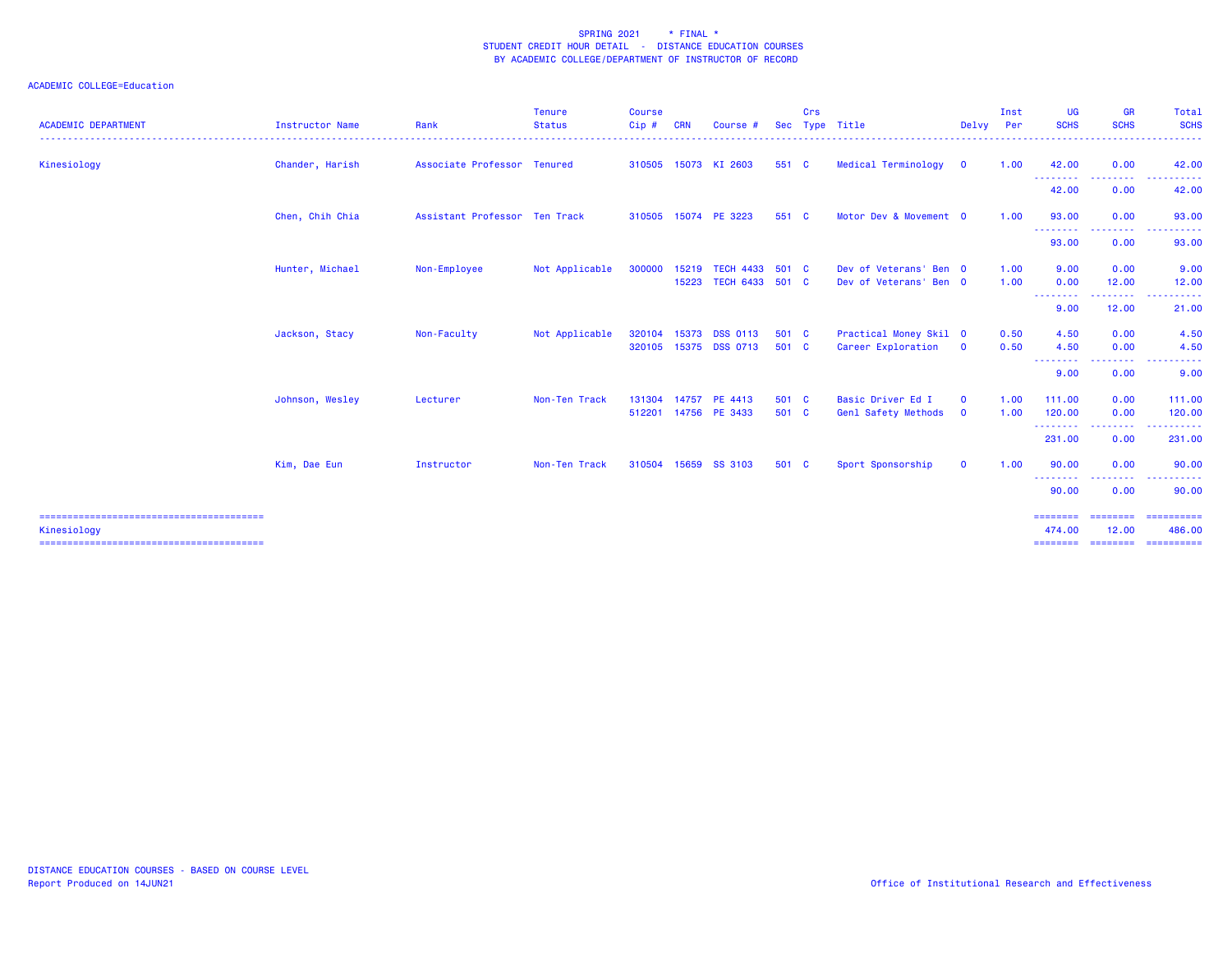| <b>ACADEMIC DEPARTMENT</b> | Instructor Name | Rank                          | <b>Tenure</b><br><b>Status</b> | <b>Course</b><br>Cip# | <b>CRN</b> | Course #                                  | <b>Sec</b>     | Crs | Type Title                                       | Delvy Per                  | Inst         | <b>UG</b><br><b>SCHS</b>                                     | <b>GR</b><br><b>SCHS</b>              | Total<br><b>SCHS</b>                                    |
|----------------------------|-----------------|-------------------------------|--------------------------------|-----------------------|------------|-------------------------------------------|----------------|-----|--------------------------------------------------|----------------------------|--------------|--------------------------------------------------------------|---------------------------------------|---------------------------------------------------------|
| Kinesiology                | Chander, Harish | Associate Professor Tenured   |                                |                       |            | 310505 15073 KI 2603                      | 551 C          |     | Medical Terminology                              | $\mathbf{0}$               | 1.00         | 42.00                                                        | 0.00                                  | 42.00                                                   |
|                            |                 |                               |                                |                       |            |                                           |                |     |                                                  |                            |              | <u>.</u><br>42.00                                            | 0.00                                  | 42.00                                                   |
|                            | Chen, Chih Chia | Assistant Professor Ten Track |                                |                       |            | 310505 15074 PE 3223                      | 551 C          |     | Motor Dev & Movement 0                           |                            | 1.00         | 93.00<br>---------                                           | 0.00                                  | 93.00                                                   |
|                            |                 |                               |                                |                       |            |                                           |                |     |                                                  |                            |              | 93.00                                                        | 0.00                                  | 93.00                                                   |
|                            | Hunter, Michael | Non-Employee                  | Not Applicable                 | 300000                | 15219      | <b>TECH 4433</b><br>15223 TECH 6433 501 C | 501 C          |     | Dev of Veterans' Ben 0<br>Dev of Veterans' Ben 0 |                            | 1.00<br>1.00 | 9.00<br>0.00                                                 | 0.00<br>12.00                         | 9.00<br>12.00                                           |
|                            |                 |                               |                                |                       |            |                                           |                |     |                                                  |                            |              | --------<br>9.00                                             | <b><i><u>AAAAAAA</u></i></b><br>12.00 | .<br>$\sim$ $\sim$ $\sim$<br>21.00                      |
|                            | Jackson, Stacy  | Non-Faculty                   | Not Applicable                 | 320104                |            | 15373 DSS 0113<br>320105 15375 DSS 0713   | 501 C<br>501 C |     | Practical Money Skil 0<br>Career Exploration     | $\mathbf 0$                | 0.50<br>0.50 | 4.50<br>4.50<br><b><i><u><u> - - - - - - - -</u></u></i></b> | 0.00<br>0.00                          | 4.50<br>4.50                                            |
|                            |                 |                               |                                |                       |            |                                           |                |     |                                                  |                            |              | 9.00                                                         | 0.00                                  | 9.00                                                    |
|                            | Johnson, Wesley | Lecturer                      | Non-Ten Track                  | 131304                | 14757      | PE 4413<br>512201 14756 PE 3433           | 501 C<br>501 C |     | Basic Driver Ed I<br>Genl Safety Methods         | $\mathbf 0$<br>$\mathbf 0$ | 1.00<br>1.00 | 111.00<br>120.00                                             | 0.00<br>0.00                          | 111.00<br>120.00                                        |
|                            |                 |                               |                                |                       |            |                                           |                |     |                                                  |                            |              | ---------<br>231.00                                          | -----<br>0.00                         | .<br>231.00                                             |
|                            | Kim, Dae Eun    | Instructor                    | Non-Ten Track                  |                       |            | 310504 15659 SS 3103                      | 501 C          |     | Sport Sponsorship                                | $\mathbf{O}$               | 1.00         | 90.00                                                        | 0.00                                  | 90.00                                                   |
|                            |                 |                               |                                |                       |            |                                           |                |     |                                                  |                            |              | --------<br>90.00                                            | .<br>0.00                             | 90.00                                                   |
| Kinesiology                |                 |                               |                                |                       |            |                                           |                |     |                                                  |                            |              | ========<br>474.00                                           | ========<br>12.00                     | ==========<br>486.00<br>=============================== |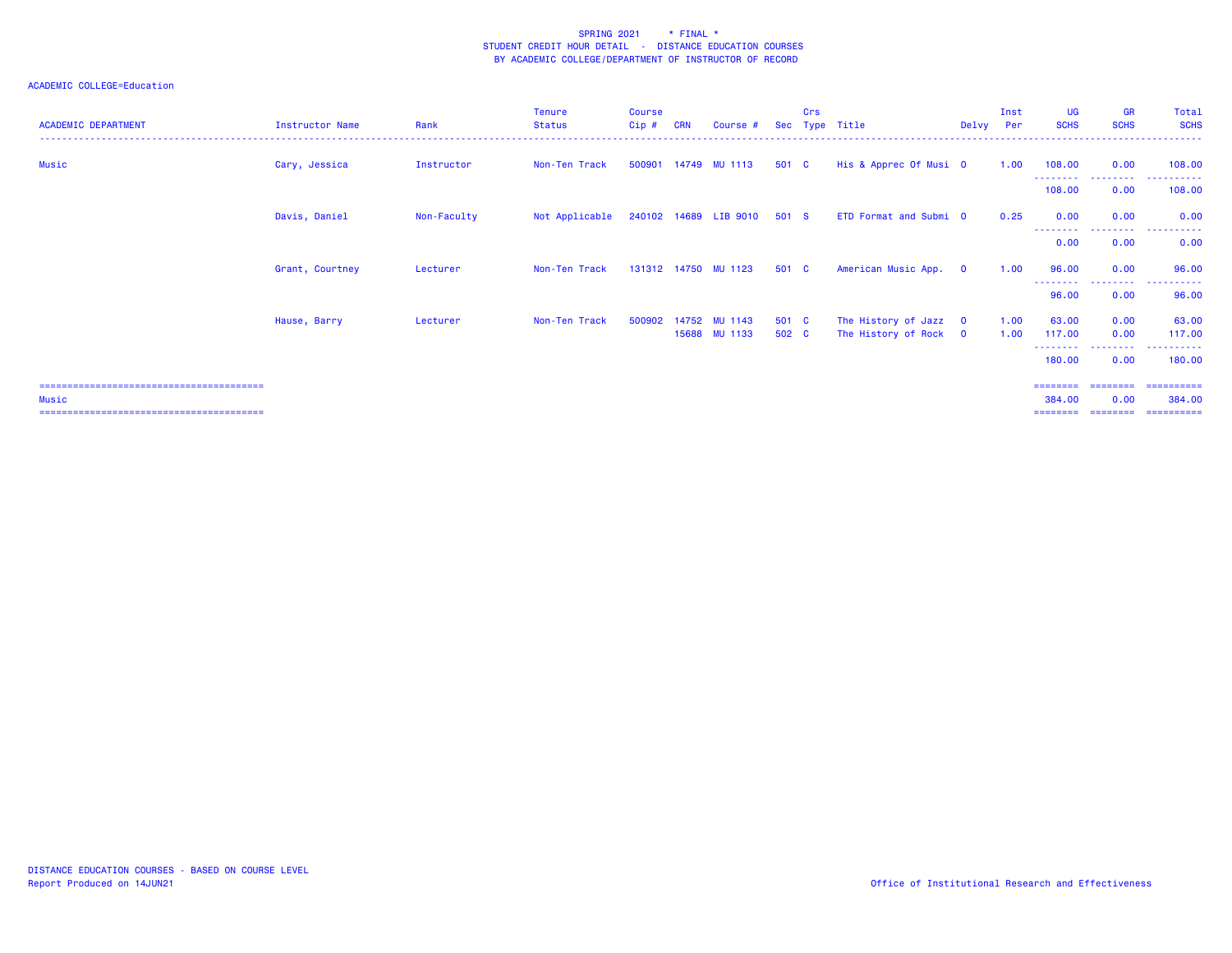| <b>ACADEMIC DEPARTMENT</b> | Instructor Name | Rank        | <b>Tenure</b><br><b>Status</b> | <b>Course</b><br>Cip# | <b>CRN</b> | Course #                              |                | Crs | Sec Type Title                                 | Delvy Per   | Inst         | UG<br><b>SCHS</b>           | <b>GR</b><br><b>SCHS</b> | Total<br><b>SCHS</b> |
|----------------------------|-----------------|-------------|--------------------------------|-----------------------|------------|---------------------------------------|----------------|-----|------------------------------------------------|-------------|--------------|-----------------------------|--------------------------|----------------------|
| Music                      | Cary, Jessica   | Instructor  | Non-Ten Track                  | 500901                |            | 14749 MU 1113                         | 501 C          |     | His & Apprec Of Musi 0                         |             | 1.00         | 108.00                      | 0.00                     | 108.00               |
|                            |                 |             |                                |                       |            |                                       |                |     |                                                |             |              | - - - - - - - - -<br>108.00 | .<br>0.00                | 108.00               |
|                            | Davis, Daniel   | Non-Faculty | Not Applicable                 |                       |            | 240102 14689 LIB 9010                 | 501 S          |     | ETD Format and Submi 0                         |             | 0.25         | 0.00                        | 0.00                     | 0.00                 |
|                            |                 |             |                                |                       |            |                                       |                |     |                                                |             |              | --------<br>0.00            | .<br>0.00                | .<br>0.00            |
|                            | Grant, Courtney | Lecturer    | Non-Ten Track                  |                       |            | 131312 14750 MU 1123                  | 501 C          |     | American Music App.                            | $\mathbf 0$ | 1.00         | 96.00                       | 0.00                     | 96.00                |
|                            |                 |             |                                |                       |            |                                       |                |     |                                                |             |              | --------<br>96.00           | ---------<br>0.00        | 96.00                |
|                            | Hause, Barry    | Lecturer    | Non-Ten Track                  |                       |            | 500902 14752 MU 1143<br>15688 MU 1133 | 501 C<br>502 C |     | The History of Jazz 0<br>The History of Rock 0 |             | 1.00<br>1.00 | 63.00<br>117.00             | 0.00<br>0.00             | 63.00<br>117.00      |
|                            |                 |             |                                |                       |            |                                       |                |     |                                                |             |              | ---------<br>180.00         | .<br>0.00                | .<br>180.00          |
|                            |                 |             |                                |                       |            |                                       |                |     |                                                |             |              | ========                    | ---------                | ==========           |
| Music                      |                 |             |                                |                       |            |                                       |                |     |                                                |             |              | 384,00                      | 0.00                     | 384,00               |
|                            |                 |             |                                |                       |            |                                       |                |     |                                                |             |              | ========                    | ---------                | -==========          |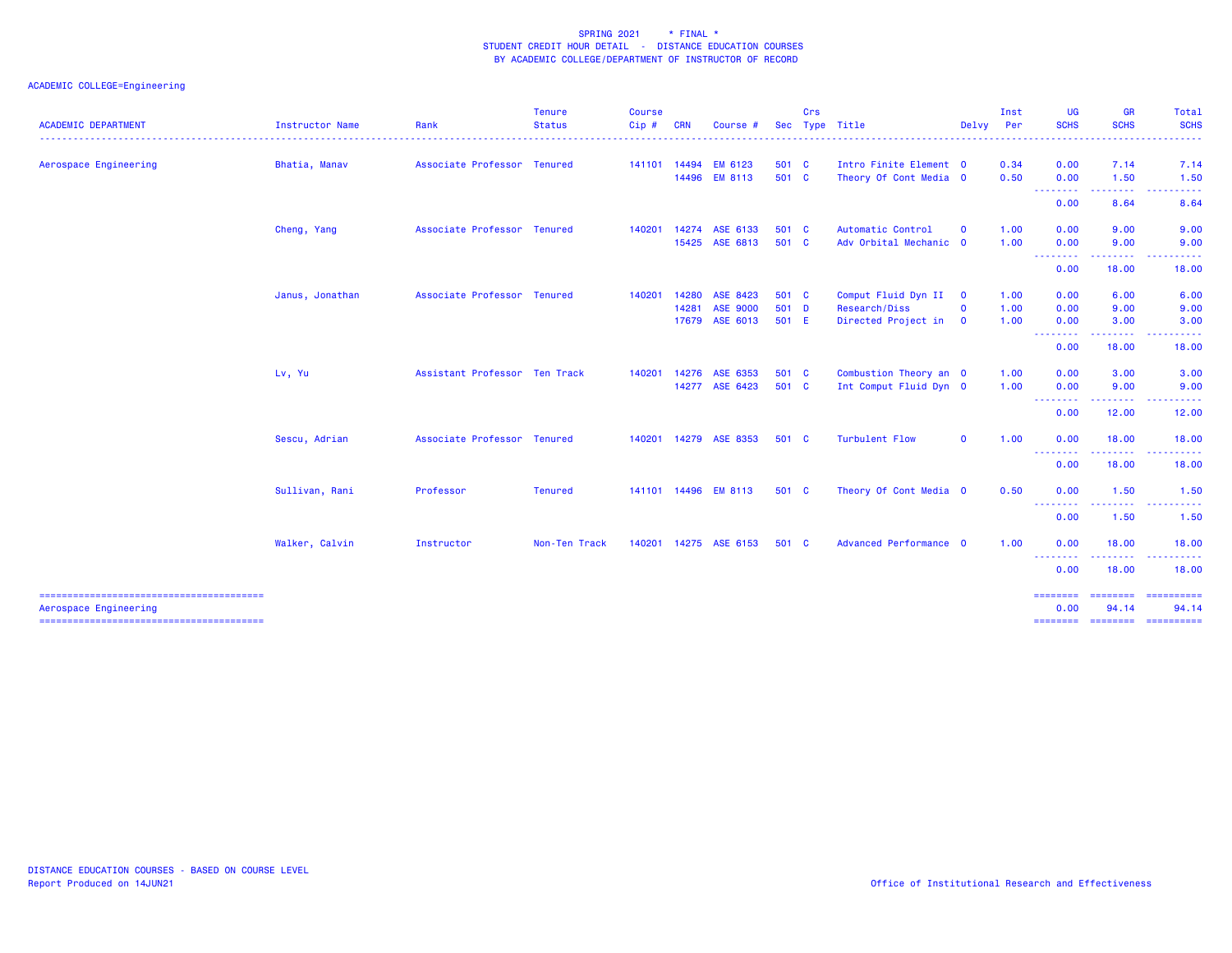|                            |                        |                               | <b>Tenure</b>      | <b>Course</b> |            |                       |       | Crs |                        |                         | Inst | UG                              | <b>GR</b>                                                                                                                                | Total                 |
|----------------------------|------------------------|-------------------------------|--------------------|---------------|------------|-----------------------|-------|-----|------------------------|-------------------------|------|---------------------------------|------------------------------------------------------------------------------------------------------------------------------------------|-----------------------|
| <b>ACADEMIC DEPARTMENT</b> | <b>Instructor Name</b> | Rank                          | <b>Status</b><br>. | Cip#<br>.     | <b>CRN</b> | Course #              | Sec   |     | Type Title             | Delvy Per               |      | <b>SCHS</b><br>.                | <b>SCHS</b><br>. <u>.</u>                                                                                                                | <b>SCHS</b><br>------ |
| Aerospace Engineering      | Bhatia, Manav          | Associate Professor Tenured   |                    |               |            | 141101 14494 EM 6123  | 501 C |     | Intro Finite Element 0 |                         | 0.34 | 0.00                            | 7.14                                                                                                                                     | 7.14                  |
|                            |                        |                               |                    |               |            | 14496 EM 8113         | 501 C |     | Theory Of Cont Media 0 |                         | 0.50 | 0.00<br>--------                | 1.50<br>.                                                                                                                                | 1.50                  |
|                            |                        |                               |                    |               |            |                       |       |     |                        |                         |      | 0.00                            | 8.64                                                                                                                                     | 8.64                  |
|                            | Cheng, Yang            | Associate Professor Tenured   |                    | 140201        | 14274      | ASE 6133              | 501 C |     | Automatic Control      | $\mathbf{o}$            | 1.00 | 0.00                            | 9.00                                                                                                                                     | 9.00                  |
|                            |                        |                               |                    |               | 15425      | ASE 6813              | 501 C |     | Adv Orbital Mechanic 0 |                         | 1.00 | 0.00                            | 9.00                                                                                                                                     | 9.00                  |
|                            |                        |                               |                    |               |            |                       |       |     |                        |                         |      | --------<br>0.00                | .<br>18.00                                                                                                                               | <u>.</u><br>18.00     |
|                            | Janus, Jonathan        | Associate Professor Tenured   |                    | 140201        | 14280      | ASE 8423              | 501 C |     | Comput Fluid Dyn II 0  |                         | 1.00 | 0.00                            | 6.00                                                                                                                                     | 6.00                  |
|                            |                        |                               |                    |               | 14281      | <b>ASE 9000</b>       | 501 D |     | Research/Diss          | $\mathbf{o}$            | 1.00 | 0.00                            | 9.00                                                                                                                                     | 9.00                  |
|                            |                        |                               |                    |               | 17679      | ASE 6013              | 501 E |     | Directed Project in    | $\overline{\mathbf{0}}$ | 1.00 | 0.00                            | 3.00                                                                                                                                     | 3.00                  |
|                            |                        |                               |                    |               |            |                       |       |     |                        |                         |      | --------<br>0.00                | .<br>18.00                                                                                                                               | د د د د د د<br>18.00  |
|                            | Lv, Yu                 | Assistant Professor Ten Track |                    | 140201        | 14276      | ASE 6353              | 501 C |     | Combustion Theory an O |                         | 1.00 | 0.00                            | 3.00                                                                                                                                     | 3.00                  |
|                            |                        |                               |                    |               | 14277      | ASE 6423              | 501 C |     | Int Comput Fluid Dyn 0 |                         | 1.00 | 0.00                            | 9.00                                                                                                                                     | 9.00                  |
|                            |                        |                               |                    |               |            |                       |       |     |                        |                         |      | --------<br>0.00                | $\frac{1}{2} \left( \frac{1}{2} \right) \left( \frac{1}{2} \right) \left( \frac{1}{2} \right)$<br>12.00                                  | 12.00                 |
|                            | Sescu, Adrian          | Associate Professor Tenured   |                    | 140201        | 14279      | ASE 8353              | 501 C |     | <b>Turbulent Flow</b>  | $\Omega$                | 1.00 | 0.00                            | 18.00                                                                                                                                    | 18.00                 |
|                            |                        |                               |                    |               |            |                       |       |     |                        |                         |      | <u> - - - - - - - -</u><br>0.00 | $\mathcal{L}^{\mathcal{L}}\mathcal{L}^{\mathcal{L}}\mathcal{L}^{\mathcal{L}}\mathcal{L}^{\mathcal{L}}\mathcal{L}^{\mathcal{L}}$<br>18.00 | 18.00                 |
|                            | Sullivan, Rani         | Professor                     | Tenured            |               |            | 141101 14496 EM 8113  | 501 C |     | Theory Of Cont Media 0 |                         | 0.50 | 0.00                            | 1.50                                                                                                                                     | 1.50                  |
|                            |                        |                               |                    |               |            |                       |       |     |                        |                         |      | .<br>0.00                       | <b><i><u><u> - - - - -</u></u></i></b><br>1.50                                                                                           | <b>.</b><br>1.50      |
|                            | Walker, Calvin         | Instructor                    | Non-Ten Track      |               |            | 140201 14275 ASE 6153 | 501 C |     | Advanced Performance 0 |                         | 1.00 | 0.00                            | 18.00                                                                                                                                    | 18.00                 |
|                            |                        |                               |                    |               |            |                       |       |     |                        |                         |      | .<br>0.00                       | .<br>18.00                                                                                                                               | 18.00                 |
|                            |                        |                               |                    |               |            |                       |       |     |                        |                         |      | ========<br>0.00                | <b>EEEEEEEE</b><br>94.14                                                                                                                 | -----------<br>94.14  |
| Aerospace Engineering      |                        |                               |                    |               |            |                       |       |     |                        |                         |      |                                 |                                                                                                                                          |                       |
|                            |                        |                               |                    |               |            |                       |       |     |                        |                         |      |                                 |                                                                                                                                          |                       |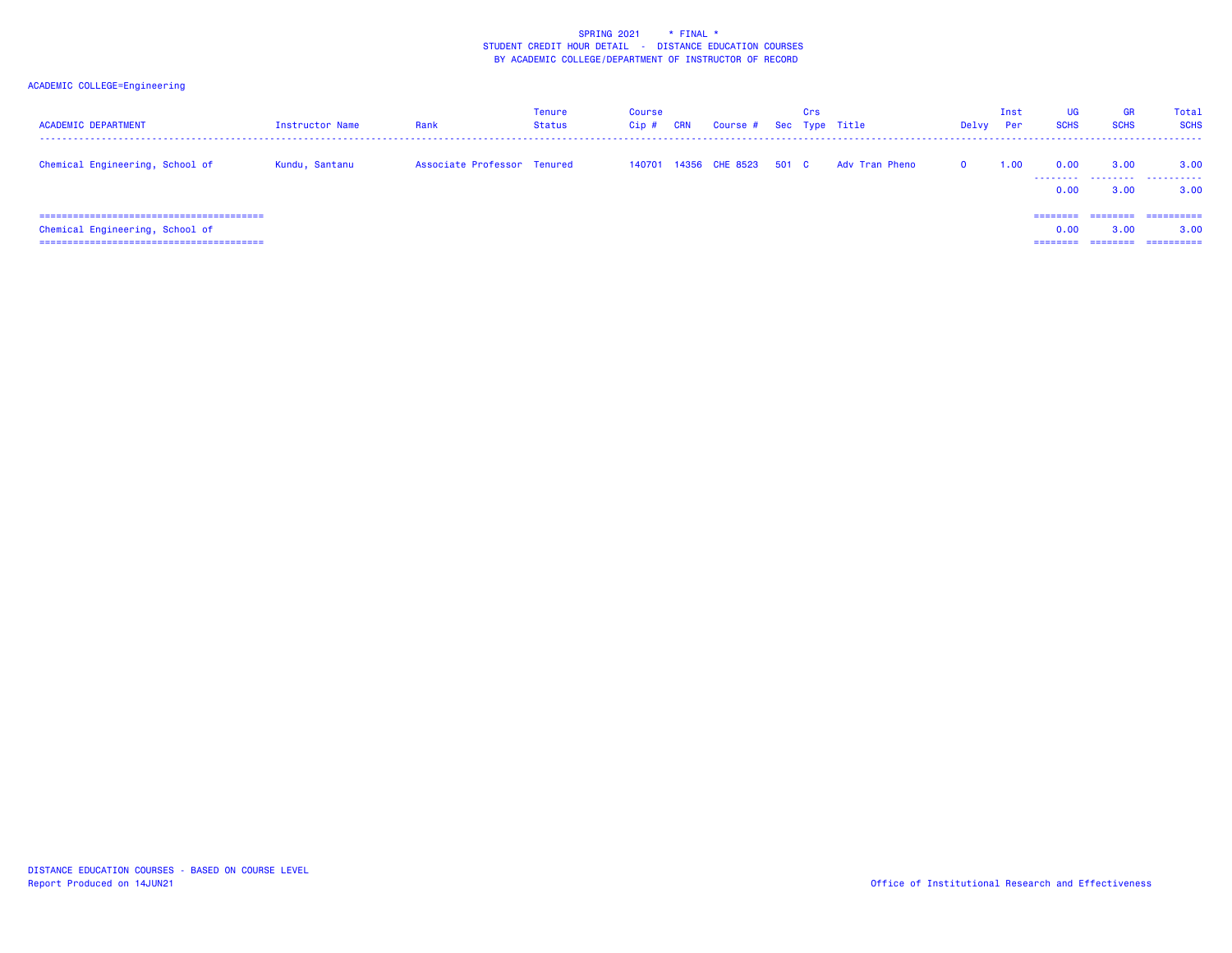| <b>ACADEMIC DEPARTMENT</b>      | Instructor Name | Rank                        | Tenure<br>Status | Course<br>Cip# | <b>CRN</b> | Course # Sec Type Title | Crs |                | Delvy    | Inst<br><b>Per</b> | <b>UG</b><br><b>SCHS</b>  | <b>GR</b><br><b>SCHS</b> | <b>Total</b><br><b>SCHS</b>      |
|---------------------------------|-----------------|-----------------------------|------------------|----------------|------------|-------------------------|-----|----------------|----------|--------------------|---------------------------|--------------------------|----------------------------------|
| Chemical Engineering, School of | Kundu, Santanu  | Associate Professor Tenured |                  | 140701         |            | 14356 CHE 8523 501 C    |     | Adv Tran Pheno | $\Omega$ | 1.00               | 0.00<br>0.00              | 3.00<br>3.00             | 3.00<br>3.00                     |
| Chemical Engineering, School of |                 |                             |                  |                |            |                         |     |                |          |                    | ========<br>0.00<br>===== | ---------<br>3.00        | ==========<br>3.00<br>========== |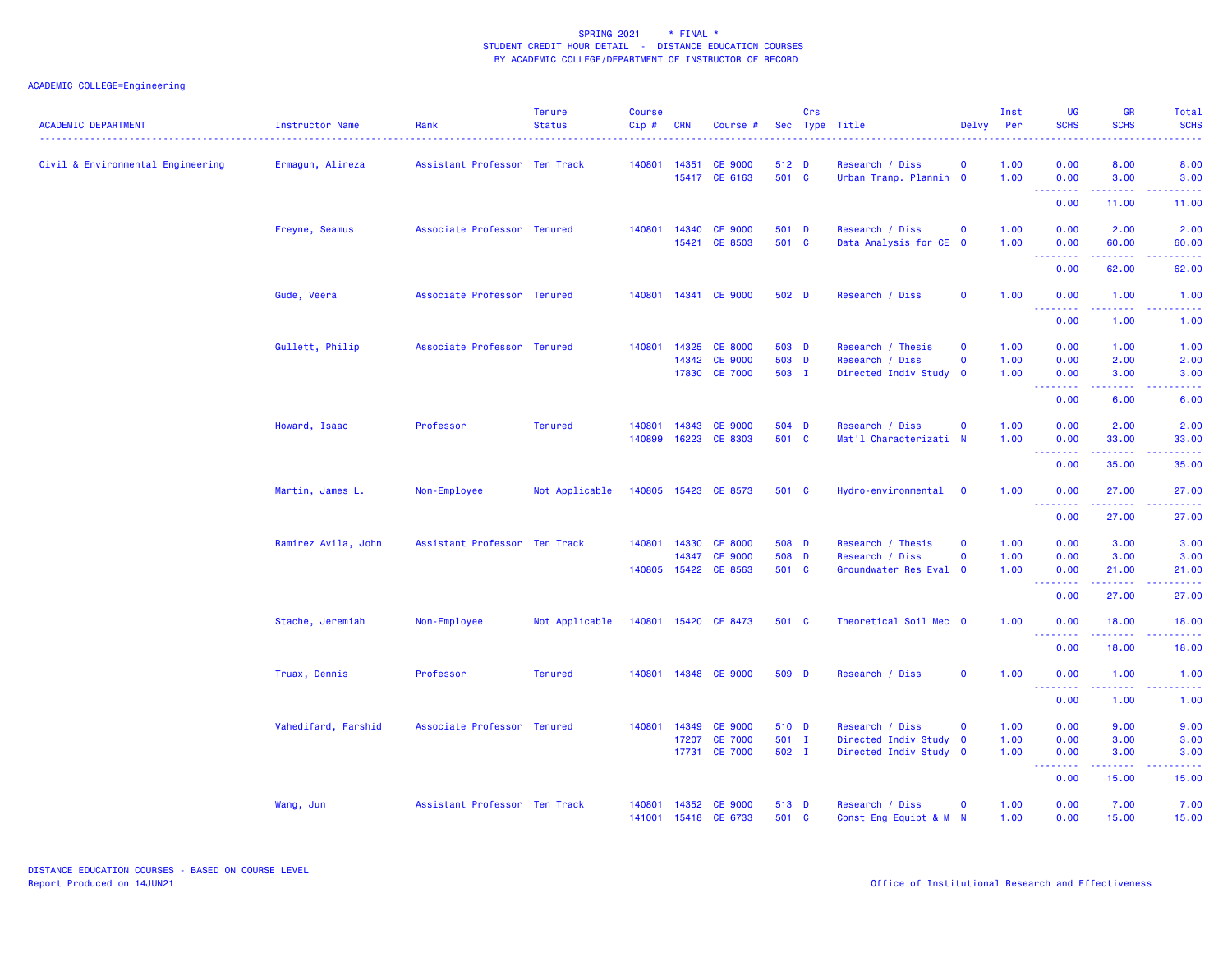| <b>ACADEMIC DEPARTMENT</b>        | Instructor Name     | Rank                          | <b>Tenure</b><br><b>Status</b> | <b>Course</b><br>Cip# | <b>CRN</b> | Course #                                         |                         | Crs | Sec Type Title                                                 | Delvy                      | Inst<br>Per          | <b>UG</b><br><b>SCHS</b>                           | <b>GR</b><br><b>SCHS</b>                                                                                                                                      | Total<br><b>SCHS</b>     |
|-----------------------------------|---------------------|-------------------------------|--------------------------------|-----------------------|------------|--------------------------------------------------|-------------------------|-----|----------------------------------------------------------------|----------------------------|----------------------|----------------------------------------------------|---------------------------------------------------------------------------------------------------------------------------------------------------------------|--------------------------|
| Civil & Environmental Engineering | Ermagun, Alireza    | Assistant Professor Ten Track |                                | 140801                | 14351      | <b>CE 9000</b><br>15417 CE 6163                  | 512 D<br>501 C          |     | Research / Diss<br>Urban Tranp. Plannin 0                      | $\mathbf 0$                | 1.00<br>1.00         | 0.00<br>0.00<br><u>.</u>                           | 8.00<br>3.00<br>22222                                                                                                                                         | 8.00<br>3.00<br>.        |
|                                   |                     |                               |                                |                       |            |                                                  |                         |     |                                                                |                            |                      | 0.00                                               | 11.00                                                                                                                                                         | 11.00                    |
|                                   | Freyne, Seamus      | Associate Professor Tenured   |                                | 140801                | 14340      | <b>CE 9000</b><br>15421 CE 8503                  | 501 D<br>501 C          |     | Research / Diss<br>Data Analysis for CE 0                      | $\mathbf 0$                | 1.00<br>1.00         | 0.00<br>0.00<br><b>.</b>                           | 2.00<br>60.00<br>. <b>.</b>                                                                                                                                   | 2.00<br>60.00<br>.       |
|                                   |                     |                               |                                |                       |            |                                                  |                         |     |                                                                |                            |                      | 0.00                                               | 62.00                                                                                                                                                         | 62.00                    |
|                                   | Gude, Veera         | Associate Professor Tenured   |                                | 140801                |            | 14341 CE 9000                                    | 502 D                   |     | Research / Diss                                                | $\mathbf 0$                | 1.00                 | 0.00                                               | 1.00                                                                                                                                                          | 1.00                     |
|                                   |                     |                               |                                |                       |            |                                                  |                         |     |                                                                |                            |                      | 0.00                                               | 1.00                                                                                                                                                          | 1.00                     |
|                                   | Gullett, Philip     | Associate Professor Tenured   |                                | 140801                | 14325      | <b>CE 8000</b><br>14342 CE 9000<br>17830 CE 7000 | 503 D<br>503 D<br>503 I |     | Research / Thesis<br>Research / Diss<br>Directed Indiv Study 0 | $\mathbf 0$<br>$\mathbf 0$ | 1.00<br>1.00<br>1.00 | 0.00<br>0.00<br>0.00                               | 1.00<br>2.00<br>3.00                                                                                                                                          | 1.00<br>2.00<br>3.00     |
|                                   |                     |                               |                                |                       |            |                                                  |                         |     |                                                                |                            |                      | <b><i><u>AAAAAAA</u></i></b><br>0.00               | 6.00                                                                                                                                                          | $- - - -$<br>6.00        |
|                                   | Howard, Isaac       | Professor                     | <b>Tenured</b>                 | 140801<br>140899      | 16223      | 14343 CE 9000<br>CE 8303                         | 504 D<br>501 C          |     | Research / Diss<br>Mat'l Characterizati N                      | $\mathbf 0$                | 1.00<br>1.00         | 0.00<br>0.00                                       | 2.00<br>33.00                                                                                                                                                 | 2.00<br>33.00            |
|                                   |                     |                               |                                |                       |            |                                                  |                         |     |                                                                |                            |                      | <b><i><u>AAAAAAA</u></i></b><br>0.00               | .<br>35.00                                                                                                                                                    | د د د د د<br>35.00       |
|                                   | Martin, James L.    | Non-Employee                  | Not Applicable                 |                       |            | 140805 15423 CE 8573                             | 501 C                   |     | Hydro-environmental 0                                          |                            | 1.00                 | 0.00                                               | 27.00                                                                                                                                                         | 27.00                    |
|                                   |                     |                               |                                |                       |            |                                                  |                         |     |                                                                |                            |                      | <b><i><u><u> - - - - - - -</u></u></i></b><br>0.00 | 27.00                                                                                                                                                         | 27.00                    |
|                                   | Ramirez Avila, John | Assistant Professor Ten Track |                                | 140801                |            | 14330 CE 8000                                    | 508 D                   |     | Research / Thesis                                              | $\Omega$                   | 1.00                 | 0.00                                               | 3.00                                                                                                                                                          | 3.00                     |
|                                   |                     |                               |                                | 140805                | 14347      | <b>CE 9000</b><br>15422 CE 8563                  | 508 D<br>501 C          |     | Research / Diss<br>Groundwater Res Eval 0                      | $\mathbf{o}$               | 1.00<br>1.00         | 0.00<br>0.00                                       | 3.00<br>21.00                                                                                                                                                 | 3.00<br>21.00            |
|                                   |                     |                               |                                |                       |            |                                                  |                         |     |                                                                |                            |                      | <b></b><br>0.00                                    | 27.00                                                                                                                                                         | والمتمام المتار<br>27.00 |
|                                   | Stache, Jeremiah    | Non-Employee                  | Not Applicable                 |                       |            | 140801 15420 CE 8473                             | 501 C                   |     | Theoretical Soil Mec 0                                         |                            | 1.00                 | 0.00                                               | 18.00                                                                                                                                                         | 18.00                    |
|                                   |                     |                               |                                |                       |            |                                                  |                         |     |                                                                |                            |                      | .<br>0.00                                          | $\frac{1}{2} \left( \frac{1}{2} \right) \left( \frac{1}{2} \right) \left( \frac{1}{2} \right) \left( \frac{1}{2} \right) \left( \frac{1}{2} \right)$<br>18.00 | .<br>18.00               |
|                                   | Truax, Dennis       | Professor                     | <b>Tenured</b>                 | 140801                |            | 14348 CE 9000                                    | 509 D                   |     | Research / Diss                                                | $\mathbf 0$                | 1.00                 | 0.00                                               | 1.00                                                                                                                                                          | 1.00                     |
|                                   |                     |                               |                                |                       |            |                                                  |                         |     |                                                                |                            |                      | <u> - - - - - - - -</u><br>0.00                    | 1.00                                                                                                                                                          | 1.00                     |
|                                   | Vahedifard, Farshid | Associate Professor Tenured   |                                | 140801                | 14349      | <b>CE 9000</b>                                   | 510 D                   |     | Research / Diss                                                | $\mathbf 0$                | 1.00                 | 0.00                                               | 9.00                                                                                                                                                          | 9.00                     |
|                                   |                     |                               |                                |                       | 17207      | <b>CE 7000</b><br>17731 CE 7000                  | 501 I<br>502 I          |     | Directed Indiv Study 0<br>Directed Indiv Study 0               |                            | 1.00<br>1.00         | 0.00<br>0.00                                       | 3.00<br>3.00                                                                                                                                                  | 3.00<br>3.00             |
|                                   |                     |                               |                                |                       |            |                                                  |                         |     |                                                                |                            |                      | .<br>0.00                                          | 15.00                                                                                                                                                         | والمتمام الماري<br>15.00 |
|                                   | Wang, Jun           | Assistant Professor Ten Track |                                | 140801<br>141001      | 14352      | <b>CE 9000</b><br>15418 CE 6733                  | 513 D<br>501 C          |     | Research / Diss<br>Const Eng Equipt & M N                      | $\Omega$                   | 1.00<br>1.00         | 0.00<br>0.00                                       | 7.00<br>15.00                                                                                                                                                 | 7.00<br>15.00            |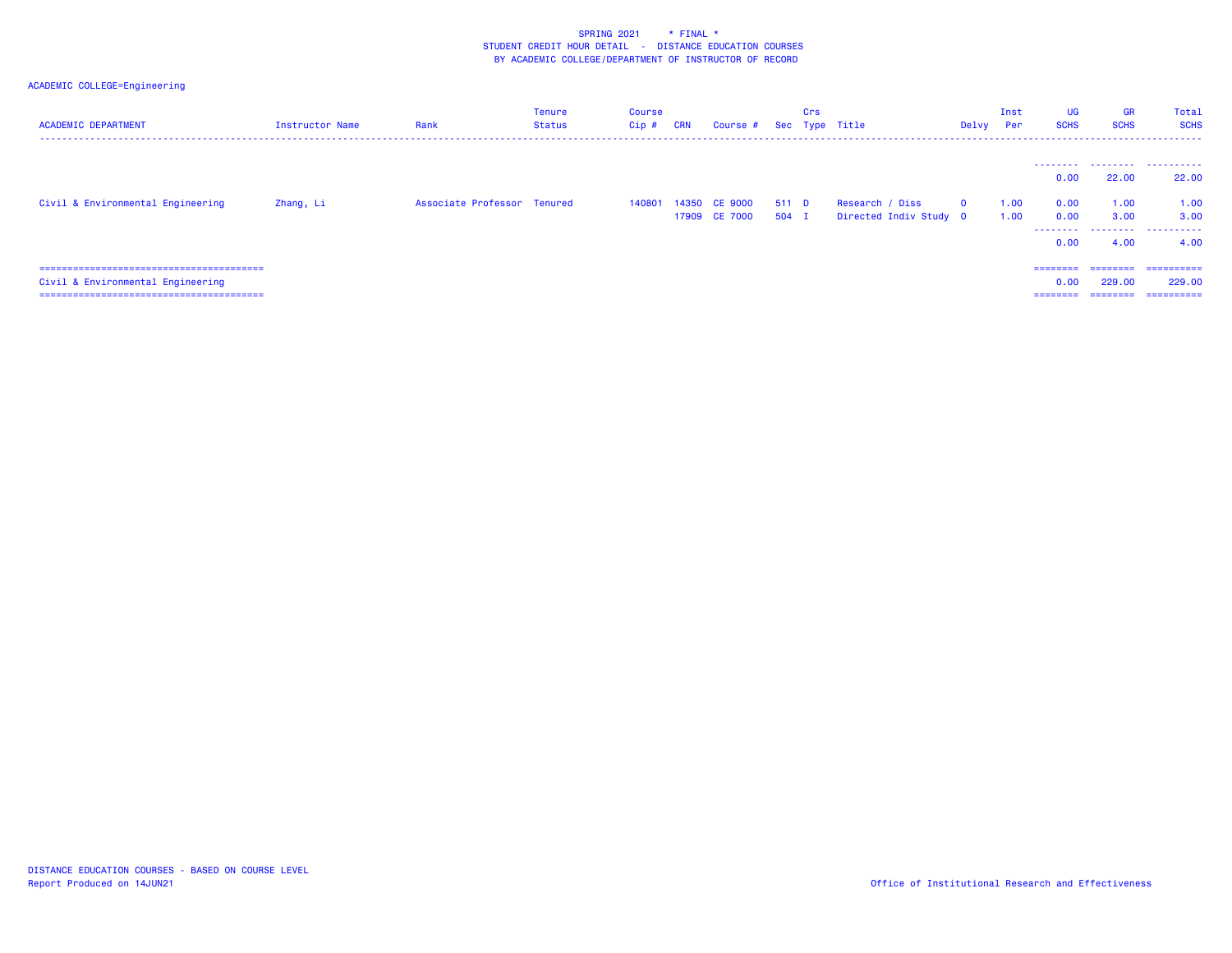| <b>ACADEMIC DEPARTMENT</b>        | <b>Instructor Name</b> | Rank                        | Tenure<br>Status | <b>Course</b><br>Cip # | <b>CRN</b> | Course #                       |                | Crs | Sec Type Title  |                        | Delvy    | Inst<br><b>Per</b> | UG<br><b>SCHS</b>            | <b>GR</b><br><b>SCHS</b>       | Total<br><b>SCHS</b>                |
|-----------------------------------|------------------------|-----------------------------|------------------|------------------------|------------|--------------------------------|----------------|-----|-----------------|------------------------|----------|--------------------|------------------------------|--------------------------------|-------------------------------------|
|                                   |                        |                             |                  |                        |            |                                |                |     |                 |                        |          |                    | ---------<br>0.00            | 22.00                          | <br>22,00                           |
| Civil & Environmental Engineering | Zhang, Li              | Associate Professor Tenured |                  | 140801                 |            | 14350 CE 9000<br>17909 CE 7000 | 511 D<br>504 I |     | Research / Diss | Directed Indiv Study 0 | $\Omega$ | 1.00<br>1.00       | 0.00<br>0.00<br>.            | 1.00<br>3.00                   | 1.00<br>3.00<br>.                   |
|                                   |                        |                             |                  |                        |            |                                |                |     |                 |                        |          |                    | 0.00                         | 4.00                           | 4.00                                |
| Civil & Environmental Engineering |                        |                             |                  |                        |            |                                |                |     |                 |                        |          |                    | ========<br>0.00<br>======== | --------<br>229.00<br>======== | -----------<br>229,00<br>========== |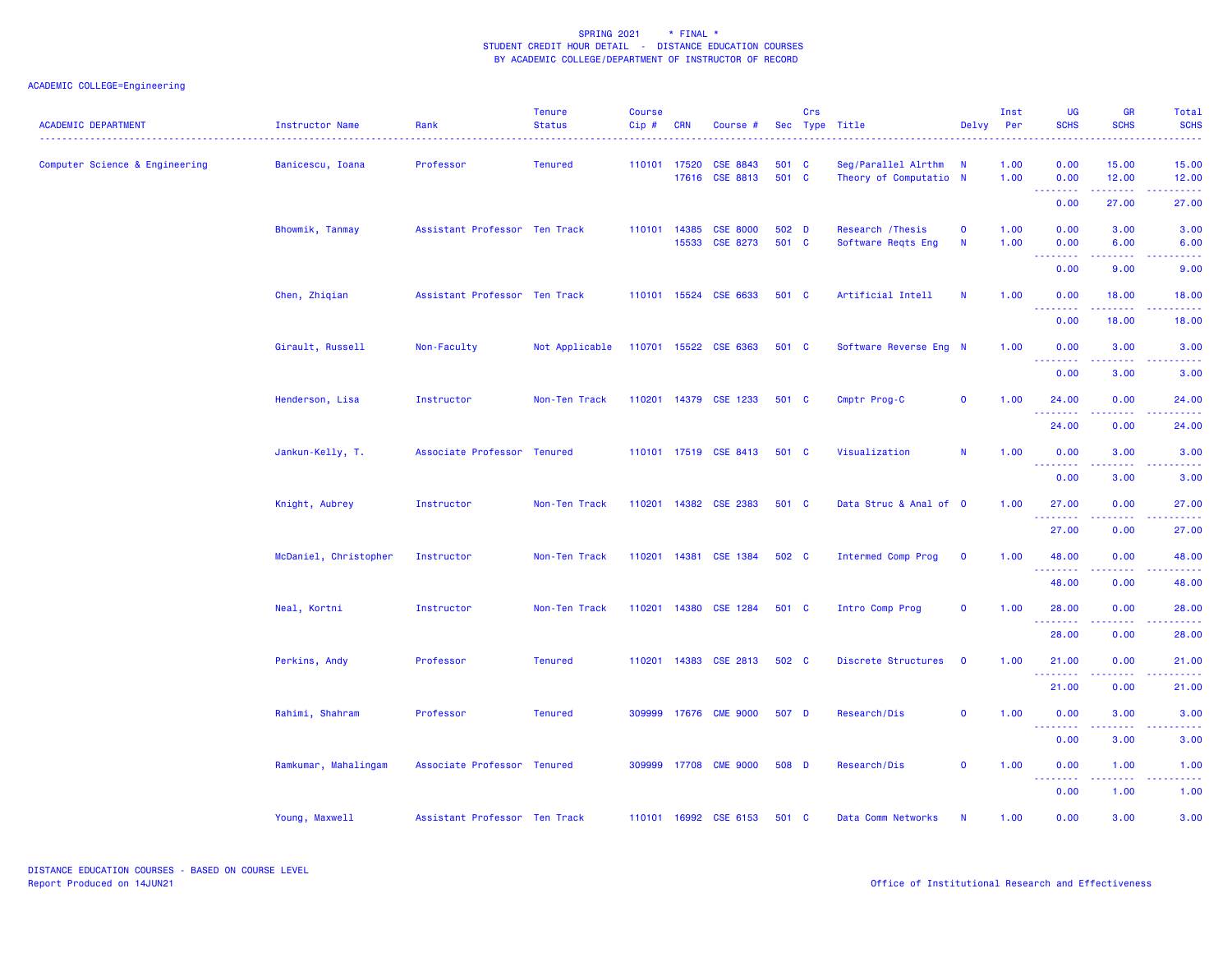| <b>ACADEMIC DEPARTMENT</b>     | Instructor Name       | Rank                          | <b>Tenure</b><br><b>Status</b> | <b>Course</b><br>$Cip$ # | <b>CRN</b>            | Course #                           |                | Crs | Sec Type Title                                | Delvy                      | Inst<br>Per  | <b>UG</b><br><b>SCHS</b>            | <b>GR</b><br><b>SCHS</b>              | Total<br><b>SCHS</b> |
|--------------------------------|-----------------------|-------------------------------|--------------------------------|--------------------------|-----------------------|------------------------------------|----------------|-----|-----------------------------------------------|----------------------------|--------------|-------------------------------------|---------------------------------------|----------------------|
| Computer Science & Engineering | Banicescu, Ioana      | Professor                     | <b>Tenured</b>                 |                          | 110101 17520<br>17616 | <b>CSE 8843</b><br><b>CSE 8813</b> | 501 C<br>501 C |     | Seg/Parallel Alrthm<br>Theory of Computatio N | $\blacksquare$             | 1.00<br>1.00 | 0.00<br>0.00<br><b></b>             | 15.00<br>12.00<br>2.2.2.2.2           | 15.00<br>12.00       |
|                                |                       |                               |                                |                          |                       |                                    |                |     |                                               |                            |              | 0.00                                | 27.00                                 | 27.00                |
|                                | Bhowmik, Tanmay       | Assistant Professor Ten Track |                                |                          | 110101 14385          | <b>CSE 8000</b><br>15533 CSE 8273  | 502 D<br>501 C |     | Research / Thesis<br>Software Reqts Eng       | $\mathbf 0$<br>$\mathbf N$ | 1.00<br>1.00 | 0.00<br>0.00                        | 3.00<br>6.00                          | 3.00<br>6.00         |
|                                |                       |                               |                                |                          |                       |                                    |                |     |                                               |                            |              | 0.00                                | 9.00                                  | 9.00                 |
|                                | Chen, Zhiqian         | Assistant Professor Ten Track |                                |                          |                       | 110101 15524 CSE 6633              | 501 C          |     | Artificial Intell                             | <b>N</b>                   | 1.00         | 0.00                                | 18.00                                 | 18.00                |
|                                |                       |                               |                                |                          |                       |                                    |                |     |                                               |                            |              | <u> - - - - - - - -</u><br>0.00     | <u>.</u><br>18.00                     | 18.00                |
|                                | Girault, Russell      | Non-Faculty                   | Not Applicable                 |                          |                       | 110701 15522 CSE 6363              | 501 C          |     | Software Reverse Eng N                        |                            | 1.00         | 0.00                                | 3.00                                  | 3.00                 |
|                                |                       |                               |                                |                          |                       |                                    |                |     |                                               |                            |              | 0.00                                | 3.00                                  | 3.00                 |
|                                | Henderson, Lisa       | Instructor                    | Non-Ten Track                  |                          |                       | 110201 14379 CSE 1233              | 501 C          |     | Cmptr Prog-C                                  | $\mathbf 0$                | 1.00         | 24.00                               | 0.00                                  | 24.00                |
|                                |                       |                               |                                |                          |                       |                                    |                |     |                                               |                            |              | 24.00                               | 0.00                                  | 24.00                |
|                                | Jankun-Kelly, T.      | Associate Professor Tenured   |                                |                          |                       | 110101 17519 CSE 8413              | 501 C          |     | Visualization                                 | N                          | 1.00         | 0.00                                | 3.00                                  | 3.00                 |
|                                |                       |                               |                                |                          |                       |                                    |                |     |                                               |                            |              | 0.00                                | 3.00                                  | 3.00                 |
|                                | Knight, Aubrey        | Instructor                    | Non-Ten Track                  |                          |                       | 110201 14382 CSE 2383              | 501 C          |     | Data Struc & Anal of 0                        |                            | 1.00         | 27.00                               | 0.00                                  | 27.00                |
|                                |                       |                               |                                |                          |                       |                                    |                |     |                                               |                            |              | 27.00                               | 0.00                                  | 27.00                |
|                                | McDaniel, Christopher | Instructor                    | Non-Ten Track                  |                          |                       | 110201 14381 CSE 1384              | 502 C          |     | Intermed Comp Prog                            | $\mathbf 0$                | 1.00         | 48.00                               | 0.00                                  | 48.00                |
|                                |                       |                               |                                |                          |                       |                                    |                |     |                                               |                            |              | .<br>48.00                          | <b><i><u><u>.</u></u></i></b><br>0.00 | 48.00                |
|                                | Neal, Kortni          | Instructor                    | Non-Ten Track                  |                          |                       | 110201 14380 CSE 1284              | 501 C          |     | Intro Comp Prog                               | $\mathbf 0$                | 1.00         | 28.00                               | 0.00                                  | 28.00                |
|                                |                       |                               |                                |                          |                       |                                    |                |     |                                               |                            |              | .<br>28.00                          | 0.00                                  | 28.00                |
|                                | Perkins, Andy         | Professor                     | <b>Tenured</b>                 |                          |                       | 110201 14383 CSE 2813              | 502 C          |     | Discrete Structures                           | $\mathbf 0$                | 1.00         | 21.00                               | 0.00                                  | 21.00                |
|                                |                       |                               |                                |                          |                       |                                    |                |     |                                               |                            |              | <u> - - - - - - - -</u><br>21.00    | 0.00                                  | 21.00                |
|                                | Rahimi, Shahram       | Professor                     | <b>Tenured</b>                 |                          |                       | 309999 17676 CME 9000              | 507 D          |     | Research/Dis                                  | $\mathbf 0$                | 1.00         | 0.00                                | 3.00                                  | 3.00                 |
|                                |                       |                               |                                |                          |                       |                                    |                |     |                                               |                            |              | 2222.<br>$\sim 100$<br>0.00         | .<br>3.00                             | 3.00                 |
|                                | Ramkumar, Mahalingam  | Associate Professor Tenured   |                                | 309999                   |                       | 17708 CME 9000                     | 508 D          |     | Research/Dis                                  | $\mathbf 0$                | 1.00         | 0.00                                | 1.00                                  | 1.00                 |
|                                |                       |                               |                                |                          |                       |                                    |                |     |                                               |                            |              | $\sim$ $\sim$ $\sim$<br>222<br>0.00 | 1.00                                  | 1.00                 |
|                                | Young, Maxwell        | Assistant Professor Ten Track |                                |                          |                       | 110101 16992 CSE 6153              | 501 C          |     | Data Comm Networks                            | $\mathbf N$                | 1.00         | 0.00                                | 3.00                                  | 3.00                 |
|                                |                       |                               |                                |                          |                       |                                    |                |     |                                               |                            |              |                                     |                                       |                      |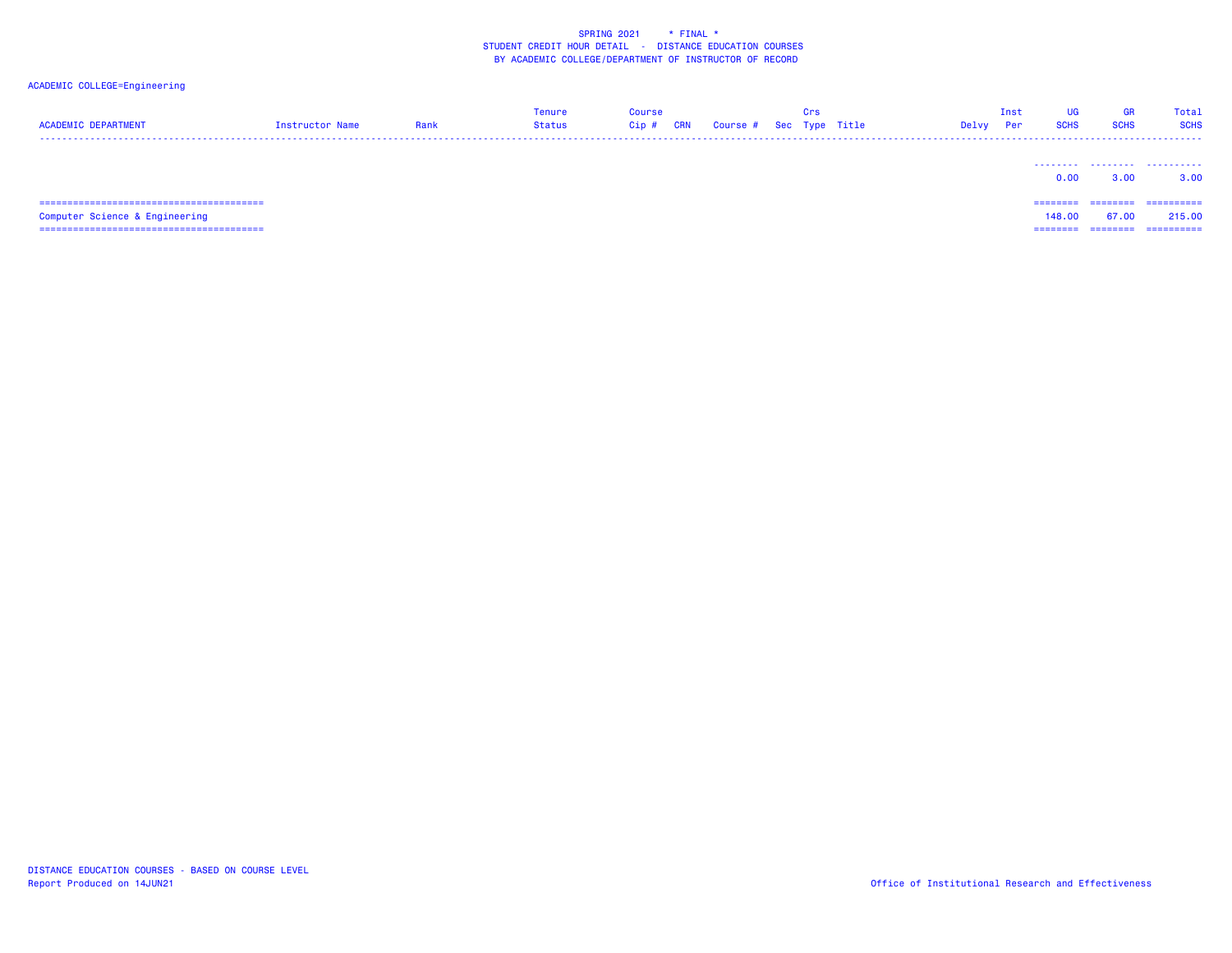# ACADEMIC COLLEGE=Engineering

| <b>ACADEMIC DEPARTMENT</b> | Instructor Name | Rank | Tenure<br>Status | Course<br>Cip# | <b>CRN</b> | Course # Sec Type Title | Crs | Delvy | Inst<br>Per | <b>SCHS</b>     | GR<br><b>SCHS</b> | Total<br><b>SCHS</b> |
|----------------------------|-----------------|------|------------------|----------------|------------|-------------------------|-----|-------|-------------|-----------------|-------------------|----------------------|
|                            |                 |      |                  |                |            |                         |     |       |             | --------<br>0.0 | 3.OC              | ------<br>3.00       |

 Computer Science & Engineering 148.00 67.00 215.00 ======================================== ======== ======== ==========

 ======================================== ======== ======== ==========148.00 67.00 215.00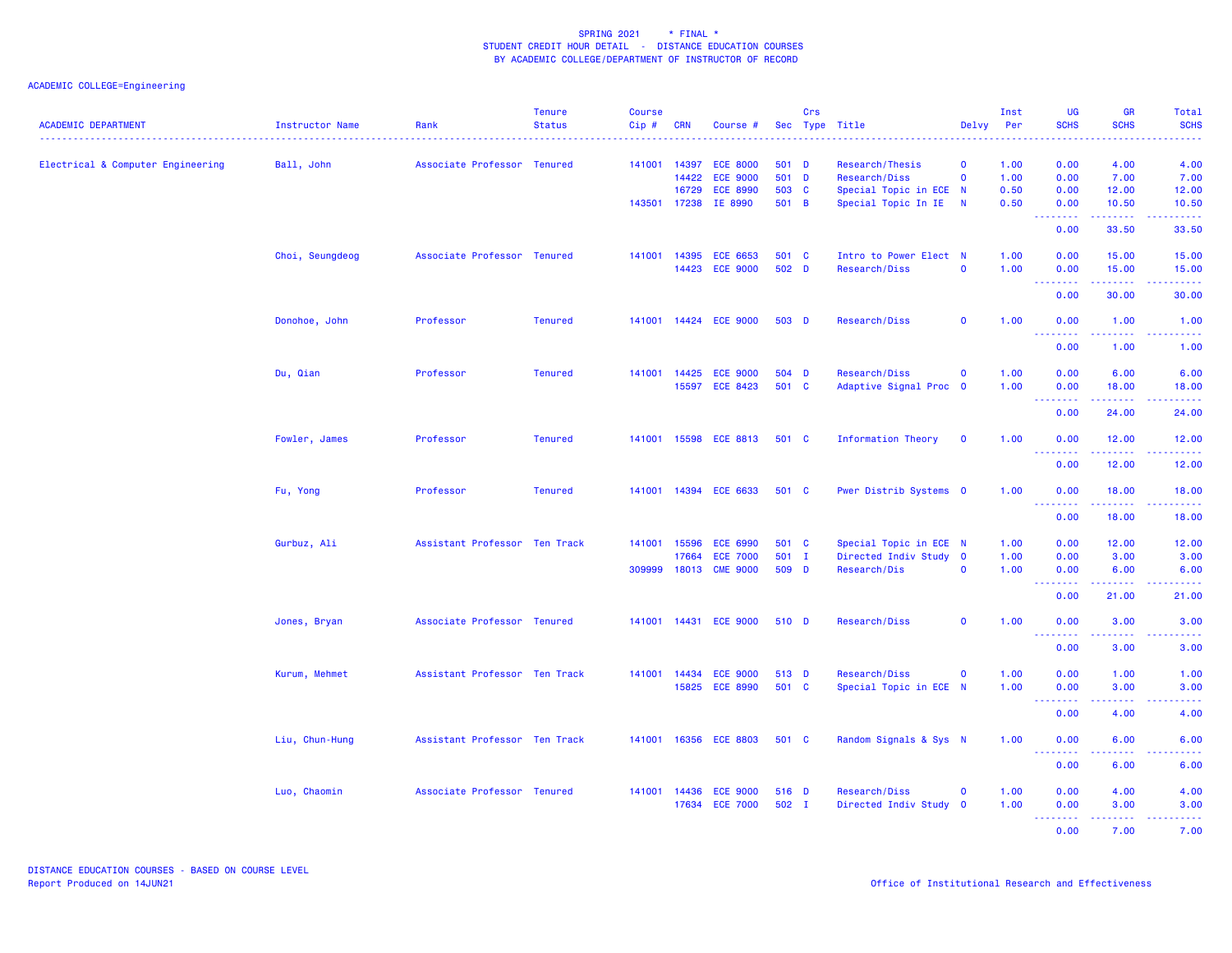|                                   |                 |                               | <b>Tenure</b>                 | <b>Course</b> |              |                          |       | Crs |                        |                         | Inst | UG                              | <b>GR</b>                      | <b>Total</b>                                                                                                                             |
|-----------------------------------|-----------------|-------------------------------|-------------------------------|---------------|--------------|--------------------------|-------|-----|------------------------|-------------------------|------|---------------------------------|--------------------------------|------------------------------------------------------------------------------------------------------------------------------------------|
| <b>ACADEMIC DEPARTMENT</b>        | Instructor Name | Rank                          | <b>Status</b><br>. <b>.</b> . | Cip#          | <b>CRN</b>   | Course #                 |       |     | Sec Type Title<br>.    | Delvy                   | Per  | <b>SCHS</b>                     | <b>SCHS</b>                    | <b>SCHS</b><br>$\frac{1}{2} \left( \frac{1}{2} \right) \left( \frac{1}{2} \right) \left( \frac{1}{2} \right) \left( \frac{1}{2} \right)$ |
| Electrical & Computer Engineering | Ball, John      | Associate Professor Tenured   |                               |               | 141001 14397 | <b>ECE 8000</b>          | 501 D |     | Research/Thesis        | $\mathbf 0$             | 1.00 | 0.00                            | 4.00                           | 4.00                                                                                                                                     |
|                                   |                 |                               |                               |               | 14422        | <b>ECE 9000</b>          | 501 D |     | Research/Diss          | $\mathbf{o}$            | 1.00 | 0.00                            | 7.00                           | 7.00                                                                                                                                     |
|                                   |                 |                               |                               |               | 16729        | <b>ECE 8990</b>          | 503 C |     | Special Topic in ECE N |                         | 0.50 | 0.00                            | 12.00                          | 12.00                                                                                                                                    |
|                                   |                 |                               |                               |               |              | 143501 17238 IE 8990     | 501 B |     | Special Topic In IE    | N                       | 0.50 | 0.00<br>.                       | 10.50<br>.                     | 10.50<br>.                                                                                                                               |
|                                   |                 |                               |                               |               |              |                          |       |     |                        |                         |      | 0.00                            | 33.50                          | 33.50                                                                                                                                    |
|                                   | Choi, Seungdeog | Associate Professor Tenured   |                               |               | 141001 14395 | <b>ECE 6653</b>          | 501 C |     | Intro to Power Elect N |                         | 1.00 | 0.00                            | 15.00                          | 15.00                                                                                                                                    |
|                                   |                 |                               |                               |               | 14423        | <b>ECE 9000</b>          | 502 D |     | Research/Diss          | $\mathbf 0$             | 1.00 | 0.00                            | 15.00                          | 15.00                                                                                                                                    |
|                                   |                 |                               |                               |               |              |                          |       |     |                        |                         |      | <u>.</u><br>0.00                | .<br>30.00                     | .<br>30.00                                                                                                                               |
|                                   | Donohoe, John   | Professor                     | <b>Tenured</b>                |               |              | 141001 14424 ECE 9000    | 503 D |     | Research/Diss          | $\mathbf 0$             | 1.00 | 0.00<br><u>.</u>                | 1.00<br>$\sim$ $\sim$ $\sim$   | 1.00<br>$- - - -$                                                                                                                        |
|                                   |                 |                               |                               |               |              |                          |       |     |                        |                         |      | 0.00                            | 1.00                           | 1.00                                                                                                                                     |
|                                   | Du, Qian        | Professor                     | <b>Tenured</b>                |               |              | 141001  14425  ECE  9000 | 504 D |     | Research/Diss          | $\mathbf{o}$            | 1.00 | 0.00                            | 6.00                           | 6.00                                                                                                                                     |
|                                   |                 |                               |                               |               |              | 15597 ECE 8423           | 501 C |     | Adaptive Signal Proc 0 |                         | 1.00 | 0.00                            | 18.00                          | 18.00                                                                                                                                    |
|                                   |                 |                               |                               |               |              |                          |       |     |                        |                         |      | <u> - - - - - - - -</u><br>0.00 | <b>.</b><br>24.00              | .<br>24.00                                                                                                                               |
|                                   | Fowler, James   | Professor                     | <b>Tenured</b>                |               |              | 141001 15598 ECE 8813    | 501 C |     | Information Theory     | $\mathbf{O}$            | 1.00 | 0.00                            | 12.00                          | 12.00                                                                                                                                    |
|                                   |                 |                               |                               |               |              |                          |       |     |                        |                         |      | 0.00                            | 12.00                          | 12.00                                                                                                                                    |
|                                   | Fu, Yong        | Professor                     | <b>Tenured</b>                |               |              | 141001 14394 ECE 6633    | 501 C |     | Pwer Distrib Systems 0 |                         | 1.00 | 0.00<br>.                       | 18.00<br>.                     | 18.00<br>د د د د د                                                                                                                       |
|                                   |                 |                               |                               |               |              |                          |       |     |                        |                         |      | 0.00                            | 18.00                          | 18.00                                                                                                                                    |
|                                   | Gurbuz, Ali     | Assistant Professor Ten Track |                               |               | 141001 15596 | <b>ECE 6990</b>          | 501 C |     | Special Topic in ECE N |                         | 1.00 | 0.00                            | 12.00                          | 12.00                                                                                                                                    |
|                                   |                 |                               |                               |               | 17664        | <b>ECE 7000</b>          | 501 I |     | Directed Indiv Study 0 |                         | 1.00 | 0.00                            | 3.00                           | 3.00                                                                                                                                     |
|                                   |                 |                               |                               | 309999        | 18013        | <b>CME 9000</b>          | 509 D |     | Research/Dis           | $\mathbf 0$             | 1.00 | 0.00<br><u>.</u>                | 6.00<br>2.2.2.2.2              | 6.00<br>.                                                                                                                                |
|                                   |                 |                               |                               |               |              |                          |       |     |                        |                         |      | 0.00                            | 21.00                          | 21.00                                                                                                                                    |
|                                   | Jones, Bryan    | Associate Professor Tenured   |                               |               |              | 141001 14431 ECE 9000    | 510 D |     | Research/Diss          | $\mathbf 0$             | 1.00 | 0.00<br>.                       | 3.00                           | 3.00                                                                                                                                     |
|                                   |                 |                               |                               |               |              |                          |       |     |                        |                         |      | 0.00                            | 3.00                           | 3.00                                                                                                                                     |
|                                   | Kurum, Mehmet   | Assistant Professor Ten Track |                               |               | 141001 14434 | <b>ECE 9000</b>          | 513 D |     | Research/Diss          | $\mathbf{o}$            | 1.00 | 0.00                            | 1.00                           | 1.00                                                                                                                                     |
|                                   |                 |                               |                               |               | 15825        | <b>ECE 8990</b>          | 501 C |     | Special Topic in ECE N |                         | 1.00 | 0.00<br>- - - - - - - -         | 3.00<br>$\omega$ is a $\omega$ | 3.00<br>$\frac{1}{2} \left( \frac{1}{2} \right) \left( \frac{1}{2} \right) \left( \frac{1}{2} \right) \left( \frac{1}{2} \right)$        |
|                                   |                 |                               |                               |               |              |                          |       |     |                        |                         |      | 0.00                            | 4.00                           | 4.00                                                                                                                                     |
|                                   | Liu, Chun-Hung  | Assistant Professor Ten Track |                               |               |              | 141001 16356 ECE 8803    | 501 C |     | Random Signals & Sys N |                         | 1.00 | 0.00<br>.                       | 6.00                           | 6.00                                                                                                                                     |
|                                   |                 |                               |                               |               |              |                          |       |     |                        |                         |      | 0.00                            | 6.00                           | 6.00                                                                                                                                     |
|                                   | Luo, Chaomin    | Associate Professor Tenured   |                               |               | 141001 14436 | <b>ECE 9000</b>          | 516 D |     | Research/Diss          | $\mathbf 0$             | 1.00 | 0.00                            | 4.00                           | 4.00                                                                                                                                     |
|                                   |                 |                               |                               |               | 17634        | <b>ECE 7000</b>          | 502 I |     | Directed Indiv Study   | $\overline{\mathbf{0}}$ | 1.00 | 0.00                            | 3.00                           | 3.00                                                                                                                                     |
|                                   |                 |                               |                               |               |              |                          |       |     |                        |                         |      | <u>.</u>                        | .                              | $\sim$ $\sim$ $\sim$ $\sim$ $\sim$                                                                                                       |
|                                   |                 |                               |                               |               |              |                          |       |     |                        |                         |      | 0.00                            | 7.00                           | 7.00                                                                                                                                     |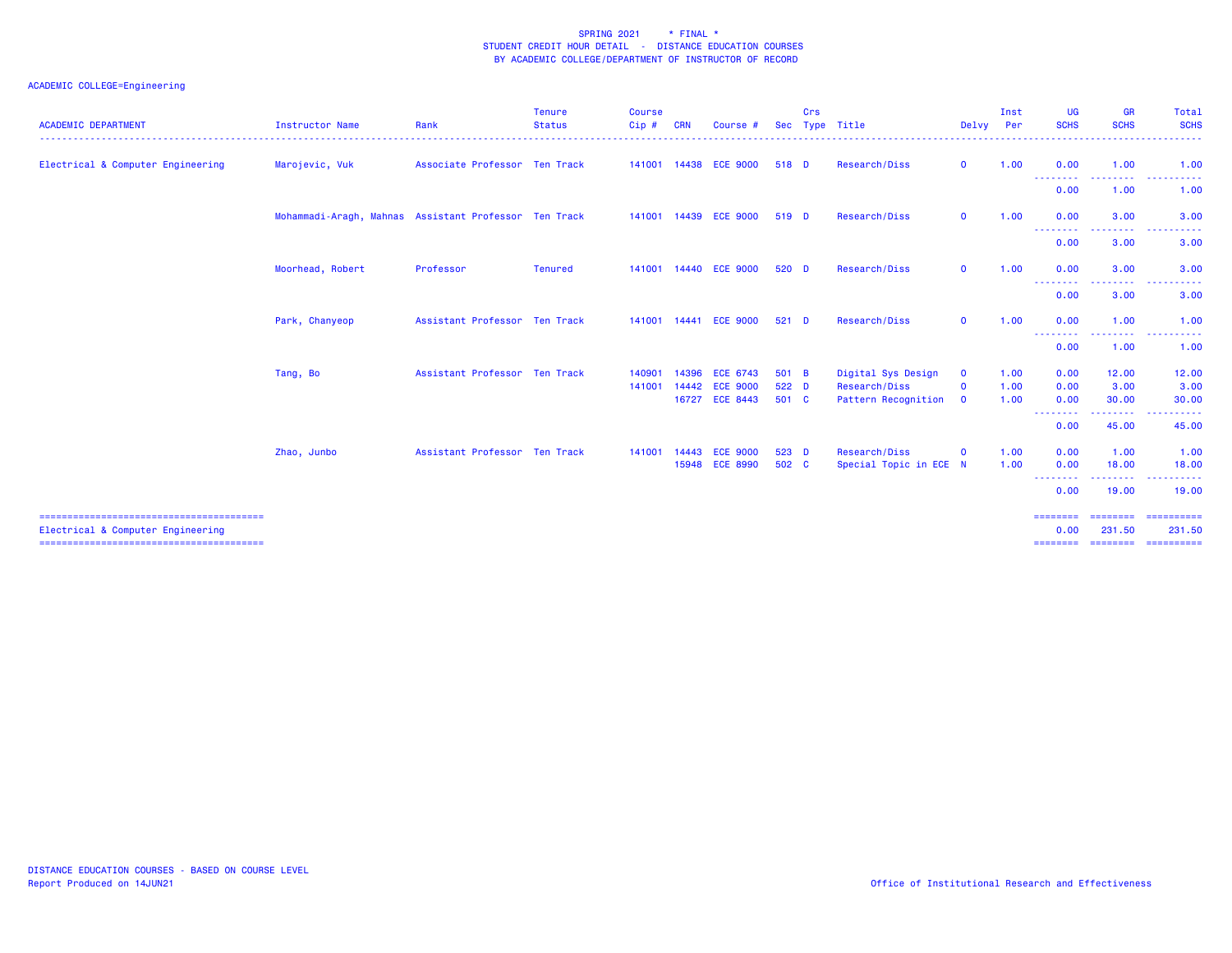| <b>ACADEMIC DEPARTMENT</b>        | Instructor Name                                       | Rank                          | <b>Tenure</b><br><b>Status</b> | <b>Course</b><br>Cip# | <b>CRN</b> | Course #                          | <b>Sec</b>     | Crs | Type Title                           | Delvy Per                   | Inst         | <b>UG</b><br><b>SCHS</b> | <b>GR</b><br><b>SCHS</b>                                                                               | Total<br><b>SCHS</b>                                                                                                                                                                                                                                                                                                                                                                                                                                                                                     |
|-----------------------------------|-------------------------------------------------------|-------------------------------|--------------------------------|-----------------------|------------|-----------------------------------|----------------|-----|--------------------------------------|-----------------------------|--------------|--------------------------|--------------------------------------------------------------------------------------------------------|----------------------------------------------------------------------------------------------------------------------------------------------------------------------------------------------------------------------------------------------------------------------------------------------------------------------------------------------------------------------------------------------------------------------------------------------------------------------------------------------------------|
| Electrical & Computer Engineering | Marojevic, Vuk                                        | Associate Professor Ten Track |                                |                       |            | 141001  14438  ECE  9000          | 518 D          |     | Research/Diss                        | $\mathbf{O}$                | 1.00         | 0.00                     | 1.00                                                                                                   | 1.00                                                                                                                                                                                                                                                                                                                                                                                                                                                                                                     |
|                                   |                                                       |                               |                                |                       |            |                                   |                |     |                                      |                             |              | <u>.</u><br>0.00         | <u> - - - - - - - -</u><br>1.00                                                                        | .<br>$\frac{1}{2} \left( \frac{1}{2} \right) \left( \frac{1}{2} \right) \left( \frac{1}{2} \right)$<br>1.00                                                                                                                                                                                                                                                                                                                                                                                              |
|                                   | Mohammadi-Aragh, Mahnas Assistant Professor Ten Track |                               |                                |                       |            | 141001  14439  ECE  9000          | 519 D          |     | Research/Diss                        | $\mathbf{O}$                | 1.00         | 0.00                     | 3.00                                                                                                   | 3.00                                                                                                                                                                                                                                                                                                                                                                                                                                                                                                     |
|                                   |                                                       |                               |                                |                       |            |                                   |                |     |                                      |                             |              | --------<br>0.00         | --------<br>3.00                                                                                       | .<br>3.00                                                                                                                                                                                                                                                                                                                                                                                                                                                                                                |
|                                   | Moorhead, Robert                                      | Professor                     | <b>Tenured</b>                 |                       |            | 141001  14440  ECE  9000          | $520$ D        |     | Research/Diss                        | $\mathbf{O}$                | 1.00         | 0.00                     | 3.00                                                                                                   | 3.00                                                                                                                                                                                                                                                                                                                                                                                                                                                                                                     |
|                                   |                                                       |                               |                                |                       |            |                                   |                |     |                                      |                             |              | 0.00                     | $\frac{1}{2} \left( \frac{1}{2} \right) \left( \frac{1}{2} \right) \left( \frac{1}{2} \right)$<br>3.00 | 3.00                                                                                                                                                                                                                                                                                                                                                                                                                                                                                                     |
|                                   | Park, Chanyeop                                        | Assistant Professor Ten Track |                                |                       |            | 141001 14441 ECE 9000             | $521$ D        |     | Research/Diss                        | $\mathbf{o}$                | 1.00         | 0.00                     | 1.00                                                                                                   | 1.00                                                                                                                                                                                                                                                                                                                                                                                                                                                                                                     |
|                                   |                                                       |                               |                                |                       |            |                                   |                |     |                                      |                             |              | --------<br>0.00         | <u>.</u><br>1.00                                                                                       | 1.00                                                                                                                                                                                                                                                                                                                                                                                                                                                                                                     |
|                                   | Tang, Bo                                              | Assistant Professor Ten Track |                                | 140901                |            | 14396 ECE 6743                    | 501 B          |     | Digital Sys Design                   | $\mathbf{o}$                | 1.00         | 0.00                     | 12.00                                                                                                  | 12.00                                                                                                                                                                                                                                                                                                                                                                                                                                                                                                    |
|                                   |                                                       |                               |                                | 141001                | 14442      | <b>ECE 9000</b><br>16727 ECE 8443 | 522 D<br>501 C |     | Research/Diss<br>Pattern Recognition | $\mathbf{o}$<br>$\mathbf 0$ | 1.00<br>1.00 | 0.00<br>0.00             | 3.00<br>30.00                                                                                          | 3.00<br>30.00                                                                                                                                                                                                                                                                                                                                                                                                                                                                                            |
|                                   |                                                       |                               |                                |                       |            |                                   |                |     |                                      |                             |              | <u>.</u><br>0.00         | <u> - - - - - - - 1</u><br>45.00                                                                       | $\begin{array}{cccccccccccccc} \multicolumn{2}{c}{} & \multicolumn{2}{c}{} & \multicolumn{2}{c}{} & \multicolumn{2}{c}{} & \multicolumn{2}{c}{} & \multicolumn{2}{c}{} & \multicolumn{2}{c}{} & \multicolumn{2}{c}{} & \multicolumn{2}{c}{} & \multicolumn{2}{c}{} & \multicolumn{2}{c}{} & \multicolumn{2}{c}{} & \multicolumn{2}{c}{} & \multicolumn{2}{c}{} & \multicolumn{2}{c}{} & \multicolumn{2}{c}{} & \multicolumn{2}{c}{} & \multicolumn{2}{c}{} & \multicolumn{2}{c}{} & \$<br>$  -$<br>45.00 |
|                                   | Zhao, Junbo                                           | Assistant Professor Ten Track |                                | 141001                | 14443      | <b>ECE 9000</b>                   | 523 D          |     | Research/Diss                        | $\mathbf{o}$                | 1.00         | 0.00                     | 1.00                                                                                                   | 1.00                                                                                                                                                                                                                                                                                                                                                                                                                                                                                                     |
|                                   |                                                       |                               |                                |                       |            | 15948 ECE 8990                    | 502 C          |     | Special Topic in ECE N               |                             | 1.00         | 0.00<br><u>.</u>         | 18.00                                                                                                  | 18.00                                                                                                                                                                                                                                                                                                                                                                                                                                                                                                    |
|                                   |                                                       |                               |                                |                       |            |                                   |                |     |                                      |                             |              | 0.00                     | 19.00                                                                                                  | 19,00                                                                                                                                                                                                                                                                                                                                                                                                                                                                                                    |
| Electrical & Computer Engineering |                                                       |                               |                                |                       |            |                                   |                |     |                                      |                             |              | 0.00                     | --------<br>231.50                                                                                     | ==========<br>231.50<br>===============================                                                                                                                                                                                                                                                                                                                                                                                                                                                  |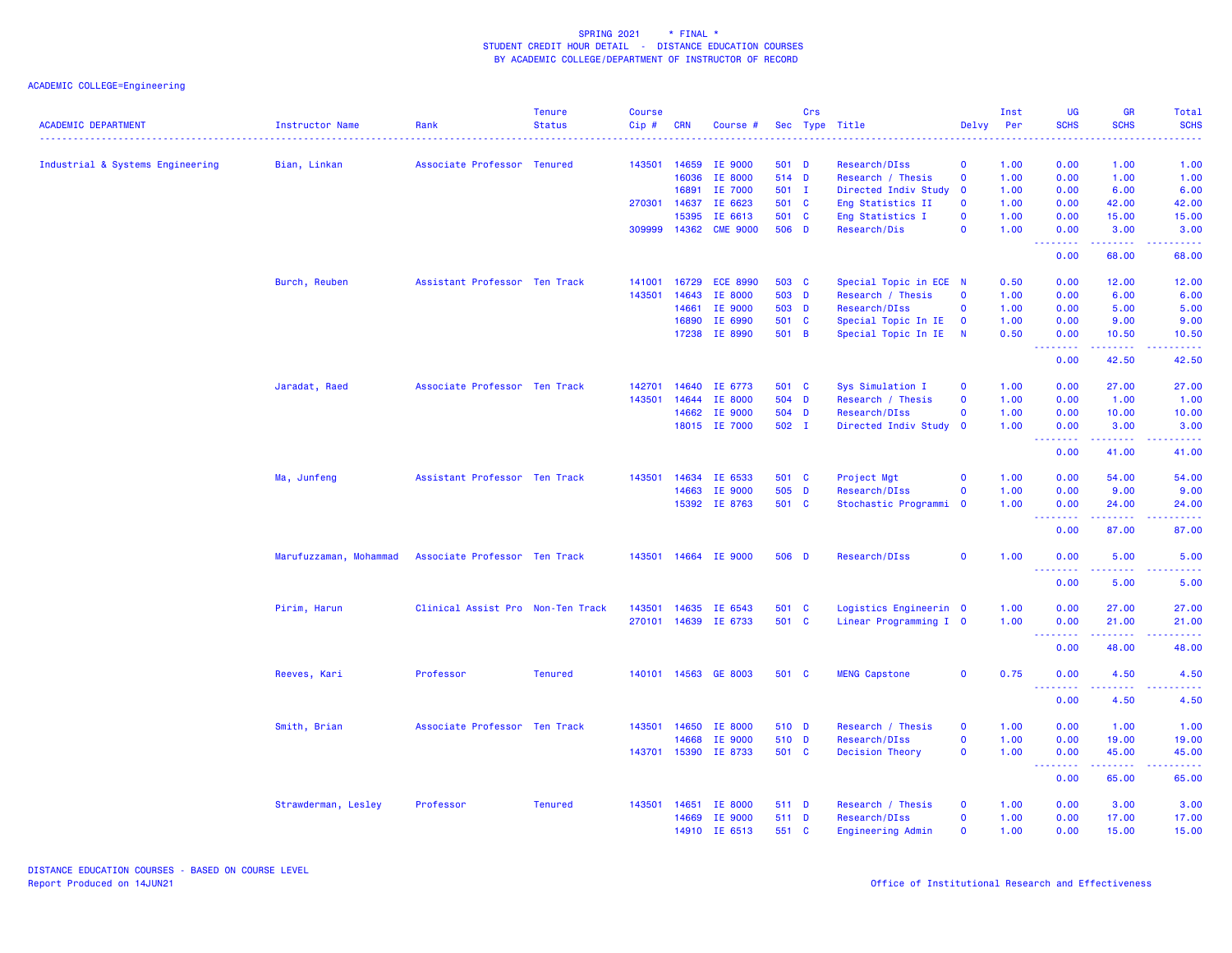|                                  |                        |                                   | <b>Tenure</b>  | <b>Course</b> |              |                      |       | Crs |                        |                         | Inst | <b>UG</b>                        | <b>GR</b>                          | Total              |
|----------------------------------|------------------------|-----------------------------------|----------------|---------------|--------------|----------------------|-------|-----|------------------------|-------------------------|------|----------------------------------|------------------------------------|--------------------|
| <b>ACADEMIC DEPARTMENT</b>       | Instructor Name        | Rank<br>.                         | <b>Status</b>  | Cip#          | <b>CRN</b>   | Course #             |       |     | Sec Type Title<br>.    | Delvy                   | Per  | <b>SCHS</b>                      | <b>SCHS</b>                        | <b>SCHS</b>        |
| Industrial & Systems Engineering | Bian, Linkan           | Associate Professor Tenured       |                |               | 143501 14659 | IE 9000              | 501 D |     | Research/DIss          | $\mathbf 0$             | 1.00 | 0.00                             | 1.00                               | 1.00               |
|                                  |                        |                                   |                |               | 16036        | IE 8000              | 514 D |     | Research / Thesis      | $\mathbf 0$             | 1.00 | 0.00                             | 1.00                               | 1.00               |
|                                  |                        |                                   |                |               | 16891        | IE 7000              | 501 I |     | Directed Indiv Study   | $\mathbf{o}$            | 1.00 | 0.00                             | 6.00                               | 6.00               |
|                                  |                        |                                   |                | 270301        | 14637        | IE 6623              | 501 C |     | Eng Statistics II      | $\Omega$                | 1.00 | 0.00                             | 42.00                              | 42.00              |
|                                  |                        |                                   |                |               | 15395        | IE 6613              | 501 C |     | Eng Statistics I       | $\mathbf 0$             | 1.00 | 0.00                             | 15.00                              | 15.00              |
|                                  |                        |                                   |                | 309999 14362  |              | <b>CME 9000</b>      | 506 D |     | Research/Dis           | $\mathbf 0$             | 1.00 | 0.00                             | 3.00                               | 3.00               |
|                                  |                        |                                   |                |               |              |                      |       |     |                        |                         |      | .<br>0.00                        | 68.00                              | 68.00              |
|                                  | Burch, Reuben          | Assistant Professor Ten Track     |                | 141001        | 16729        | <b>ECE 8990</b>      | 503 C |     | Special Topic in ECE N |                         | 0.50 | 0.00                             | 12.00                              | 12.00              |
|                                  |                        |                                   |                | 143501        | 14643        | IE 8000              | 503 D |     | Research / Thesis      | $\mathbf 0$             | 1.00 | 0.00                             | 6.00                               | 6.00               |
|                                  |                        |                                   |                |               | 14661        | IE 9000              | 503 D |     | Research/DIss          | $\Omega$                | 1.00 | 0.00                             | 5.00                               | 5.00               |
|                                  |                        |                                   |                |               | 16890        | IE 6990              | 501 C |     | Special Topic In IE    | $\mathbf 0$             | 1.00 | 0.00                             | 9.00                               | 9.00               |
|                                  |                        |                                   |                |               | 17238        | IE 8990              | 501 B |     | Special Topic In IE    | $\overline{N}$          | 0.50 | 0.00<br>$\omega = \omega/\omega$ | 10.50<br>$\omega$ is a $\omega$ in | 10.50<br>بالأباليا |
|                                  |                        |                                   |                |               |              |                      |       |     |                        |                         |      | 0.00                             | 42.50                              | 42.50              |
|                                  | Jaradat, Raed          | Associate Professor Ten Track     |                | 142701        | 14640        | IE 6773              | 501 C |     | Sys Simulation I       | $\mathbf 0$             | 1.00 | 0.00                             | 27.00                              | 27.00              |
|                                  |                        |                                   |                | 143501        | 14644        | IE 8000              | 504 D |     | Research / Thesis      | $\Omega$                | 1.00 | 0.00                             | 1.00                               | 1.00               |
|                                  |                        |                                   |                |               | 14662        | IE 9000              | 504 D |     | Research/DIss          | $\Omega$                | 1.00 | 0.00                             | 10.00                              | 10.00              |
|                                  |                        |                                   |                |               |              | 18015 IE 7000        | 502 I |     | Directed Indiv Study   | $\mathbf 0$             | 1.00 | 0.00                             | 3.00                               | 3.00               |
|                                  |                        |                                   |                |               |              |                      |       |     |                        |                         |      | <b></b><br>0.00                  | .<br>41.00                         | 41.00              |
|                                  | Ma, Junfeng            | Assistant Professor Ten Track     |                | 143501        |              | 14634 IE 6533        | 501 C |     | Project Mgt            | $\mathbf 0$             | 1.00 | 0.00                             | 54.00                              | 54.00              |
|                                  |                        |                                   |                |               | 14663        | IE 9000              | 505 D |     | Research/DIss          | $\Omega$                | 1.00 | 0.00                             | 9.00                               | 9.00               |
|                                  |                        |                                   |                |               |              | 15392 IE 8763        | 501 C |     | Stochastic Programmi   | $\overline{\mathbf{0}}$ | 1.00 | 0.00                             | 24.00                              | 24.00              |
|                                  |                        |                                   |                |               |              |                      |       |     |                        |                         |      | .<br>0.00                        | 87.00                              | 87.00              |
|                                  | Marufuzzaman, Mohammad | Associate Professor Ten Track     |                |               |              | 143501 14664 IE 9000 | 506 D |     | Research/DIss          | $\mathbf 0$             | 1.00 | 0.00                             | 5.00                               | 5.00               |
|                                  |                        |                                   |                |               |              |                      |       |     |                        |                         |      | <u>.</u><br>0.00                 | 5.00                               | 5.00               |
|                                  | Pirim, Harun           | Clinical Assist Pro Non-Ten Track |                |               |              | 143501 14635 IE 6543 | 501 C |     | Logistics Engineerin 0 |                         | 1.00 | 0.00                             | 27.00                              | 27.00              |
|                                  |                        |                                   |                |               |              | 270101 14639 IE 6733 | 501 C |     | Linear Programming I 0 |                         | 1.00 | 0.00                             | 21.00                              | 21.00              |
|                                  |                        |                                   |                |               |              |                      |       |     |                        |                         |      | .                                |                                    |                    |
|                                  |                        |                                   |                |               |              |                      |       |     |                        |                         |      | 0.00                             | 48.00                              | 48.00              |
|                                  | Reeves, Kari           | Professor                         | <b>Tenured</b> |               |              | 140101 14563 GE 8003 | 501 C |     | <b>MENG Capstone</b>   | $\mathbf 0$             | 0.75 | 0.00<br><u>.</u>                 | 4.50                               | 4.50               |
|                                  |                        |                                   |                |               |              |                      |       |     |                        |                         |      | 0.00                             | 4.50                               | 4.50               |
|                                  | Smith, Brian           | Associate Professor Ten Track     |                |               |              | 143501 14650 IE 8000 | 510 D |     | Research / Thesis      | $\mathbf 0$             | 1.00 | 0.00                             | 1.00                               | 1.00               |
|                                  |                        |                                   |                |               | 14668        | IE 9000              | 510 D |     | Research/DIss          | $\mathbf 0$             | 1.00 | 0.00                             | 19.00                              | 19.00              |
|                                  |                        |                                   |                |               | 143701 15390 | IE 8733              | 501 C |     | <b>Decision Theory</b> | $\mathbf 0$             | 1.00 | 0.00<br>.                        | 45.00<br>$- - - - -$               | 45.00              |
|                                  |                        |                                   |                |               |              |                      |       |     |                        |                         |      | 0.00                             | 65.00                              | 65.00              |
|                                  | Strawderman, Lesley    | Professor                         | <b>Tenured</b> |               |              | 143501 14651 IE 8000 | 511 D |     | Research / Thesis      | $\mathbf 0$             | 1.00 | 0.00                             | 3.00                               | 3.00               |
|                                  |                        |                                   |                |               | 14669        | IE 9000              | 511 D |     | Research/DIss          | $\Omega$                | 1.00 | 0.00                             | 17.00                              | 17.00              |
|                                  |                        |                                   |                |               |              | 14910 IE 6513        | 551 C |     | Engineering Admin      | $\mathbf 0$             | 1.00 | 0.00                             | 15.00                              | 15.00              |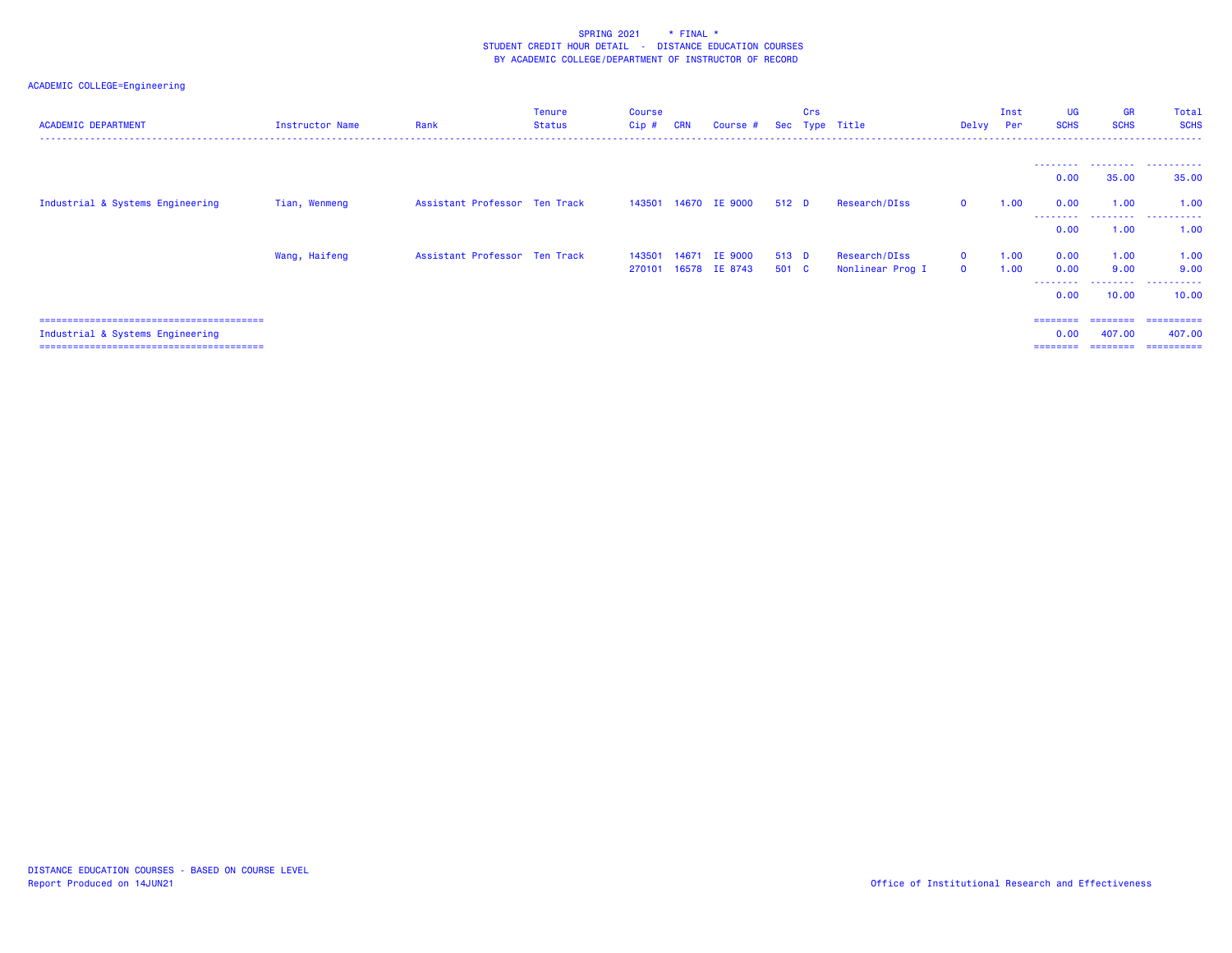| <b>ACADEMIC DEPARTMENT</b>       | Instructor Name | Rank                          | <b>Tenure</b><br><b>Status</b> | <b>Course</b><br>$Cip$ # | <b>CRN</b> | Course #             |       | Crs | Sec Type Title   | Delvy Per    | Inst | <b>UG</b><br><b>SCHS</b> | <b>GR</b><br><b>SCHS</b> | Total<br><b>SCHS</b>                  |
|----------------------------------|-----------------|-------------------------------|--------------------------------|--------------------------|------------|----------------------|-------|-----|------------------|--------------|------|--------------------------|--------------------------|---------------------------------------|
|                                  |                 |                               |                                |                          |            |                      |       |     |                  |              |      |                          |                          |                                       |
|                                  |                 |                               |                                |                          |            |                      |       |     |                  |              |      | 0.00                     | 35.00                    | --------  --------  --------<br>35.00 |
| Industrial & Systems Engineering | Tian, Wenmeng   | Assistant Professor Ten Track |                                |                          |            | 143501 14670 IE 9000 | 512 D |     | Research/DIss    | $\mathbf{0}$ | 1.00 | 0.00<br>---------        | 1.00<br>.                | 1.00<br>.                             |
|                                  |                 |                               |                                |                          |            |                      |       |     |                  |              |      | 0.00                     | 1.00                     | 1.00                                  |
|                                  | Wang, Haifeng   | Assistant Professor Ten Track |                                | 143501                   | 14671      | <b>IE 9000</b>       | 513 D |     | Research/DIss    | $\mathbf{0}$ | 1.00 | 0.00                     | 1.00                     | 1.00                                  |
|                                  |                 |                               |                                | 270101                   |            | 16578 IE 8743        | 501 C |     | Nonlinear Prog I | $\Omega$     | 1.00 | 0.00                     | 9.00                     | 9.00                                  |
|                                  |                 |                               |                                |                          |            |                      |       |     |                  |              |      | --------<br>0.00         | .<br>10.00               | .<br>10.00                            |
|                                  |                 |                               |                                |                          |            |                      |       |     |                  |              |      | $=$ = = = = = = =        | ========                 | ==========                            |
| Industrial & Systems Engineering |                 |                               |                                |                          |            |                      |       |     |                  |              |      | 0.00                     | 407.00                   | 407.00                                |
|                                  |                 |                               |                                |                          |            |                      |       |     |                  |              |      | ========                 | ========                 | -----------                           |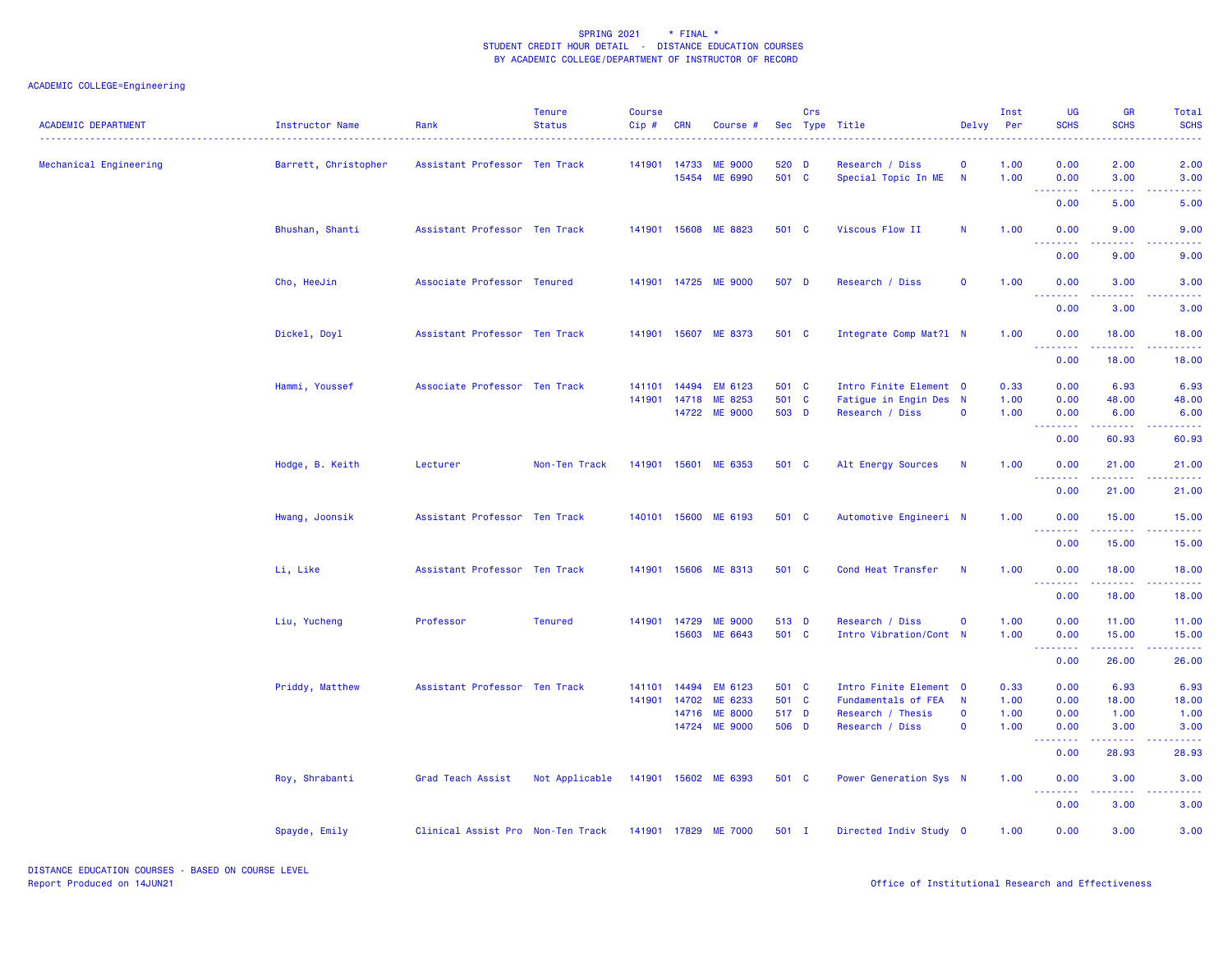| <b>ACADEMIC DEPARTMENT</b> | Instructor Name      | Rank                              | <b>Tenure</b><br><b>Status</b> | <b>Course</b><br>Cip# | <b>CRN</b>   | Course #             |       | Crs | Sec Type Title         | Delvy        | Inst<br>Per | UG<br><b>SCHS</b>               | <b>GR</b><br><b>SCHS</b>                                                                               | Total<br><b>SCHS</b>                                                                                                               |
|----------------------------|----------------------|-----------------------------------|--------------------------------|-----------------------|--------------|----------------------|-------|-----|------------------------|--------------|-------------|---------------------------------|--------------------------------------------------------------------------------------------------------|------------------------------------------------------------------------------------------------------------------------------------|
| Mechanical Engineering     | Barrett, Christopher | Assistant Professor Ten Track     |                                |                       | 141901 14733 | <b>ME 9000</b>       | 520 D |     | Research / Diss        | $\mathbf{o}$ | 1.00        | 0.00                            | 2.00                                                                                                   | 2.00                                                                                                                               |
|                            |                      |                                   |                                |                       | 15454        | ME 6990              | 501 C |     | Special Topic In ME    | N            | 1.00        | 0.00<br>.                       | 3.00<br>$\frac{1}{2} \left( \frac{1}{2} \right) \left( \frac{1}{2} \right) \left( \frac{1}{2} \right)$ | 3.00                                                                                                                               |
|                            |                      |                                   |                                |                       |              |                      |       |     |                        |              |             | 0.00                            | 5.00                                                                                                   | 5.00                                                                                                                               |
|                            | Bhushan, Shanti      | Assistant Professor Ten Track     |                                |                       |              | 141901 15608 ME 8823 | 501 C |     | Viscous Flow II        | $\mathsf{N}$ | 1.00        | 0.00<br>.                       | 9.00<br>وعاجات                                                                                         | 9.00<br>$\frac{1}{2} \left( \frac{1}{2} \right) \left( \frac{1}{2} \right) \left( \frac{1}{2} \right) \left( \frac{1}{2} \right)$  |
|                            |                      |                                   |                                |                       |              |                      |       |     |                        |              |             | 0.00                            | 9.00                                                                                                   | 9.00                                                                                                                               |
|                            | Cho, HeeJin          | Associate Professor Tenured       |                                |                       |              | 141901 14725 ME 9000 | 507 D |     | Research / Diss        | $\mathbf 0$  | 1.00        | 0.00<br>.                       | 3.00                                                                                                   | 3.00                                                                                                                               |
|                            |                      |                                   |                                |                       |              |                      |       |     |                        |              |             | 0.00                            | 3.00                                                                                                   | 3.00                                                                                                                               |
|                            | Dickel, Doyl         | Assistant Professor Ten Track     |                                |                       |              | 141901 15607 ME 8373 | 501 C |     | Integrate Comp Mat?1 N |              | 1.00        | 0.00<br><u> - - - - - - - -</u> | 18.00<br>.                                                                                             | 18.00<br>.                                                                                                                         |
|                            |                      |                                   |                                |                       |              |                      |       |     |                        |              |             | 0.00                            | 18.00                                                                                                  | 18.00                                                                                                                              |
|                            | Hammi, Youssef       | Associate Professor Ten Track     |                                | 141101                | 14494        | <b>EM 6123</b>       | 501 C |     | Intro Finite Element 0 |              | 0.33        | 0.00                            | 6.93                                                                                                   | 6.93                                                                                                                               |
|                            |                      |                                   |                                | 141901                | 14718        | ME 8253              | 501 C |     | Fatigue in Engin Des N |              | 1.00        | 0.00                            | 48.00                                                                                                  | 48.00                                                                                                                              |
|                            |                      |                                   |                                |                       |              | 14722 ME 9000        | 503 D |     | Research / Diss        | $\mathbf 0$  | 1.00        | 0.00                            | 6.00                                                                                                   | 6.00                                                                                                                               |
|                            |                      |                                   |                                |                       |              |                      |       |     |                        |              |             | 0.00                            | 60.93                                                                                                  | 60.93                                                                                                                              |
|                            | Hodge, B. Keith      | Lecturer                          | Non-Ten Track                  |                       |              | 141901 15601 ME 6353 | 501 C |     | Alt Energy Sources     | <b>N</b>     | 1.00        | 0.00<br>.                       | 21.00<br>.                                                                                             | 21.00<br>.                                                                                                                         |
|                            |                      |                                   |                                |                       |              |                      |       |     |                        |              |             | 0.00                            | 21.00                                                                                                  | 21.00                                                                                                                              |
|                            | Hwang, Joonsik       | Assistant Professor Ten Track     |                                |                       |              | 140101 15600 ME 6193 | 501 C |     | Automotive Engineeri N |              | 1.00        | 0.00<br><u>.</u>                | 15.00                                                                                                  | 15.00<br>.                                                                                                                         |
|                            |                      |                                   |                                |                       |              |                      |       |     |                        |              |             | 0.00                            | 15.00                                                                                                  | 15.00                                                                                                                              |
|                            | Li, Like             | Assistant Professor Ten Track     |                                |                       |              | 141901 15606 ME 8313 | 501 C |     | Cond Heat Transfer     | $\mathsf{N}$ | 1.00        | 0.00<br>.                       | 18.00<br>.                                                                                             | 18.00<br>.                                                                                                                         |
|                            |                      |                                   |                                |                       |              |                      |       |     |                        |              |             | 0.00                            | 18.00                                                                                                  | 18.00                                                                                                                              |
|                            | Liu, Yucheng         | Professor                         | <b>Tenured</b>                 |                       | 141901 14729 | <b>ME 9000</b>       | 513 D |     | Research / Diss        | $\mathbf 0$  | 1.00        | 0.00                            | 11.00                                                                                                  | 11.00                                                                                                                              |
|                            |                      |                                   |                                |                       | 15603        | ME 6643              | 501 C |     | Intro Vibration/Cont N |              | 1.00        | 0.00<br>.                       | 15.00                                                                                                  | 15.00<br>$\frac{1}{2} \left( \frac{1}{2} \right) \left( \frac{1}{2} \right) \left( \frac{1}{2} \right) \left( \frac{1}{2} \right)$ |
|                            |                      |                                   |                                |                       |              |                      |       |     |                        |              |             | 0.00                            | 26.00                                                                                                  | 26.00                                                                                                                              |
|                            | Priddy, Matthew      | Assistant Professor Ten Track     |                                | 141101                | 14494        | EM 6123              | 501 C |     | Intro Finite Element 0 |              | 0.33        | 0.00                            | 6.93                                                                                                   | 6.93                                                                                                                               |
|                            |                      |                                   |                                | 141901                | 14702        | ME 6233              | 501 C |     | Fundamentals of FEA    | $\mathbf N$  | 1.00        | 0.00                            | 18.00                                                                                                  | 18.00                                                                                                                              |
|                            |                      |                                   |                                |                       | 14716        | <b>ME 8000</b>       | 517 D |     | Research / Thesis      | $\mathbf{o}$ | 1.00        | 0.00                            | 1.00                                                                                                   | 1.00                                                                                                                               |
|                            |                      |                                   |                                |                       | 14724        | <b>ME 9000</b>       | 506 D |     | Research / Diss        | $\mathbf 0$  | 1.00        | 0.00<br>.                       | 3.00                                                                                                   | 3.00                                                                                                                               |
|                            |                      |                                   |                                |                       |              |                      |       |     |                        |              |             | 0.00                            | 28.93                                                                                                  | 28.93                                                                                                                              |
|                            | Roy, Shrabanti       | Grad Teach Assist                 | Not Applicable                 |                       |              | 141901 15602 ME 6393 | 501 C |     | Power Generation Sys N |              | 1.00        | 0.00<br>.                       | 3.00<br>.                                                                                              | 3.00                                                                                                                               |
|                            |                      |                                   |                                |                       |              |                      |       |     |                        |              |             | 0.00                            | 3.00                                                                                                   | 3.00                                                                                                                               |
|                            | Spayde, Emily        | Clinical Assist Pro Non-Ten Track |                                |                       |              | 141901 17829 ME 7000 | 501 I |     | Directed Indiv Study 0 |              | 1.00        | 0.00                            | 3.00                                                                                                   | 3.00                                                                                                                               |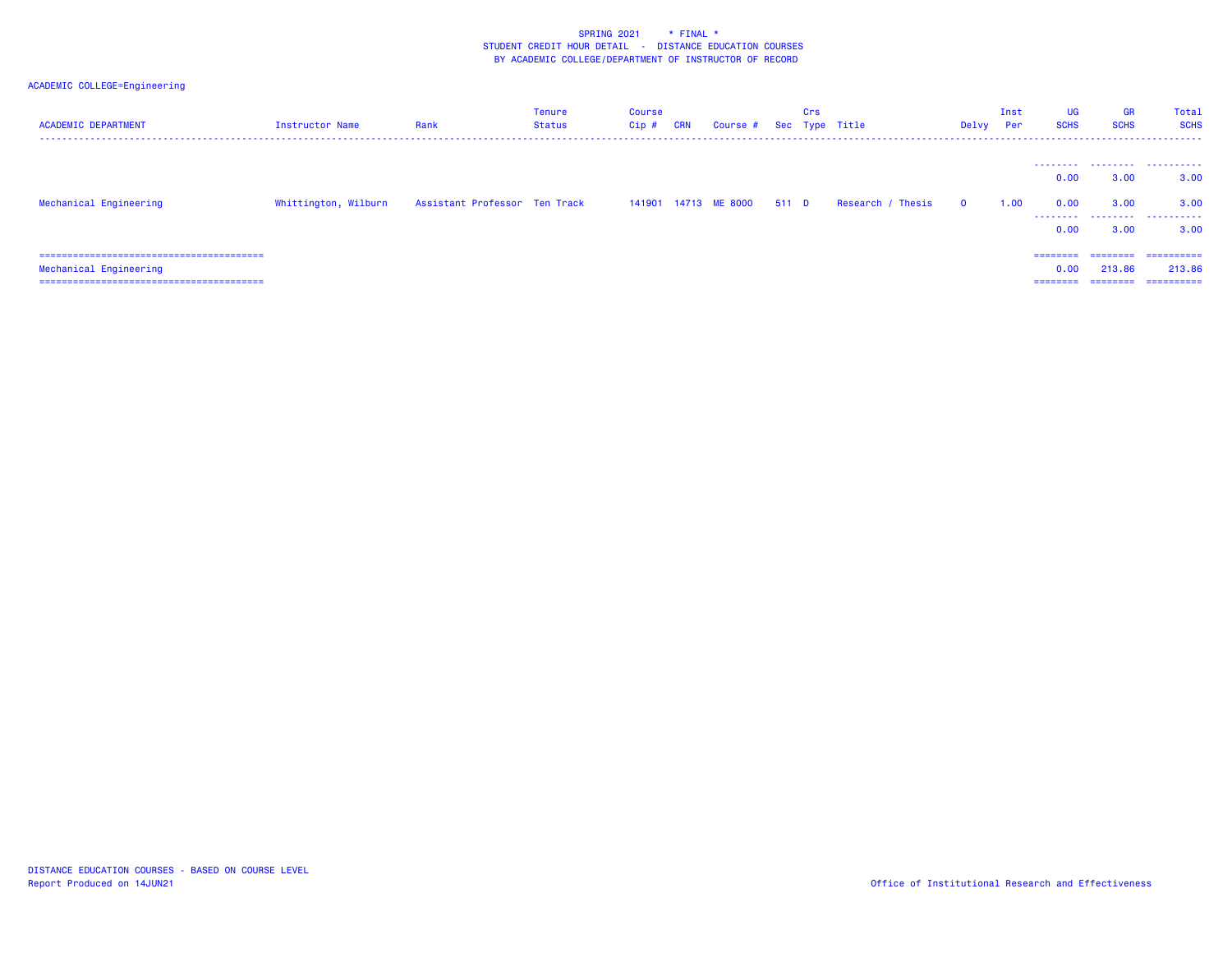# ACADEMIC COLLEGE=Engineering

| <b>ACADEMIC DEPARTMENT</b> | Instructor Name      | Rank                          | Tenure<br>Status | <b>Course</b><br>Cip# | <b>CRN</b> | Course # Sec Type Title |       | Crs |                   | Delvy        | Inst<br>Per | <b>UG</b><br><b>SCHS</b> | <b>GR</b><br><b>SCHS</b>       | Total<br><b>SCHS</b>                |
|----------------------------|----------------------|-------------------------------|------------------|-----------------------|------------|-------------------------|-------|-----|-------------------|--------------|-------------|--------------------------|--------------------------------|-------------------------------------|
|                            |                      |                               |                  |                       |            |                         |       |     |                   |              |             | 0.00                     | 3.00                           | 3.00                                |
| Mechanical Engineering     | Whittington, Wilburn | Assistant Professor Ten Track |                  |                       |            | 141901 14713 ME 8000    | 511 D |     | Research / Thesis | $\mathbf{o}$ | 1.00        | 0.00<br>.                | 3.00                           | 3.00                                |
|                            |                      |                               |                  |                       |            |                         |       |     |                   |              |             | 0.00                     | 3.00                           | 3.00                                |
| Mechanical Engineering     |                      |                               |                  |                       |            |                         |       |     |                   |              |             | 0.00<br>========         | ========<br>213.86<br>======== | -----------<br>213.86<br>========== |

DISTANCE EDUCATION COURSES - BASED ON COURSE LEVELReport Produced on 14JUN21 Office of Institutional Research and Effectiveness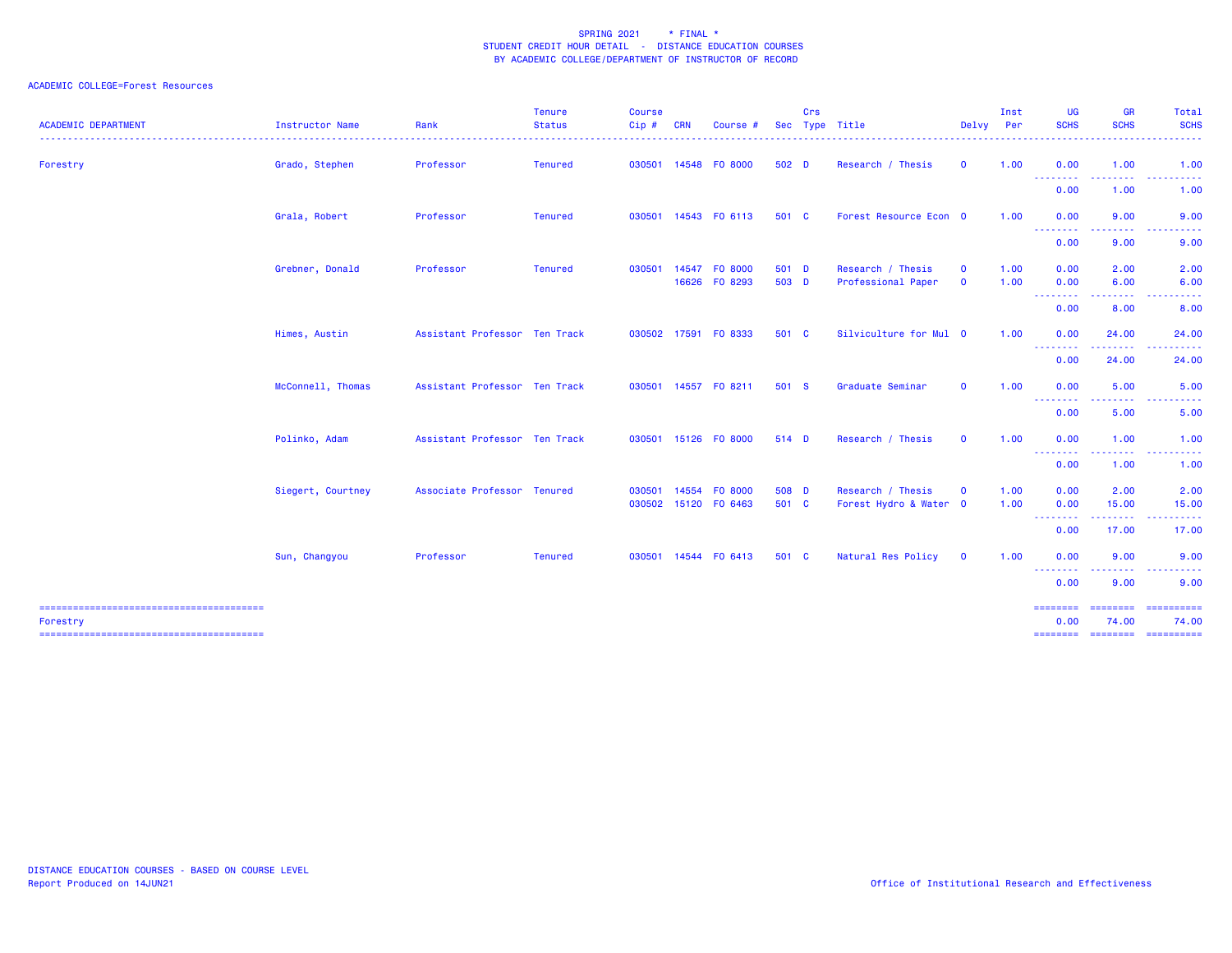| <b>ACADEMIC DEPARTMENT</b> | Instructor Name   | Rank                          | <b>Tenure</b><br><b>Status</b> | <b>Course</b><br>Cip# | <b>CRN</b> | Course #                 |                  | Crs | Sec Type Title                              | Delvy Per                  | Inst         | <b>UG</b><br><b>SCHS</b>                           | <b>GR</b><br><b>SCHS</b> | Total<br><b>SCHS</b><br>-----                      |
|----------------------------|-------------------|-------------------------------|--------------------------------|-----------------------|------------|--------------------------|------------------|-----|---------------------------------------------|----------------------------|--------------|----------------------------------------------------|--------------------------|----------------------------------------------------|
| Forestry                   | Grado, Stephen    | Professor                     | Tenured                        | 030501                |            | 14548 FO 8000            | 502 <sub>D</sub> |     | Research / Thesis                           | $\mathbf{O}$               | 1.00         | 0.00                                               | 1.00                     | 1.00                                               |
|                            |                   |                               |                                |                       |            |                          |                  |     |                                             |                            |              | <b>.</b> .<br>0.00                                 | <u>.</u><br>1.00         | $\sim$ $\sim$ $\sim$<br><u>.</u><br>1.00           |
|                            | Grala, Robert     | Professor                     | <b>Tenured</b>                 | 030501                |            | 14543 FO 6113            | 501 C            |     | Forest Resource Econ 0                      |                            | 1.00         | 0.00                                               | 9.00                     | 9.00                                               |
|                            |                   |                               |                                |                       |            |                          |                  |     |                                             |                            |              | --------<br>0.00                                   | 9.00                     | 9.00                                               |
|                            | Grebner, Donald   | Professor                     | <b>Tenured</b>                 | 030501                | 14547      | FO 8000<br>16626 FO 8293 | 501 D<br>503 D   |     | Research / Thesis<br>Professional Paper     | $\mathbf 0$<br>$\mathbf 0$ | 1.00<br>1.00 | 0.00<br>0.00                                       | 2.00<br>6.00             | 2.00<br>6.00                                       |
|                            |                   |                               |                                |                       |            |                          |                  |     |                                             |                            |              | --------<br>0.00                                   | .<br>8.00                | 8.00                                               |
|                            | Himes, Austin     | Assistant Professor Ten Track |                                | 030502                | 17591      | FO 8333                  | 501 C            |     | Silviculture for Mul 0                      |                            | 1.00         | 0.00                                               | 24.00                    | 24.00                                              |
|                            |                   |                               |                                |                       |            |                          |                  |     |                                             |                            |              | <b><i><u><u> - - - - - - -</u></u></i></b><br>0.00 | 24.00                    | 24.00                                              |
|                            | McConnell, Thomas | Assistant Professor Ten Track |                                | 030501                |            | 14557 FO 8211            | 501 S            |     | Graduate Seminar                            | $\mathbf 0$                | 1.00         | 0.00                                               | 5.00                     | 5.00                                               |
|                            |                   |                               |                                |                       |            |                          |                  |     |                                             |                            |              | <b><i><u><u> - - - - - - -</u></u></i></b><br>0.00 | . <b>.</b><br>5.00       | .<br>5.00                                          |
|                            | Polinko, Adam     | Assistant Professor Ten Track |                                | 030501                |            | 15126 FO 8000            | 514 D            |     | Research / Thesis                           | $\mathbf 0$                | 1.00         | 0.00                                               | 1.00                     | 1.00                                               |
|                            |                   |                               |                                |                       |            |                          |                  |     |                                             |                            |              | <b></b><br>0.00                                    | .<br>1.00                | ------<br>$\sim$ $\sim$ $\sim$<br>1.00             |
|                            | Siegert, Courtney | Associate Professor Tenured   |                                | 030501<br>030502      | 14554      | F0 8000<br>15120 FO 6463 | 508 D<br>501 C   |     | Research / Thesis<br>Forest Hydro & Water 0 | $\mathbf 0$                | 1.00<br>1.00 | 0.00<br>0.00                                       | 2.00<br>15.00            | 2.00<br>15.00                                      |
|                            |                   |                               |                                |                       |            |                          |                  |     |                                             |                            |              | --------<br>0.00                                   | .<br>17.00               | ------<br>17.00                                    |
|                            | Sun, Changyou     | Professor                     | <b>Tenured</b>                 | 030501                |            | 14544 FO 6413            | 501 C            |     | Natural Res Policy                          | $\mathbf 0$                | 1.00         | 0.00                                               | 9.00                     | 9.00                                               |
|                            |                   |                               |                                |                       |            |                          |                  |     |                                             |                            |              | --------<br>0.00                                   | <u>.</u><br>9.00         | $- - -$<br>.<br>9.00                               |
| Forestry                   |                   |                               |                                |                       |            |                          |                  |     |                                             |                            |              | ========<br>0.00<br>========                       | 74.00                    | ======== ==========<br>74.00<br>======== ========= |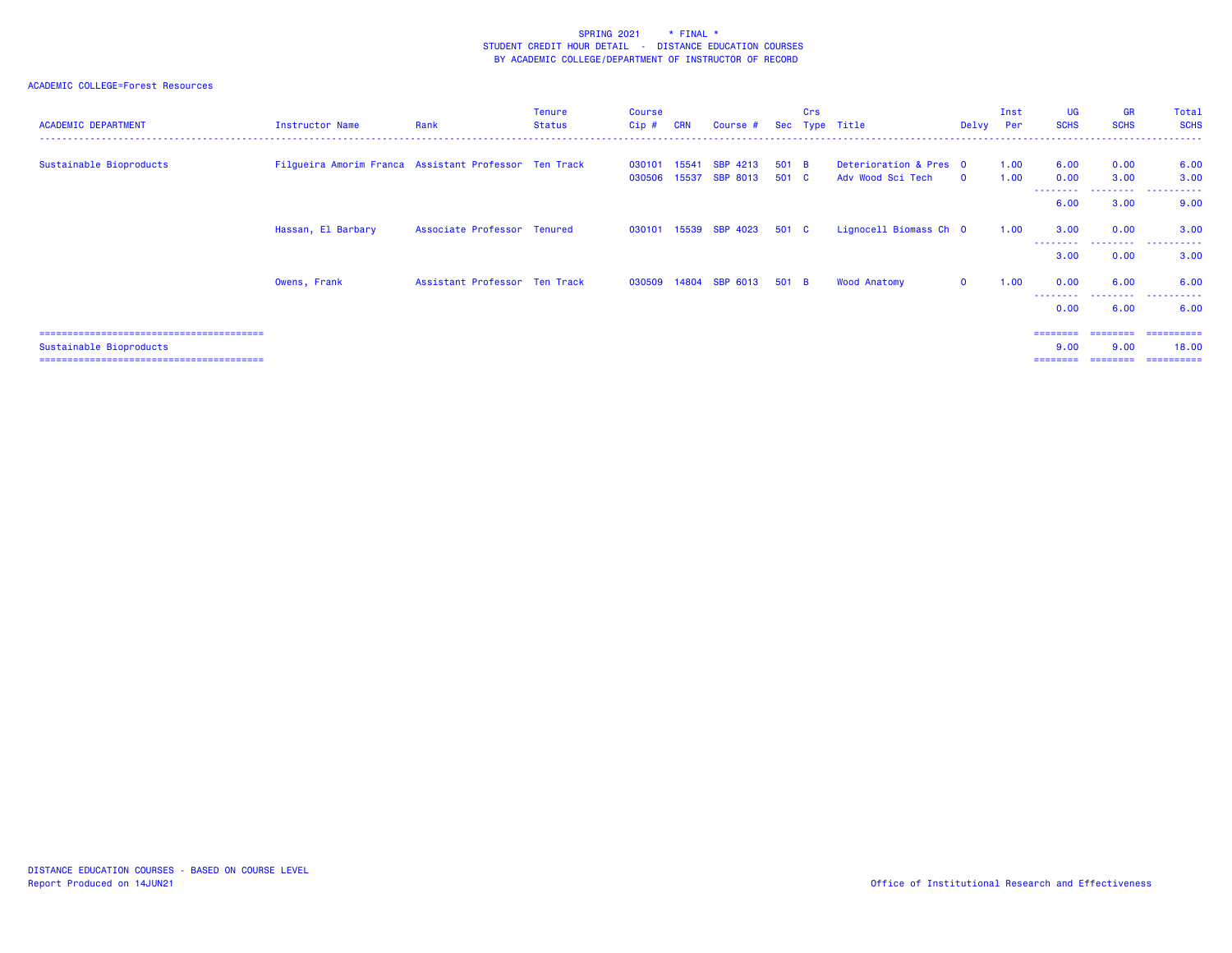| <b>ACADEMIC DEPARTMENT</b> | Instructor Name                                       | Rank                          | <b>Tenure</b><br>Status | <b>Course</b><br>$Cip$ # | <b>CRN</b> | Course #                           |                | Crs | Sec Type Title                              | Delvy Per   | Inst         | <b>UG</b><br><b>SCHS</b>     | <b>GR</b><br><b>SCHS</b>     | Total<br><b>SCHS</b>               |
|----------------------------|-------------------------------------------------------|-------------------------------|-------------------------|--------------------------|------------|------------------------------------|----------------|-----|---------------------------------------------|-------------|--------------|------------------------------|------------------------------|------------------------------------|
| Sustainable Bioproducts    | Filgueira Amorim Franca Assistant Professor Ten Track |                               |                         | 030101<br>030506 15537   | 15541      | <b>SBP 4213</b><br><b>SBP 8013</b> | 501 B<br>501 C |     | Deterioration & Pres 0<br>Adv Wood Sci Tech | $\Omega$    | 1.00<br>1.00 | 6.00<br>0.00                 | 0.00<br>3.00                 | 6.00<br>3.00                       |
|                            |                                                       |                               |                         |                          |            |                                    |                |     |                                             |             |              | ---------<br>6.00            | 3.00                         | 9.00                               |
|                            | Hassan, El Barbary                                    | Associate Professor Tenured   |                         |                          |            | 030101 15539 SBP 4023              | 501 C          |     | Lignocell Biomass Ch 0                      |             | 1.00         | 3.00<br>3.00                 | 0.00<br>---------<br>0.00    | 3.00<br>.<br>3.00                  |
|                            | Owens, Frank                                          | Assistant Professor Ten Track |                         |                          |            | 030509 14804 SBP 6013              | 501 B          |     | <b>Wood Anatomy</b>                         | $\mathbf 0$ | 1.00         | 0.00<br>--------             | 6.00<br>.                    | 6.00<br>.                          |
|                            |                                                       |                               |                         |                          |            |                                    |                |     |                                             |             |              | 0.00                         | 6.00                         | 6.00                               |
| Sustainable Bioproducts    |                                                       |                               |                         |                          |            |                                    |                |     |                                             |             |              | ========<br>9.00<br>======== | ========<br>9.00<br>======== | ==========<br>18.00<br>----------- |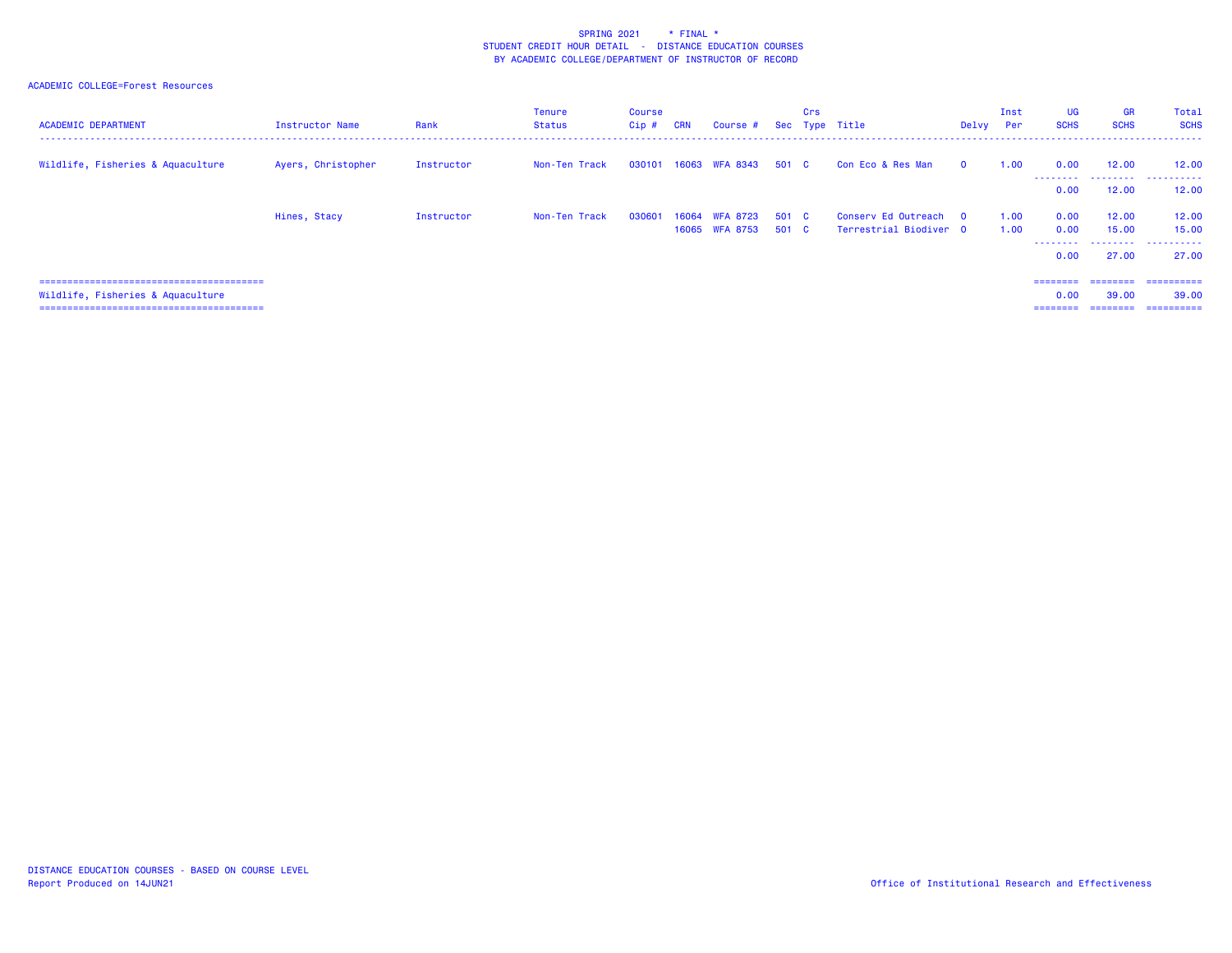| <b>ACADEMIC DEPARTMENT</b>        | <b>Instructor Name</b> | Rank       | Tenure<br>Status | Course<br>$Cip \#$ | <b>CRN</b> | Course #                         |                | Crs | Sec Type Title                                  | Delvy    | Inst<br>Per  | UG<br><b>SCHS</b>                 | <b>GR</b><br><b>SCHS</b> | Total<br><b>SCHS</b><br>. <u>.</u> .        |
|-----------------------------------|------------------------|------------|------------------|--------------------|------------|----------------------------------|----------------|-----|-------------------------------------------------|----------|--------------|-----------------------------------|--------------------------|---------------------------------------------|
| Wildlife, Fisheries & Aquaculture | Ayers, Christopher     | Instructor | Non-Ten Track    | 030101             |            | 16063 WFA 8343                   | 501 C          |     | Con Eco & Res Man                               | $\Omega$ | 1.00         | 0.00<br>.                         | 12.00<br>.               | 12.00<br>.                                  |
|                                   |                        |            |                  |                    |            |                                  |                |     |                                                 |          |              | 0.00                              | 12.00                    | 12,00                                       |
|                                   | Hines, Stacy           | Instructor | Non-Ten Track    | 030601             |            | 16064 WFA 8723<br>16065 WFA 8753 | 501 C<br>501 C |     | Conserv Ed Outreach 0<br>Terrestrial Biodiver 0 |          | 1.00<br>1.00 | 0.00<br>0.00<br>---------<br>0.00 | 12,00<br>15.00<br>27,00  | 12.00<br>15,00<br>27.00                     |
| Wildlife, Fisheries & Aquaculture |                        |            |                  |                    |            |                                  |                |     |                                                 |          |              | ========<br>0.00<br>========      | 39.00<br>========        | ========= ==========<br>39,00<br>========== |